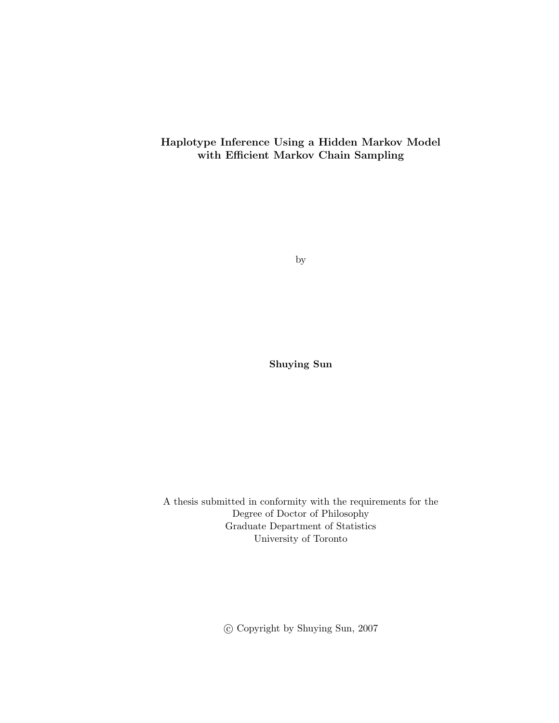# Haplotype Inference Using a Hidden Markov Model with Efficient Markov Chain Sampling

by

Shuying Sun

A thesis submitted in conformity with the requirements for the Degree of Doctor of Philosophy Graduate Department of Statistics University of Toronto

°c Copyright by Shuying Sun, 2007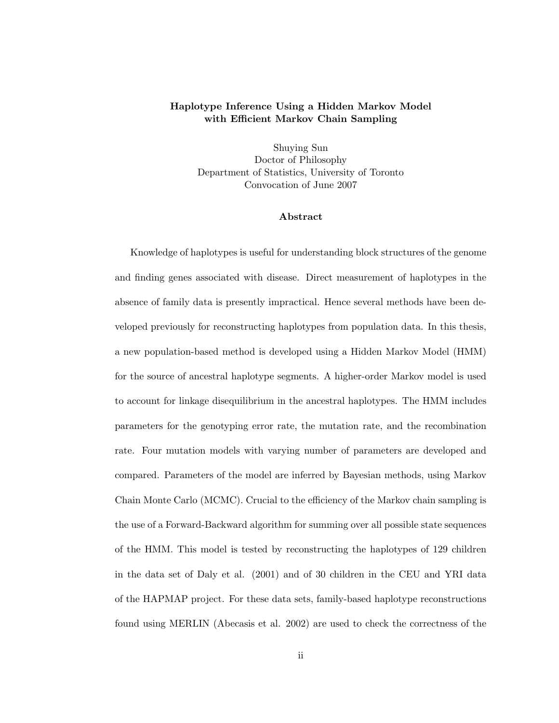## Haplotype Inference Using a Hidden Markov Model with Efficient Markov Chain Sampling

Shuying Sun Doctor of Philosophy Department of Statistics, University of Toronto Convocation of June 2007

## Abstract

Knowledge of haplotypes is useful for understanding block structures of the genome and finding genes associated with disease. Direct measurement of haplotypes in the absence of family data is presently impractical. Hence several methods have been developed previously for reconstructing haplotypes from population data. In this thesis, a new population-based method is developed using a Hidden Markov Model (HMM) for the source of ancestral haplotype segments. A higher-order Markov model is used to account for linkage disequilibrium in the ancestral haplotypes. The HMM includes parameters for the genotyping error rate, the mutation rate, and the recombination rate. Four mutation models with varying number of parameters are developed and compared. Parameters of the model are inferred by Bayesian methods, using Markov Chain Monte Carlo (MCMC). Crucial to the efficiency of the Markov chain sampling is the use of a Forward-Backward algorithm for summing over all possible state sequences of the HMM. This model is tested by reconstructing the haplotypes of 129 children in the data set of Daly et al. (2001) and of 30 children in the CEU and YRI data of the HAPMAP project. For these data sets, family-based haplotype reconstructions found using MERLIN (Abecasis et al. 2002) are used to check the correctness of the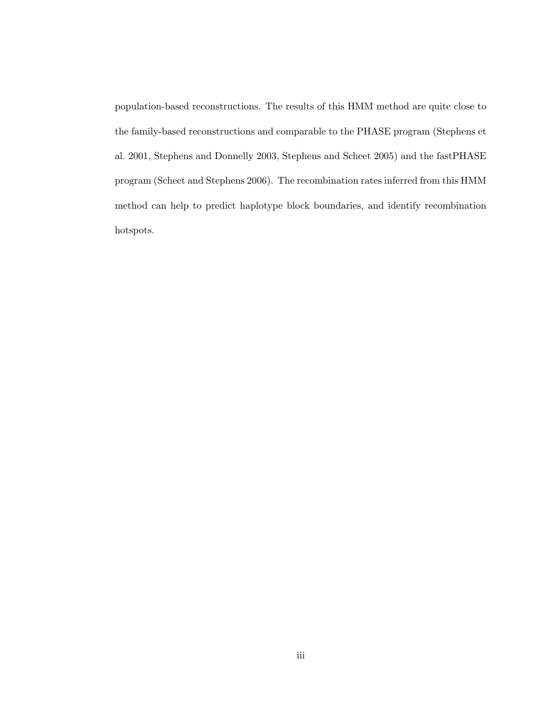population-based reconstructions. The results of this HMM method are quite close to the family-based reconstructions and comparable to the PHASE program (Stephens et al. 2001, Stephens and Donnelly 2003, Stephens and Scheet 2005) and the fastPHASE program (Scheet and Stephens 2006). The recombination rates inferred from this HMM method can help to predict haplotype block boundaries, and identify recombination hotspots.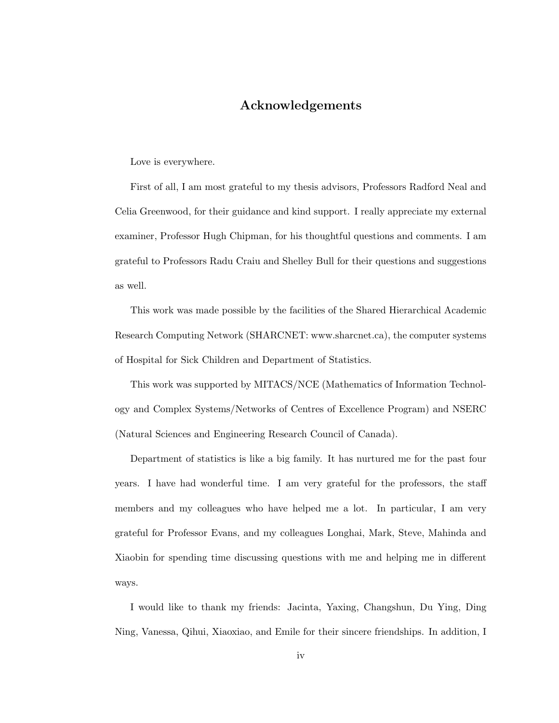# Acknowledgements

Love is everywhere.

First of all, I am most grateful to my thesis advisors, Professors Radford Neal and Celia Greenwood, for their guidance and kind support. I really appreciate my external examiner, Professor Hugh Chipman, for his thoughtful questions and comments. I am grateful to Professors Radu Craiu and Shelley Bull for their questions and suggestions as well.

This work was made possible by the facilities of the Shared Hierarchical Academic Research Computing Network (SHARCNET: www.sharcnet.ca), the computer systems of Hospital for Sick Children and Department of Statistics.

This work was supported by MITACS/NCE (Mathematics of Information Technology and Complex Systems/Networks of Centres of Excellence Program) and NSERC (Natural Sciences and Engineering Research Council of Canada).

Department of statistics is like a big family. It has nurtured me for the past four years. I have had wonderful time. I am very grateful for the professors, the staff members and my colleagues who have helped me a lot. In particular, I am very grateful for Professor Evans, and my colleagues Longhai, Mark, Steve, Mahinda and Xiaobin for spending time discussing questions with me and helping me in different ways.

I would like to thank my friends: Jacinta, Yaxing, Changshun, Du Ying, Ding Ning, Vanessa, Qihui, Xiaoxiao, and Emile for their sincere friendships. In addition, I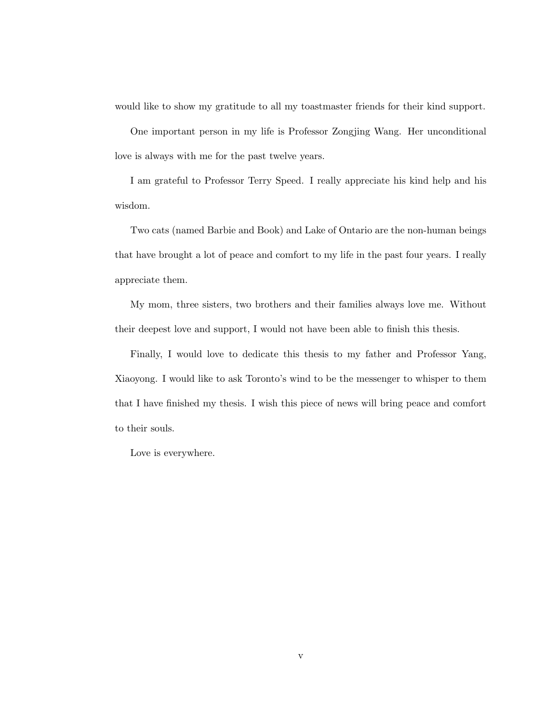would like to show my gratitude to all my toastmaster friends for their kind support.

One important person in my life is Professor Zongjing Wang. Her unconditional love is always with me for the past twelve years.

I am grateful to Professor Terry Speed. I really appreciate his kind help and his wisdom.

Two cats (named Barbie and Book) and Lake of Ontario are the non-human beings that have brought a lot of peace and comfort to my life in the past four years. I really appreciate them.

My mom, three sisters, two brothers and their families always love me. Without their deepest love and support, I would not have been able to finish this thesis.

Finally, I would love to dedicate this thesis to my father and Professor Yang, Xiaoyong. I would like to ask Toronto's wind to be the messenger to whisper to them that I have finished my thesis. I wish this piece of news will bring peace and comfort to their souls.

Love is everywhere.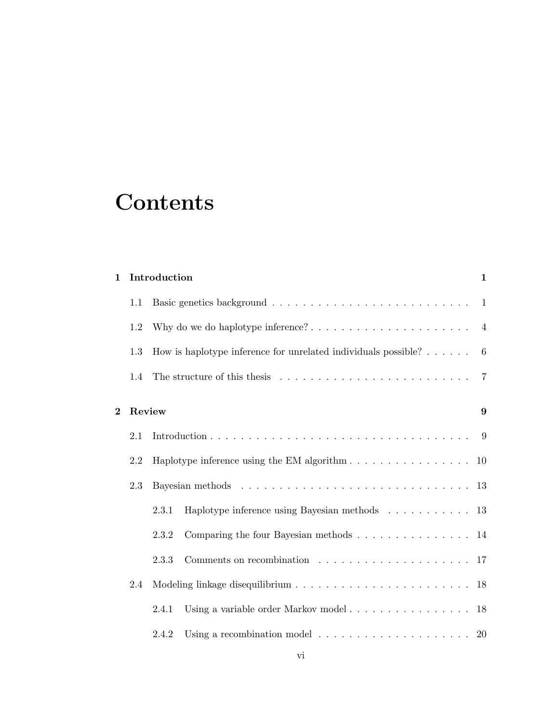# **Contents**

| $\mathbf{1}$   |         | Introduction |                                                                                          | $\mathbf{1}$   |
|----------------|---------|--------------|------------------------------------------------------------------------------------------|----------------|
|                | 1.1     |              |                                                                                          | -1             |
|                | 1.2     |              | Why do we do haplotype inference? $\dots \dots \dots \dots \dots \dots \dots \dots$      | $\overline{4}$ |
|                | 1.3     |              | How is haplotype inference for unrelated individuals possible? $\ldots$                  | -6             |
|                | 1.4     |              | The structure of this thesis $\ldots \ldots \ldots \ldots \ldots \ldots \ldots \ldots$   | 7              |
| $\overline{2}$ | Review  |              |                                                                                          | 9              |
|                | 2.1     |              |                                                                                          | - 9            |
|                | 2.2     |              |                                                                                          |                |
|                | 2.3     |              | Bayesian methods $\ldots \ldots \ldots \ldots \ldots \ldots \ldots \ldots \ldots \ldots$ |                |
|                |         | 2.3.1        | Haplotype inference using Bayesian methods 13                                            |                |
|                |         | 2.3.2        | Comparing the four Bayesian methods $\ldots \ldots \ldots \ldots \ldots 14$              |                |
|                |         | 2.3.3        |                                                                                          |                |
|                | $2.4\,$ |              |                                                                                          |                |
|                |         | 2.4.1        |                                                                                          |                |
|                |         | 2.4.2        | Using a recombination model $\ldots \ldots \ldots \ldots \ldots \ldots \ldots 20$        |                |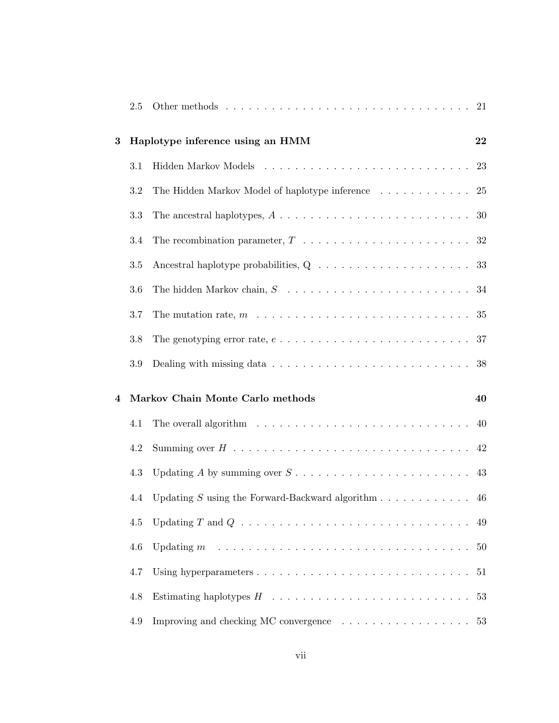|          | 2.5     |                                                                                                  | 21 |
|----------|---------|--------------------------------------------------------------------------------------------------|----|
| $\bf{3}$ |         | Haplotype inference using an HMM                                                                 | 22 |
|          | 3.1     |                                                                                                  | 23 |
|          | 3.2     | The Hidden Markov Model of haplotype inference                                                   | 25 |
|          | 3.3     | The ancestral haplotypes, $A \dots \dots \dots \dots \dots \dots \dots \dots \dots$              | 30 |
|          | 3.4     | The recombination parameter, $T \dots \dots \dots \dots \dots \dots \dots \dots \dots \dots 32$  |    |
|          | 3.5     |                                                                                                  | 33 |
|          | 3.6     | The hidden Markov chain, $S_1, \ldots, S_k, \ldots, S_k$                                         |    |
|          | $3.7\,$ | The mutation rate, $m \dots \dots \dots \dots \dots \dots \dots \dots \dots \dots$               | 35 |
|          | 3.8     | The genotyping error rate, $e \ldots \ldots \ldots \ldots \ldots \ldots \ldots \ldots \ldots 37$ |    |
|          | 3.9     |                                                                                                  | 38 |
| 4        |         | Markov Chain Monte Carlo methods                                                                 | 40 |
|          | 4.1     | The overall algorithm $\ldots \ldots \ldots \ldots \ldots \ldots \ldots \ldots \ldots$           | 40 |
|          | 4.2     |                                                                                                  | 42 |
|          | 4.3     |                                                                                                  | 43 |
|          | 4.4     | Updating S using the Forward-Backward algorithm $\ldots \ldots \ldots \ldots$                    | 46 |
|          | 4.5     |                                                                                                  | 49 |
|          | 4.6     |                                                                                                  | 50 |
|          | 4.7     | Using hyperparameters $\dots \dots \dots \dots \dots \dots \dots \dots \dots \dots$              | 51 |
|          | 4.8     |                                                                                                  | 53 |
|          | 4.9     | Improving and checking MC convergence $\ldots \ldots \ldots \ldots \ldots$                       | 53 |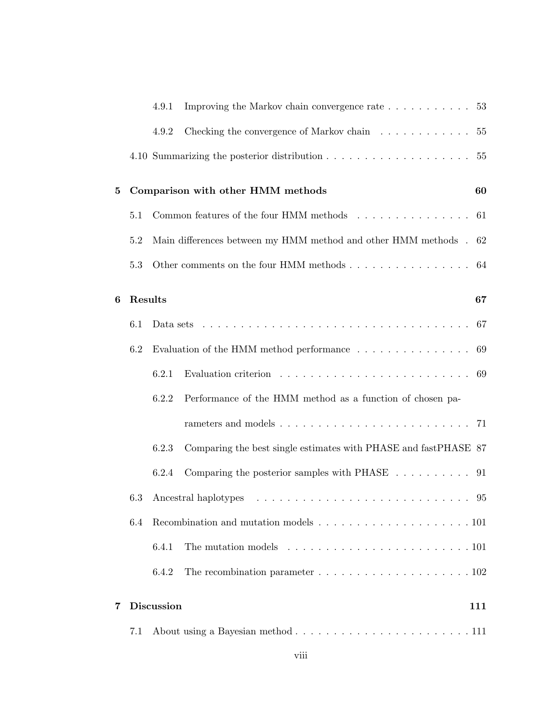|          |         | 4.9.1             | Improving the Markov chain convergence rate $\dots \dots \dots \dots$ 53                              |     |
|----------|---------|-------------------|-------------------------------------------------------------------------------------------------------|-----|
|          |         | 4.9.2             | Checking the convergence of Markov chain 55                                                           |     |
|          |         |                   |                                                                                                       |     |
| $\bf{5}$ |         |                   | Comparison with other HMM methods                                                                     | 60  |
|          | 5.1     |                   | Common features of the four HMM methods $\dots \dots \dots \dots \dots$ 61                            |     |
|          | $5.2\,$ |                   | Main differences between my HMM method and other HMM methods $.62$                                    |     |
|          | 5.3     |                   | Other comments on the four HMM methods $\dots \dots \dots \dots \dots \dots \dots$ 64                 |     |
| 6        | Results |                   |                                                                                                       | 67  |
|          | 6.1     |                   | Data sets $\dots \dots \dots \dots \dots \dots \dots \dots \dots \dots \dots \dots \dots \dots \dots$ | 67  |
|          | 6.2     |                   | Evaluation of the HMM method performance $\dots \dots \dots \dots \dots$                              | 69  |
|          |         | 6.2.1             | Evaluation criterion $\ldots \ldots \ldots \ldots \ldots \ldots \ldots \ldots$                        |     |
|          |         | 6.2.2             | Performance of the HMM method as a function of chosen pa-                                             |     |
|          |         |                   |                                                                                                       |     |
|          |         | 6.2.3             | Comparing the best single estimates with PHASE and fastPHASE 87                                       |     |
|          |         | 6.2.4             | Comparing the posterior samples with PHASE $\ldots \ldots \ldots$ 91                                  |     |
|          | 6.3     |                   |                                                                                                       |     |
|          | 6.4     |                   |                                                                                                       |     |
|          |         | 6.4.1             | The mutation models $\ldots \ldots \ldots \ldots \ldots \ldots \ldots \ldots \ldots 101$              |     |
|          |         | 6.4.2             |                                                                                                       |     |
| 7        |         | <b>Discussion</b> |                                                                                                       | 111 |
|          | 7.1     |                   |                                                                                                       |     |
|          |         |                   |                                                                                                       |     |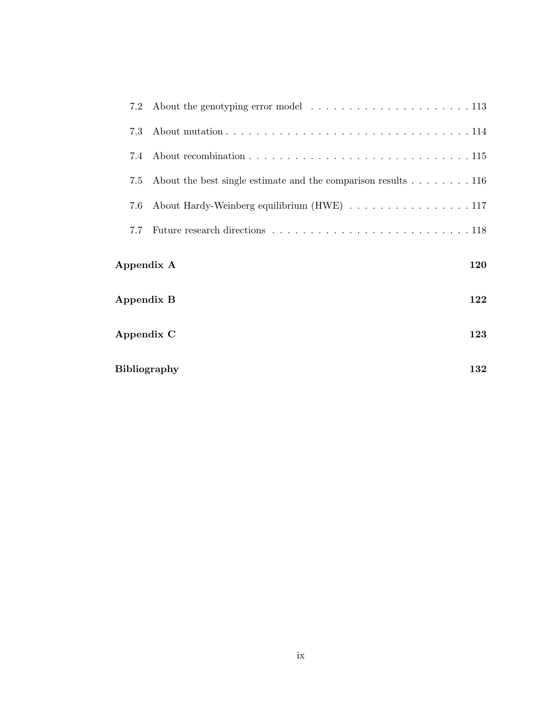| 7.2                 |                                                                                         |     |
|---------------------|-----------------------------------------------------------------------------------------|-----|
| 7.3                 |                                                                                         |     |
| 7.4                 |                                                                                         |     |
| 7.5                 | About the best single estimate and the comparison results $\dots \dots \dots \dots 116$ |     |
| 7.6                 | About Hardy-Weinberg equilibrium (HWE) 117                                              |     |
| 7.7                 |                                                                                         |     |
| Appendix A          |                                                                                         | 120 |
| Appendix B          |                                                                                         | 122 |
| Appendix C          |                                                                                         | 123 |
| <b>Bibliography</b> |                                                                                         | 132 |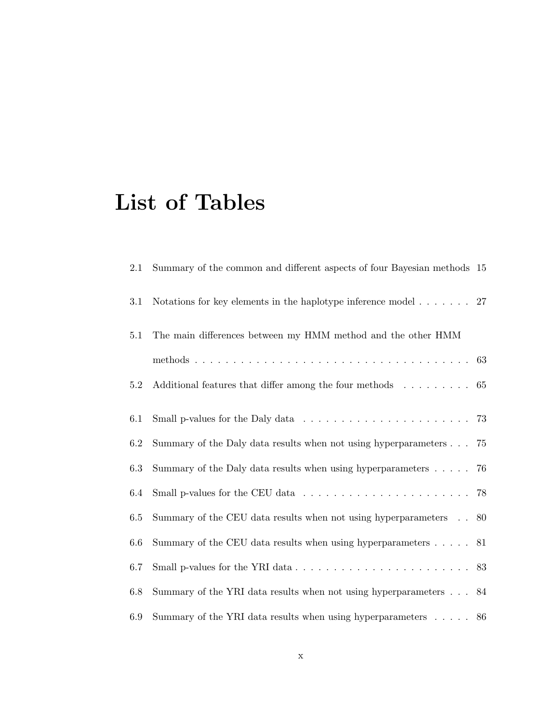# List of Tables

| 2.1 | Summary of the common and different aspects of four Bayesian methods 15                       |    |
|-----|-----------------------------------------------------------------------------------------------|----|
| 3.1 | Notations for key elements in the haplotype inference model $\ldots$ 27                       |    |
| 5.1 | The main differences between my HMM method and the other HMM                                  |    |
|     |                                                                                               |    |
| 5.2 | Additional features that differ among the four methods 65                                     |    |
| 6.1 | Small p-values for the Daly data $\ldots \ldots \ldots \ldots \ldots \ldots \ldots \ldots$ 73 |    |
| 6.2 | Summary of the Daly data results when not using hyperparameters 75                            |    |
| 6.3 | Summary of the Daly data results when using hyperparameters $\dots$ .                         | 76 |
| 6.4 | Small p-values for the CEU data $\ldots \ldots \ldots \ldots \ldots \ldots \ldots \ldots$ 78  |    |
| 6.5 | Summary of the CEU data results when not using hyperparameters 80                             |    |
| 6.6 | Summary of the CEU data results when using hyperparameters $\ldots$ . 81                      |    |
| 6.7 |                                                                                               |    |
| 6.8 | Summary of the YRI data results when not using hyperparameters 84                             |    |
| 6.9 | Summary of the YRI data results when using hyperparameters $\ldots \ldots$ 86                 |    |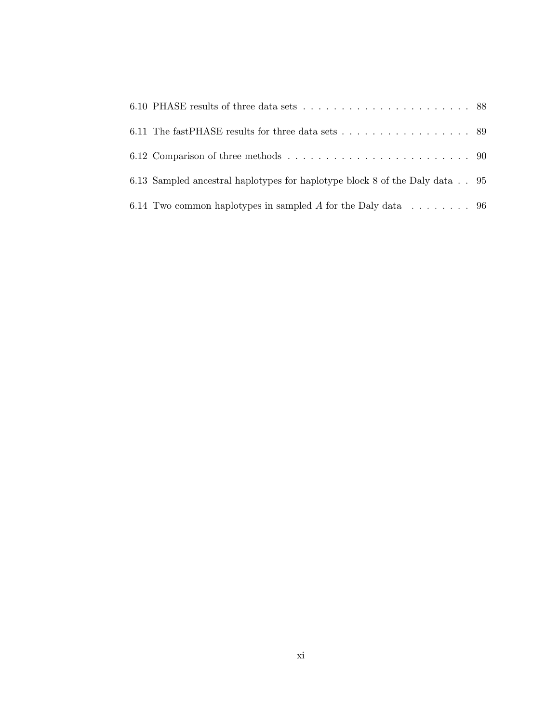| 6.10 PHASE results of three data sets $\ldots \ldots \ldots \ldots \ldots \ldots \ldots \ldots$ 88 |  |
|----------------------------------------------------------------------------------------------------|--|
| 6.11 The fastPHASE results for three data sets 89                                                  |  |
|                                                                                                    |  |
| 6.13 Sampled ancestral haplotypes for haplotype block 8 of the Daly data 95                        |  |
| 6.14 Two common haplotypes in sampled A for the Daly data $\dots \dots \dots$ 96                   |  |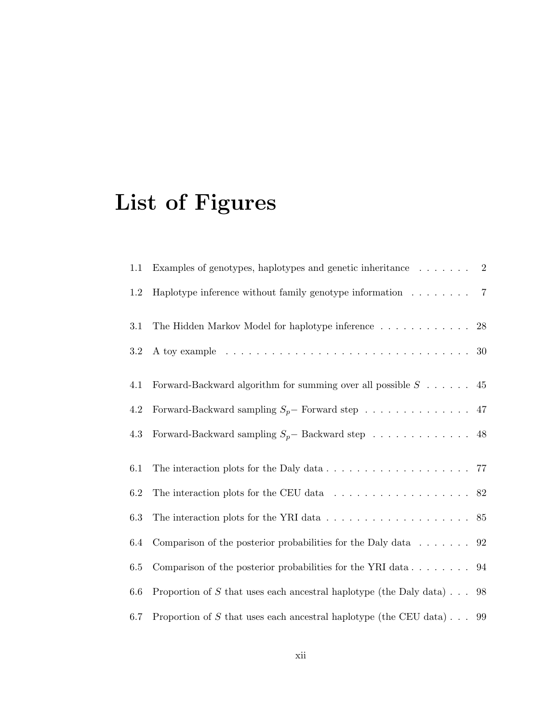# List of Figures

| 1.1 | Examples of genotypes, haplotypes and genetic inheritance $\ldots \ldots$ 2           |  |
|-----|---------------------------------------------------------------------------------------|--|
| 1.2 | Haplotype inference without family genotype information $\ldots \ldots$ 7             |  |
| 3.1 | The Hidden Markov Model for haplotype inference 28                                    |  |
| 3.2 |                                                                                       |  |
| 4.1 | Forward-Backward algorithm for summing over all possible $S \dots 45$                 |  |
| 4.2 | Forward-Backward sampling $S_p$ - Forward step 47                                     |  |
| 4.3 |                                                                                       |  |
| 6.1 |                                                                                       |  |
| 6.2 | The interaction plots for the CEU data $\ldots \ldots \ldots \ldots \ldots \ldots 82$ |  |
| 6.3 | The interaction plots for the YRI data $\hbox{\ldots}$ 85                             |  |
| 6.4 | Comparison of the posterior probabilities for the Daly data $\ldots$ 92               |  |
| 6.5 | Comparison of the posterior probabilities for the YRI data $\ldots \ldots$ 94         |  |
| 6.6 | Proportion of S that uses each ancestral haplotype (the Daly data) $\ldots$ 98        |  |
| 6.7 | Proportion of S that uses each ancestral haplotype (the CEU data) 99                  |  |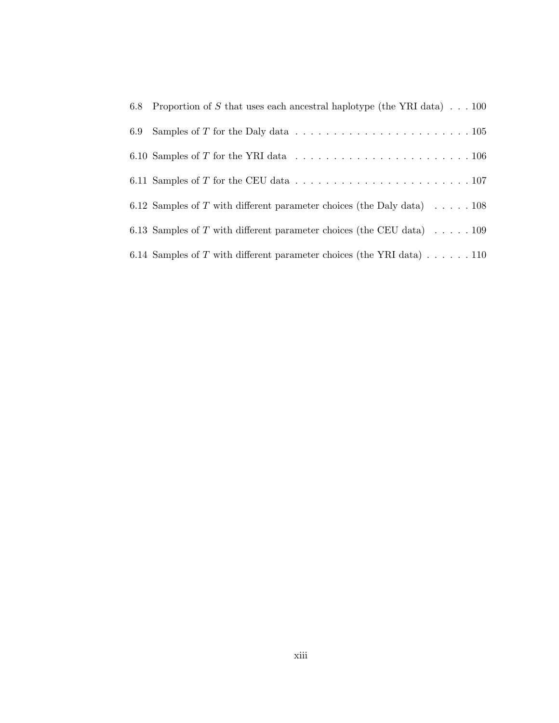|     | 6.8 Proportion of S that uses each ancestral haplotype (the YRI data) $\ldots$ 100                      |
|-----|---------------------------------------------------------------------------------------------------------|
| 6.9 |                                                                                                         |
|     | 6.10 Samples of T for the YRI data $\ldots \ldots \ldots \ldots \ldots \ldots \ldots \ldots \ldots 106$ |
|     | 6.11 Samples of T for the CEU data $\ldots \ldots \ldots \ldots \ldots \ldots \ldots \ldots 107$        |
|     | 6.12 Samples of T with different parameter choices (the Daly data) $\ldots$ 108                         |
|     | 6.13 Samples of T with different parameter choices (the CEU data) $\ldots$ 109                          |
|     | 6.14 Samples of T with different parameter choices (the YRI data) $\dots$ $\dots$ . 110                 |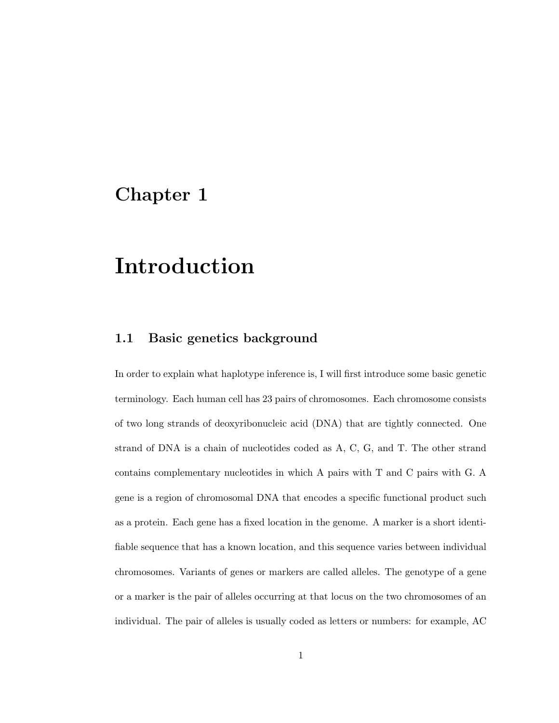# Chapter 1

# Introduction

## 1.1 Basic genetics background

In order to explain what haplotype inference is, I will first introduce some basic genetic terminology. Each human cell has 23 pairs of chromosomes. Each chromosome consists of two long strands of deoxyribonucleic acid (DNA) that are tightly connected. One strand of DNA is a chain of nucleotides coded as A, C, G, and T. The other strand contains complementary nucleotides in which A pairs with T and C pairs with G. A gene is a region of chromosomal DNA that encodes a specific functional product such as a protein. Each gene has a fixed location in the genome. A marker is a short identifiable sequence that has a known location, and this sequence varies between individual chromosomes. Variants of genes or markers are called alleles. The genotype of a gene or a marker is the pair of alleles occurring at that locus on the two chromosomes of an individual. The pair of alleles is usually coded as letters or numbers: for example, AC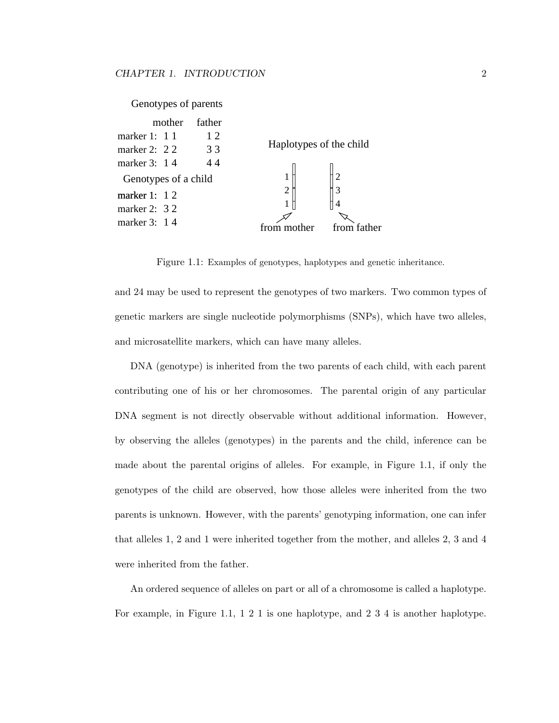

Figure 1.1: Examples of genotypes, haplotypes and genetic inheritance.

and 24 may be used to represent the genotypes of two markers. Two common types of genetic markers are single nucleotide polymorphisms (SNPs), which have two alleles, and microsatellite markers, which can have many alleles.

DNA (genotype) is inherited from the two parents of each child, with each parent contributing one of his or her chromosomes. The parental origin of any particular DNA segment is not directly observable without additional information. However, by observing the alleles (genotypes) in the parents and the child, inference can be made about the parental origins of alleles. For example, in Figure 1.1, if only the genotypes of the child are observed, how those alleles were inherited from the two parents is unknown. However, with the parents' genotyping information, one can infer that alleles 1, 2 and 1 were inherited together from the mother, and alleles 2, 3 and 4 were inherited from the father.

An ordered sequence of alleles on part or all of a chromosome is called a haplotype. For example, in Figure 1.1, 1 2 1 is one haplotype, and 2 3 4 is another haplotype.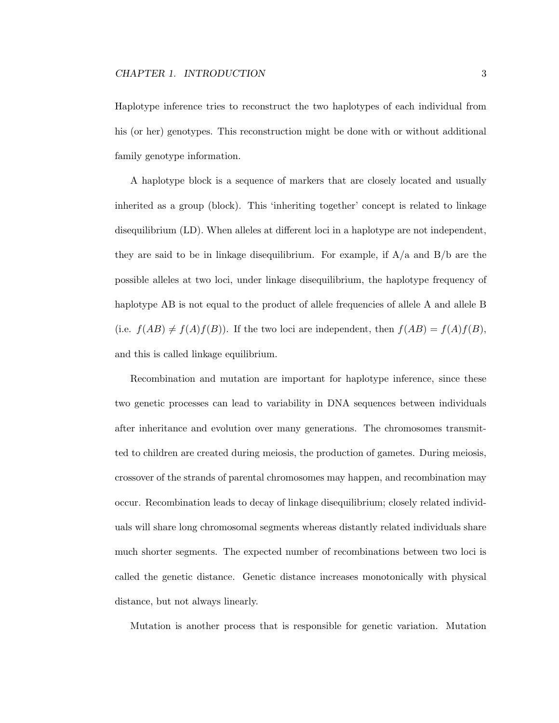Haplotype inference tries to reconstruct the two haplotypes of each individual from his (or her) genotypes. This reconstruction might be done with or without additional family genotype information.

A haplotype block is a sequence of markers that are closely located and usually inherited as a group (block). This 'inheriting together' concept is related to linkage disequilibrium (LD). When alleles at different loci in a haplotype are not independent, they are said to be in linkage disequilibrium. For example, if  $A/a$  and  $B/b$  are the possible alleles at two loci, under linkage disequilibrium, the haplotype frequency of haplotype AB is not equal to the product of allele frequencies of allele A and allele B (i.e.  $f(AB) \neq f(A)f(B)$ ). If the two loci are independent, then  $f(AB) = f(A)f(B)$ , and this is called linkage equilibrium.

Recombination and mutation are important for haplotype inference, since these two genetic processes can lead to variability in DNA sequences between individuals after inheritance and evolution over many generations. The chromosomes transmitted to children are created during meiosis, the production of gametes. During meiosis, crossover of the strands of parental chromosomes may happen, and recombination may occur. Recombination leads to decay of linkage disequilibrium; closely related individuals will share long chromosomal segments whereas distantly related individuals share much shorter segments. The expected number of recombinations between two loci is called the genetic distance. Genetic distance increases monotonically with physical distance, but not always linearly.

Mutation is another process that is responsible for genetic variation. Mutation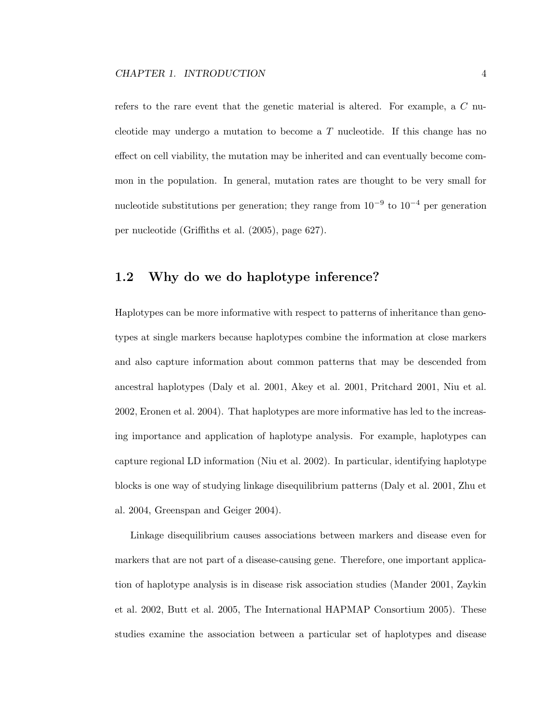refers to the rare event that the genetic material is altered. For example, a C nucleotide may undergo a mutation to become a T nucleotide. If this change has no effect on cell viability, the mutation may be inherited and can eventually become common in the population. In general, mutation rates are thought to be very small for nucleotide substitutions per generation; they range from  $10^{-9}$  to  $10^{-4}$  per generation per nucleotide (Griffiths et al. (2005), page 627).

# 1.2 Why do we do haplotype inference?

Haplotypes can be more informative with respect to patterns of inheritance than genotypes at single markers because haplotypes combine the information at close markers and also capture information about common patterns that may be descended from ancestral haplotypes (Daly et al. 2001, Akey et al. 2001, Pritchard 2001, Niu et al. 2002, Eronen et al. 2004). That haplotypes are more informative has led to the increasing importance and application of haplotype analysis. For example, haplotypes can capture regional LD information (Niu et al. 2002). In particular, identifying haplotype blocks is one way of studying linkage disequilibrium patterns (Daly et al. 2001, Zhu et al. 2004, Greenspan and Geiger 2004).

Linkage disequilibrium causes associations between markers and disease even for markers that are not part of a disease-causing gene. Therefore, one important application of haplotype analysis is in disease risk association studies (Mander 2001, Zaykin et al. 2002, Butt et al. 2005, The International HAPMAP Consortium 2005). These studies examine the association between a particular set of haplotypes and disease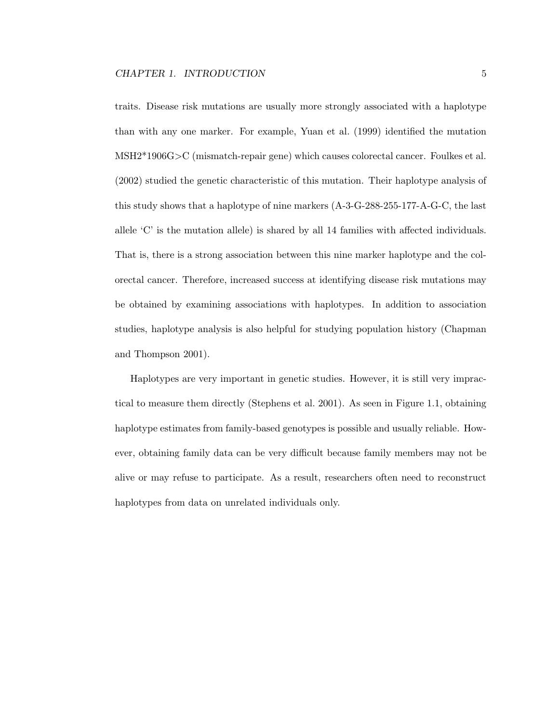traits. Disease risk mutations are usually more strongly associated with a haplotype than with any one marker. For example, Yuan et al. (1999) identified the mutation MSH2\*1906G>C (mismatch-repair gene) which causes colorectal cancer. Foulkes et al. (2002) studied the genetic characteristic of this mutation. Their haplotype analysis of this study shows that a haplotype of nine markers (A-3-G-288-255-177-A-G-C, the last allele 'C' is the mutation allele) is shared by all 14 families with affected individuals. That is, there is a strong association between this nine marker haplotype and the colorectal cancer. Therefore, increased success at identifying disease risk mutations may be obtained by examining associations with haplotypes. In addition to association studies, haplotype analysis is also helpful for studying population history (Chapman and Thompson 2001).

Haplotypes are very important in genetic studies. However, it is still very impractical to measure them directly (Stephens et al. 2001). As seen in Figure 1.1, obtaining haplotype estimates from family-based genotypes is possible and usually reliable. However, obtaining family data can be very difficult because family members may not be alive or may refuse to participate. As a result, researchers often need to reconstruct haplotypes from data on unrelated individuals only.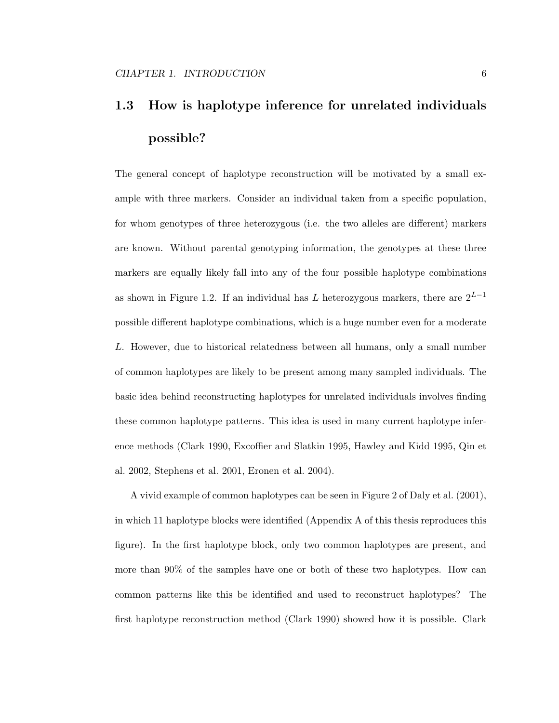# 1.3 How is haplotype inference for unrelated individuals possible?

The general concept of haplotype reconstruction will be motivated by a small example with three markers. Consider an individual taken from a specific population, for whom genotypes of three heterozygous (i.e. the two alleles are different) markers are known. Without parental genotyping information, the genotypes at these three markers are equally likely fall into any of the four possible haplotype combinations as shown in Figure 1.2. If an individual has L heterozygous markers, there are  $2^{L-1}$ possible different haplotype combinations, which is a huge number even for a moderate L. However, due to historical relatedness between all humans, only a small number of common haplotypes are likely to be present among many sampled individuals. The basic idea behind reconstructing haplotypes for unrelated individuals involves finding these common haplotype patterns. This idea is used in many current haplotype inference methods (Clark 1990, Excoffier and Slatkin 1995, Hawley and Kidd 1995, Qin et al. 2002, Stephens et al. 2001, Eronen et al. 2004).

A vivid example of common haplotypes can be seen in Figure 2 of Daly et al. (2001), in which 11 haplotype blocks were identified (Appendix A of this thesis reproduces this figure). In the first haplotype block, only two common haplotypes are present, and more than 90% of the samples have one or both of these two haplotypes. How can common patterns like this be identified and used to reconstruct haplotypes? The first haplotype reconstruction method (Clark 1990) showed how it is possible. Clark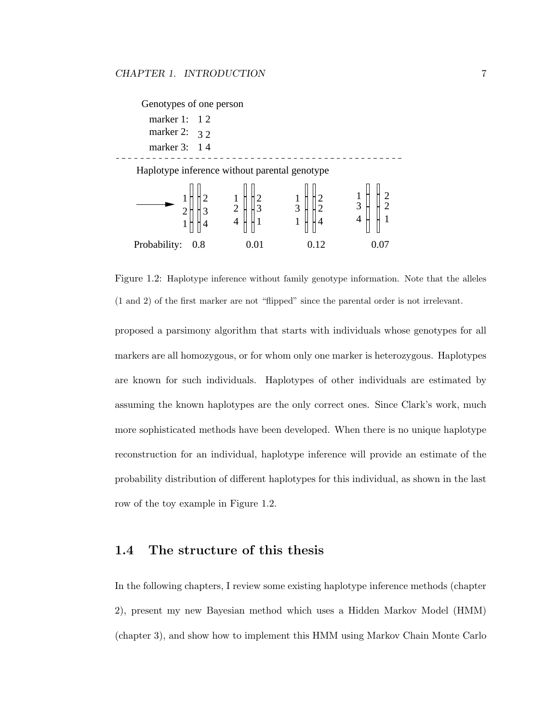

Figure 1.2: Haplotype inference without family genotype information. Note that the alleles (1 and 2) of the first marker are not "flipped" since the parental order is not irrelevant.

proposed a parsimony algorithm that starts with individuals whose genotypes for all markers are all homozygous, or for whom only one marker is heterozygous. Haplotypes are known for such individuals. Haplotypes of other individuals are estimated by assuming the known haplotypes are the only correct ones. Since Clark's work, much more sophisticated methods have been developed. When there is no unique haplotype reconstruction for an individual, haplotype inference will provide an estimate of the probability distribution of different haplotypes for this individual, as shown in the last row of the toy example in Figure 1.2.

## 1.4 The structure of this thesis

In the following chapters, I review some existing haplotype inference methods (chapter 2), present my new Bayesian method which uses a Hidden Markov Model (HMM) (chapter 3), and show how to implement this HMM using Markov Chain Monte Carlo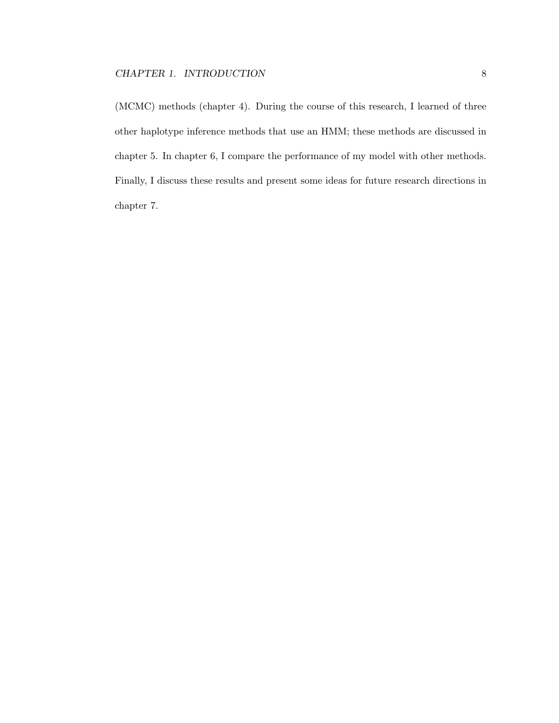(MCMC) methods (chapter 4). During the course of this research, I learned of three other haplotype inference methods that use an HMM; these methods are discussed in chapter 5. In chapter 6, I compare the performance of my model with other methods. Finally, I discuss these results and present some ideas for future research directions in chapter 7.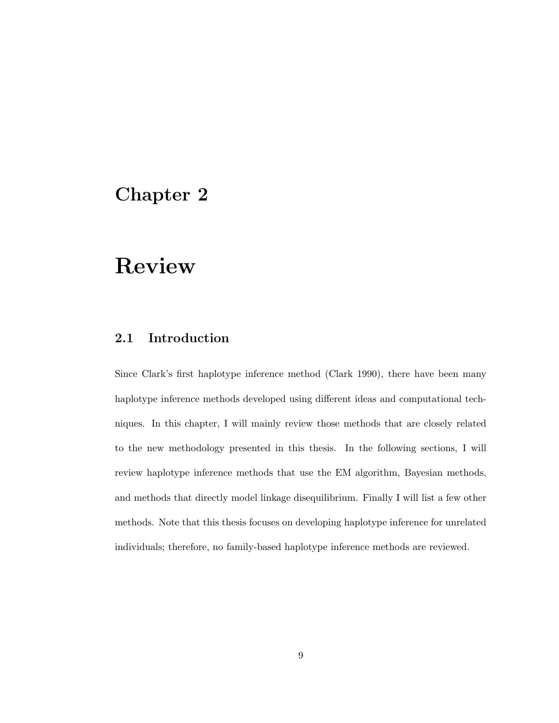# Chapter 2

# Review

# 2.1 Introduction

Since Clark's first haplotype inference method (Clark 1990), there have been many haplotype inference methods developed using different ideas and computational techniques. In this chapter, I will mainly review those methods that are closely related to the new methodology presented in this thesis. In the following sections, I will review haplotype inference methods that use the EM algorithm, Bayesian methods, and methods that directly model linkage disequilibrium. Finally I will list a few other methods. Note that this thesis focuses on developing haplotype inference for unrelated individuals; therefore, no family-based haplotype inference methods are reviewed.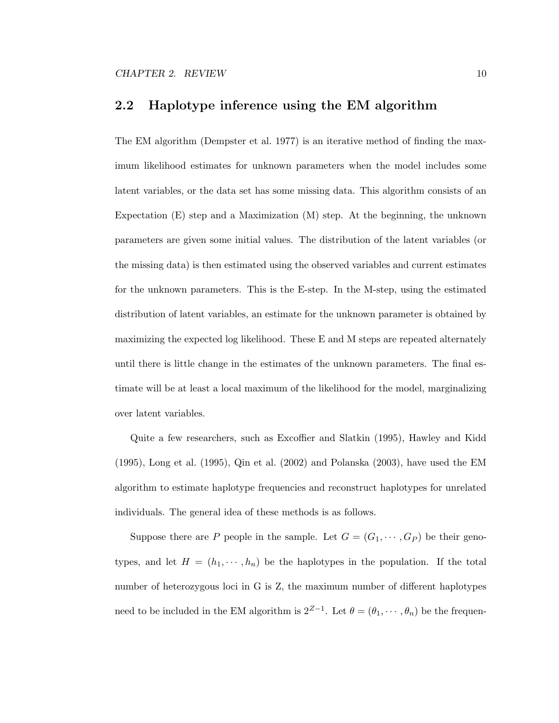# 2.2 Haplotype inference using the EM algorithm

The EM algorithm (Dempster et al. 1977) is an iterative method of finding the maximum likelihood estimates for unknown parameters when the model includes some latent variables, or the data set has some missing data. This algorithm consists of an Expectation (E) step and a Maximization (M) step. At the beginning, the unknown parameters are given some initial values. The distribution of the latent variables (or the missing data) is then estimated using the observed variables and current estimates for the unknown parameters. This is the E-step. In the M-step, using the estimated distribution of latent variables, an estimate for the unknown parameter is obtained by maximizing the expected log likelihood. These E and M steps are repeated alternately until there is little change in the estimates of the unknown parameters. The final estimate will be at least a local maximum of the likelihood for the model, marginalizing over latent variables.

Quite a few researchers, such as Excoffier and Slatkin (1995), Hawley and Kidd (1995), Long et al. (1995), Qin et al. (2002) and Polanska (2003), have used the EM algorithm to estimate haplotype frequencies and reconstruct haplotypes for unrelated individuals. The general idea of these methods is as follows.

Suppose there are P people in the sample. Let  $G = (G_1, \dots, G_P)$  be their genotypes, and let  $H = (h_1, \dots, h_n)$  be the haplotypes in the population. If the total number of heterozygous loci in G is Z, the maximum number of different haplotypes need to be included in the EM algorithm is  $2^{Z-1}$ . Let  $\theta = (\theta_1, \dots, \theta_n)$  be the frequen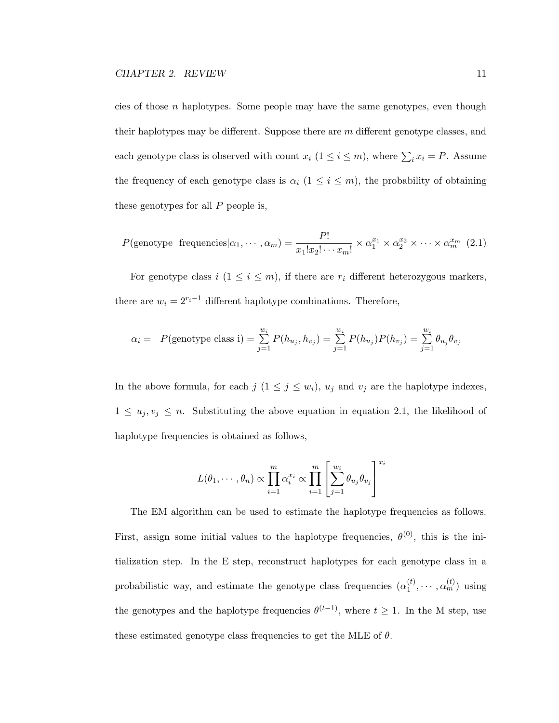cies of those  $n$  haplotypes. Some people may have the same genotypes, even though their haplotypes may be different. Suppose there are  $m$  different genotype classes, and each genotype class is observed with count  $x_i$   $(1 \leq i \leq m)$ , where  $\sum_i x_i = P$ . Assume the frequency of each genotype class is  $\alpha_i$  ( $1 \leq i \leq m$ ), the probability of obtaining these genotypes for all  $P$  people is,

 $P(\text{genotype frequencies}|\alpha_1,\cdots,\alpha_m) = \frac{P!}{R!}$  $\frac{P!}{x_1!x_2! \cdots x_m!} \times \alpha_1^{x_1} \times \alpha_2^{x_2} \times \cdots \times \alpha_m^{x_m}$  (2.1)

For genotype class  $i$   $(1 \leq i \leq m)$ , if there are  $r_i$  different heterozygous markers, there are  $w_i = 2^{r_i-1}$  different haplotype combinations. Therefore,

$$
\alpha_i = P(\text{genotype class i}) = \sum_{j=1}^{w_i} P(h_{u_j}, h_{v_j}) = \sum_{j=1}^{w_i} P(h_{u_j}) P(h_{v_j}) = \sum_{j=1}^{w_i} \theta_{u_j} \theta_{v_j}
$$

In the above formula, for each  $j$   $(1 \leq j \leq w_i)$ ,  $u_j$  and  $v_j$  are the haplotype indexes,  $1 \leq u_j, v_j \leq n$ . Substituting the above equation in equation 2.1, the likelihood of haplotype frequencies is obtained as follows,

$$
L(\theta_1, \cdots, \theta_n) \propto \prod_{i=1}^m \alpha_i^{x_i} \propto \prod_{i=1}^m \left[ \sum_{j=1}^{w_i} \theta_{u_j} \theta_{v_j} \right]^{x_i}
$$

The EM algorithm can be used to estimate the haplotype frequencies as follows. First, assign some initial values to the haplotype frequencies,  $\theta^{(0)}$ , this is the initialization step. In the E step, reconstruct haplotypes for each genotype class in a probabilistic way, and estimate the genotype class frequencies  $(\alpha_1^{(t)})$  $\binom{t}{1}, \cdots, \alpha_m^{(t)}$  using the genotypes and the haplotype frequencies  $\theta^{(t-1)}$ , where  $t \geq 1$ . In the M step, use these estimated genotype class frequencies to get the MLE of  $\theta$ .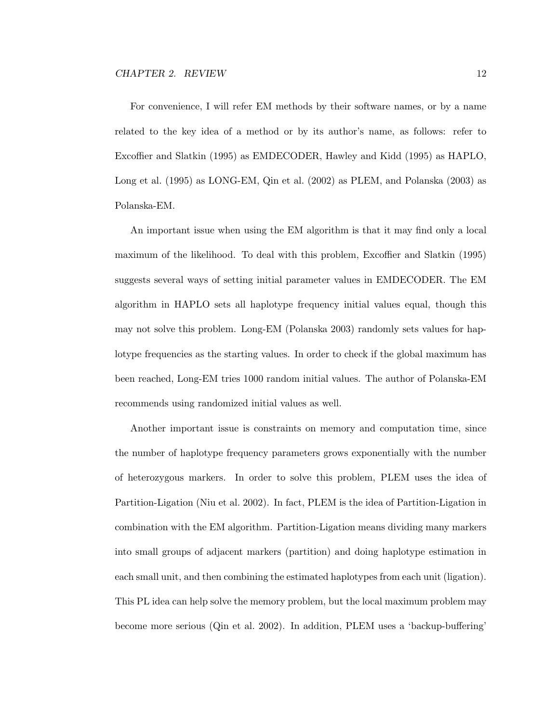For convenience, I will refer EM methods by their software names, or by a name related to the key idea of a method or by its author's name, as follows: refer to Excoffier and Slatkin (1995) as EMDECODER, Hawley and Kidd (1995) as HAPLO, Long et al. (1995) as LONG-EM, Qin et al. (2002) as PLEM, and Polanska (2003) as Polanska-EM.

An important issue when using the EM algorithm is that it may find only a local maximum of the likelihood. To deal with this problem, Excoffier and Slatkin (1995) suggests several ways of setting initial parameter values in EMDECODER. The EM algorithm in HAPLO sets all haplotype frequency initial values equal, though this may not solve this problem. Long-EM (Polanska 2003) randomly sets values for haplotype frequencies as the starting values. In order to check if the global maximum has been reached, Long-EM tries 1000 random initial values. The author of Polanska-EM recommends using randomized initial values as well.

Another important issue is constraints on memory and computation time, since the number of haplotype frequency parameters grows exponentially with the number of heterozygous markers. In order to solve this problem, PLEM uses the idea of Partition-Ligation (Niu et al. 2002). In fact, PLEM is the idea of Partition-Ligation in combination with the EM algorithm. Partition-Ligation means dividing many markers into small groups of adjacent markers (partition) and doing haplotype estimation in each small unit, and then combining the estimated haplotypes from each unit (ligation). This PL idea can help solve the memory problem, but the local maximum problem may become more serious (Qin et al. 2002). In addition, PLEM uses a 'backup-buffering'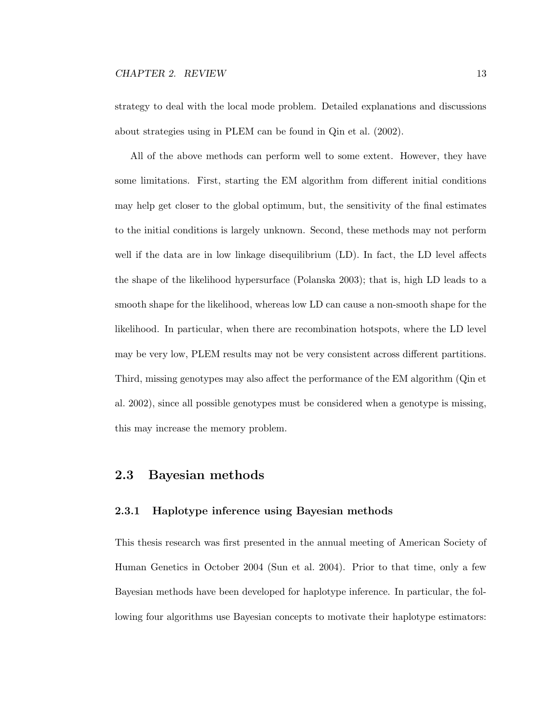strategy to deal with the local mode problem. Detailed explanations and discussions about strategies using in PLEM can be found in Qin et al. (2002).

All of the above methods can perform well to some extent. However, they have some limitations. First, starting the EM algorithm from different initial conditions may help get closer to the global optimum, but, the sensitivity of the final estimates to the initial conditions is largely unknown. Second, these methods may not perform well if the data are in low linkage disequilibrium (LD). In fact, the LD level affects the shape of the likelihood hypersurface (Polanska 2003); that is, high LD leads to a smooth shape for the likelihood, whereas low LD can cause a non-smooth shape for the likelihood. In particular, when there are recombination hotspots, where the LD level may be very low, PLEM results may not be very consistent across different partitions. Third, missing genotypes may also affect the performance of the EM algorithm (Qin et al. 2002), since all possible genotypes must be considered when a genotype is missing, this may increase the memory problem.

## 2.3 Bayesian methods

## 2.3.1 Haplotype inference using Bayesian methods

This thesis research was first presented in the annual meeting of American Society of Human Genetics in October 2004 (Sun et al. 2004). Prior to that time, only a few Bayesian methods have been developed for haplotype inference. In particular, the following four algorithms use Bayesian concepts to motivate their haplotype estimators: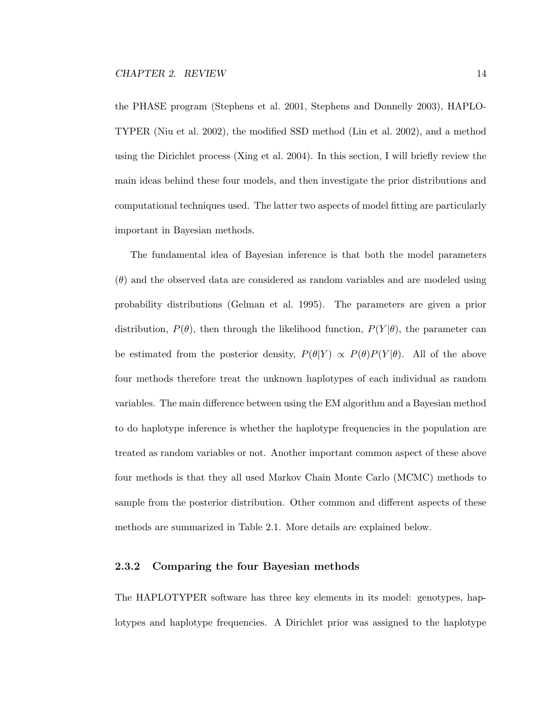the PHASE program (Stephens et al. 2001, Stephens and Donnelly 2003), HAPLO-TYPER (Niu et al. 2002), the modified SSD method (Lin et al. 2002), and a method using the Dirichlet process (Xing et al. 2004). In this section, I will briefly review the main ideas behind these four models, and then investigate the prior distributions and computational techniques used. The latter two aspects of model fitting are particularly important in Bayesian methods.

The fundamental idea of Bayesian inference is that both the model parameters  $(\theta)$  and the observed data are considered as random variables and are modeled using probability distributions (Gelman et al. 1995). The parameters are given a prior distribution,  $P(\theta)$ , then through the likelihood function,  $P(Y|\theta)$ , the parameter can be estimated from the posterior density,  $P(\theta|Y) \propto P(\theta)P(Y|\theta)$ . All of the above four methods therefore treat the unknown haplotypes of each individual as random variables. The main difference between using the EM algorithm and a Bayesian method to do haplotype inference is whether the haplotype frequencies in the population are treated as random variables or not. Another important common aspect of these above four methods is that they all used Markov Chain Monte Carlo (MCMC) methods to sample from the posterior distribution. Other common and different aspects of these methods are summarized in Table 2.1. More details are explained below.

## 2.3.2 Comparing the four Bayesian methods

The HAPLOTYPER software has three key elements in its model: genotypes, haplotypes and haplotype frequencies. A Dirichlet prior was assigned to the haplotype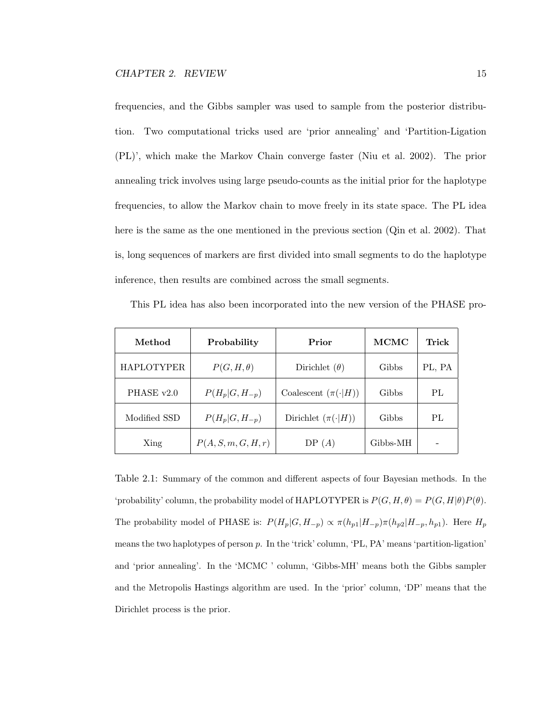frequencies, and the Gibbs sampler was used to sample from the posterior distribution. Two computational tricks used are 'prior annealing' and 'Partition-Ligation (PL)', which make the Markov Chain converge faster (Niu et al. 2002). The prior annealing trick involves using large pseudo-counts as the initial prior for the haplotype frequencies, to allow the Markov chain to move freely in its state space. The PL idea here is the same as the one mentioned in the previous section (Qin et al. 2002). That is, long sequences of markers are first divided into small segments to do the haplotype inference, then results are combined across the small segments.

This PL idea has also been incorporated into the new version of the PHASE pro-

| Method            | Probability         | Prior                       | MCMC     | Trick           |
|-------------------|---------------------|-----------------------------|----------|-----------------|
| <b>HAPLOTYPER</b> | $P(G, H, \theta)$   | Dirichlet $(\theta)$        | Gibbs    | PL, PA          |
| PHASE v2.0        | $P(H_p G, H_{-p})$  | Coalescent $(\pi(\cdot H))$ | Gibbs    | PI <sub>1</sub> |
| Modified SSD      | $P(H_p G, H_{-p})$  | Dirichlet $(\pi(\cdot H))$  | Gibbs    | PL              |
| Xing              | P(A, S, m, G, H, r) | DP(A)                       | Gibbs-MH |                 |

Table 2.1: Summary of the common and different aspects of four Bayesian methods. In the 'probability' column, the probability model of HAPLOTYPER is  $P(G, H, \theta) = P(G, H | \theta) P(\theta)$ . The probability model of PHASE is:  $P(H_p|G, H_{-p}) \propto \pi(h_{p1}|H_{-p})\pi(h_{p2}|H_{-p}, h_{p1})$ . Here  $H_p$ means the two haplotypes of person p. In the 'trick' column, 'PL, PA' means 'partition-ligation' and 'prior annealing'. In the 'MCMC ' column, 'Gibbs-MH' means both the Gibbs sampler and the Metropolis Hastings algorithm are used. In the 'prior' column, 'DP' means that the Dirichlet process is the prior.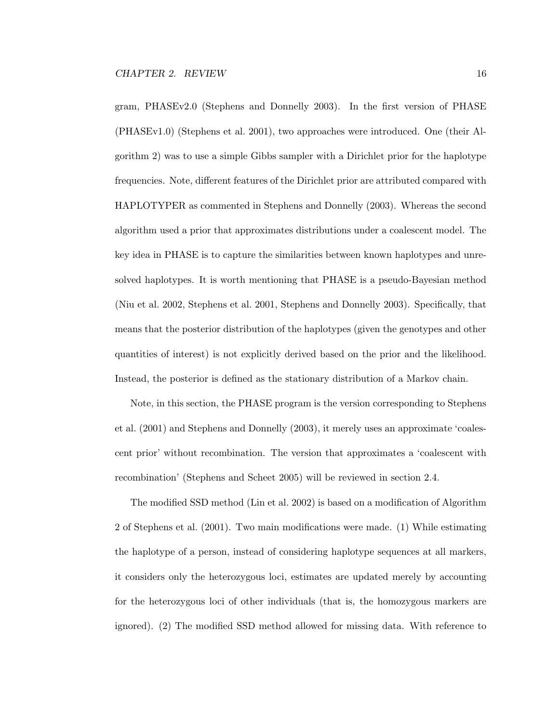gram, PHASEv2.0 (Stephens and Donnelly 2003). In the first version of PHASE (PHASEv1.0) (Stephens et al. 2001), two approaches were introduced. One (their Algorithm 2) was to use a simple Gibbs sampler with a Dirichlet prior for the haplotype frequencies. Note, different features of the Dirichlet prior are attributed compared with HAPLOTYPER as commented in Stephens and Donnelly (2003). Whereas the second algorithm used a prior that approximates distributions under a coalescent model. The key idea in PHASE is to capture the similarities between known haplotypes and unresolved haplotypes. It is worth mentioning that PHASE is a pseudo-Bayesian method (Niu et al. 2002, Stephens et al. 2001, Stephens and Donnelly 2003). Specifically, that means that the posterior distribution of the haplotypes (given the genotypes and other quantities of interest) is not explicitly derived based on the prior and the likelihood. Instead, the posterior is defined as the stationary distribution of a Markov chain.

Note, in this section, the PHASE program is the version corresponding to Stephens et al. (2001) and Stephens and Donnelly (2003), it merely uses an approximate 'coalescent prior' without recombination. The version that approximates a 'coalescent with recombination' (Stephens and Scheet 2005) will be reviewed in section 2.4.

The modified SSD method (Lin et al. 2002) is based on a modification of Algorithm 2 of Stephens et al. (2001). Two main modifications were made. (1) While estimating the haplotype of a person, instead of considering haplotype sequences at all markers, it considers only the heterozygous loci, estimates are updated merely by accounting for the heterozygous loci of other individuals (that is, the homozygous markers are ignored). (2) The modified SSD method allowed for missing data. With reference to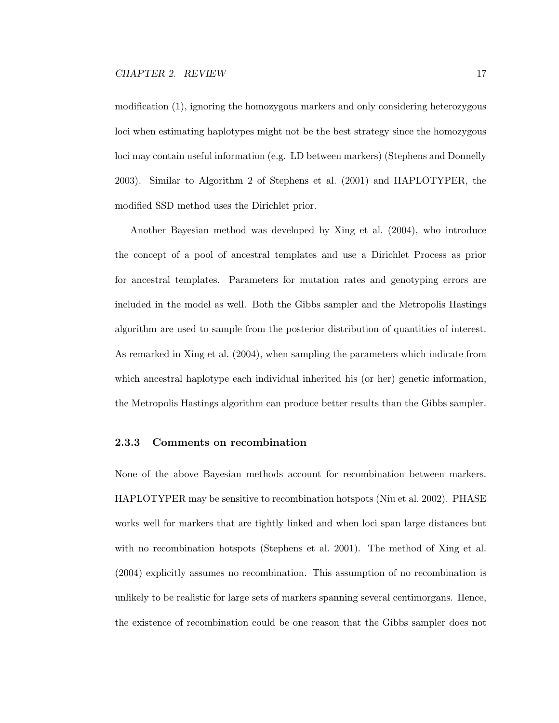modification (1), ignoring the homozygous markers and only considering heterozygous loci when estimating haplotypes might not be the best strategy since the homozygous loci may contain useful information (e.g. LD between markers) (Stephens and Donnelly 2003). Similar to Algorithm 2 of Stephens et al. (2001) and HAPLOTYPER, the modified SSD method uses the Dirichlet prior.

Another Bayesian method was developed by Xing et al. (2004), who introduce the concept of a pool of ancestral templates and use a Dirichlet Process as prior for ancestral templates. Parameters for mutation rates and genotyping errors are included in the model as well. Both the Gibbs sampler and the Metropolis Hastings algorithm are used to sample from the posterior distribution of quantities of interest. As remarked in Xing et al. (2004), when sampling the parameters which indicate from which ancestral haplotype each individual inherited his (or her) genetic information, the Metropolis Hastings algorithm can produce better results than the Gibbs sampler.

## 2.3.3 Comments on recombination

None of the above Bayesian methods account for recombination between markers. HAPLOTYPER may be sensitive to recombination hotspots (Niu et al. 2002). PHASE works well for markers that are tightly linked and when loci span large distances but with no recombination hotspots (Stephens et al. 2001). The method of Xing et al. (2004) explicitly assumes no recombination. This assumption of no recombination is unlikely to be realistic for large sets of markers spanning several centimorgans. Hence, the existence of recombination could be one reason that the Gibbs sampler does not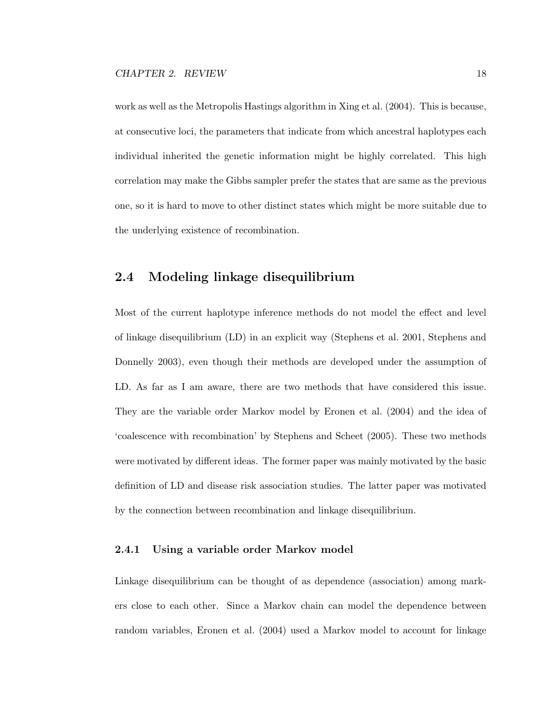work as well as the Metropolis Hastings algorithm in Xing et al. (2004). This is because, at consecutive loci, the parameters that indicate from which ancestral haplotypes each individual inherited the genetic information might be highly correlated. This high correlation may make the Gibbs sampler prefer the states that are same as the previous one, so it is hard to move to other distinct states which might be more suitable due to the underlying existence of recombination.

# 2.4 Modeling linkage disequilibrium

Most of the current haplotype inference methods do not model the effect and level of linkage disequilibrium (LD) in an explicit way (Stephens et al. 2001, Stephens and Donnelly 2003), even though their methods are developed under the assumption of LD. As far as I am aware, there are two methods that have considered this issue. They are the variable order Markov model by Eronen et al. (2004) and the idea of 'coalescence with recombination' by Stephens and Scheet (2005). These two methods were motivated by different ideas. The former paper was mainly motivated by the basic definition of LD and disease risk association studies. The latter paper was motivated by the connection between recombination and linkage disequilibrium.

## 2.4.1 Using a variable order Markov model

Linkage disequilibrium can be thought of as dependence (association) among markers close to each other. Since a Markov chain can model the dependence between random variables, Eronen et al. (2004) used a Markov model to account for linkage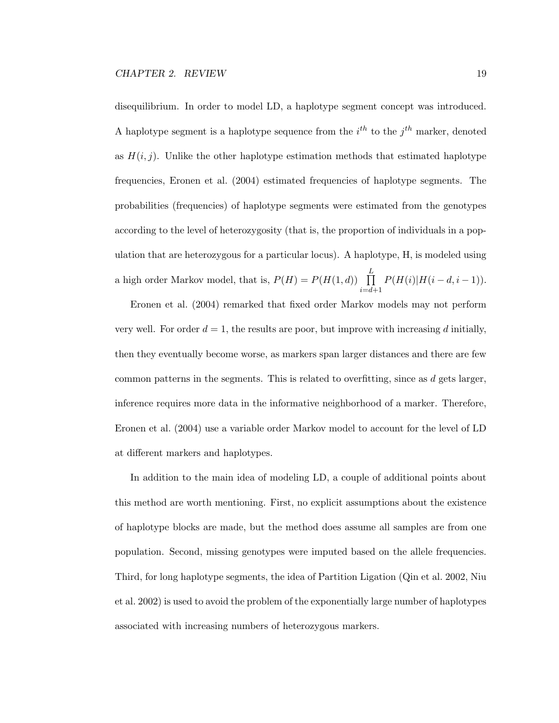disequilibrium. In order to model LD, a haplotype segment concept was introduced. A haplotype segment is a haplotype sequence from the  $i^{th}$  to the  $j^{th}$  marker, denoted as  $H(i, j)$ . Unlike the other haplotype estimation methods that estimated haplotype frequencies, Eronen et al. (2004) estimated frequencies of haplotype segments. The probabilities (frequencies) of haplotype segments were estimated from the genotypes according to the level of heterozygosity (that is, the proportion of individuals in a population that are heterozygous for a particular locus). A haplotype, H, is modeled using a high order Markov model, that is,  $P(H) = P(H(1, d)) \prod$ L  $i = d + 1$  $P(H(i)|H(i-d,i-1)).$ 

Eronen et al. (2004) remarked that fixed order Markov models may not perform very well. For order  $d = 1$ , the results are poor, but improve with increasing d initially, then they eventually become worse, as markers span larger distances and there are few common patterns in the segments. This is related to overfitting, since as d gets larger, inference requires more data in the informative neighborhood of a marker. Therefore, Eronen et al. (2004) use a variable order Markov model to account for the level of LD at different markers and haplotypes.

In addition to the main idea of modeling LD, a couple of additional points about this method are worth mentioning. First, no explicit assumptions about the existence of haplotype blocks are made, but the method does assume all samples are from one population. Second, missing genotypes were imputed based on the allele frequencies. Third, for long haplotype segments, the idea of Partition Ligation (Qin et al. 2002, Niu et al. 2002) is used to avoid the problem of the exponentially large number of haplotypes associated with increasing numbers of heterozygous markers.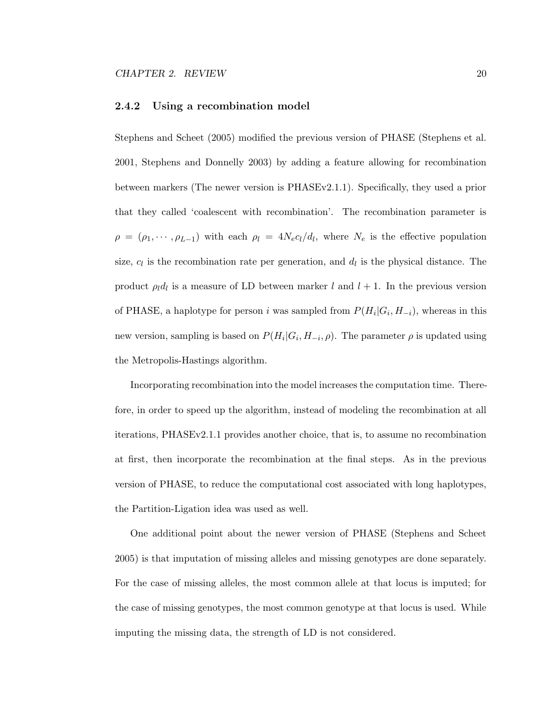### 2.4.2 Using a recombination model

Stephens and Scheet (2005) modified the previous version of PHASE (Stephens et al. 2001, Stephens and Donnelly 2003) by adding a feature allowing for recombination between markers (The newer version is PHASEv2.1.1). Specifically, they used a prior that they called 'coalescent with recombination'. The recombination parameter is  $\rho = (\rho_1, \dots, \rho_{L-1})$  with each  $\rho_l = 4N_e c_l/d_l$ , where  $N_e$  is the effective population size,  $c_l$  is the recombination rate per generation, and  $d_l$  is the physical distance. The product  $\rho_l d_l$  is a measure of LD between marker l and  $l + 1$ . In the previous version of PHASE, a haplotype for person i was sampled from  $P(H_i|G_i, H_{-i})$ , whereas in this new version, sampling is based on  $P(H_i|G_i, H_{-i}, \rho)$ . The parameter  $\rho$  is updated using the Metropolis-Hastings algorithm.

Incorporating recombination into the model increases the computation time. Therefore, in order to speed up the algorithm, instead of modeling the recombination at all iterations, PHASEv2.1.1 provides another choice, that is, to assume no recombination at first, then incorporate the recombination at the final steps. As in the previous version of PHASE, to reduce the computational cost associated with long haplotypes, the Partition-Ligation idea was used as well.

One additional point about the newer version of PHASE (Stephens and Scheet 2005) is that imputation of missing alleles and missing genotypes are done separately. For the case of missing alleles, the most common allele at that locus is imputed; for the case of missing genotypes, the most common genotype at that locus is used. While imputing the missing data, the strength of LD is not considered.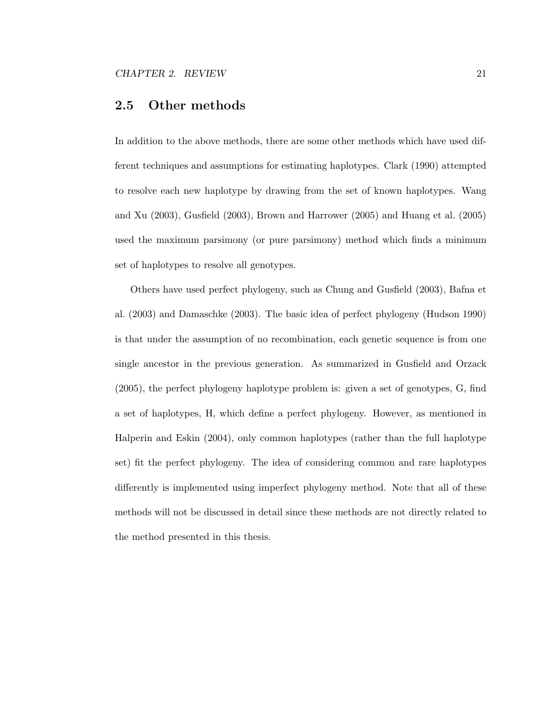# 2.5 Other methods

In addition to the above methods, there are some other methods which have used different techniques and assumptions for estimating haplotypes. Clark (1990) attempted to resolve each new haplotype by drawing from the set of known haplotypes. Wang and Xu (2003), Gusfield (2003), Brown and Harrower (2005) and Huang et al. (2005) used the maximum parsimony (or pure parsimony) method which finds a minimum set of haplotypes to resolve all genotypes.

Others have used perfect phylogeny, such as Chung and Gusfield (2003), Bafna et al. (2003) and Damaschke (2003). The basic idea of perfect phylogeny (Hudson 1990) is that under the assumption of no recombination, each genetic sequence is from one single ancestor in the previous generation. As summarized in Gusfield and Orzack (2005), the perfect phylogeny haplotype problem is: given a set of genotypes, G, find a set of haplotypes, H, which define a perfect phylogeny. However, as mentioned in Halperin and Eskin (2004), only common haplotypes (rather than the full haplotype set) fit the perfect phylogeny. The idea of considering common and rare haplotypes differently is implemented using imperfect phylogeny method. Note that all of these methods will not be discussed in detail since these methods are not directly related to the method presented in this thesis.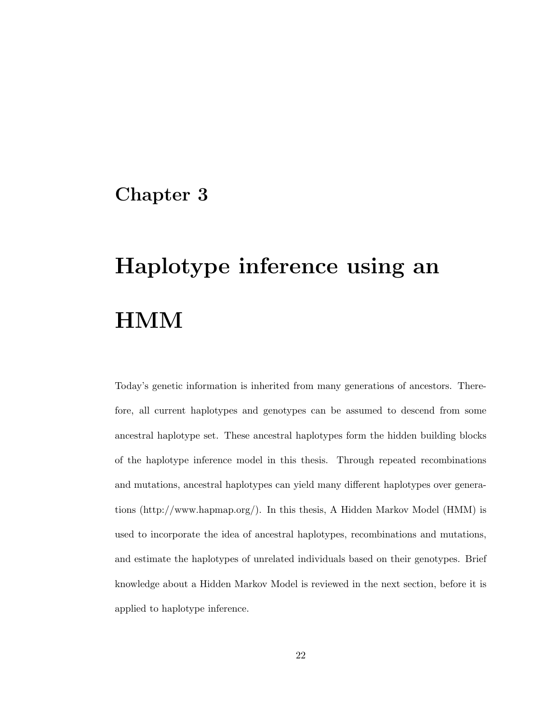# Chapter 3

# Haplotype inference using an HMM

Today's genetic information is inherited from many generations of ancestors. Therefore, all current haplotypes and genotypes can be assumed to descend from some ancestral haplotype set. These ancestral haplotypes form the hidden building blocks of the haplotype inference model in this thesis. Through repeated recombinations and mutations, ancestral haplotypes can yield many different haplotypes over generations (http://www.hapmap.org/). In this thesis, A Hidden Markov Model (HMM) is used to incorporate the idea of ancestral haplotypes, recombinations and mutations, and estimate the haplotypes of unrelated individuals based on their genotypes. Brief knowledge about a Hidden Markov Model is reviewed in the next section, before it is applied to haplotype inference.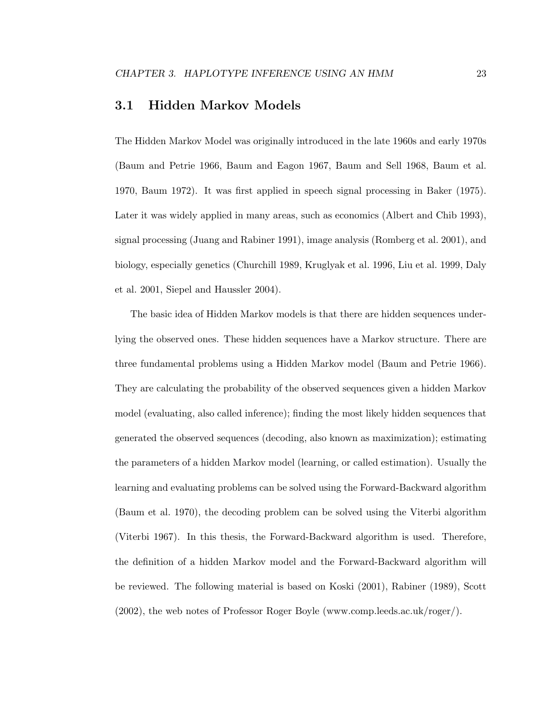# 3.1 Hidden Markov Models

The Hidden Markov Model was originally introduced in the late 1960s and early 1970s (Baum and Petrie 1966, Baum and Eagon 1967, Baum and Sell 1968, Baum et al. 1970, Baum 1972). It was first applied in speech signal processing in Baker (1975). Later it was widely applied in many areas, such as economics (Albert and Chib 1993), signal processing (Juang and Rabiner 1991), image analysis (Romberg et al. 2001), and biology, especially genetics (Churchill 1989, Kruglyak et al. 1996, Liu et al. 1999, Daly et al. 2001, Siepel and Haussler 2004).

The basic idea of Hidden Markov models is that there are hidden sequences underlying the observed ones. These hidden sequences have a Markov structure. There are three fundamental problems using a Hidden Markov model (Baum and Petrie 1966). They are calculating the probability of the observed sequences given a hidden Markov model (evaluating, also called inference); finding the most likely hidden sequences that generated the observed sequences (decoding, also known as maximization); estimating the parameters of a hidden Markov model (learning, or called estimation). Usually the learning and evaluating problems can be solved using the Forward-Backward algorithm (Baum et al. 1970), the decoding problem can be solved using the Viterbi algorithm (Viterbi 1967). In this thesis, the Forward-Backward algorithm is used. Therefore, the definition of a hidden Markov model and the Forward-Backward algorithm will be reviewed. The following material is based on Koski (2001), Rabiner (1989), Scott (2002), the web notes of Professor Roger Boyle (www.comp.leeds.ac.uk/roger/).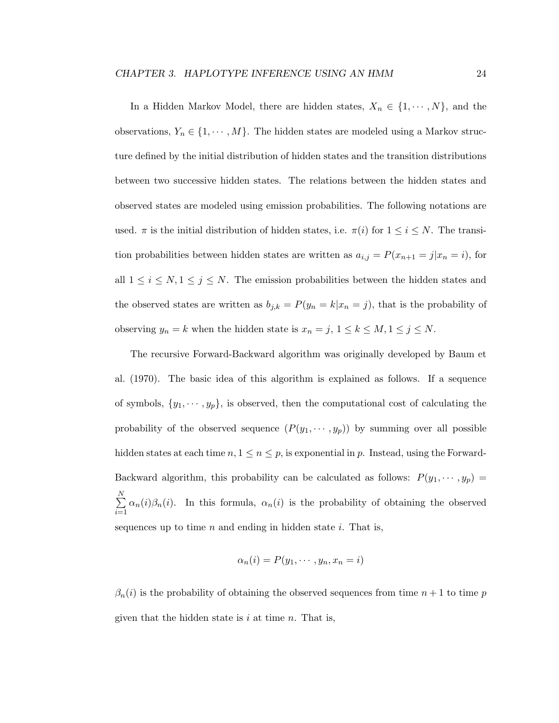In a Hidden Markov Model, there are hidden states,  $X_n \in \{1, \dots, N\}$ , and the observations,  $Y_n \in \{1, \dots, M\}$ . The hidden states are modeled using a Markov structure defined by the initial distribution of hidden states and the transition distributions between two successive hidden states. The relations between the hidden states and observed states are modeled using emission probabilities. The following notations are used.  $\pi$  is the initial distribution of hidden states, i.e.  $\pi(i)$  for  $1 \leq i \leq N$ . The transition probabilities between hidden states are written as  $a_{i,j} = P(x_{n+1} = j|x_n = i)$ , for all  $1 \leq i \leq N, 1 \leq j \leq N$ . The emission probabilities between the hidden states and the observed states are written as  $b_{j,k} = P(y_n = k|x_n = j)$ , that is the probability of observing  $y_n = k$  when the hidden state is  $x_n = j$ ,  $1 \le k \le M$ ,  $1 \le j \le N$ .

The recursive Forward-Backward algorithm was originally developed by Baum et al. (1970). The basic idea of this algorithm is explained as follows. If a sequence of symbols,  $\{y_1, \dots, y_p\}$ , is observed, then the computational cost of calculating the probability of the observed sequence  $(P(y_1, \dots, y_p))$  by summing over all possible hidden states at each time  $n, 1 \le n \le p$ , is exponential in p. Instead, using the Forward-Backward algorithm, this probability can be calculated as follows:  $P(y_1, \dots, y_p)$  $\sum$ N  $\frac{i=1}{i}$  $\alpha_n(i)\beta_n(i)$ . In this formula,  $\alpha_n(i)$  is the probability of obtaining the observed sequences up to time  $n$  and ending in hidden state  $i$ . That is,

$$
\alpha_n(i) = P(y_1, \cdots, y_n, x_n = i)
$$

 $\beta_n(i)$  is the probability of obtaining the observed sequences from time  $n+1$  to time p given that the hidden state is  $i$  at time  $n$ . That is,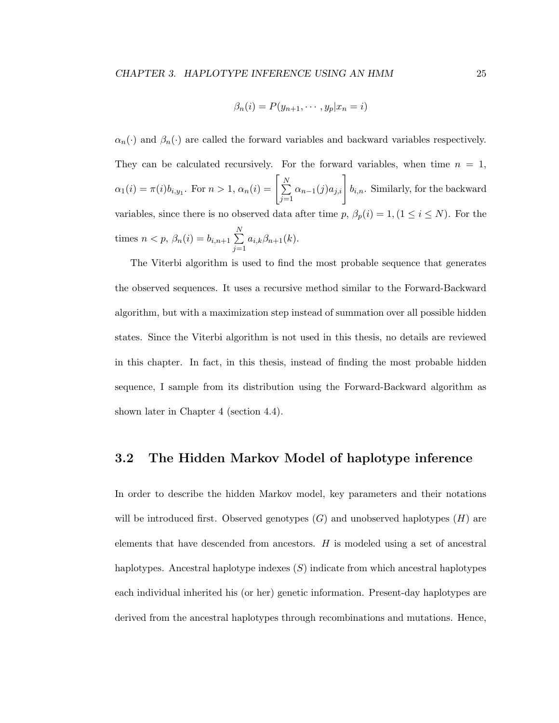$$
\beta_n(i) = P(y_{n+1}, \cdots, y_p | x_n = i)
$$

 $\alpha_n(\cdot)$  and  $\beta_n(\cdot)$  are called the forward variables and backward variables respectively. They can be calculated recursively. For the forward variables, when time  $n = 1$ ,  $\alpha_1(i) = \pi(i)b_{i,y_1}$ . For  $n > 1$ ,  $\alpha_n(i) =$  $\sqrt{ }$  $\sum$ N  $j=1$  $\alpha_{n-1}(j)a_{j,i}$   $\begin{bmatrix} b_{i,n} \end{bmatrix}$ . Similarly, for the backward variables, since there is no observed data after time p,  $\beta_p(i) = 1, (1 \leq i \leq N)$ . For the times  $n < p$ ,  $\beta_n(i) = b_{i,n+1} \sum$ N  $j=1$  $a_{i,k}\beta_{n+1}(k)$ .

The Viterbi algorithm is used to find the most probable sequence that generates the observed sequences. It uses a recursive method similar to the Forward-Backward algorithm, but with a maximization step instead of summation over all possible hidden states. Since the Viterbi algorithm is not used in this thesis, no details are reviewed in this chapter. In fact, in this thesis, instead of finding the most probable hidden sequence, I sample from its distribution using the Forward-Backward algorithm as shown later in Chapter 4 (section 4.4).

#### 3.2 The Hidden Markov Model of haplotype inference

In order to describe the hidden Markov model, key parameters and their notations will be introduced first. Observed genotypes  $(G)$  and unobserved haplotypes  $(H)$  are elements that have descended from ancestors.  $H$  is modeled using a set of ancestral haplotypes. Ancestral haplotype indexes  $(S)$  indicate from which ancestral haplotypes each individual inherited his (or her) genetic information. Present-day haplotypes are derived from the ancestral haplotypes through recombinations and mutations. Hence,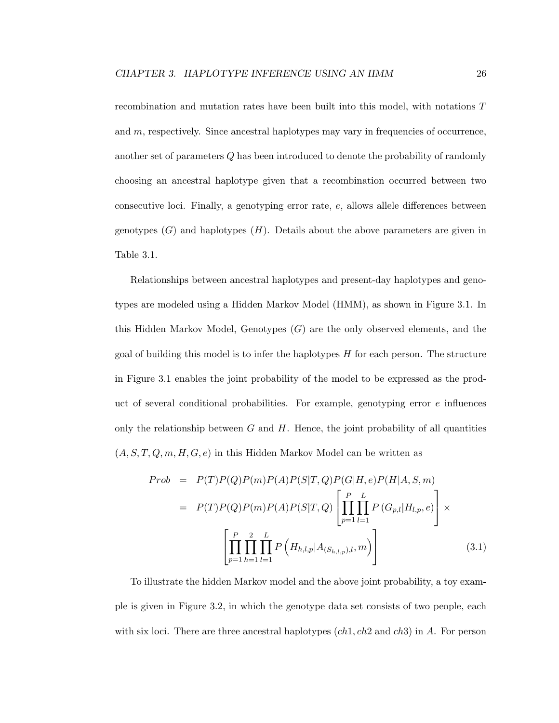recombination and mutation rates have been built into this model, with notations T and  $m$ , respectively. Since ancestral haplotypes may vary in frequencies of occurrence, another set of parameters Q has been introduced to denote the probability of randomly choosing an ancestral haplotype given that a recombination occurred between two consecutive loci. Finally, a genotyping error rate, e, allows allele differences between genotypes  $(G)$  and haplotypes  $(H)$ . Details about the above parameters are given in Table 3.1.

Relationships between ancestral haplotypes and present-day haplotypes and genotypes are modeled using a Hidden Markov Model (HMM), as shown in Figure 3.1. In this Hidden Markov Model, Genotypes (G) are the only observed elements, and the goal of building this model is to infer the haplotypes  $H$  for each person. The structure in Figure 3.1 enables the joint probability of the model to be expressed as the product of several conditional probabilities. For example, genotyping error  $e$  influences only the relationship between  $G$  and  $H$ . Hence, the joint probability of all quantities  $(A, S, T, Q, m, H, G, e)$  in this Hidden Markov Model can be written as

$$
Prob = P(T)P(Q)P(m)P(A)P(S|T,Q)P(G|H,e)P(H|A,S,m)
$$
  
\n
$$
= P(T)P(Q)P(m)P(A)P(S|T,Q)\left[\prod_{p=1}^{P} \prod_{l=1}^{L} P(G_{p,l}|H_{l,p},e)\right] \times
$$
  
\n
$$
\left[\prod_{p=1}^{P} \prod_{h=1}^{2} \prod_{l=1}^{L} P(H_{h,l,p}|A_{(S_{h,l,p}),l},m)\right]
$$
(3.1)

To illustrate the hidden Markov model and the above joint probability, a toy example is given in Figure 3.2, in which the genotype data set consists of two people, each with six loci. There are three ancestral haplotypes  $(ch1, ch2$  and  $ch3)$  in A. For person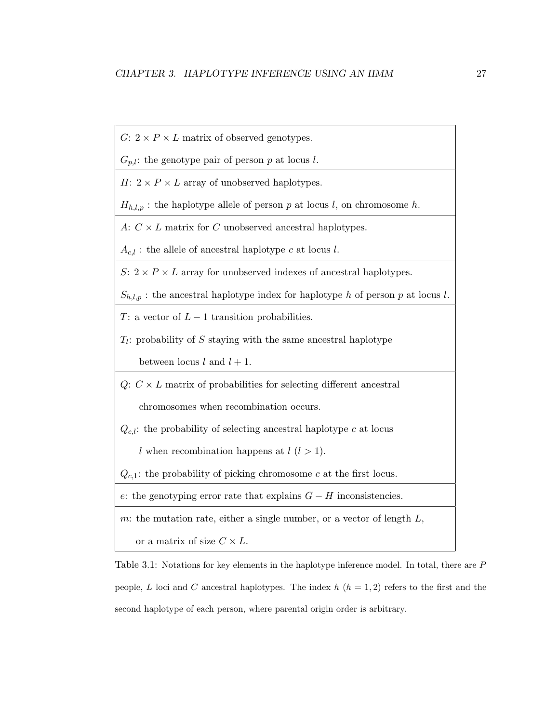$G: 2 \times P \times L$  matrix of observed genotypes.

 $G_{p,l}$ : the genotype pair of person p at locus l.

 $H: 2 \times P \times L$  array of unobserved haplotypes.

 $H_{h,l,p}$ : the haplotype allele of person p at locus l, on chromosome h.

A:  $C \times L$  matrix for C unobserved ancestral haplotypes.

 $A_{c,l}$ : the allele of ancestral haplotype c at locus l.

S:  $2 \times P \times L$  array for unobserved indexes of ancestral haplotypes.

 $S_{h,l,p}$ : the ancestral haplotype index for haplotype h of person p at locus l.

T: a vector of  $L-1$  transition probabilities.

 $T_l$ : probability of S staying with the same ancestral haplotype

between locus  $l$  and  $l + 1$ .

 $Q: C \times L$  matrix of probabilities for selecting different ancestral

chromosomes when recombination occurs.

 $Q_{c,l}$ : the probability of selecting ancestral haplotype c at locus

l when recombination happens at  $l$   $(l > 1)$ .

 $Q_{c,1}$ : the probability of picking chromosome c at the first locus.

e: the genotyping error rate that explains  $G - H$  inconsistencies.

m: the mutation rate, either a single number, or a vector of length  $L$ ,

or a matrix of size  $C \times L$ .

Table 3.1: Notations for key elements in the haplotype inference model. In total, there are  $P$ people, L loci and C ancestral haplotypes. The index h  $(h = 1, 2)$  refers to the first and the second haplotype of each person, where parental origin order is arbitrary.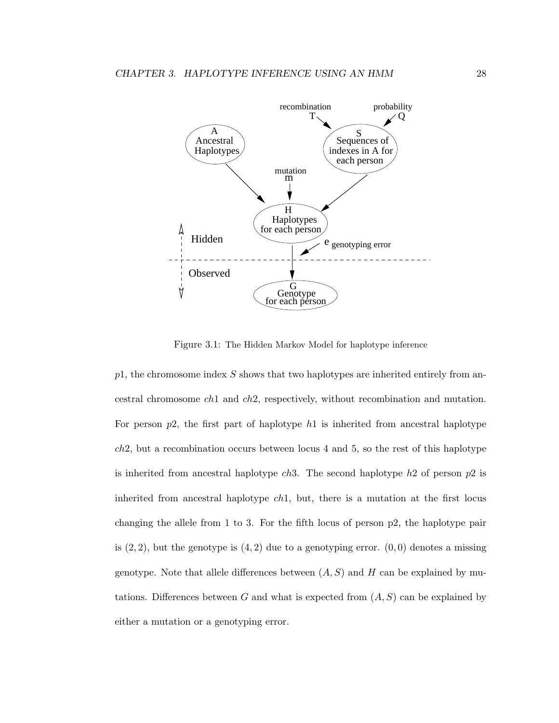

Figure 3.1: The Hidden Markov Model for haplotype inference

 $p1$ , the chromosome index S shows that two haplotypes are inherited entirely from ancestral chromosome ch1 and ch2, respectively, without recombination and mutation. For person  $p2$ , the first part of haplotype  $h1$  is inherited from ancestral haplotype ch2, but a recombination occurs between locus 4 and 5, so the rest of this haplotype is inherited from ancestral haplotype  $ch3$ . The second haplotype  $h2$  of person  $p2$  is inherited from ancestral haplotype  $ch1$ , but, there is a mutation at the first locus changing the allele from 1 to 3. For the fifth locus of person p2, the haplotype pair is  $(2, 2)$ , but the genotype is  $(4, 2)$  due to a genotyping error.  $(0, 0)$  denotes a missing genotype. Note that allele differences between  $(A, S)$  and H can be explained by mutations. Differences between G and what is expected from  $(A, S)$  can be explained by either a mutation or a genotyping error.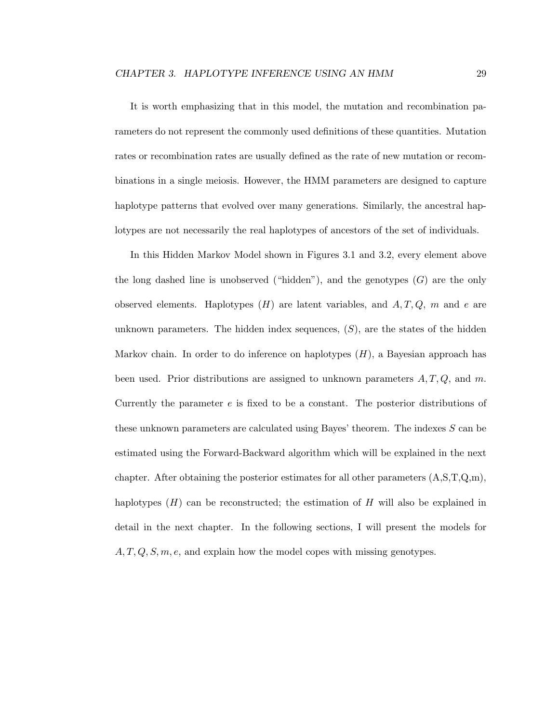It is worth emphasizing that in this model, the mutation and recombination parameters do not represent the commonly used definitions of these quantities. Mutation rates or recombination rates are usually defined as the rate of new mutation or recombinations in a single meiosis. However, the HMM parameters are designed to capture haplotype patterns that evolved over many generations. Similarly, the ancestral haplotypes are not necessarily the real haplotypes of ancestors of the set of individuals.

In this Hidden Markov Model shown in Figures 3.1 and 3.2, every element above the long dashed line is unobserved ("hidden"), and the genotypes  $(G)$  are the only observed elements. Haplotypes  $(H)$  are latent variables, and  $A, T, Q, m$  and e are unknown parameters. The hidden index sequences,  $(S)$ , are the states of the hidden Markov chain. In order to do inference on haplotypes  $(H)$ , a Bayesian approach has been used. Prior distributions are assigned to unknown parameters  $A, T, Q$ , and m. Currently the parameter  $e$  is fixed to be a constant. The posterior distributions of these unknown parameters are calculated using Bayes' theorem. The indexes S can be estimated using the Forward-Backward algorithm which will be explained in the next chapter. After obtaining the posterior estimates for all other parameters  $(A, S, T, Q, m)$ , haplotypes  $(H)$  can be reconstructed; the estimation of H will also be explained in detail in the next chapter. In the following sections, I will present the models for  $A, T, Q, S, m, e$ , and explain how the model copes with missing genotypes.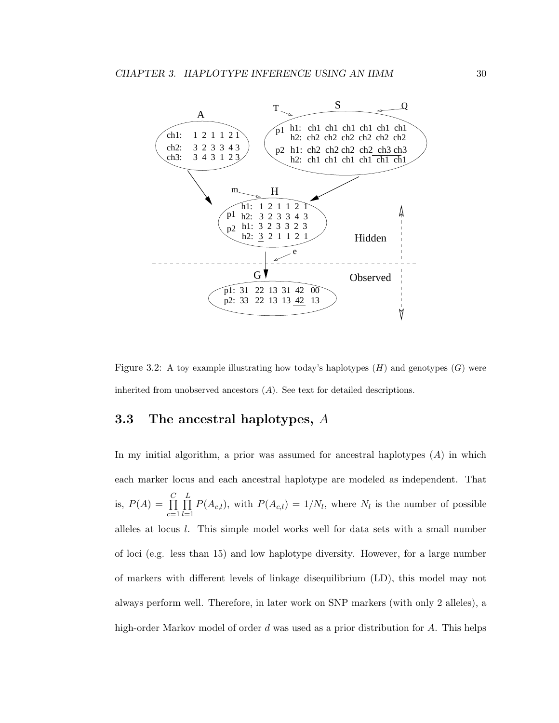

Figure 3.2: A toy example illustrating how today's haplotypes  $(H)$  and genotypes  $(G)$  were inherited from unobserved ancestors  $(A)$ . See text for detailed descriptions.

## 3.3 The ancestral haplotypes,  $A$

In my initial algorithm, a prior was assumed for ancestral haplotypes  $(A)$  in which each marker locus and each ancestral haplotype are modeled as independent. That is,  $P(A) = \prod$  $\mathcal{C}_{0}^{0}$  $c=1$  $\prod$ L  $_{l=1}$  $P(A_{c,l})$ , with  $P(A_{c,l}) = 1/N_l$ , where  $N_l$  is the number of possible alleles at locus l. This simple model works well for data sets with a small number of loci (e.g. less than 15) and low haplotype diversity. However, for a large number of markers with different levels of linkage disequilibrium (LD), this model may not always perform well. Therefore, in later work on SNP markers (with only 2 alleles), a high-order Markov model of order d was used as a prior distribution for A. This helps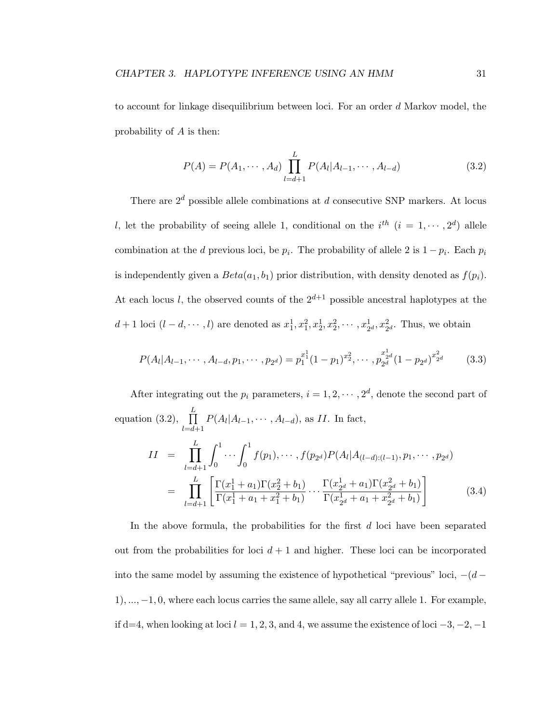to account for linkage disequilibrium between loci. For an order d Markov model, the probability of A is then:

$$
P(A) = P(A_1, \cdots, A_d) \prod_{l=d+1}^{L} P(A_l | A_{l-1}, \cdots, A_{l-d})
$$
\n(3.2)

There are  $2^d$  possible allele combinations at d consecutive SNP markers. At locus l, let the probability of seeing allele 1, conditional on the  $i^{th}$   $(i = 1, \dots, 2^d)$  allele combination at the *d* previous loci, be  $p_i$ . The probability of allele 2 is  $1 - p_i$ . Each  $p_i$ is independently given a  $Beta(a_1, b_1)$  prior distribution, with density denoted as  $f(p_i)$ . At each locus l, the observed counts of the  $2^{d+1}$  possible ancestral haplotypes at the d + 1 loci  $(l - d, \dots, l)$  are denoted as  $x_1^1, x_1^2, x_2^1, x_2^2, \dots, x_2^1$  $\frac{1}{2^d}, x_2^2$  $2_d^2$ . Thus, we obtain

$$
P(A_l|A_{l-1},\cdots,A_{l-d},p_1,\cdots,p_{2^d})=p_1^{x_1^1}(1-p_1)^{x_2^2},\cdots,p_{2^d}^{x_{2^d}^1}(1-p_{2^d})^{x_{2^d}^2}
$$
 (3.3)

After integrating out the  $p_i$  parameters,  $i = 1, 2, \dots, 2^d$ , denote the second part of equation  $(3.2)$ ,  $\prod$ L  $_{l=d+1}$  $P(A_l|A_{l-1},\cdots,A_{l-d}),$  as II. In fact,  $II = \prod$ L  $_{l=d+1}$  $\int_1^1$ 0  $\cdots \int^1$  $\int_{0}^{t} f(p_1), \cdots, f(p_{2^d}) P(A_l | A_{(l-d):(l-1)}, p_1, \cdots, p_{2^d})$ 

$$
= \prod_{l=d+1}^{L} \left[ \frac{\Gamma(x_1^1 + a_1)\Gamma(x_2^2 + b_1)}{\Gamma(x_1^1 + a_1 + x_1^2 + b_1)} \cdots \frac{\Gamma(x_{2d}^1 + a_1)\Gamma(x_{2d}^2 + b_1)}{\Gamma(x_{2d}^1 + a_1 + x_{2d}^2 + b_1)} \right]
$$
(3.4)

In the above formula, the probabilities for the first  $d$  loci have been separated out from the probabilities for loci  $d+1$  and higher. These loci can be incorporated into the same model by assuming the existence of hypothetical "previous" loci,  $-(d -$ 1), ..., −1, 0, where each locus carries the same allele, say all carry allele 1. For example, if d=4, when looking at loci  $l = 1, 2, 3$ , and 4, we assume the existence of loci  $-3, -2, -1$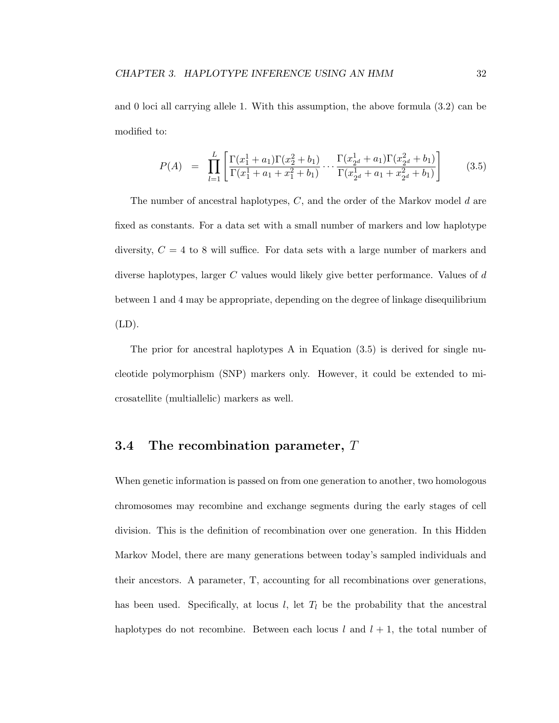and 0 loci all carrying allele 1. With this assumption, the above formula (3.2) can be modified to:

$$
P(A) = \prod_{l=1}^{L} \left[ \frac{\Gamma(x_1^1 + a_1)\Gamma(x_2^2 + b_1)}{\Gamma(x_1^1 + a_1 + x_1^2 + b_1)} \cdots \frac{\Gamma(x_{2d}^1 + a_1)\Gamma(x_{2d}^2 + b_1)}{\Gamma(x_{2d}^1 + a_1 + x_{2d}^2 + b_1)} \right]
$$
(3.5)

The number of ancestral haplotypes, C, and the order of the Markov model d are fixed as constants. For a data set with a small number of markers and low haplotype diversity,  $C = 4$  to 8 will suffice. For data sets with a large number of markers and diverse haplotypes, larger C values would likely give better performance. Values of d between 1 and 4 may be appropriate, depending on the degree of linkage disequilibrium  $(LD).$ 

The prior for ancestral haplotypes A in Equation (3.5) is derived for single nucleotide polymorphism (SNP) markers only. However, it could be extended to microsatellite (multiallelic) markers as well.

#### 3.4 The recombination parameter,  $T$

When genetic information is passed on from one generation to another, two homologous chromosomes may recombine and exchange segments during the early stages of cell division. This is the definition of recombination over one generation. In this Hidden Markov Model, there are many generations between today's sampled individuals and their ancestors. A parameter, T, accounting for all recombinations over generations, has been used. Specifically, at locus l, let  $T_l$  be the probability that the ancestral haplotypes do not recombine. Between each locus l and  $l + 1$ , the total number of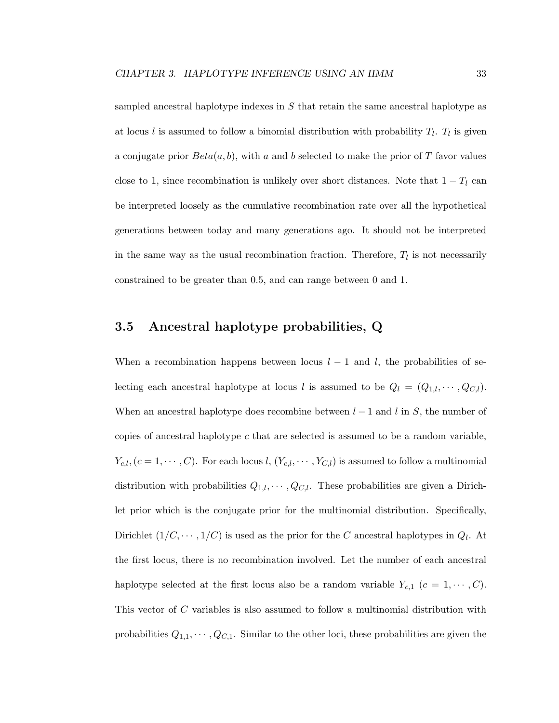sampled ancestral haplotype indexes in S that retain the same ancestral haplotype as at locus l is assumed to follow a binomial distribution with probability  $T_l$ .  $T_l$  is given a conjugate prior  $Beta(a, b)$ , with a and b selected to make the prior of T favor values close to 1, since recombination is unlikely over short distances. Note that  $1 - T_l$  can be interpreted loosely as the cumulative recombination rate over all the hypothetical generations between today and many generations ago. It should not be interpreted in the same way as the usual recombination fraction. Therefore,  $T_l$  is not necessarily constrained to be greater than 0.5, and can range between 0 and 1.

## 3.5 Ancestral haplotype probabilities, Q

When a recombination happens between locus  $l-1$  and l, the probabilities of selecting each ancestral haplotype at locus *l* is assumed to be  $Q_l = (Q_{1,l}, \dots, Q_{C,l})$ . When an ancestral haplotype does recombine between  $l-1$  and l in S, the number of copies of ancestral haplotype c that are selected is assumed to be a random variable,  $Y_{c,l}$ ,  $(c = 1, \dots, C)$ . For each locus l,  $(Y_{c,l}, \dots, Y_{C,l})$  is assumed to follow a multinomial distribution with probabilities  $Q_{1,l}, \cdots, Q_{C,l}$ . These probabilities are given a Dirichlet prior which is the conjugate prior for the multinomial distribution. Specifically, Dirichlet  $(1/C, \dots, 1/C)$  is used as the prior for the C ancestral haplotypes in  $Q_l$ . At the first locus, there is no recombination involved. Let the number of each ancestral haplotype selected at the first locus also be a random variable  $Y_{c,1}$   $(c = 1, \dots, C)$ . This vector of C variables is also assumed to follow a multinomial distribution with probabilities  $Q_{1,1}, \cdots, Q_{C,1}$ . Similar to the other loci, these probabilities are given the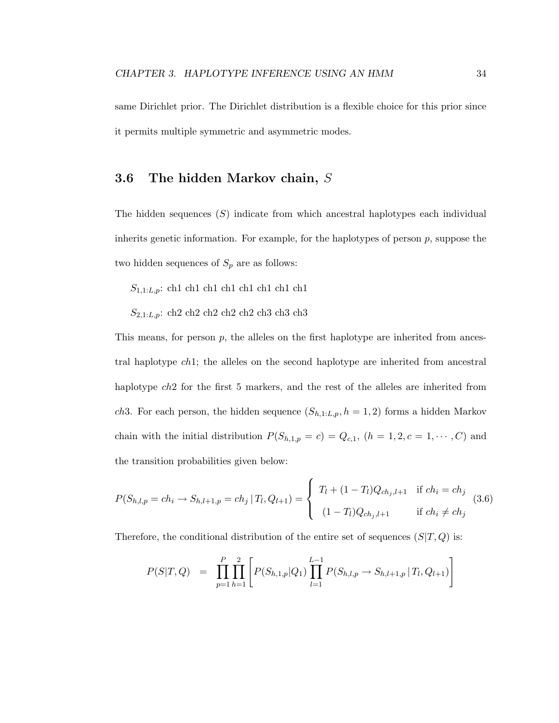same Dirichlet prior. The Dirichlet distribution is a flexible choice for this prior since it permits multiple symmetric and asymmetric modes.

#### 3.6 The hidden Markov chain,  $S$

The hidden sequences  $(S)$  indicate from which ancestral haplotypes each individual inherits genetic information. For example, for the haplotypes of person  $p$ , suppose the two hidden sequences of  $S_p$  are as follows:

 $S_{1,1:L,p}$ : ch1 ch1 ch1 ch1 ch1 ch1 ch1

 $S_{2,1:L,p}:$ ch2 ch2 ch2 ch2 ch3 ch3 ch3

This means, for person  $p$ , the alleles on the first haplotype are inherited from ancestral haplotype ch1; the alleles on the second haplotype are inherited from ancestral haplotype ch2 for the first 5 markers, and the rest of the alleles are inherited from ch3. For each person, the hidden sequence  $(S_{h,1:L,p}, h = 1, 2)$  forms a hidden Markov chain with the initial distribution  $P(S_{h,1,p} = c) = Q_{c,1}$ ,  $(h = 1, 2, c = 1, \dots, C)$  and the transition probabilities given below:

$$
P(S_{h,l,p} = ch_i \to S_{h,l+1,p} = ch_j | T_l, Q_{l+1}) = \begin{cases} T_l + (1 - T_l)Q_{ch_j,l+1} & \text{if } ch_i = ch_j \\ (1 - T_l)Q_{ch_j,l+1} & \text{if } ch_i \neq ch_j \end{cases}
$$
(3.6)

Therefore, the conditional distribution of the entire set of sequences  $(S|T,Q)$  is:

$$
P(S|T,Q) = \prod_{p=1}^{P} \prod_{h=1}^{2} \left[ P(S_{h,1,p}|Q_1) \prod_{l=1}^{L-1} P(S_{h,l,p} \to S_{h,l+1,p} | T_l, Q_{l+1}) \right]
$$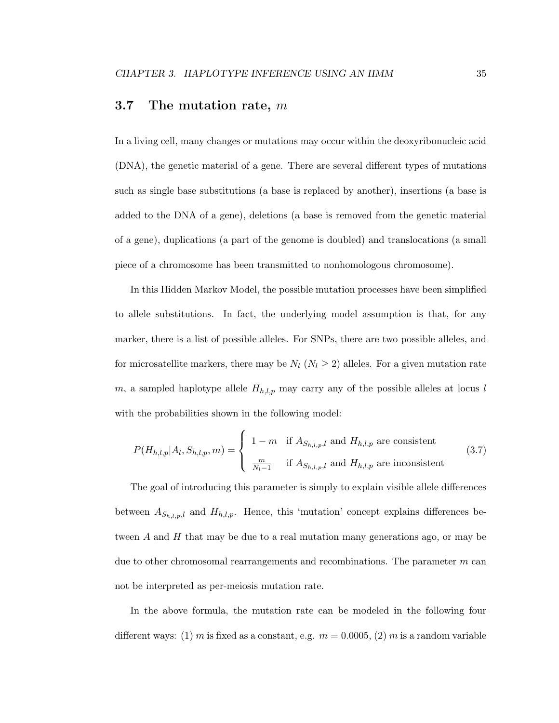## 3.7 The mutation rate,  $m$

In a living cell, many changes or mutations may occur within the deoxyribonucleic acid (DNA), the genetic material of a gene. There are several different types of mutations such as single base substitutions (a base is replaced by another), insertions (a base is added to the DNA of a gene), deletions (a base is removed from the genetic material of a gene), duplications (a part of the genome is doubled) and translocations (a small piece of a chromosome has been transmitted to nonhomologous chromosome).

In this Hidden Markov Model, the possible mutation processes have been simplified to allele substitutions. In fact, the underlying model assumption is that, for any marker, there is a list of possible alleles. For SNPs, there are two possible alleles, and for microsatellite markers, there may be  $N_l$  ( $N_l \geq 2$ ) alleles. For a given mutation rate m, a sampled haplotype allele  $H_{h,l,p}$  may carry any of the possible alleles at locus l with the probabilities shown in the following model:

$$
P(H_{h,l,p}|A_l, S_{h,l,p}, m) = \begin{cases} 1-m & \text{if } A_{S_{h,l,p},l} \text{ and } H_{h,l,p} \text{ are consistent} \\ \frac{m}{N_l-1} & \text{if } A_{S_{h,l,p},l} \text{ and } H_{h,l,p} \text{ are inconsistent} \end{cases}
$$
(3.7)

The goal of introducing this parameter is simply to explain visible allele differences between  $A_{S_{h,l,p},l}$  and  $H_{h,l,p}$ . Hence, this 'mutation' concept explains differences between  $A$  and  $H$  that may be due to a real mutation many generations ago, or may be due to other chromosomal rearrangements and recombinations. The parameter  $m$  can not be interpreted as per-meiosis mutation rate.

In the above formula, the mutation rate can be modeled in the following four different ways: (1) m is fixed as a constant, e.g.  $m = 0.0005$ , (2) m is a random variable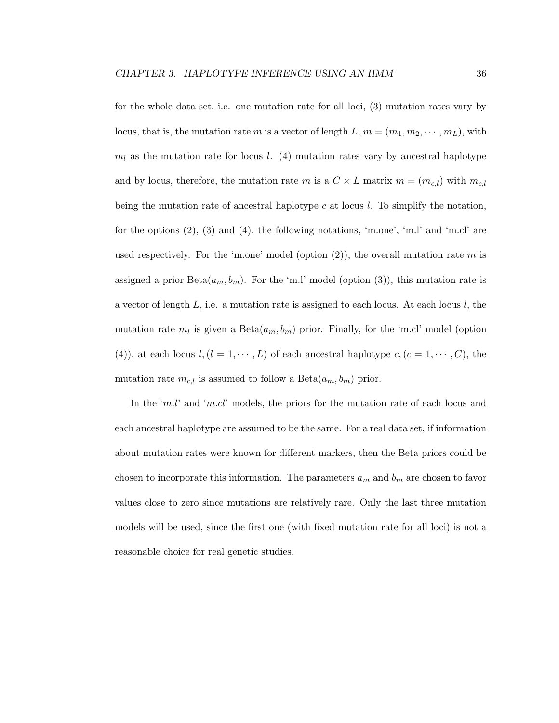for the whole data set, i.e. one mutation rate for all loci, (3) mutation rates vary by locus, that is, the mutation rate m is a vector of length L,  $m = (m_1, m_2, \dots, m_L)$ , with  $m_l$  as the mutation rate for locus l. (4) mutation rates vary by ancestral haplotype and by locus, therefore, the mutation rate m is a  $C \times L$  matrix  $m = (m_{c,l})$  with  $m_{c,l}$ being the mutation rate of ancestral haplotype  $c$  at locus  $l$ . To simplify the notation, for the options (2), (3) and (4), the following notations, 'm.one', 'm.l' and 'm.cl' are used respectively. For the 'm.one' model (option  $(2)$ ), the overall mutation rate m is assigned a prior  $Beta(a_m, b_m)$ . For the 'm.l' model (option (3)), this mutation rate is a vector of length  $L$ , i.e. a mutation rate is assigned to each locus. At each locus  $l$ , the mutation rate  $m_l$  is given a  $Beta(a_m, b_m)$  prior. Finally, for the 'm.cl' model (option (4)), at each locus  $l$ ,  $(l = 1, \dots, L)$  of each ancestral haplotype  $c$ ,  $(c = 1, \dots, C)$ , the mutation rate  $m_{c,l}$  is assumed to follow a  $Beta(a_m, b_m)$  prior.

In the 'm.l' and 'm.cl' models, the priors for the mutation rate of each locus and each ancestral haplotype are assumed to be the same. For a real data set, if information about mutation rates were known for different markers, then the Beta priors could be chosen to incorporate this information. The parameters  $a_m$  and  $b_m$  are chosen to favor values close to zero since mutations are relatively rare. Only the last three mutation models will be used, since the first one (with fixed mutation rate for all loci) is not a reasonable choice for real genetic studies.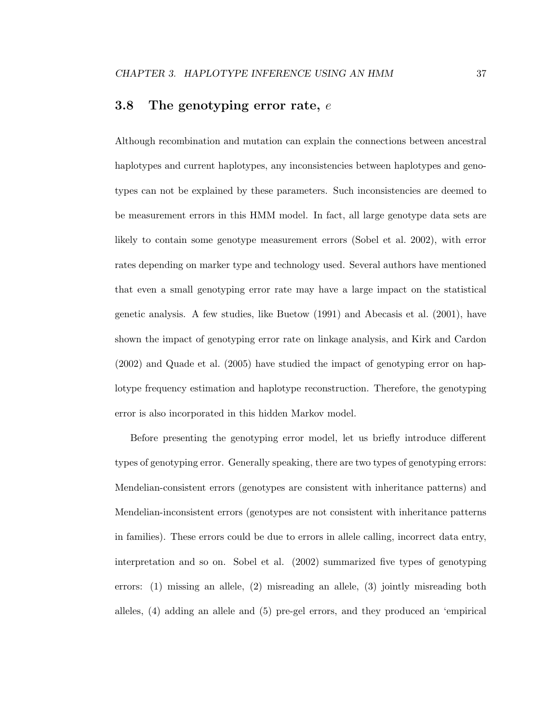## 3.8 The genotyping error rate,  $e$

Although recombination and mutation can explain the connections between ancestral haplotypes and current haplotypes, any inconsistencies between haplotypes and genotypes can not be explained by these parameters. Such inconsistencies are deemed to be measurement errors in this HMM model. In fact, all large genotype data sets are likely to contain some genotype measurement errors (Sobel et al. 2002), with error rates depending on marker type and technology used. Several authors have mentioned that even a small genotyping error rate may have a large impact on the statistical genetic analysis. A few studies, like Buetow (1991) and Abecasis et al. (2001), have shown the impact of genotyping error rate on linkage analysis, and Kirk and Cardon (2002) and Quade et al. (2005) have studied the impact of genotyping error on haplotype frequency estimation and haplotype reconstruction. Therefore, the genotyping error is also incorporated in this hidden Markov model.

Before presenting the genotyping error model, let us briefly introduce different types of genotyping error. Generally speaking, there are two types of genotyping errors: Mendelian-consistent errors (genotypes are consistent with inheritance patterns) and Mendelian-inconsistent errors (genotypes are not consistent with inheritance patterns in families). These errors could be due to errors in allele calling, incorrect data entry, interpretation and so on. Sobel et al. (2002) summarized five types of genotyping errors: (1) missing an allele, (2) misreading an allele, (3) jointly misreading both alleles, (4) adding an allele and (5) pre-gel errors, and they produced an 'empirical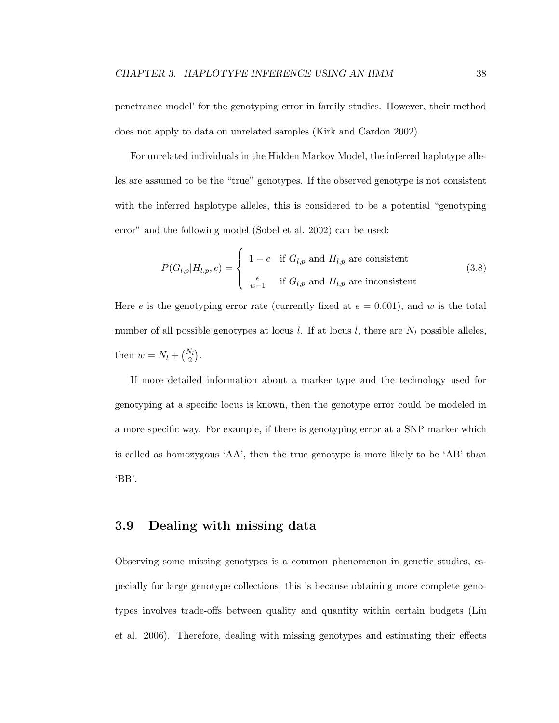penetrance model' for the genotyping error in family studies. However, their method does not apply to data on unrelated samples (Kirk and Cardon 2002).

For unrelated individuals in the Hidden Markov Model, the inferred haplotype alleles are assumed to be the "true" genotypes. If the observed genotype is not consistent with the inferred haplotype alleles, this is considered to be a potential "genotyping error" and the following model (Sobel et al. 2002) can be used:

$$
P(G_{l,p}|H_{l,p},e) = \begin{cases} 1-e & \text{if } G_{l,p} \text{ and } H_{l,p} \text{ are consistent} \\ \frac{e}{w-1} & \text{if } G_{l,p} \text{ and } H_{l,p} \text{ are inconsistent} \end{cases}
$$
(3.8)

Here e is the genotyping error rate (currently fixed at  $e = 0.001$ ), and w is the total number of all possible genotypes at locus l. If at locus l, there are  $N_l$  possible alleles, then  $w = N_l + \binom{N_l}{2}$ .

If more detailed information about a marker type and the technology used for genotyping at a specific locus is known, then the genotype error could be modeled in a more specific way. For example, if there is genotyping error at a SNP marker which is called as homozygous 'AA', then the true genotype is more likely to be 'AB' than 'BB'.

## 3.9 Dealing with missing data

Observing some missing genotypes is a common phenomenon in genetic studies, especially for large genotype collections, this is because obtaining more complete genotypes involves trade-offs between quality and quantity within certain budgets (Liu et al. 2006). Therefore, dealing with missing genotypes and estimating their effects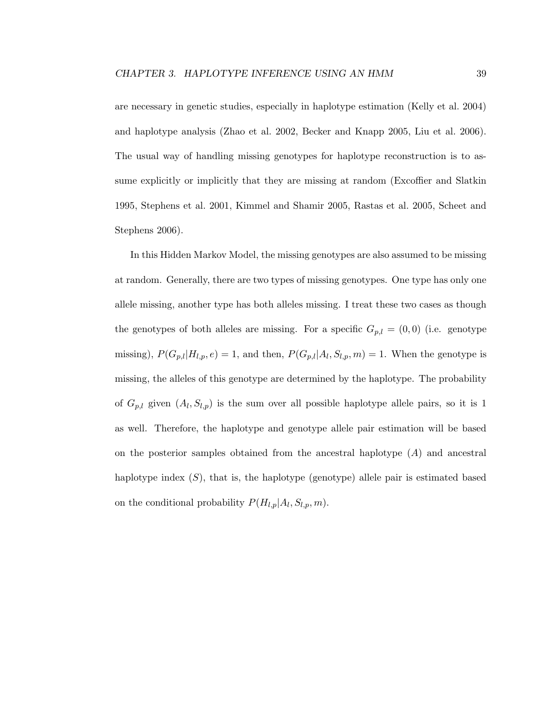are necessary in genetic studies, especially in haplotype estimation (Kelly et al. 2004) and haplotype analysis (Zhao et al. 2002, Becker and Knapp 2005, Liu et al. 2006). The usual way of handling missing genotypes for haplotype reconstruction is to assume explicitly or implicitly that they are missing at random (Excoffier and Slatkin 1995, Stephens et al. 2001, Kimmel and Shamir 2005, Rastas et al. 2005, Scheet and Stephens 2006).

In this Hidden Markov Model, the missing genotypes are also assumed to be missing at random. Generally, there are two types of missing genotypes. One type has only one allele missing, another type has both alleles missing. I treat these two cases as though the genotypes of both alleles are missing. For a specific  $G_{p,l} = (0,0)$  (i.e. genotype missing),  $P(G_{p,l}|H_{l,p},e) = 1$ , and then,  $P(G_{p,l}|A_l, S_{l,p},m) = 1$ . When the genotype is missing, the alleles of this genotype are determined by the haplotype. The probability of  $G_{p,l}$  given  $(A_l, S_{l,p})$  is the sum over all possible haplotype allele pairs, so it is 1 as well. Therefore, the haplotype and genotype allele pair estimation will be based on the posterior samples obtained from the ancestral haplotype  $(A)$  and ancestral haplotype index  $(S)$ , that is, the haplotype (genotype) allele pair is estimated based on the conditional probability  $P(H_{l,p}|A_l, S_{l,p}, m)$ .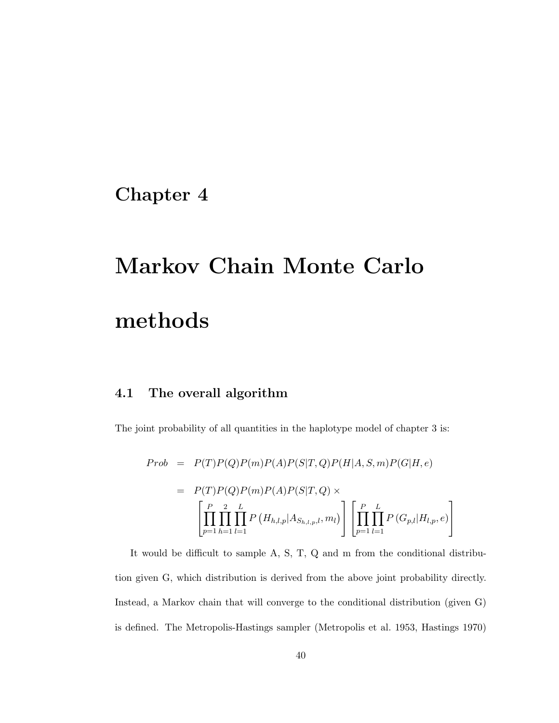## Chapter 4

# Markov Chain Monte Carlo methods

## 4.1 The overall algorithm

The joint probability of all quantities in the haplotype model of chapter 3 is:

$$
Prob = P(T)P(Q)P(m)P(A)P(S|T,Q)P(H|A,S,m)P(G|H,e)
$$
  
=  $P(T)P(Q)P(m)P(A)P(S|T,Q) \times$   

$$
\left[\prod_{p=1}^{P} \prod_{h=1}^{2} \prod_{l=1}^{L} P(H_{h,l,p}|A_{S_{h,l,p},l},m_{l})\right] \left[\prod_{p=1}^{P} \prod_{l=1}^{L} P(G_{p,l}|H_{l,p},e)\right]
$$

It would be difficult to sample A, S, T, Q and m from the conditional distribution given G, which distribution is derived from the above joint probability directly. Instead, a Markov chain that will converge to the conditional distribution (given G) is defined. The Metropolis-Hastings sampler (Metropolis et al. 1953, Hastings 1970)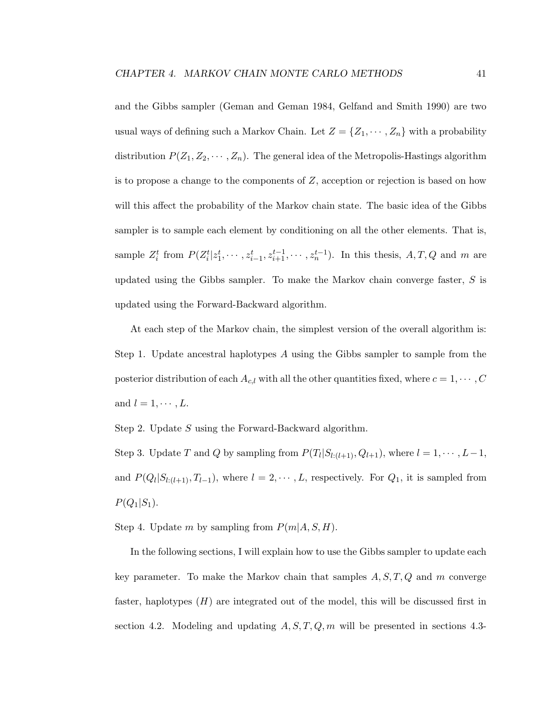and the Gibbs sampler (Geman and Geman 1984, Gelfand and Smith 1990) are two usual ways of defining such a Markov Chain. Let  $Z = \{Z_1, \dots, Z_n\}$  with a probability distribution  $P(Z_1, Z_2, \dots, Z_n)$ . The general idea of the Metropolis-Hastings algorithm is to propose a change to the components of Z, acception or rejection is based on how will this affect the probability of the Markov chain state. The basic idea of the Gibbs sampler is to sample each element by conditioning on all the other elements. That is, sample  $Z_i^t$  from  $P(Z_i^t | z_1^t, \dots, z_{i-1}^t, z_{i+1}^{t-1}, \dots, z_n^{t-1})$ . In this thesis,  $A, T, Q$  and m are updated using the Gibbs sampler. To make the Markov chain converge faster,  $S$  is updated using the Forward-Backward algorithm.

At each step of the Markov chain, the simplest version of the overall algorithm is: Step 1. Update ancestral haplotypes A using the Gibbs sampler to sample from the posterior distribution of each  $A_{c,l}$  with all the other quantities fixed, where  $c = 1, \dots, C$ and  $l = 1, \cdots, L$ .

Step 2. Update S using the Forward-Backward algorithm.

Step 3. Update T and Q by sampling from  $P(T_l|S_{l:(l+1)}, Q_{l+1})$ , where  $l = 1, \dots, L-1$ , and  $P(Q_l|S_{l:(l+1)}, T_{l-1})$ , where  $l = 2, \dots, L$ , respectively. For  $Q_1$ , it is sampled from  $P(Q_1|S_1)$ .

Step 4. Update m by sampling from  $P(m|A, S, H)$ .

In the following sections, I will explain how to use the Gibbs sampler to update each key parameter. To make the Markov chain that samples  $A, S, T, Q$  and m converge faster, haplotypes  $(H)$  are integrated out of the model, this will be discussed first in section 4.2. Modeling and updating  $A, S, T, Q, m$  will be presented in sections 4.3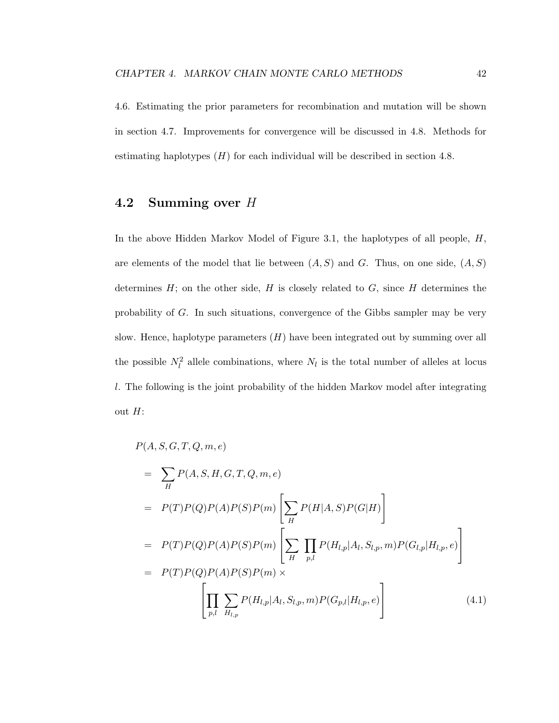4.6. Estimating the prior parameters for recombination and mutation will be shown in section 4.7. Improvements for convergence will be discussed in 4.8. Methods for estimating haplotypes  $(H)$  for each individual will be described in section 4.8.

## 4.2 Summing over H

In the above Hidden Markov Model of Figure 3.1, the haplotypes of all people,  $H$ , are elements of the model that lie between  $(A, S)$  and G. Thus, on one side,  $(A, S)$ determines  $H$ ; on the other side,  $H$  is closely related to  $G$ , since  $H$  determines the probability of G. In such situations, convergence of the Gibbs sampler may be very slow. Hence, haplotype parameters  $(H)$  have been integrated out by summing over all the possible  $N_l^2$  allele combinations, where  $N_l$  is the total number of alleles at locus l. The following is the joint probability of the hidden Markov model after integrating out H:

$$
P(A, S, G, T, Q, m, e)
$$
  
=  $\sum_{H} P(A, S, H, G, T, Q, m, e)$   
=  $P(T)P(Q)P(A)P(S)P(m) \left[ \sum_{H} P(H|A, S)P(G|H) \right]$   
=  $P(T)P(Q)P(A)P(S)P(m) \left[ \sum_{H} \prod_{p,l} P(H_{l,p}|A_{l}, S_{l,p}, m)P(G_{l,p}|H_{l,p}, e) \right]$   
=  $P(T)P(Q)P(A)P(S)P(m) \times \left[ \prod_{p,l} \sum_{H_{l,p}} P(H_{l,p}|A_{l}, S_{l,p}, m)P(G_{p,l}|H_{l,p}, e) \right]$  (4.1)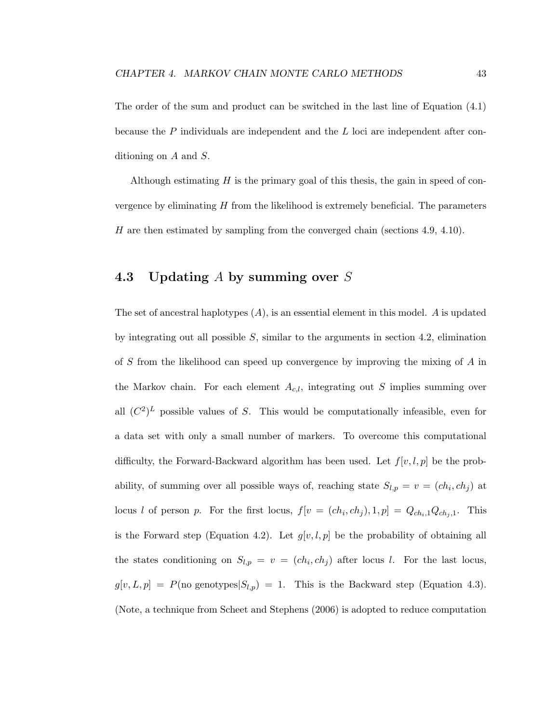ditioning on A and S.

Although estimating  $H$  is the primary goal of this thesis, the gain in speed of convergence by eliminating  $H$  from the likelihood is extremely beneficial. The parameters H are then estimated by sampling from the converged chain (sections  $4.9, 4.10$ ).

## 4.3 Updating A by summing over S

The set of ancestral haplotypes  $(A)$ , is an essential element in this model. A is updated by integrating out all possible  $S$ , similar to the arguments in section 4.2, elimination of S from the likelihood can speed up convergence by improving the mixing of A in the Markov chain. For each element  $A_{c,l}$ , integrating out S implies summing over all  $(C^2)^L$  possible values of S. This would be computationally infeasible, even for a data set with only a small number of markers. To overcome this computational difficulty, the Forward-Backward algorithm has been used. Let  $f[v, l, p]$  be the probability, of summing over all possible ways of, reaching state  $S_{l,p} = v = (ch_i, ch_j)$  at locus l of person p. For the first locus,  $f[v = (ch_i, ch_j), 1, p] = Q_{ch_i,1}Q_{ch_j,1}$ . This is the Forward step (Equation 4.2). Let  $g[v, l, p]$  be the probability of obtaining all the states conditioning on  $S_{l,p} = v = (ch_i, ch_j)$  after locus l. For the last locus,  $g[v, L, p] = P(\text{no genotypes} | S_{l,p}) = 1.$  This is the Backward step (Equation 4.3). (Note, a technique from Scheet and Stephens (2006) is adopted to reduce computation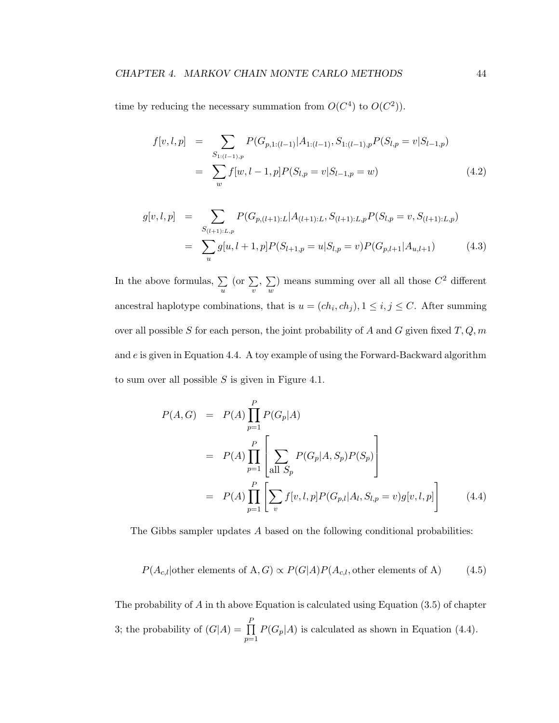time by reducing the necessary summation from  $O(C^4)$  to  $O(C^2)$ ).

$$
f[v, l, p] = \sum_{S_{1:(l-1),p}} P(G_{p,1:(l-1)} | A_{1:(l-1), S_{1:(l-1),p}} P(S_{l,p} = v | S_{l-1,p})
$$
  

$$
= \sum_{w} f[w, l-1, p] P(S_{l,p} = v | S_{l-1,p} = w)
$$
(4.2)

$$
g[v, l, p] = \sum_{S_{(l+1):L,p}} P(G_{p,(l+1):L}|A_{(l+1):L}, S_{(l+1):L,p}P(S_{l,p} = v, S_{(l+1):L,p})
$$
  

$$
= \sum_{u} g[u, l+1, p]P(S_{l+1,p} = u|S_{l,p} = v)P(G_{p,l+1}|A_{u,l+1})
$$
(4.3)

In the above formulas,  $\Sigma$ u (or  $\Sigma$ v ,  $\Sigma$ w ) means summing over all all those  $C<sup>2</sup>$  different ancestral haplotype combinations, that is  $u = (ch_i, ch_j), 1 \leq i, j \leq C$ . After summing over all possible  $S$  for each person, the joint probability of  $A$  and  $G$  given fixed  $T, Q, m$ and  $e$  is given in Equation 4.4. A toy example of using the Forward-Backward algorithm to sum over all possible  $S$  is given in Figure 4.1.

$$
P(A, G) = P(A) \prod_{p=1}^{P} P(G_p | A)
$$
  
=  $P(A) \prod_{p=1}^{P} \left[ \sum_{\text{all } S_p} P(G_p | A, S_p) P(S_p) \right]$   
=  $P(A) \prod_{p=1}^{P} \left[ \sum_{v} f[v, l, p] P(G_{p,l} | A_l, S_{l,p} = v) g[v, l, p] \right]$  (4.4)

The Gibbs sampler updates A based on the following conditional probabilities:

$$
P(A_{c,l}|\text{other elements of A}, G) \propto P(G|A)P(A_{c,l},\text{other elements of A})
$$
 (4.5)

The probability of  $\tilde{A}$  in th above Equation is calculated using Equation (3.5) of chapter 3; the probability of  $(G|A) = \prod$ P  $p=1$  $P(G_p|A)$  is calculated as shown in Equation (4.4).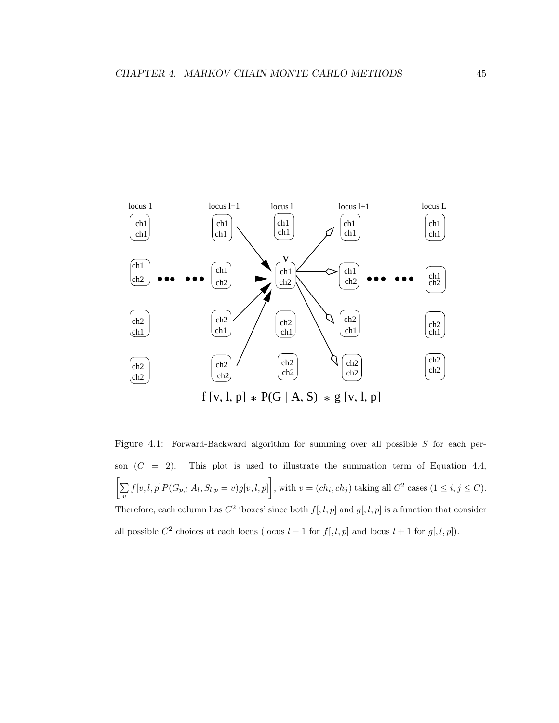

Figure 4.1: Forward-Backward algorithm for summing over all possible S for each person  $(C = 2)$ . This plot is used to illustrate the summation term of Equation 4.4,  $\left[\sum_{v} f[v, l, p] P(G_{p,l}|A_l, S_{l,p} = v) g[v, l, p]\right]$ , with  $v = (ch_i, ch_j)$  taking all  $C^2$  cases  $(1 \leq i, j \leq C)$ . Therefore, each column has  $C^2$  'boxes' since both  $f[, l, p]$  and  $g[, l, p]$  is a function that consider all possible  $C^2$  choices at each locus (locus  $l-1$  for  $f[l, l, p]$  and locus  $l+1$  for  $g[l, l, p]$ ).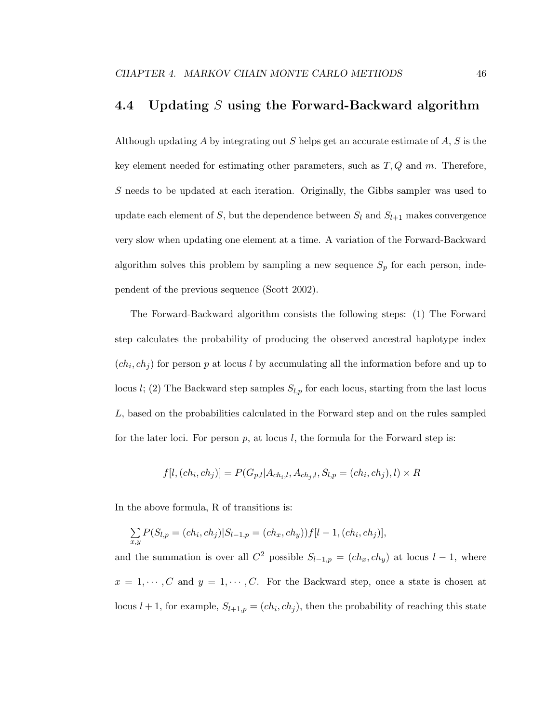## 4.4 Updating S using the Forward-Backward algorithm

Although updating A by integrating out S helps get an accurate estimate of A, S is the key element needed for estimating other parameters, such as  $T, Q$  and  $m$ . Therefore, S needs to be updated at each iteration. Originally, the Gibbs sampler was used to update each element of S, but the dependence between  $S_l$  and  $S_{l+1}$  makes convergence very slow when updating one element at a time. A variation of the Forward-Backward algorithm solves this problem by sampling a new sequence  $S_p$  for each person, independent of the previous sequence (Scott 2002).

The Forward-Backward algorithm consists the following steps: (1) The Forward step calculates the probability of producing the observed ancestral haplotype index  $(ch<sub>i</sub>, ch<sub>j</sub>)$  for person p at locus l by accumulating all the information before and up to locus l; (2) The Backward step samples  $S_{l,p}$  for each locus, starting from the last locus L, based on the probabilities calculated in the Forward step and on the rules sampled for the later loci. For person  $p$ , at locus  $l$ , the formula for the Forward step is:

$$
f[l, (ch_i, ch_j)] = P(G_{p,l} | A_{ch_i, l}, A_{ch_j, l}, S_{l, p} = (ch_i, ch_j), l) \times R
$$

In the above formula, R of transitions is:

$$
\sum_{x,y} P(S_{l,p} = (ch_i, ch_j) | S_{l-1,p} = (ch_x, ch_y)) f[l-1, (ch_i, ch_j)],
$$

and the summation is over all  $C^2$  possible  $S_{l-1,p} = (ch_x, ch_y)$  at locus  $l-1$ , where  $x = 1, \dots, C$  and  $y = 1, \dots, C$ . For the Backward step, once a state is chosen at locus  $l + 1$ , for example,  $S_{l+1,p} = (ch_i, ch_j)$ , then the probability of reaching this state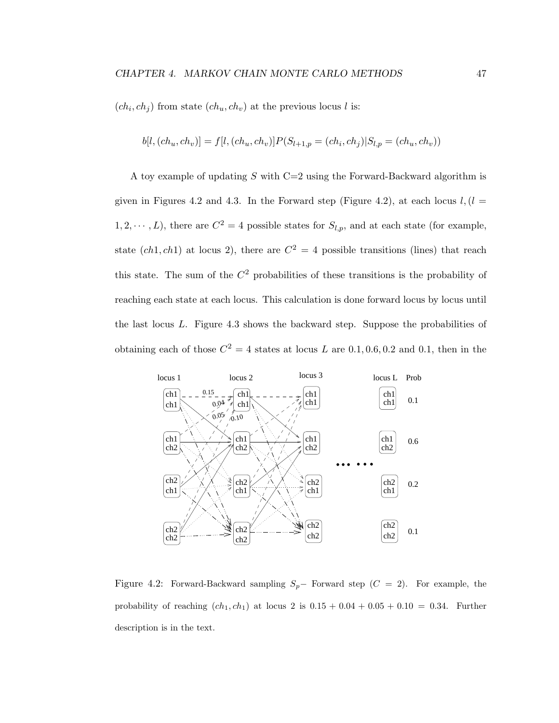$(ch<sub>i</sub>, ch<sub>j</sub>)$  from state  $(ch<sub>u</sub>, ch<sub>v</sub>)$  at the previous locus l is:

$$
b[l, (ch_u, ch_v)] = f[l, (ch_u, ch_v)]P(S_{l+1,p} = (ch_i, ch_j)|S_{l,p} = (ch_u, ch_v))
$$

A toy example of updating S with  $C=2$  using the Forward-Backward algorithm is given in Figures 4.2 and 4.3. In the Forward step (Figure 4.2), at each locus  $l, (l =$  $1, 2, \dots, L$ , there are  $C^2 = 4$  possible states for  $S_{l,p}$ , and at each state (for example, state  $(ch1, ch1)$  at locus 2), there are  $C^2 = 4$  possible transitions (lines) that reach this state. The sum of the  $C^2$  probabilities of these transitions is the probability of reaching each state at each locus. This calculation is done forward locus by locus until the last locus L. Figure 4.3 shows the backward step. Suppose the probabilities of obtaining each of those  $C^2 = 4$  states at locus L are 0.1, 0.6, 0.2 and 0.1, then in the



Figure 4.2: Forward-Backward sampling  $S_p$ – Forward step ( $C = 2$ ). For example, the probability of reaching  $(ch_1, ch_1)$  at locus 2 is  $0.15 + 0.04 + 0.05 + 0.10 = 0.34$ . Further description is in the text.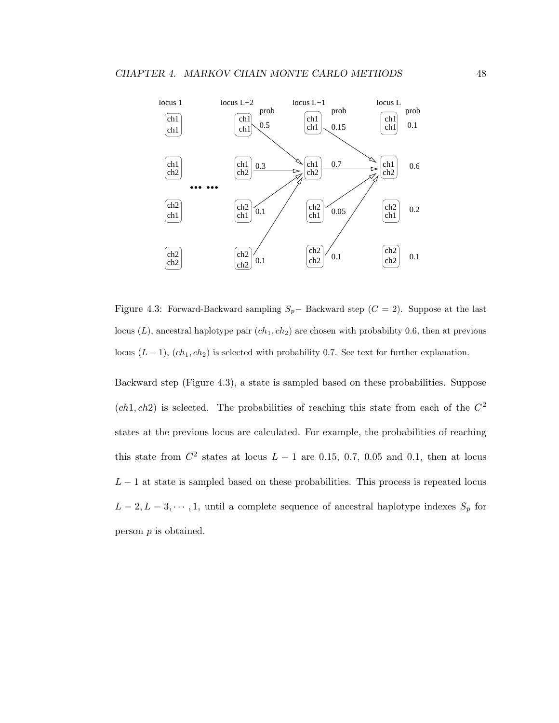

Figure 4.3: Forward-Backward sampling  $S_p$ – Backward step ( $C = 2$ ). Suppose at the last locus  $(L)$ , ancestral haplotype pair  $(ch_1, ch_2)$  are chosen with probability 0.6, then at previous locus  $(L-1)$ ,  $(ch_1, ch_2)$  is selected with probability 0.7. See text for further explanation.

Backward step (Figure 4.3), a state is sampled based on these probabilities. Suppose  $(ch1, ch2)$  is selected. The probabilities of reaching this state from each of the  $C<sup>2</sup>$ states at the previous locus are calculated. For example, the probabilities of reaching this state from  $C^2$  states at locus  $L-1$  are 0.15, 0.7, 0.05 and 0.1, then at locus  $L-1$  at state is sampled based on these probabilities. This process is repeated locus  $L-2, L-3, \dots, 1$ , until a complete sequence of ancestral haplotype indexes  $S_p$  for person p is obtained.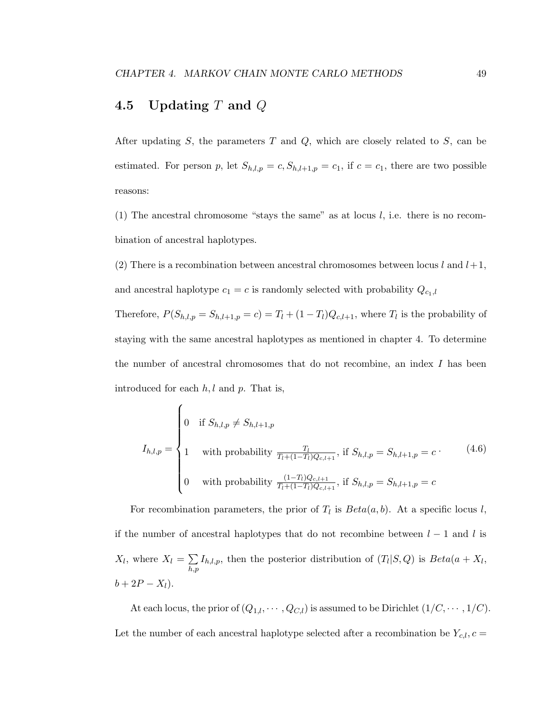## 4.5 Updating T and Q

After updating S, the parameters T and Q, which are closely related to S, can be estimated. For person p, let  $S_{h,l,p} = c, S_{h,l+1,p} = c_1$ , if  $c = c_1$ , there are two possible reasons:

(1) The ancestral chromosome "stays the same" as at locus l, i.e. there is no recombination of ancestral haplotypes.

(2) There is a recombination between ancestral chromosomes between locus l and  $l+1$ , and ancestral haplotype  $c_1 = c$  is randomly selected with probability  $Q_{c_1,l}$ 

Therefore,  $P(S_{h,l,p} = S_{h,l+1,p} = c) = T_l + (1 - T_l)Q_{c,l+1}$ , where  $T_l$  is the probability of staying with the same ancestral haplotypes as mentioned in chapter 4. To determine the number of ancestral chromosomes that do not recombine, an index I has been introduced for each  $h, l$  and  $p$ . That is,

$$
I_{h,l,p} = \begin{cases} 0 & \text{if } S_{h,l,p} \neq S_{h,l+1,p} \\ 1 & \text{with probability } \frac{T_l}{T_l + (1 - T_l)Q_{c,l+1}}, \text{ if } S_{h,l,p} = S_{h,l+1,p} = c \\ 0 & \text{with probability } \frac{(1 - T_l)Q_{c,l+1}}{T_l + (1 - T_l)Q_{c,l+1}}, \text{ if } S_{h,l,p} = S_{h,l+1,p} = c \end{cases}
$$
(4.6)

For recombination parameters, the prior of  $T_l$  is  $Beta(a, b)$ . At a specific locus l, if the number of ancestral haplotypes that do not recombine between  $l - 1$  and l is  $X_l$ , where  $X_l = \sum$ h,p  $I_{h,l,p}$ , then the posterior distribution of  $(T_l|S,Q)$  is  $Beta(a+X_l,$  $b + 2P - X_l$ ).

At each locus, the prior of  $(Q_{1,l},\cdots,Q_{C,l})$  is assumed to be Dirichlet  $(1/C,\cdots,1/C)$ . Let the number of each ancestral haplotype selected after a recombination be  $Y_{c,l}, c =$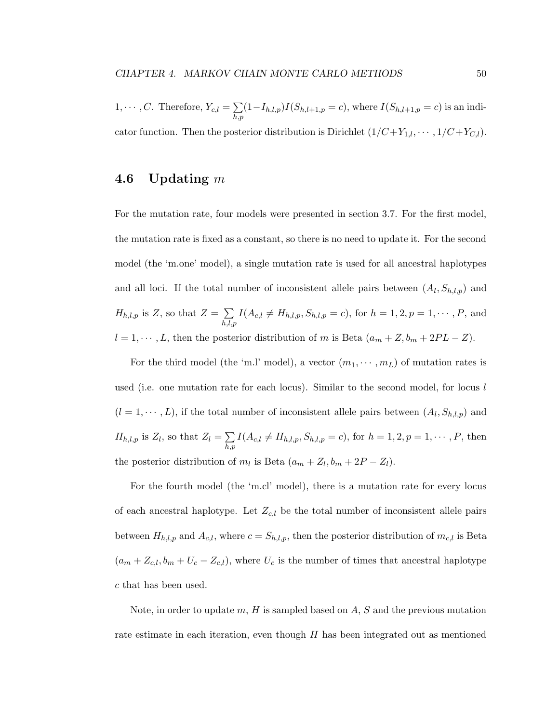$1, \cdots, C$ . Therefore,  $Y_{c,l} = \sum$  $_{h,p}$  $(1-I_{h,l,p})I(S_{h,l+1,p}=c)$ , where  $I(S_{h,l+1,p}=c)$  is an indicator function. Then the posterior distribution is Dirichlet  $(1/C+Y_{1,l}, \cdots, 1/C+Y_{C,l})$ .

#### 4.6 Updating  $m$

For the mutation rate, four models were presented in section 3.7. For the first model, the mutation rate is fixed as a constant, so there is no need to update it. For the second model (the 'm.one' model), a single mutation rate is used for all ancestral haplotypes and all loci. If the total number of inconsistent allele pairs between  $(A_l, S_{h,l,p})$  and  $H_{h,l,p}$  is Z, so that  $Z = \sum$  $_{h,l,p}$  $I(A_{c,l} \neq H_{h,l,p}, S_{h,l,p} = c)$ , for  $h = 1, 2, p = 1, \dots, P$ , and  $l = 1, \dots, L$ , then the posterior distribution of m is Beta  $(a_m + Z, b_m + 2PL - Z)$ .

For the third model (the 'm.l' model), a vector  $(m_1, \dots, m_L)$  of mutation rates is used (i.e. one mutation rate for each locus). Similar to the second model, for locus  $l$  $(l = 1, \dots, L)$ , if the total number of inconsistent allele pairs between  $(A_l, S_{h,l,p})$  and  $H_{h,l,p}$  is  $Z_l$ , so that  $Z_l = \sum$  $_{h,p}$  $I(A_{c,l} \neq H_{h,l,p}, S_{h,l,p} = c)$ , for  $h = 1, 2, p = 1, \dots, P$ , then the posterior distribution of  $m_l$  is Beta  $(a_m + Z_l, b_m + 2P - Z_l)$ .

For the fourth model (the 'm.cl' model), there is a mutation rate for every locus of each ancestral haplotype. Let  $Z_{c,l}$  be the total number of inconsistent allele pairs between  $H_{h,l,p}$  and  $A_{c,l}$ , where  $c = S_{h,l,p}$ , then the posterior distribution of  $m_{c,l}$  is Beta  $(a_m + Z_{c,l}, b_m + U_c - Z_{c,l})$ , where  $U_c$  is the number of times that ancestral haplotype c that has been used.

Note, in order to update  $m$ ,  $H$  is sampled based on  $A$ ,  $S$  and the previous mutation rate estimate in each iteration, even though H has been integrated out as mentioned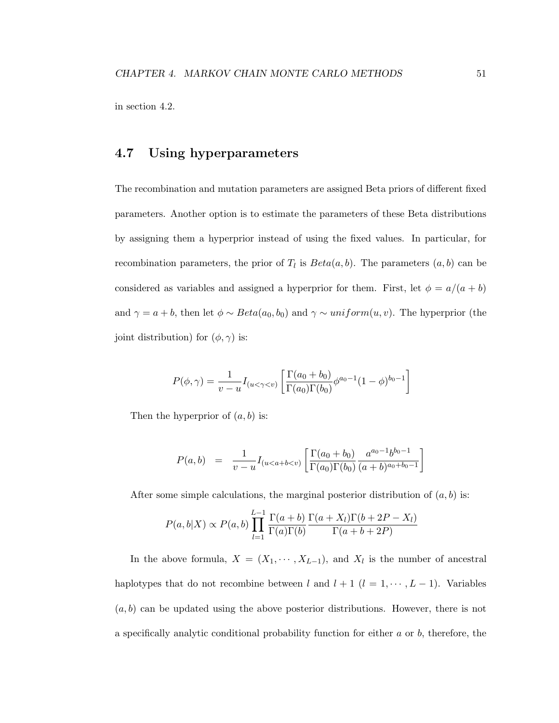in section 4.2.

#### 4.7 Using hyperparameters

The recombination and mutation parameters are assigned Beta priors of different fixed parameters. Another option is to estimate the parameters of these Beta distributions by assigning them a hyperprior instead of using the fixed values. In particular, for recombination parameters, the prior of  $T_l$  is  $Beta(a, b)$ . The parameters  $(a, b)$  can be considered as variables and assigned a hyperprior for them. First, let  $\phi = a/(a + b)$ and  $\gamma = a + b$ , then let  $\phi \sim Beta(a_0, b_0)$  and  $\gamma \sim uniform(u, v)$ . The hyperprior (the joint distribution) for  $(\phi, \gamma)$  is:

$$
P(\phi, \gamma) = \frac{1}{v - u} I_{(u < \gamma < v)} \left[ \frac{\Gamma(a_0 + b_0)}{\Gamma(a_0)\Gamma(b_0)} \phi^{a_0 - 1} (1 - \phi)^{b_0 - 1} \right]
$$

Then the hyperprior of  $(a, b)$  is:

$$
P(a,b) = \frac{1}{v - u} I_{(u < a + b < v)} \left[ \frac{\Gamma(a_0 + b_0)}{\Gamma(a_0)\Gamma(b_0)} \frac{a^{a_0 - 1}b^{b_0 - 1}}{(a + b)^{a_0 + b_0 - 1}} \right]
$$

After some simple calculations, the marginal posterior distribution of  $(a, b)$  is:

$$
P(a,b|X) \propto P(a,b) \prod_{l=1}^{L-1} \frac{\Gamma(a+b)}{\Gamma(a)\Gamma(b)} \frac{\Gamma(a+X_l)\Gamma(b+2P-X_l)}{\Gamma(a+b+2P)}
$$

In the above formula,  $X = (X_1, \dots, X_{L-1})$ , and  $X_l$  is the number of ancestral haplotypes that do not recombine between l and  $l + 1$   $(l = 1, \dots, L - 1)$ . Variables  $(a, b)$  can be updated using the above posterior distributions. However, there is not a specifically analytic conditional probability function for either a or b, therefore, the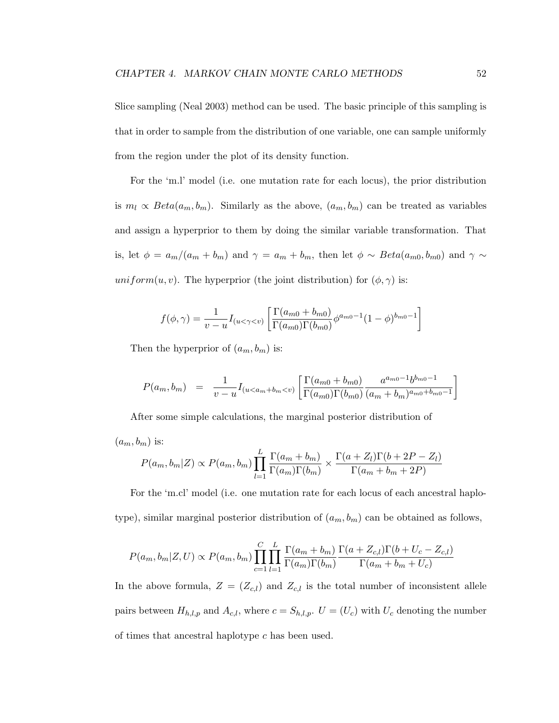Slice sampling (Neal 2003) method can be used. The basic principle of this sampling is that in order to sample from the distribution of one variable, one can sample uniformly from the region under the plot of its density function.

For the 'm.l' model (i.e. one mutation rate for each locus), the prior distribution is  $m_l \propto Beta(a_m, b_m)$ . Similarly as the above,  $(a_m, b_m)$  can be treated as variables and assign a hyperprior to them by doing the similar variable transformation. That is, let  $\phi = a_m/(a_m + b_m)$  and  $\gamma = a_m + b_m$ , then let  $\phi \sim Beta(a_{m0}, b_{m0})$  and  $\gamma \sim$ uniform $(u, v)$ . The hyperprior (the joint distribution) for  $(\phi, \gamma)$  is:

$$
f(\phi, \gamma) = \frac{1}{v - u} I_{(u < \gamma < v)} \left[ \frac{\Gamma(a_{m0} + b_{m0})}{\Gamma(a_{m0}) \Gamma(b_{m0})} \phi^{a_{m0} - 1} (1 - \phi)^{b_{m0} - 1} \right]
$$

Then the hyperprior of  $(a_m, b_m)$  is:

$$
P(a_m, b_m) = \frac{1}{v - u} I_{(u < a_m + b_m < v)} \left[ \frac{\Gamma(a_{m0} + b_{m0})}{\Gamma(a_{m0}) \Gamma(b_{m0})} \frac{a^{a_{m0} - 1} b^{b_{m0} - 1}}{(a_m + b_m)^{a_{m0} + b_{m0} - 1}} \right]
$$

After some simple calculations, the marginal posterior distribution of

$$
(a_m, b_m)
$$
 is:  
\n
$$
P(a_m, b_m | Z) \propto P(a_m, b_m) \prod_{l=1}^{L} \frac{\Gamma(a_m + b_m)}{\Gamma(a_m)\Gamma(b_m)} \times \frac{\Gamma(a + Z_l)\Gamma(b + 2P - Z_l)}{\Gamma(a_m + b_m + 2P)}
$$

For the 'm.cl' model (i.e. one mutation rate for each locus of each ancestral haplotype), similar marginal posterior distribution of  $(a_m, b_m)$  can be obtained as follows,

$$
P(a_m, b_m | Z, U) \propto P(a_m, b_m) \prod_{c=1}^C \prod_{l=1}^L \frac{\Gamma(a_m + b_m)}{\Gamma(a_m)\Gamma(b_m)} \frac{\Gamma(a + Z_{c,l})\Gamma(b + U_c - Z_{c,l})}{\Gamma(a_m + b_m + U_c)}
$$

In the above formula,  $Z = (Z_{c,l})$  and  $Z_{c,l}$  is the total number of inconsistent allele pairs between  $H_{h,l,p}$  and  $A_{c,l}$ , where  $c = S_{h,l,p}$ .  $U = (U_c)$  with  $U_c$  denoting the number of times that ancestral haplotype c has been used.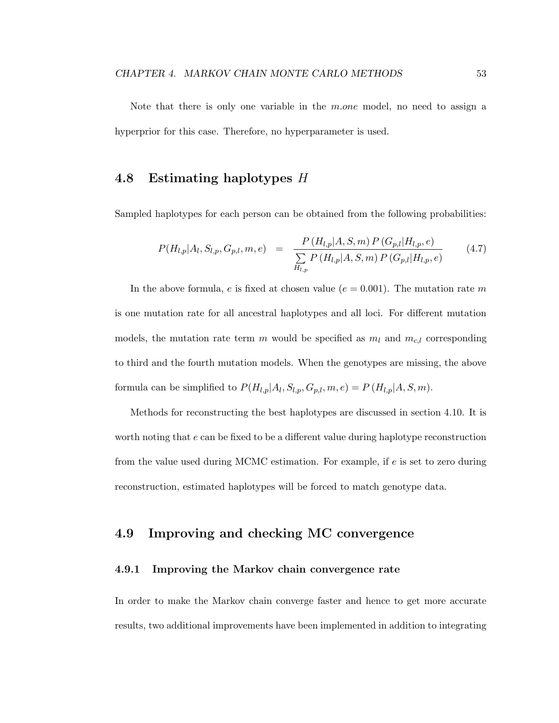Note that there is only one variable in the  $m.$ one model, no need to assign a hyperprior for this case. Therefore, no hyperparameter is used.

#### 4.8 Estimating haplotypes H

Sampled haplotypes for each person can be obtained from the following probabilities:

$$
P(H_{l,p}|A_l, S_{l,p}, G_{p,l}, m, e) = \frac{P(H_{l,p}|A, S, m) P(G_{p,l}|H_{l,p}, e)}{\sum_{H_{l,p}} P(H_{l,p}|A, S, m) P(G_{p,l}|H_{l,p}, e)}
$$
(4.7)

In the above formula, e is fixed at chosen value ( $e = 0.001$ ). The mutation rate m is one mutation rate for all ancestral haplotypes and all loci. For different mutation models, the mutation rate term m would be specified as  $m_l$  and  $m_{c,l}$  corresponding to third and the fourth mutation models. When the genotypes are missing, the above formula can be simplified to  $P(H_{l,p}|A_l, S_{l,p}, G_{p,l}, m, e) = P(H_{l,p}|A, S, m)$ .

Methods for reconstructing the best haplotypes are discussed in section 4.10. It is worth noting that e can be fixed to be a different value during haplotype reconstruction from the value used during MCMC estimation. For example, if  $e$  is set to zero during reconstruction, estimated haplotypes will be forced to match genotype data.

## 4.9 Improving and checking MC convergence

#### 4.9.1 Improving the Markov chain convergence rate

In order to make the Markov chain converge faster and hence to get more accurate results, two additional improvements have been implemented in addition to integrating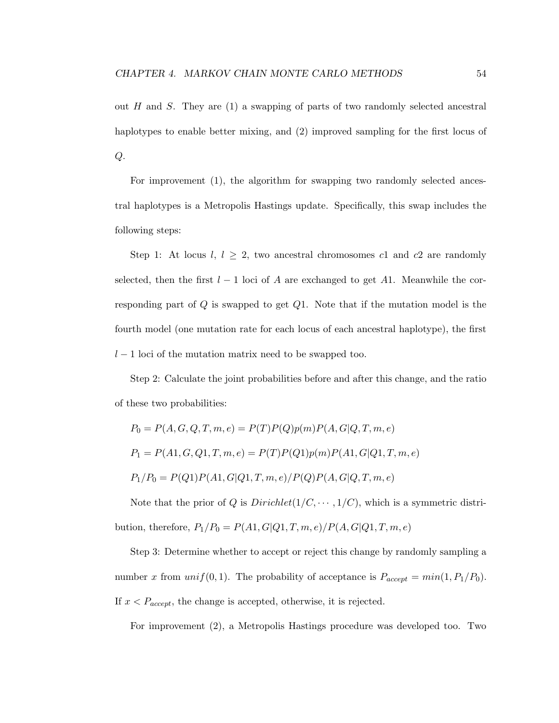out  $H$  and  $S$ . They are  $(1)$  a swapping of parts of two randomly selected ancestral haplotypes to enable better mixing, and (2) improved sampling for the first locus of  $Q$ .

For improvement (1), the algorithm for swapping two randomly selected ancestral haplotypes is a Metropolis Hastings update. Specifically, this swap includes the following steps:

Step 1: At locus  $l, l \geq 2$ , two ancestral chromosomes c1 and c2 are randomly selected, then the first  $l-1$  loci of A are exchanged to get A1. Meanwhile the corresponding part of  $Q$  is swapped to get  $Q1$ . Note that if the mutation model is the fourth model (one mutation rate for each locus of each ancestral haplotype), the first  $l-1$  loci of the mutation matrix need to be swapped too.

Step 2: Calculate the joint probabilities before and after this change, and the ratio of these two probabilities:

$$
P_0 = P(A, G, Q, T, m, e) = P(T)P(Q)p(m)P(A, G|Q, T, m, e)
$$
  
\n
$$
P_1 = P(A1, G, Q1, T, m, e) = P(T)P(Q1)p(m)P(A1, G|Q1, T, m, e)
$$
  
\n
$$
P_1/P_0 = P(Q1)P(A1, G|Q1, T, m, e)/P(Q)P(A, G|Q, T, m, e)
$$

Note that the prior of Q is  $Dirichlet(1/C, \dots, 1/C)$ , which is a symmetric distribution, therefore,  $P_1/P_0 = P(A1, G\vert Q1, T, m, e)/P(A, G\vert Q1, T, m, e)$ 

Step 3: Determine whether to accept or reject this change by randomly sampling a number x from unif(0,1). The probability of acceptance is  $P_{accept} = min(1, P_1/P_0)$ . If  $x < P_{accept}$ , the change is accepted, otherwise, it is rejected.

For improvement (2), a Metropolis Hastings procedure was developed too. Two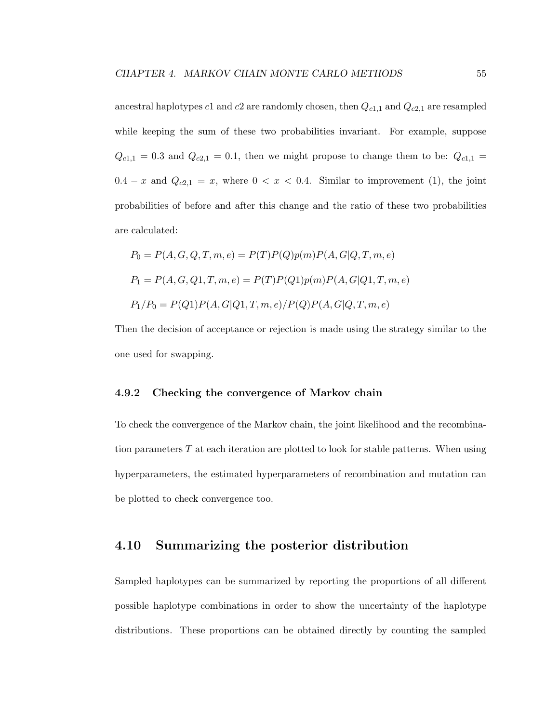ancestral haplotypes  $c1$  and  $c2$  are randomly chosen, then  $Q_{c1,1}$  and  $Q_{c2,1}$  are resampled while keeping the sum of these two probabilities invariant. For example, suppose  $Q_{c1,1} = 0.3$  and  $Q_{c2,1} = 0.1$ , then we might propose to change them to be:  $Q_{c1,1} =$  $0.4 - x$  and  $Q_{c2,1} = x$ , where  $0 < x < 0.4$ . Similar to improvement (1), the joint probabilities of before and after this change and the ratio of these two probabilities are calculated:

$$
P_0 = P(A, G, Q, T, m, e) = P(T)P(Q)p(m)P(A, G|Q, T, m, e)
$$
  
\n
$$
P_1 = P(A, G, Q1, T, m, e) = P(T)P(Q1)p(m)P(A, G|Q1, T, m, e)
$$
  
\n
$$
P_1/P_0 = P(Q1)P(A, G|Q1, T, m, e)/P(Q)P(A, G|Q, T, m, e)
$$

Then the decision of acceptance or rejection is made using the strategy similar to the one used for swapping.

#### 4.9.2 Checking the convergence of Markov chain

To check the convergence of the Markov chain, the joint likelihood and the recombination parameters T at each iteration are plotted to look for stable patterns. When using hyperparameters, the estimated hyperparameters of recombination and mutation can be plotted to check convergence too.

#### 4.10 Summarizing the posterior distribution

Sampled haplotypes can be summarized by reporting the proportions of all different possible haplotype combinations in order to show the uncertainty of the haplotype distributions. These proportions can be obtained directly by counting the sampled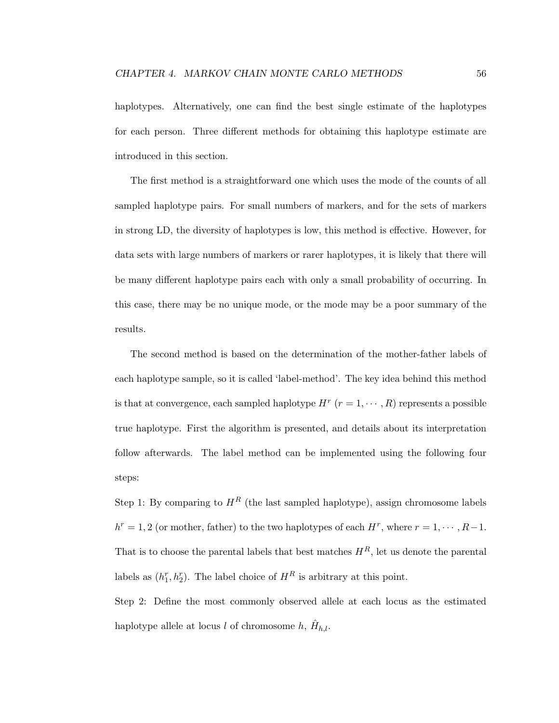haplotypes. Alternatively, one can find the best single estimate of the haplotypes for each person. Three different methods for obtaining this haplotype estimate are introduced in this section.

The first method is a straightforward one which uses the mode of the counts of all sampled haplotype pairs. For small numbers of markers, and for the sets of markers in strong LD, the diversity of haplotypes is low, this method is effective. However, for data sets with large numbers of markers or rarer haplotypes, it is likely that there will be many different haplotype pairs each with only a small probability of occurring. In this case, there may be no unique mode, or the mode may be a poor summary of the results.

The second method is based on the determination of the mother-father labels of each haplotype sample, so it is called 'label-method'. The key idea behind this method is that at convergence, each sampled haplotype  $H^r$   $(r = 1, \dots, R)$  represents a possible true haplotype. First the algorithm is presented, and details about its interpretation follow afterwards. The label method can be implemented using the following four steps:

Step 1: By comparing to  $H^R$  (the last sampled haplotype), assign chromosome labels  $h^r = 1, 2$  (or mother, father) to the two haplotypes of each  $H^r$ , where  $r = 1, \dots, R-1$ . That is to choose the parental labels that best matches  $H<sup>R</sup>$ , let us denote the parental labels as  $(h_1^r, h_2^r)$ . The label choice of  $H^R$  is arbitrary at this point.

Step 2: Define the most commonly observed allele at each locus as the estimated haplotype allele at locus l of chromosome  $h$ ,  $\hat{H}_{h,l}$ .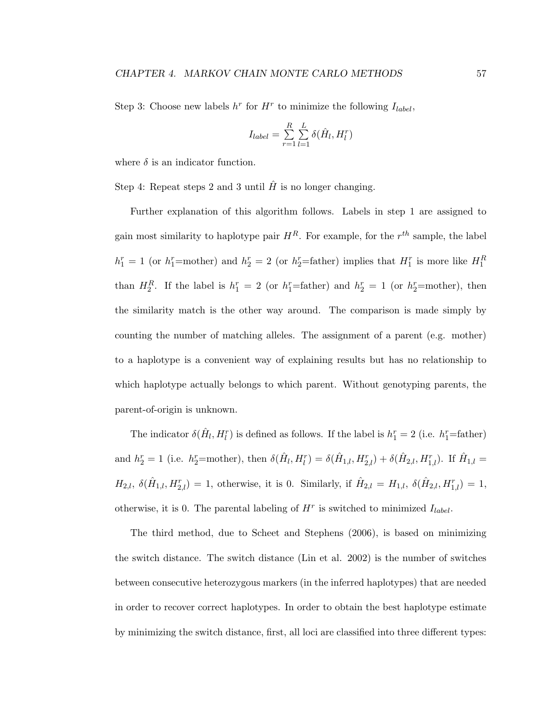Step 3: Choose new labels  $h^r$  for  $H^r$  to minimize the following  $I_{label}$ ,

$$
I_{label} = \sum_{r=1}^{R} \sum_{l=1}^{L} \delta(\hat{H}_l, H_l^r)
$$

where  $\delta$  is an indicator function.

Step 4: Repeat steps 2 and 3 until  $\hat{H}$  is no longer changing.

Further explanation of this algorithm follows. Labels in step 1 are assigned to gain most similarity to haplotype pair  $H^R$ . For example, for the  $r^{th}$  sample, the label  $h_1^r = 1$  (or  $h_1^r =$ mother) and  $h_2^r = 2$  (or  $h_2^r =$ father) implies that  $H_1^r$  is more like  $H_1^R$ than  $H_2^R$ . If the label is  $h_1^r = 2$  (or  $h_1^r =$  father) and  $h_2^r = 1$  (or  $h_2^r =$  mother), then the similarity match is the other way around. The comparison is made simply by counting the number of matching alleles. The assignment of a parent (e.g. mother) to a haplotype is a convenient way of explaining results but has no relationship to which haplotype actually belongs to which parent. Without genotyping parents, the parent-of-origin is unknown.

The indicator  $\delta(\hat{H}_l, H_l^r)$  is defined as follows. If the label is  $h_1^r = 2$  (i.e.  $h_1^r =$ father) and  $h_2^r = 1$  (i.e.  $h_2^r =$ mother), then  $\delta(\hat{H}_l, H_l^r) = \delta(\hat{H}_{1,l}, H_{2,l}^r) + \delta(\hat{H}_{2,l}, H_{1,l}^r)$ . If  $\hat{H}_{1,l} =$  $H_{2,l}, \, \delta(\hat{H}_{1,l}, H_{2,l}^r) = 1$ , otherwise, it is 0. Similarly, if  $\hat{H}_{2,l} = H_{1,l}, \, \delta(\hat{H}_{2,l}, H_{1,l}^r) = 1$ , otherwise, it is 0. The parental labeling of  $H^r$  is switched to minimized  $I_{label}$ .

The third method, due to Scheet and Stephens (2006), is based on minimizing the switch distance. The switch distance (Lin et al. 2002) is the number of switches between consecutive heterozygous markers (in the inferred haplotypes) that are needed in order to recover correct haplotypes. In order to obtain the best haplotype estimate by minimizing the switch distance, first, all loci are classified into three different types: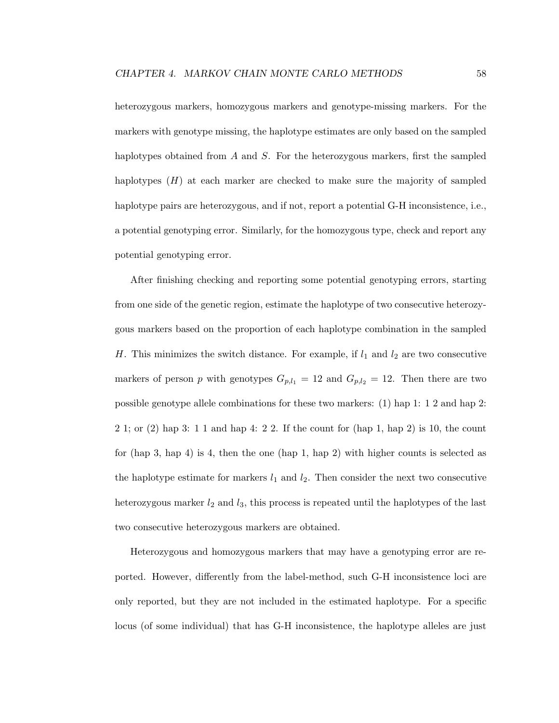heterozygous markers, homozygous markers and genotype-missing markers. For the markers with genotype missing, the haplotype estimates are only based on the sampled haplotypes obtained from A and S. For the heterozygous markers, first the sampled haplotypes  $(H)$  at each marker are checked to make sure the majority of sampled haplotype pairs are heterozygous, and if not, report a potential G-H inconsistence, i.e., a potential genotyping error. Similarly, for the homozygous type, check and report any potential genotyping error.

After finishing checking and reporting some potential genotyping errors, starting from one side of the genetic region, estimate the haplotype of two consecutive heterozygous markers based on the proportion of each haplotype combination in the sampled H. This minimizes the switch distance. For example, if  $l_1$  and  $l_2$  are two consecutive markers of person p with genotypes  $G_{p,l_1} = 12$  and  $G_{p,l_2} = 12$ . Then there are two possible genotype allele combinations for these two markers: (1) hap 1: 1 2 and hap 2: 2 1; or (2) hap 3: 1 1 and hap 4: 2 2. If the count for (hap 1, hap 2) is 10, the count for (hap 3, hap 4) is 4, then the one (hap 1, hap 2) with higher counts is selected as the haplotype estimate for markers  $l_1$  and  $l_2$ . Then consider the next two consecutive heterozygous marker  $l_2$  and  $l_3$ , this process is repeated until the haplotypes of the last two consecutive heterozygous markers are obtained.

Heterozygous and homozygous markers that may have a genotyping error are reported. However, differently from the label-method, such G-H inconsistence loci are only reported, but they are not included in the estimated haplotype. For a specific locus (of some individual) that has G-H inconsistence, the haplotype alleles are just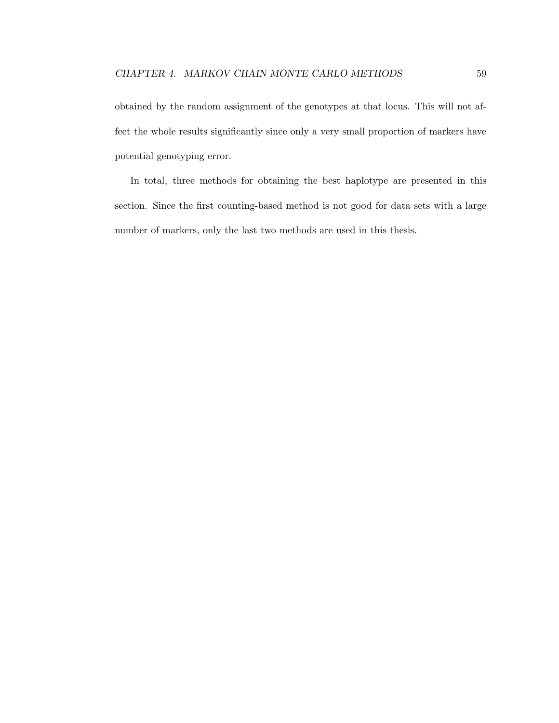obtained by the random assignment of the genotypes at that locus. This will not affect the whole results significantly since only a very small proportion of markers have potential genotyping error.

In total, three methods for obtaining the best haplotype are presented in this section. Since the first counting-based method is not good for data sets with a large number of markers, only the last two methods are used in this thesis.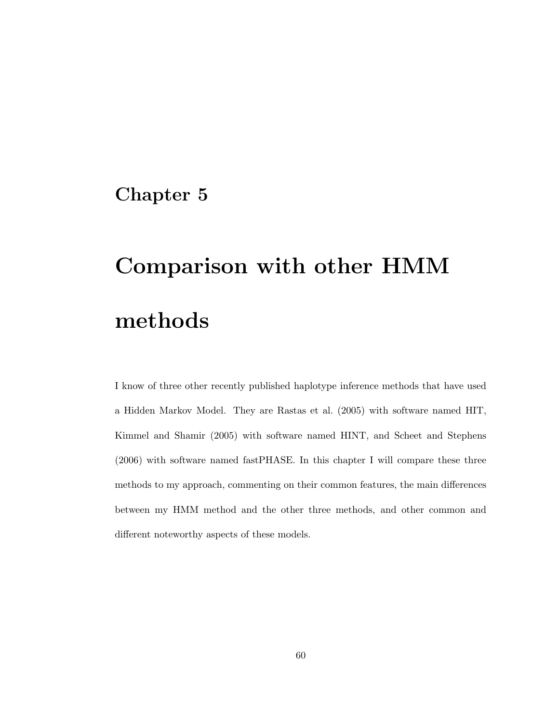# Chapter 5

# Comparison with other HMM methods

I know of three other recently published haplotype inference methods that have used a Hidden Markov Model. They are Rastas et al. (2005) with software named HIT, Kimmel and Shamir (2005) with software named HINT, and Scheet and Stephens (2006) with software named fastPHASE. In this chapter I will compare these three methods to my approach, commenting on their common features, the main differences between my HMM method and the other three methods, and other common and different noteworthy aspects of these models.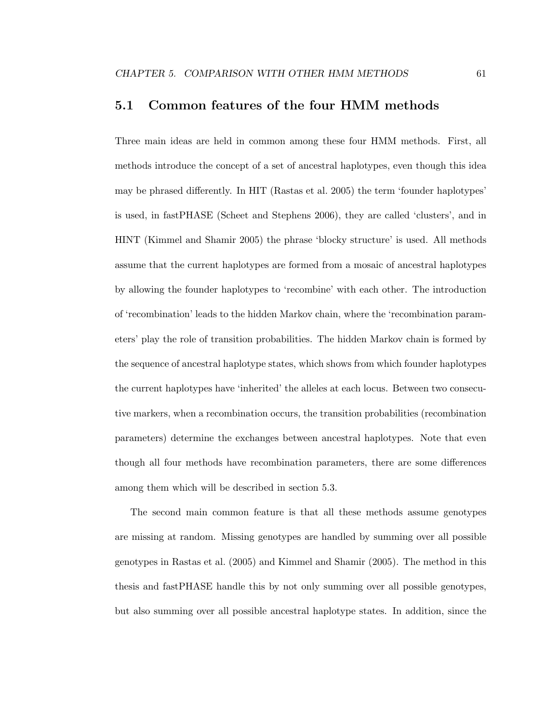## 5.1 Common features of the four HMM methods

Three main ideas are held in common among these four HMM methods. First, all methods introduce the concept of a set of ancestral haplotypes, even though this idea may be phrased differently. In HIT (Rastas et al. 2005) the term 'founder haplotypes' is used, in fastPHASE (Scheet and Stephens 2006), they are called 'clusters', and in HINT (Kimmel and Shamir 2005) the phrase 'blocky structure' is used. All methods assume that the current haplotypes are formed from a mosaic of ancestral haplotypes by allowing the founder haplotypes to 'recombine' with each other. The introduction of 'recombination' leads to the hidden Markov chain, where the 'recombination parameters' play the role of transition probabilities. The hidden Markov chain is formed by the sequence of ancestral haplotype states, which shows from which founder haplotypes the current haplotypes have 'inherited' the alleles at each locus. Between two consecutive markers, when a recombination occurs, the transition probabilities (recombination parameters) determine the exchanges between ancestral haplotypes. Note that even though all four methods have recombination parameters, there are some differences among them which will be described in section 5.3.

The second main common feature is that all these methods assume genotypes are missing at random. Missing genotypes are handled by summing over all possible genotypes in Rastas et al. (2005) and Kimmel and Shamir (2005). The method in this thesis and fastPHASE handle this by not only summing over all possible genotypes, but also summing over all possible ancestral haplotype states. In addition, since the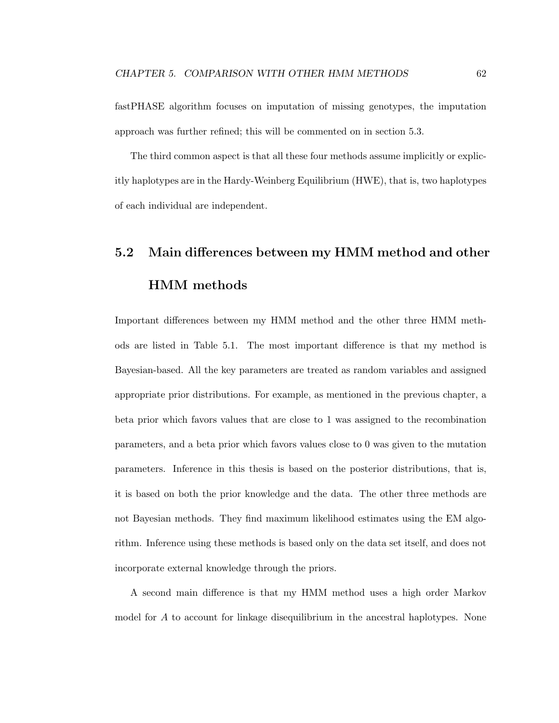fastPHASE algorithm focuses on imputation of missing genotypes, the imputation approach was further refined; this will be commented on in section 5.3.

The third common aspect is that all these four methods assume implicitly or explicitly haplotypes are in the Hardy-Weinberg Equilibrium (HWE), that is, two haplotypes of each individual are independent.

# 5.2 Main differences between my HMM method and other HMM methods

Important differences between my HMM method and the other three HMM methods are listed in Table 5.1. The most important difference is that my method is Bayesian-based. All the key parameters are treated as random variables and assigned appropriate prior distributions. For example, as mentioned in the previous chapter, a beta prior which favors values that are close to 1 was assigned to the recombination parameters, and a beta prior which favors values close to 0 was given to the mutation parameters. Inference in this thesis is based on the posterior distributions, that is, it is based on both the prior knowledge and the data. The other three methods are not Bayesian methods. They find maximum likelihood estimates using the EM algorithm. Inference using these methods is based only on the data set itself, and does not incorporate external knowledge through the priors.

A second main difference is that my HMM method uses a high order Markov model for A to account for linkage disequilibrium in the ancestral haplotypes. None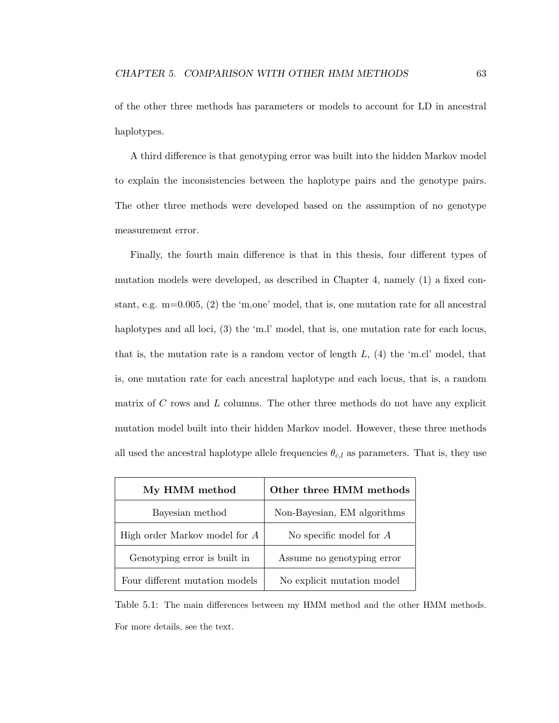of the other three methods has parameters or models to account for LD in ancestral haplotypes.

A third difference is that genotyping error was built into the hidden Markov model to explain the inconsistencies between the haplotype pairs and the genotype pairs. The other three methods were developed based on the assumption of no genotype measurement error.

Finally, the fourth main difference is that in this thesis, four different types of mutation models were developed, as described in Chapter 4, namely (1) a fixed constant, e.g. m=0.005, (2) the 'm.one' model, that is, one mutation rate for all ancestral haplotypes and all loci, (3) the 'm.l' model, that is, one mutation rate for each locus, that is, the mutation rate is a random vector of length  $L$ , (4) the 'm.cl' model, that is, one mutation rate for each ancestral haplotype and each locus, that is, a random matrix of  $C$  rows and  $L$  columns. The other three methods do not have any explicit mutation model built into their hidden Markov model. However, these three methods all used the ancestral haplotype allele frequencies  $\theta_{c,l}$  as parameters. That is, they use

| My HMM method                  | Other three HMM methods     |
|--------------------------------|-----------------------------|
| Bayesian method                | Non-Bayesian, EM algorithms |
| High order Markov model for A  | No specific model for $A$   |
| Genotyping error is built in   | Assume no genotyping error  |
| Four different mutation models | No explicit mutation model  |

Table 5.1: The main differences between my HMM method and the other HMM methods. For more details, see the text.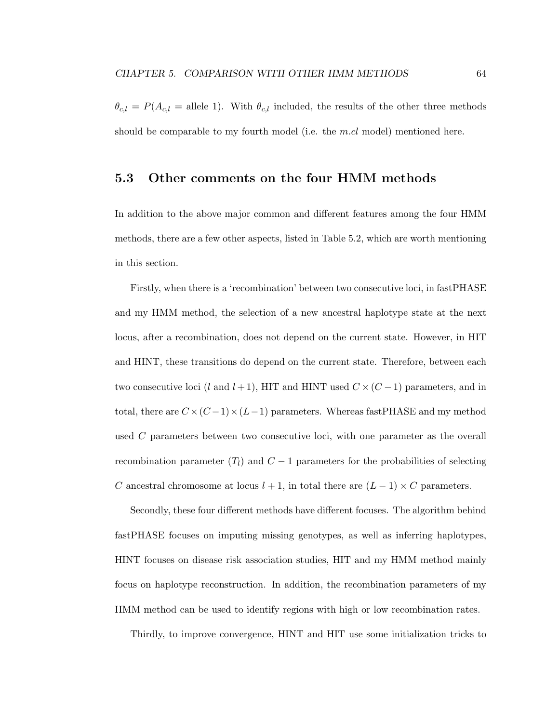$\theta_{c,l} = P(A_{c,l} = \text{allele 1}).$  With  $\theta_{c,l}$  included, the results of the other three methods should be comparable to my fourth model (i.e. the  $m$ .cl model) mentioned here.

#### 5.3 Other comments on the four HMM methods

In addition to the above major common and different features among the four HMM methods, there are a few other aspects, listed in Table 5.2, which are worth mentioning in this section.

Firstly, when there is a 'recombination' between two consecutive loci, in fastPHASE and my HMM method, the selection of a new ancestral haplotype state at the next locus, after a recombination, does not depend on the current state. However, in HIT and HINT, these transitions do depend on the current state. Therefore, between each two consecutive loci (l and l + 1), HIT and HINT used  $C \times (C - 1)$  parameters, and in total, there are  $C \times (C-1) \times (L-1)$  parameters. Whereas fastPHASE and my method used C parameters between two consecutive loci, with one parameter as the overall recombination parameter  $(T_l)$  and  $C-1$  parameters for the probabilities of selecting C ancestral chromosome at locus  $l + 1$ , in total there are  $(L - 1) \times C$  parameters.

Secondly, these four different methods have different focuses. The algorithm behind fastPHASE focuses on imputing missing genotypes, as well as inferring haplotypes, HINT focuses on disease risk association studies, HIT and my HMM method mainly focus on haplotype reconstruction. In addition, the recombination parameters of my HMM method can be used to identify regions with high or low recombination rates.

Thirdly, to improve convergence, HINT and HIT use some initialization tricks to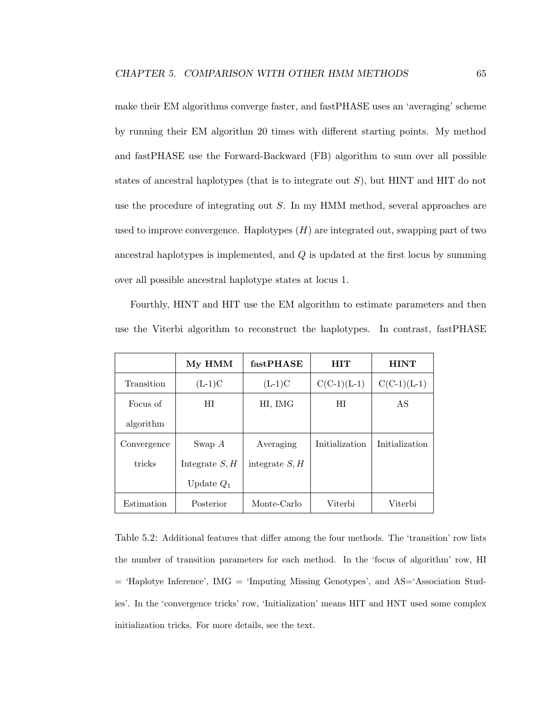make their EM algorithms converge faster, and fastPHASE uses an 'averaging' scheme by running their EM algorithm 20 times with different starting points. My method and fastPHASE use the Forward-Backward (FB) algorithm to sum over all possible states of ancestral haplotypes (that is to integrate out  $S$ ), but HINT and HIT do not use the procedure of integrating out S. In my HMM method, several approaches are used to improve convergence. Haplotypes  $(H)$  are integrated out, swapping part of two ancestral haplotypes is implemented, and Q is updated at the first locus by summing over all possible ancestral haplotype states at locus 1.

Fourthly, HINT and HIT use the EM algorithm to estimate parameters and then use the Viterbi algorithm to reconstruct the haplotypes. In contrast, fastPHASE

|             | My HMM           | fastPHASE        | <b>HIT</b>     | <b>HINT</b>    |
|-------------|------------------|------------------|----------------|----------------|
| Transition  | $(L-1)C$         | $(L-1)C$         | $C(C-1)(L-1)$  | $C(C-1)(L-1)$  |
| Focus of    | HI               | HI, IMG          | HI             | AS             |
| algorithm   |                  |                  |                |                |
| Convergence | Swap $A$         | Averaging        | Initialization | Initialization |
| tricks      | Integrate $S, H$ | integrate $S, H$ |                |                |
|             | Update $Q_1$     |                  |                |                |
| Estimation  | Posterior        | Monte-Carlo      | Viterbi        | Viterbi        |

Table 5.2: Additional features that differ among the four methods. The 'transition' row lists the number of transition parameters for each method. In the 'focus of algorithm' row, HI = 'Haplotye Inference', IMG = 'Imputing Missing Genotypes', and AS='Association Studies'. In the 'convergence tricks' row, 'Initialization' means HIT and HNT used some complex initialization tricks. For more details, see the text.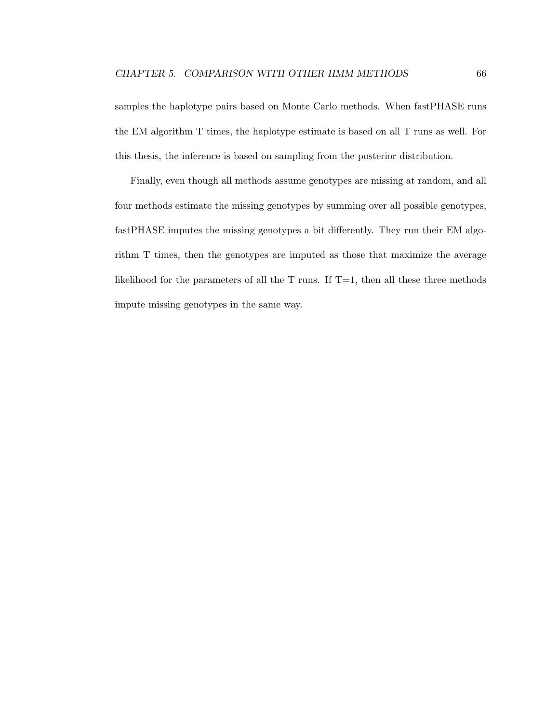samples the haplotype pairs based on Monte Carlo methods. When fastPHASE runs the EM algorithm T times, the haplotype estimate is based on all T runs as well. For this thesis, the inference is based on sampling from the posterior distribution.

Finally, even though all methods assume genotypes are missing at random, and all four methods estimate the missing genotypes by summing over all possible genotypes, fastPHASE imputes the missing genotypes a bit differently. They run their EM algorithm T times, then the genotypes are imputed as those that maximize the average likelihood for the parameters of all the T runs. If  $T=1$ , then all these three methods impute missing genotypes in the same way.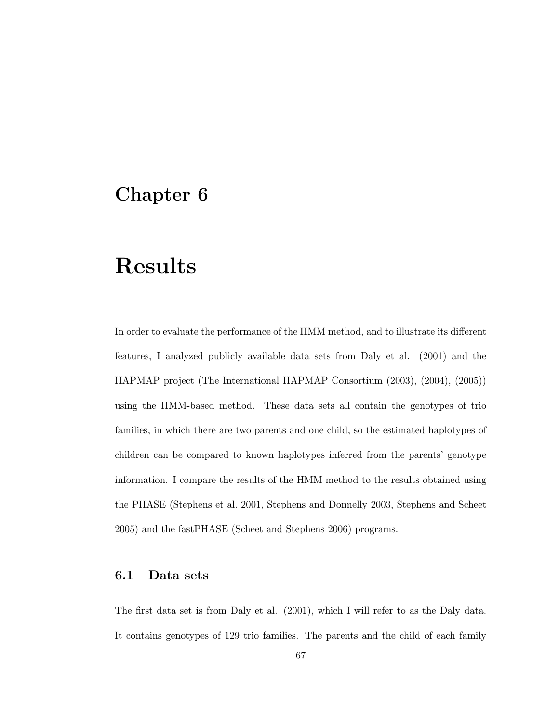# Chapter 6

# Results

In order to evaluate the performance of the HMM method, and to illustrate its different features, I analyzed publicly available data sets from Daly et al. (2001) and the HAPMAP project (The International HAPMAP Consortium (2003), (2004), (2005)) using the HMM-based method. These data sets all contain the genotypes of trio families, in which there are two parents and one child, so the estimated haplotypes of children can be compared to known haplotypes inferred from the parents' genotype information. I compare the results of the HMM method to the results obtained using the PHASE (Stephens et al. 2001, Stephens and Donnelly 2003, Stephens and Scheet 2005) and the fastPHASE (Scheet and Stephens 2006) programs.

## 6.1 Data sets

The first data set is from Daly et al. (2001), which I will refer to as the Daly data. It contains genotypes of 129 trio families. The parents and the child of each family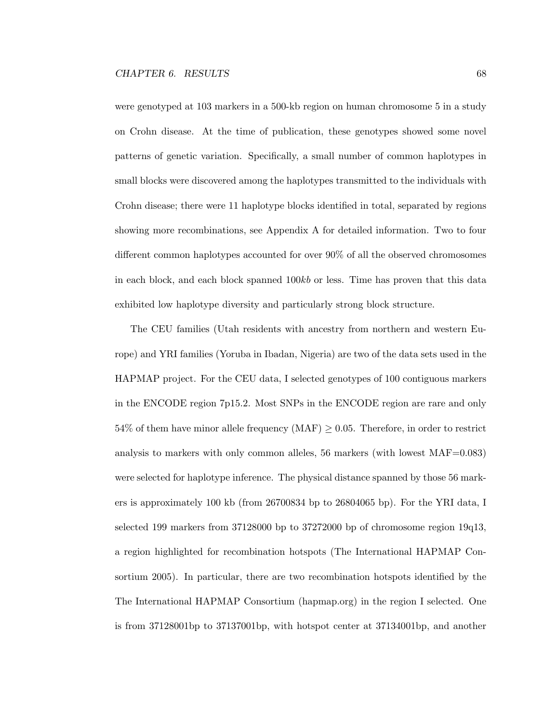were genotyped at 103 markers in a 500-kb region on human chromosome 5 in a study on Crohn disease. At the time of publication, these genotypes showed some novel patterns of genetic variation. Specifically, a small number of common haplotypes in small blocks were discovered among the haplotypes transmitted to the individuals with Crohn disease; there were 11 haplotype blocks identified in total, separated by regions showing more recombinations, see Appendix A for detailed information. Two to four different common haplotypes accounted for over 90% of all the observed chromosomes in each block, and each block spanned 100kb or less. Time has proven that this data exhibited low haplotype diversity and particularly strong block structure.

The CEU families (Utah residents with ancestry from northern and western Europe) and YRI families (Yoruba in Ibadan, Nigeria) are two of the data sets used in the HAPMAP project. For the CEU data, I selected genotypes of 100 contiguous markers in the ENCODE region 7p15.2. Most SNPs in the ENCODE region are rare and only 54% of them have minor allele frequency (MAF)  $\geq$  0.05. Therefore, in order to restrict analysis to markers with only common alleles, 56 markers (with lowest  $MAF=0.083$ ) were selected for haplotype inference. The physical distance spanned by those 56 markers is approximately 100 kb (from 26700834 bp to 26804065 bp). For the YRI data, I selected 199 markers from 37128000 bp to 37272000 bp of chromosome region 19q13, a region highlighted for recombination hotspots (The International HAPMAP Consortium 2005). In particular, there are two recombination hotspots identified by the The International HAPMAP Consortium (hapmap.org) in the region I selected. One is from 37128001bp to 37137001bp, with hotspot center at 37134001bp, and another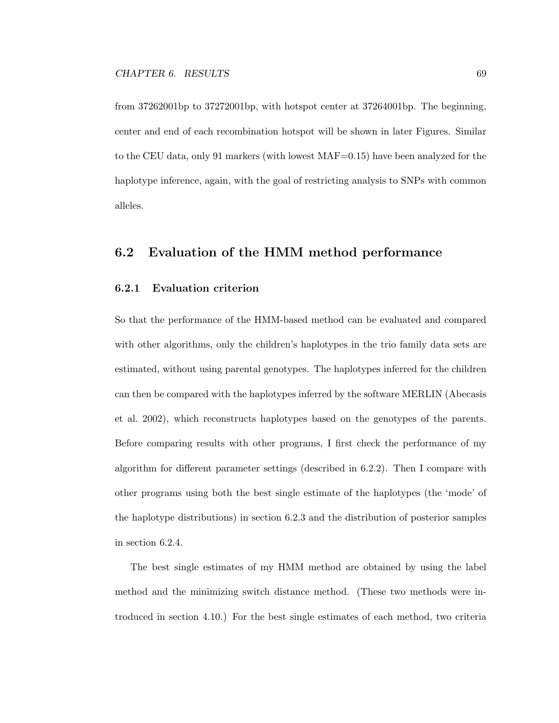from 37262001bp to 37272001bp, with hotspot center at 37264001bp. The beginning, center and end of each recombination hotspot will be shown in later Figures. Similar to the CEU data, only 91 markers (with lowest MAF=0.15) have been analyzed for the haplotype inference, again, with the goal of restricting analysis to SNPs with common alleles.

### 6.2 Evaluation of the HMM method performance

#### 6.2.1 Evaluation criterion

So that the performance of the HMM-based method can be evaluated and compared with other algorithms, only the children's haplotypes in the trio family data sets are estimated, without using parental genotypes. The haplotypes inferred for the children can then be compared with the haplotypes inferred by the software MERLIN (Abecasis et al. 2002), which reconstructs haplotypes based on the genotypes of the parents. Before comparing results with other programs, I first check the performance of my algorithm for different parameter settings (described in 6.2.2). Then I compare with other programs using both the best single estimate of the haplotypes (the 'mode' of the haplotype distributions) in section 6.2.3 and the distribution of posterior samples in section 6.2.4.

The best single estimates of my HMM method are obtained by using the label method and the minimizing switch distance method. (These two methods were introduced in section 4.10.) For the best single estimates of each method, two criteria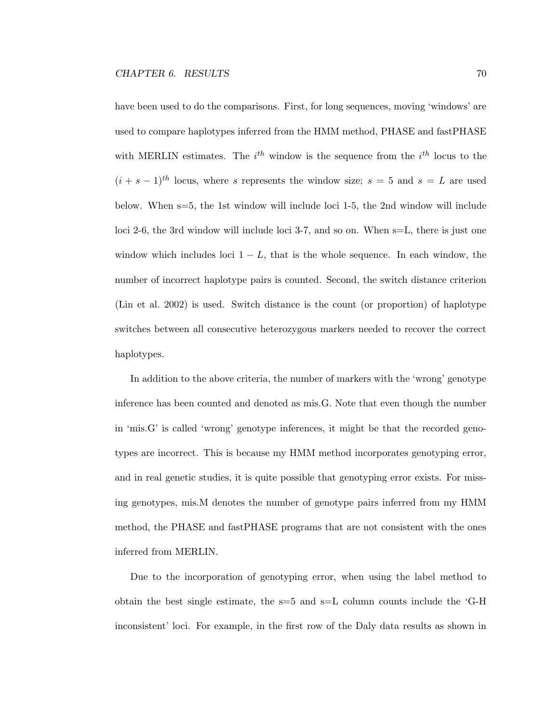have been used to do the comparisons. First, for long sequences, moving 'windows' are used to compare haplotypes inferred from the HMM method, PHASE and fastPHASE with MERLIN estimates. The  $i^{th}$  window is the sequence from the  $i^{th}$  locus to the  $(i + s - 1)<sup>th</sup>$  locus, where s represents the window size; s = 5 and s = L are used below. When s=5, the 1st window will include loci 1-5, the 2nd window will include loci 2-6, the 3rd window will include loci 3-7, and so on. When  $s=L$ , there is just one window which includes loci  $1 - L$ , that is the whole sequence. In each window, the number of incorrect haplotype pairs is counted. Second, the switch distance criterion (Lin et al. 2002) is used. Switch distance is the count (or proportion) of haplotype switches between all consecutive heterozygous markers needed to recover the correct haplotypes.

In addition to the above criteria, the number of markers with the 'wrong' genotype inference has been counted and denoted as mis.G. Note that even though the number in 'mis.G' is called 'wrong' genotype inferences, it might be that the recorded genotypes are incorrect. This is because my HMM method incorporates genotyping error, and in real genetic studies, it is quite possible that genotyping error exists. For missing genotypes, mis.M denotes the number of genotype pairs inferred from my HMM method, the PHASE and fastPHASE programs that are not consistent with the ones inferred from MERLIN.

Due to the incorporation of genotyping error, when using the label method to obtain the best single estimate, the s=5 and s=L column counts include the 'G-H inconsistent' loci. For example, in the first row of the Daly data results as shown in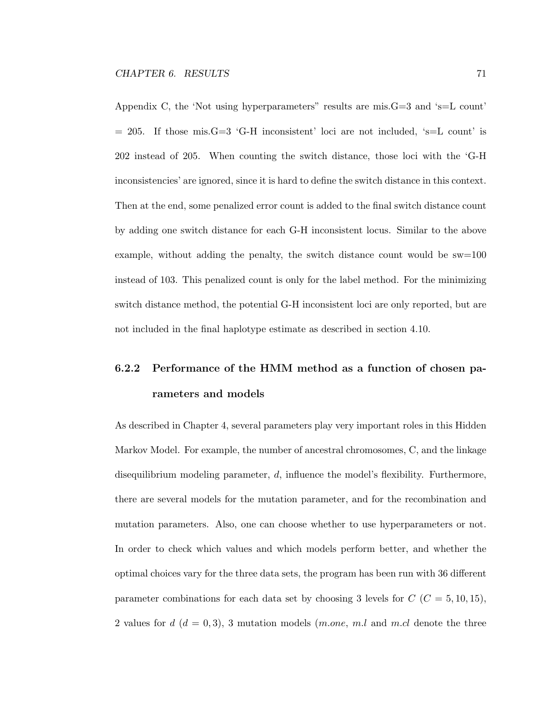Appendix C, the 'Not using hyperparameters" results are mis.  $G=3$  and 's=L count'  $= 205$ . If those mis. G=3 'G-H inconsistent' loci are not included, 's=L count' is 202 instead of 205. When counting the switch distance, those loci with the 'G-H inconsistencies' are ignored, since it is hard to define the switch distance in this context. Then at the end, some penalized error count is added to the final switch distance count by adding one switch distance for each G-H inconsistent locus. Similar to the above example, without adding the penalty, the switch distance count would be  $sw=100$ instead of 103. This penalized count is only for the label method. For the minimizing switch distance method, the potential G-H inconsistent loci are only reported, but are not included in the final haplotype estimate as described in section 4.10.

## 6.2.2 Performance of the HMM method as a function of chosen parameters and models

As described in Chapter 4, several parameters play very important roles in this Hidden Markov Model. For example, the number of ancestral chromosomes, C, and the linkage disequilibrium modeling parameter, d, influence the model's flexibility. Furthermore, there are several models for the mutation parameter, and for the recombination and mutation parameters. Also, one can choose whether to use hyperparameters or not. In order to check which values and which models perform better, and whether the optimal choices vary for the three data sets, the program has been run with 36 different parameter combinations for each data set by choosing 3 levels for  $C$  ( $C = 5, 10, 15$ ), 2 values for  $d (d = 0, 3)$ , 3 mutation models (*m.one, m.l* and *m.cl* denote the three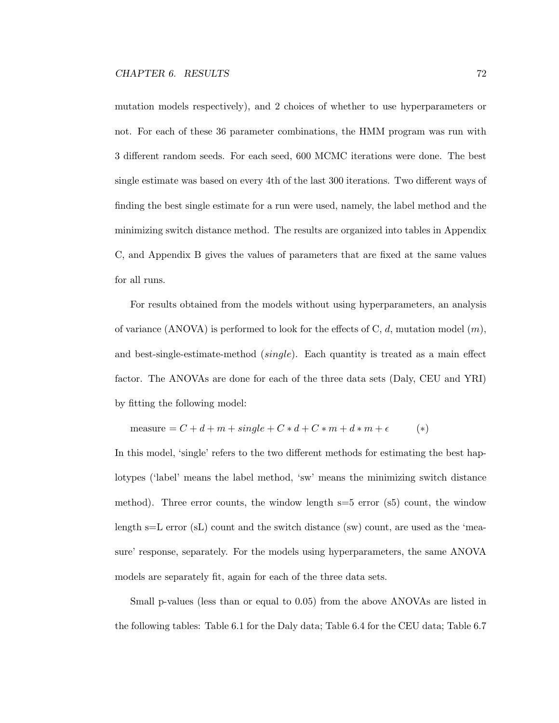mutation models respectively), and 2 choices of whether to use hyperparameters or not. For each of these 36 parameter combinations, the HMM program was run with 3 different random seeds. For each seed, 600 MCMC iterations were done. The best single estimate was based on every 4th of the last 300 iterations. Two different ways of finding the best single estimate for a run were used, namely, the label method and the minimizing switch distance method. The results are organized into tables in Appendix C, and Appendix B gives the values of parameters that are fixed at the same values for all runs.

For results obtained from the models without using hyperparameters, an analysis of variance  $(ANOVA)$  is performed to look for the effects of C, d, mutation model  $(m)$ , and best-single-estimate-method (single). Each quantity is treated as a main effect factor. The ANOVAs are done for each of the three data sets (Daly, CEU and YRI) by fitting the following model:

$$
measure = C + d + m + single + C * d + C * m + d * m + \epsilon
$$
\n(\*)

In this model, 'single' refers to the two different methods for estimating the best haplotypes ('label' means the label method, 'sw' means the minimizing switch distance method). Three error counts, the window length s=5 error (s5) count, the window length s=L error (sL) count and the switch distance (sw) count, are used as the 'measure' response, separately. For the models using hyperparameters, the same ANOVA models are separately fit, again for each of the three data sets.

Small p-values (less than or equal to 0.05) from the above ANOVAs are listed in the following tables: Table 6.1 for the Daly data; Table 6.4 for the CEU data; Table 6.7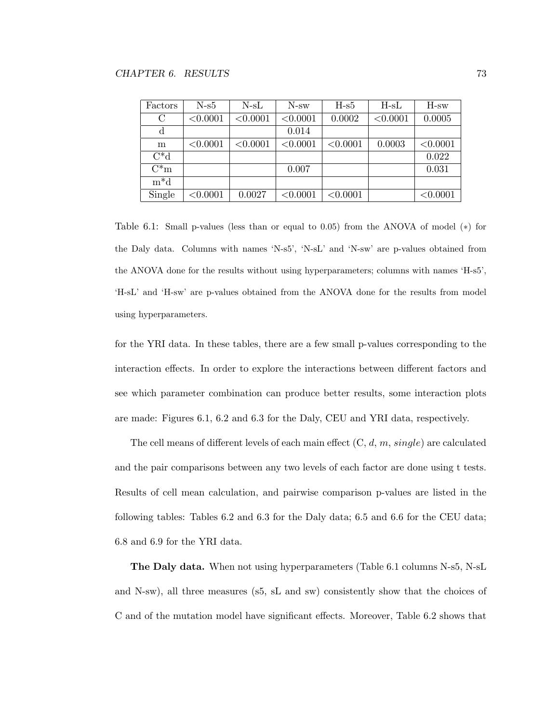| Factors | $N-s5$      | $N-SL$   | $N$ -sw  | $H-S5$   | $H-SL$   | $H$ -sw  |
|---------|-------------|----------|----------|----------|----------|----------|
| $\rm C$ | < 0.0001    | < 0.0001 | < 0.0001 | 0.0002   | < 0.0001 | 0.0005   |
|         |             |          | 0.014    |          |          |          |
| m       | ${<}0.0001$ | < 0.0001 | < 0.0001 | < 0.0001 | 0.0003   | < 0.0001 |
| $C^*d$  |             |          |          |          |          | 0.022    |
| $C^*m$  |             |          | 0.007    |          |          | 0.031    |
| $m^*d$  |             |          |          |          |          |          |
| Single  | < 0.0001    | 0.0027   | < 0.0001 | < 0.0001 |          | < 0.0001 |

Table 6.1: Small p-values (less than or equal to 0.05) from the ANOVA of model  $(*)$  for the Daly data. Columns with names 'N-s5', 'N-sL' and 'N-sw' are p-values obtained from the ANOVA done for the results without using hyperparameters; columns with names 'H-s5', 'H-sL' and 'H-sw' are p-values obtained from the ANOVA done for the results from model using hyperparameters.

for the YRI data. In these tables, there are a few small p-values corresponding to the interaction effects. In order to explore the interactions between different factors and see which parameter combination can produce better results, some interaction plots are made: Figures 6.1, 6.2 and 6.3 for the Daly, CEU and YRI data, respectively.

The cell means of different levels of each main effect  $(C, d, m, single)$  are calculated and the pair comparisons between any two levels of each factor are done using t tests. Results of cell mean calculation, and pairwise comparison p-values are listed in the following tables: Tables 6.2 and 6.3 for the Daly data; 6.5 and 6.6 for the CEU data; 6.8 and 6.9 for the YRI data.

The Daly data. When not using hyperparameters (Table 6.1 columns N-s5, N-sL and N-sw), all three measures (s5, sL and sw) consistently show that the choices of C and of the mutation model have significant effects. Moreover, Table 6.2 shows that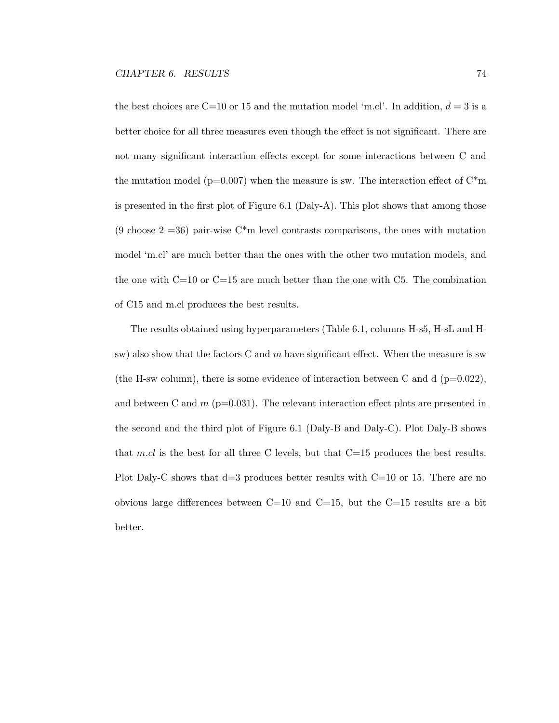the best choices are C=10 or 15 and the mutation model 'm.cl'. In addition,  $d = 3$  is a better choice for all three measures even though the effect is not significant. There are not many significant interaction effects except for some interactions between C and the mutation model ( $p=0.007$ ) when the measure is sw. The interaction effect of  $C^*$ m is presented in the first plot of Figure 6.1 (Daly-A). This plot shows that among those (9 choose  $2 = 36$ ) pair-wise  $C<sup>*</sup>m$  level contrasts comparisons, the ones with mutation model 'm.cl' are much better than the ones with the other two mutation models, and the one with C=10 or C=15 are much better than the one with C5. The combination of C15 and m.cl produces the best results.

The results obtained using hyperparameters (Table 6.1, columns H-s5, H-sL and Hsw) also show that the factors C and  $m$  have significant effect. When the measure is sw (the H-sw column), there is some evidence of interaction between C and  $d$  (p=0.022), and between C and  $m$  (p=0.031). The relevant interaction effect plots are presented in the second and the third plot of Figure 6.1 (Daly-B and Daly-C). Plot Daly-B shows that m.cl is the best for all three C levels, but that  $C=15$  produces the best results. Plot Daly-C shows that  $d=3$  produces better results with  $C=10$  or 15. There are no obvious large differences between  $C=10$  and  $C=15$ , but the  $C=15$  results are a bit better.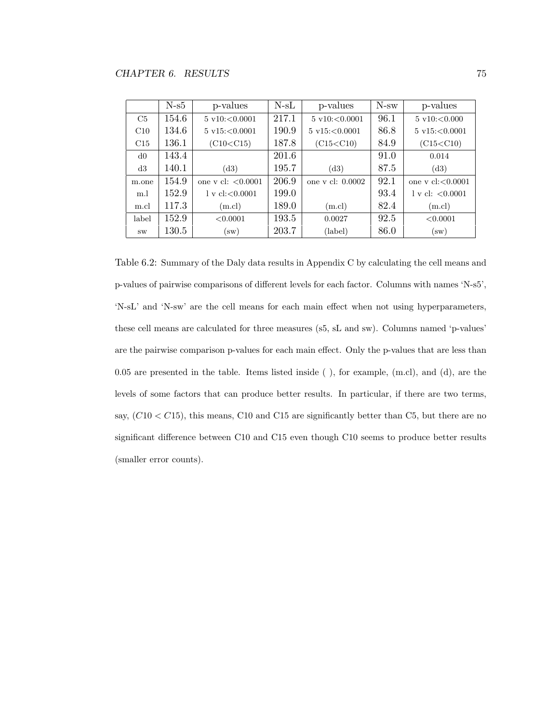|           | $N-S5$ | p-values                     | $N-SL$ | p-values                    | $N$ -sw | p-values                     |
|-----------|--------|------------------------------|--------|-----------------------------|---------|------------------------------|
| C5        | 154.6  | $5 \text{ v}10: < 0.0001$    | 217.1  | $5 \text{ v}10 \div 0.0001$ | 96.1    | $5 \text{ v}10: < 0.000$     |
| C10       | 134.6  | $5 \text{ v}15 \div 0.0001$  | 190.9  | $5 \text{ v}15 \div 0.0001$ | 86.8    | $5 \text{ v}15 \div 0.0001$  |
| C15       | 136.1  | (C10 < C15)                  | 187.8  | (C15 < C10)                 | 84.9    | (C15 < C10)                  |
| d0        | 143.4  |                              | 201.6  |                             | 91.0    | 0.014                        |
| d3        | 140.1  | (d3)                         | 195.7  | $\rm (d3)$                  | 87.5    | (d3)                         |
| m.one     | 154.9  | one v cl: $< 0.0001$         | 206.9  | one v cl: 0.0002            | 92.1    | one v $cl < 0.0001$          |
| m.l       | 152.9  | $1 \times$ cl: $\leq 0.0001$ | 199.0  |                             | 93.4    | $1 \times$ cl: $\leq 0.0001$ |
| m.cl      | 117.3  | (m.c.)                       | 189.0  | (m.c.)                      | 82.4    | (m.c.)                       |
| label     | 152.9  | < 0.0001                     | 193.5  | 0.0027                      | 92.5    | < 0.0001                     |
| <b>SW</b> | 130.5  | $(\text{sw})$                | 203.7  | (label)                     | 86.0    | $(\text{sw})$                |

Table 6.2: Summary of the Daly data results in Appendix C by calculating the cell means and p-values of pairwise comparisons of different levels for each factor. Columns with names 'N-s5', 'N-sL' and 'N-sw' are the cell means for each main effect when not using hyperparameters, these cell means are calculated for three measures (s5, sL and sw). Columns named 'p-values' are the pairwise comparison p-values for each main effect. Only the p-values that are less than 0.05 are presented in the table. Items listed inside ( ), for example, (m.cl), and (d), are the levels of some factors that can produce better results. In particular, if there are two terms, say,  $(C10 < C15)$ , this means, C10 and C15 are significantly better than C5, but there are no significant difference between C10 and C15 even though C10 seems to produce better results (smaller error counts).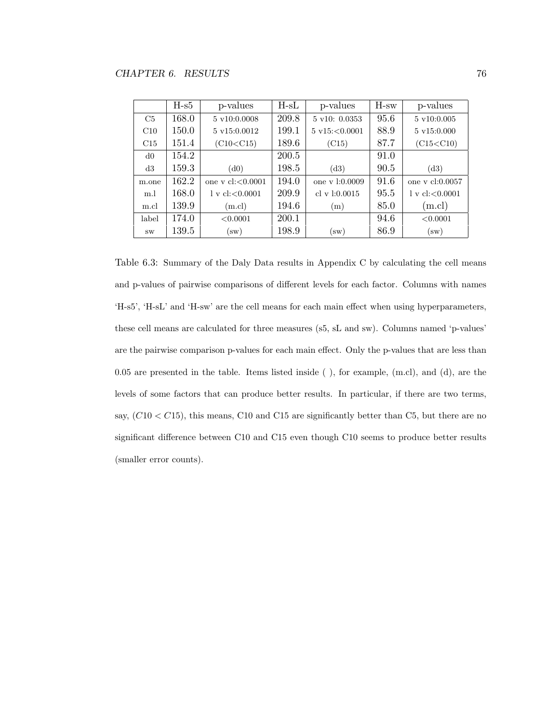|           | $H-S5$ | p-values                    | $H-SL$ | p-values                  | $H$ -sw | p-values              |
|-----------|--------|-----------------------------|--------|---------------------------|---------|-----------------------|
| C5        | 168.0  | $5 \text{ v}10:0.0008$      | 209.8  | $5 \text{ v}10: 0.0353$   | 95.6    | $5 \text{ v}10:0.005$ |
| C10       | 150.0  | $5 \text{ v}15:0.0012$      | 199.1  | $5 \text{ v}15: < 0.0001$ | 88.9    | $5 \text{ v}15:0.000$ |
| C15       | 151.4  | (C10 < C15)                 | 189.6  | (C15)                     | 87.7    | (C15 < C10)           |
| d0        | 154.2  |                             | 200.5  |                           | 91.0    |                       |
| d3        | 159.3  | $\left( \mathrm{d}0\right)$ | 198.5  | (d3)                      | 90.5    | (d3)                  |
| m.one     | 162.2  | one v $c$ l: $< 0.0001$     | 194.0  | one v 1:0.0009            | 91.6    | one v cl:0.0057       |
| m.l       | 168.0  | $1 \times$ cl: $< 0.0001$   | 209.9  | cl v $1:0.0015$           | 95.5    | 1 v cl < 0.0001       |
| m.cl      | 139.9  | (m.c.)                      | 194.6  | (m)                       | 85.0    | (m.c.)                |
| label     | 174.0  | < 0.0001                    | 200.1  |                           | 94.6    | < 0.0001              |
| <b>SW</b> | 139.5  | $(\text{sw})$               | 198.9  | $(\rm sw)$                | 86.9    | $(\text{sw})$         |

Table 6.3: Summary of the Daly Data results in Appendix C by calculating the cell means and p-values of pairwise comparisons of different levels for each factor. Columns with names 'H-s5', 'H-sL' and 'H-sw' are the cell means for each main effect when using hyperparameters, these cell means are calculated for three measures (s5, sL and sw). Columns named 'p-values' are the pairwise comparison p-values for each main effect. Only the p-values that are less than 0.05 are presented in the table. Items listed inside ( ), for example, (m.cl), and (d), are the levels of some factors that can produce better results. In particular, if there are two terms, say,  $(C10 < C15)$ , this means, C10 and C15 are significantly better than C5, but there are no significant difference between C10 and C15 even though C10 seems to produce better results (smaller error counts).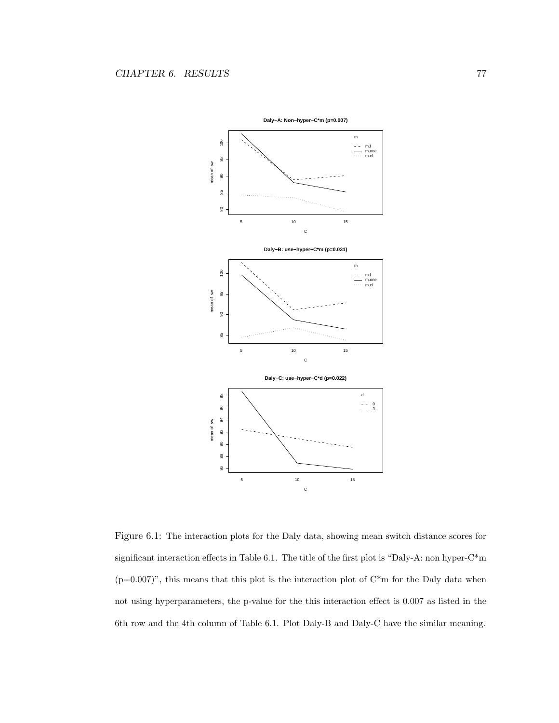

Figure 6.1: The interaction plots for the Daly data, showing mean switch distance scores for significant interaction effects in Table 6.1. The title of the first plot is "Daly-A: non hyper-C\*m  $(p=0.007)$ ", this means that this plot is the interaction plot of  $C<sup>*</sup>$ m for the Daly data when not using hyperparameters, the p-value for the this interaction effect is 0.007 as listed in the 6th row and the 4th column of Table 6.1. Plot Daly-B and Daly-C have the similar meaning.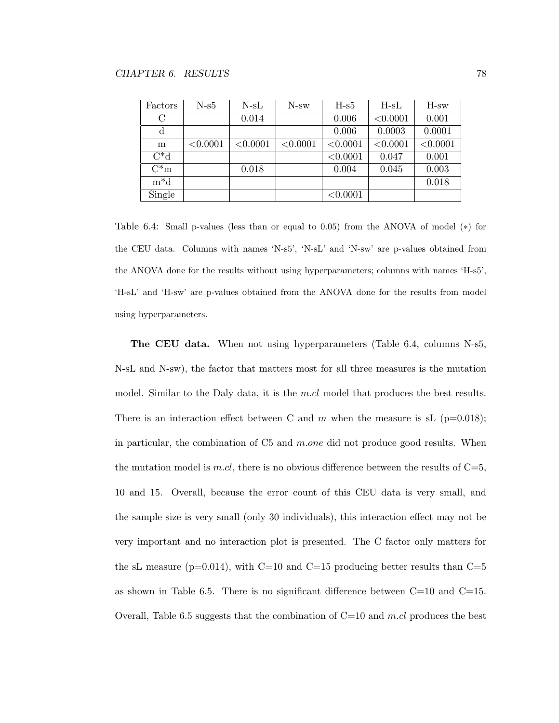| Factors       | $N-s5$   | $N-SL$   | $N$ -sw  | $H-S5$   | $H-SL$   | $H$ -sw  |
|---------------|----------|----------|----------|----------|----------|----------|
| $\mathcal{C}$ |          | 0.014    |          | 0.006    | < 0.0001 | 0.001    |
|               |          |          |          | 0.006    | 0.0003   | 0.0001   |
| m             | < 0.0001 | < 0.0001 | < 0.0001 | < 0.0001 | < 0.0001 | < 0.0001 |
| $C^*d$        |          |          |          | < 0.0001 | 0.047    | 0.001    |
| $C^*m$        |          | 0.018    |          | 0.004    | 0.045    | 0.003    |
| $m^*d$        |          |          |          |          |          | 0.018    |
| Single        |          |          |          | < 0.0001 |          |          |

Table 6.4: Small p-values (less than or equal to 0.05) from the ANOVA of model (∗) for the CEU data. Columns with names 'N-s5', 'N-sL' and 'N-sw' are p-values obtained from the ANOVA done for the results without using hyperparameters; columns with names 'H-s5', 'H-sL' and 'H-sw' are p-values obtained from the ANOVA done for the results from model using hyperparameters.

The CEU data. When not using hyperparameters (Table 6.4, columns N-s5, N-sL and N-sw), the factor that matters most for all three measures is the mutation model. Similar to the Daly data, it is the m.cl model that produces the best results. There is an interaction effect between C and m when the measure is sL ( $p=0.018$ ); in particular, the combination of  $C5$  and  $m.$ one did not produce good results. When the mutation model is m.cl, there is no obvious difference between the results of  $C=5$ , 10 and 15. Overall, because the error count of this CEU data is very small, and the sample size is very small (only 30 individuals), this interaction effect may not be very important and no interaction plot is presented. The C factor only matters for the sL measure ( $p=0.014$ ), with C=10 and C=15 producing better results than C=5 as shown in Table 6.5. There is no significant difference between  $C=10$  and  $C=15$ . Overall, Table 6.5 suggests that the combination of  $C=10$  and m.cl produces the best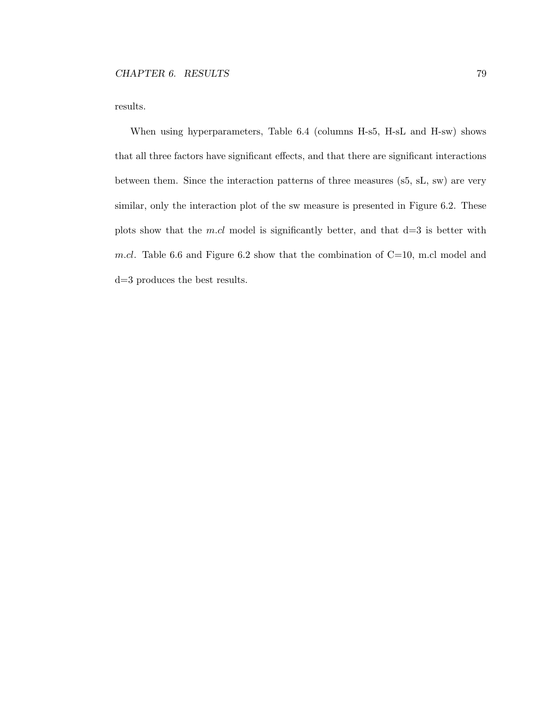results.

When using hyperparameters, Table 6.4 (columns H-s5, H-sL and H-sw) shows that all three factors have significant effects, and that there are significant interactions between them. Since the interaction patterns of three measures (s5, sL, sw) are very similar, only the interaction plot of the sw measure is presented in Figure 6.2. These plots show that the m.cl model is significantly better, and that  $d=3$  is better with m.cl. Table 6.6 and Figure 6.2 show that the combination of C=10, m.cl model and d=3 produces the best results.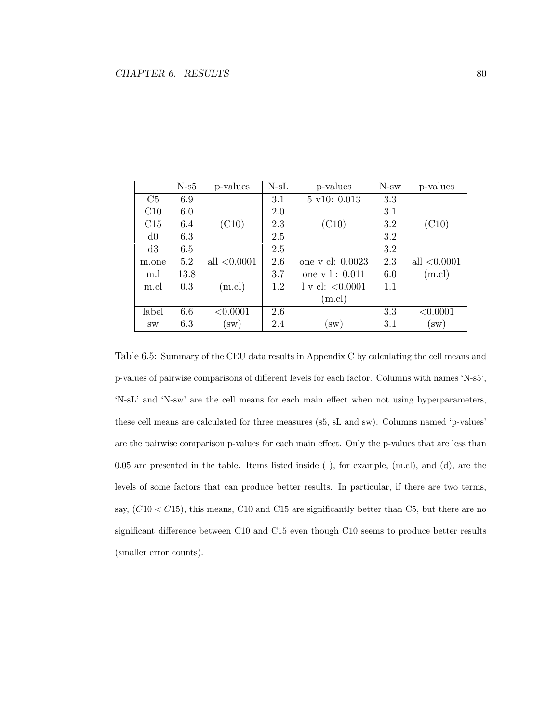|           | $N-s5$  | p-values       | $N-SL$ | p-values              | $N$ -sw | p-values       |
|-----------|---------|----------------|--------|-----------------------|---------|----------------|
| C5        | 6.9     |                | 3.1    | $5$ v10: $0.013$      | 3.3     |                |
| C10       | 6.0     |                | 2.0    |                       | 3.1     |                |
| C15       | 6.4     | (C10)          | 2.3    | (C10)                 | 3.2     | (C10)          |
| d0        | 6.3     |                | 2.5    |                       | 3.2     |                |
| d3        | 6.5     |                | 2.5    |                       | 3.2     |                |
| m.one     | 5.2     | all $< 0.0001$ | 2.6    | one v cl: 0.0023      | 2.3     | all $< 0.0001$ |
| m.l       | 13.8    |                | 3.7    | one v 1 : 0.011       | 6.0     | $(m$ .cl)      |
| m.cl      | 0.3     | (m.c.)         | 1.2    | $1 v$ cl: $< 0.0001$  | 1.1     |                |
|           |         |                |        | $(m \ldotp c \ldotp)$ |         |                |
| label     | $6.6\,$ | < 0.0001       | 2.6    |                       | 3.3     | < 0.0001       |
| <b>SW</b> | 6.3     | $\mathbf{sw}$  | 2.4    | SW)                   | 3.1     | $(\text{sw})$  |

Table 6.5: Summary of the CEU data results in Appendix C by calculating the cell means and p-values of pairwise comparisons of different levels for each factor. Columns with names 'N-s5', 'N-sL' and 'N-sw' are the cell means for each main effect when not using hyperparameters, these cell means are calculated for three measures (s5, sL and sw). Columns named 'p-values' are the pairwise comparison p-values for each main effect. Only the p-values that are less than 0.05 are presented in the table. Items listed inside ( ), for example, (m.cl), and (d), are the levels of some factors that can produce better results. In particular, if there are two terms, say,  $(C10 < C15)$ , this means, C10 and C15 are significantly better than C5, but there are no significant difference between C10 and C15 even though C10 seems to produce better results (smaller error counts).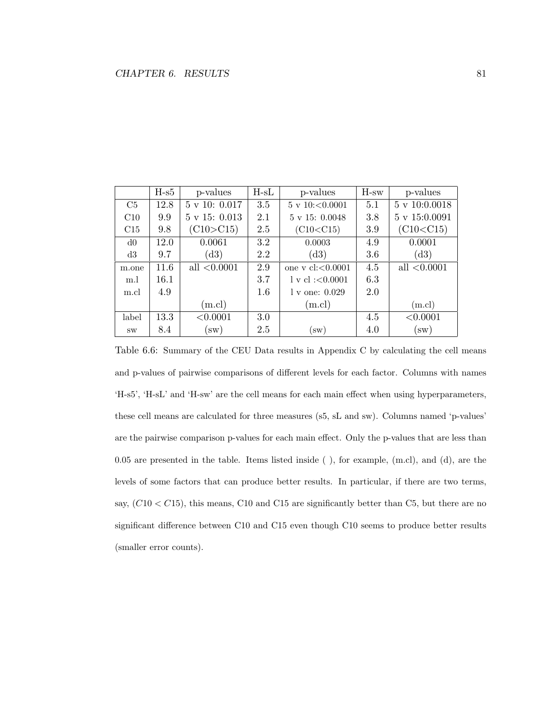|                | $H-S5$ | p-values               | $H-SL$ | p-values                  | $H$ -sw | p-values                 |
|----------------|--------|------------------------|--------|---------------------------|---------|--------------------------|
| C <sub>5</sub> | 12.8   | $5 \times 10: 0.017$   | 3.5    | $5 \times 10 \div 0.0001$ | 5.1     | $5 \times 10:0.0018$     |
| C10            | 9.9    | $5 \times 15: 0.013$   | 2.1    | $5 \text{ v } 15: 0.0048$ | 3.8     | $5 \text{ v } 15:0.0091$ |
| C15            | 9.8    | (C10 > C15)            | 2.5    | (C10 < C15)               | 3.9     | (C10 < C15)              |
| d0             | 12.0   | 0.0061                 | 3.2    | 0.0003                    | 4.9     | 0.0001                   |
| d3             | 9.7    | (d3)                   | 2.2    | (d3)                      | 3.6     | $\rm(d3)$                |
| m.one          | 11.6   | all $< 0.0001$         | 2.9    | one v $cl < 0.0001$       | 4.5     | all $< 0.0001$           |
| m.l            | 16.1   |                        | 3.7    | 1 v cl < 0.0001           | 6.3     |                          |
| m.cl           | 4.9    |                        | 1.6    | $1 v$ one: $0.029$        | 2.0     |                          |
|                |        | (m.c.)                 |        | (m.c.)                    |         | (m.c.)                   |
| label          | 13.3   | < 0.0001               | 3.0    |                           | 4.5     | < 0.0001                 |
| <b>SW</b>      | 8.4    | $\mathbf{S}\mathbf{W}$ | 2.5    | $(\rm{sw})$               | 4.0     | $\mathbf{sw}$            |

Table 6.6: Summary of the CEU Data results in Appendix C by calculating the cell means and p-values of pairwise comparisons of different levels for each factor. Columns with names 'H-s5', 'H-sL' and 'H-sw' are the cell means for each main effect when using hyperparameters, these cell means are calculated for three measures (s5, sL and sw). Columns named 'p-values' are the pairwise comparison p-values for each main effect. Only the p-values that are less than 0.05 are presented in the table. Items listed inside ( ), for example, (m.cl), and (d), are the levels of some factors that can produce better results. In particular, if there are two terms, say,  $(C10 < C15)$ , this means, C10 and C15 are significantly better than C5, but there are no significant difference between C10 and C15 even though C10 seems to produce better results (smaller error counts).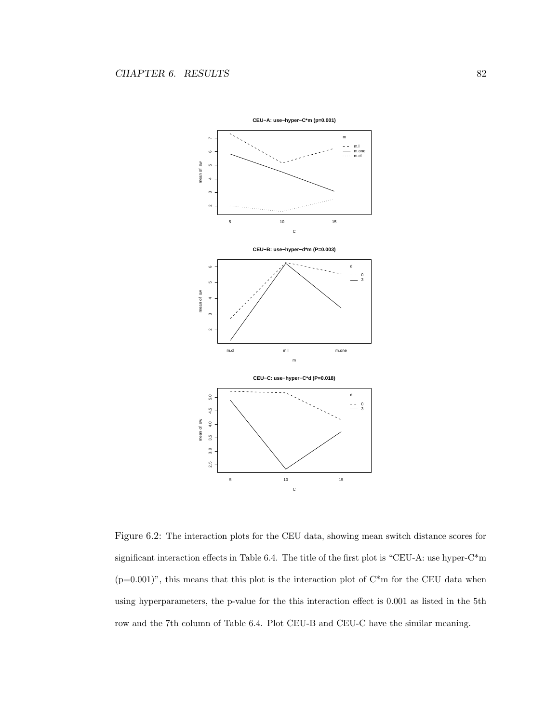

Figure 6.2: The interaction plots for the CEU data, showing mean switch distance scores for significant interaction effects in Table 6.4. The title of the first plot is "CEU-A: use hyper-C\*m  $(p=0.001)$ ", this means that this plot is the interaction plot of  $C<sup>*</sup>$ m for the CEU data when using hyperparameters, the p-value for the this interaction effect is 0.001 as listed in the 5th row and the 7th column of Table 6.4. Plot CEU-B and CEU-C have the similar meaning.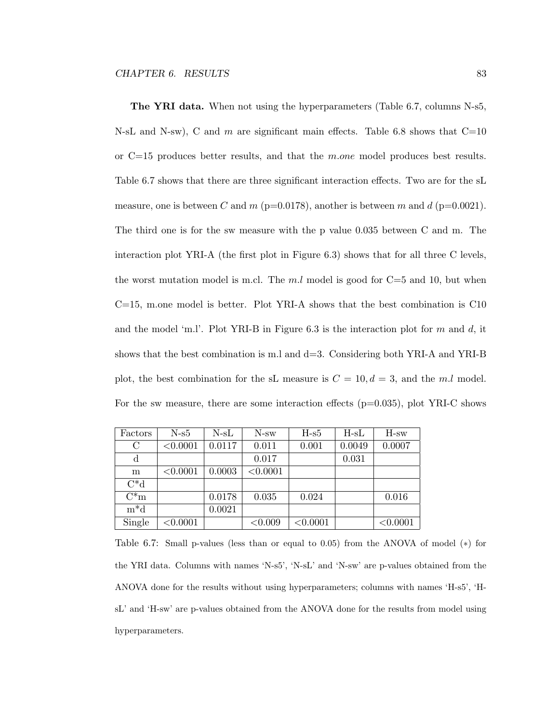The YRI data. When not using the hyperparameters (Table 6.7, columns N-s5, N-sL and N-sw), C and m are significant main effects. Table 6.8 shows that  $C=10$ or  $C=15$  produces better results, and that the *m.one* model produces best results. Table 6.7 shows that there are three significant interaction effects. Two are for the sL measure, one is between C and m ( $p=0.0178$ ), another is between m and d ( $p=0.0021$ ). The third one is for the sw measure with the p value 0.035 between C and m. The interaction plot YRI-A (the first plot in Figure 6.3) shows that for all three C levels, the worst mutation model is m.cl. The m.l model is good for  $C=5$  and 10, but when C=15, m.one model is better. Plot YRI-A shows that the best combination is C10 and the model 'm.l'. Plot YRI-B in Figure 6.3 is the interaction plot for m and d, it shows that the best combination is m.l and  $d=3$ . Considering both YRI-A and YRI-B plot, the best combination for the sL measure is  $C = 10, d = 3$ , and the m.l model. For the sw measure, there are some interaction effects  $(p=0.035)$ , plot YRI-C shows

| Factors       | $N-s5$   | $N-SL$ | $N$ -sw  | $H-S5$   | $H-SL$ | $H$ -sw  |
|---------------|----------|--------|----------|----------|--------|----------|
| $\mathcal{C}$ | < 0.0001 | 0.0117 | 0.011    | 0.001    | 0.0049 | 0.0007   |
| d             |          |        | 0.017    |          | 0.031  |          |
| m             | < 0.0001 | 0.0003 | < 0.0001 |          |        |          |
| $C^*d$        |          |        |          |          |        |          |
| $C^*m$        |          | 0.0178 | 0.035    | 0.024    |        | 0.016    |
| $m^*d$        |          | 0.0021 |          |          |        |          |
| Single        | < 0.0001 |        | < 0.009  | < 0.0001 |        | < 0.0001 |

Table 6.7: Small p-values (less than or equal to 0.05) from the ANOVA of model  $(*)$  for the YRI data. Columns with names 'N-s5', 'N-sL' and 'N-sw' are p-values obtained from the ANOVA done for the results without using hyperparameters; columns with names 'H-s5', 'HsL' and 'H-sw' are p-values obtained from the ANOVA done for the results from model using hyperparameters.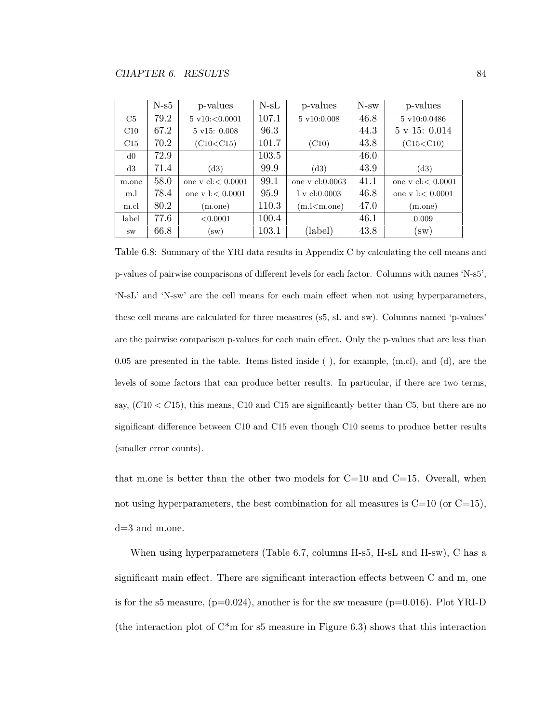|           | $N-s5$ | p-values                    | $N-SL$ | p-values                   | $N$ -sw | p-values                    |
|-----------|--------|-----------------------------|--------|----------------------------|---------|-----------------------------|
| C5        | 79.2   | $5 \text{ v}10: < 0.0001$   | 107.1  | $5 \text{ v}10:0.008$      | 46.8    | 5 v10:0.0486                |
| C10       | 67.2   | $5 \text{ v}15: 0.008$      | 96.3   |                            | 44.3    | $5 \text{ v } 15: 0.014$    |
| C15       | 70.2   | (C10 < C15)                 | 101.7  | (C10)                      | 43.8    | (C15 < C10)                 |
| d0        | 72.9   |                             | 103.5  |                            | 46.0    |                             |
| d3        | 71.4   | $\left( \mathrm{d}3\right)$ | 99.9   | (d3)                       | 43.9    | (d3)                        |
| m.one     | 58.0   | one v cl: $< 0.0001$        | 99.1   | one $v \text{ cl}: 0.0063$ | 41.1    | one v cl: $< 0.0001$        |
| m.l       | 78.4   | one v $1 < 0.0001$          | 95.9   | $1 \times c1:0.0003$       | 46.8    | one v $1 < 0.0001$          |
| m.cl      | 80.2   | $(m.\text{one})$            | 110.3  | $(m.l < m.$ one)           | 47.0    | $(m.\text{one})$            |
| label     | 77.6   | < 0.0001                    | 100.4  |                            | 46.1    | 0.009                       |
| <b>SW</b> | 66.8   | $(\text{sw})$               | 103.1  | (label)                    | 43.8    | $\langle \text{sw} \rangle$ |

Table 6.8: Summary of the YRI data results in Appendix C by calculating the cell means and p-values of pairwise comparisons of different levels for each factor. Columns with names 'N-s5', 'N-sL' and 'N-sw' are the cell means for each main effect when not using hyperparameters, these cell means are calculated for three measures (s5, sL and sw). Columns named 'p-values' are the pairwise comparison p-values for each main effect. Only the p-values that are less than 0.05 are presented in the table. Items listed inside ( ), for example, (m.cl), and (d), are the levels of some factors that can produce better results. In particular, if there are two terms, say,  $(C10 < C15)$ , this means, C10 and C15 are significantly better than C5, but there are no significant difference between C10 and C15 even though C10 seems to produce better results (smaller error counts).

that m.one is better than the other two models for  $C=10$  and  $C=15$ . Overall, when not using hyperparameters, the best combination for all measures is  $C=10$  (or  $C=15$ ), d=3 and m.one.

When using hyperparameters (Table 6.7, columns H-s5, H-sL and H-sw), C has a significant main effect. There are significant interaction effects between C and m, one is for the s5 measure,  $(p=0.024)$ , another is for the sw measure  $(p=0.016)$ . Plot YRI-D (the interaction plot of  $C^*$ m for s5 measure in Figure 6.3) shows that this interaction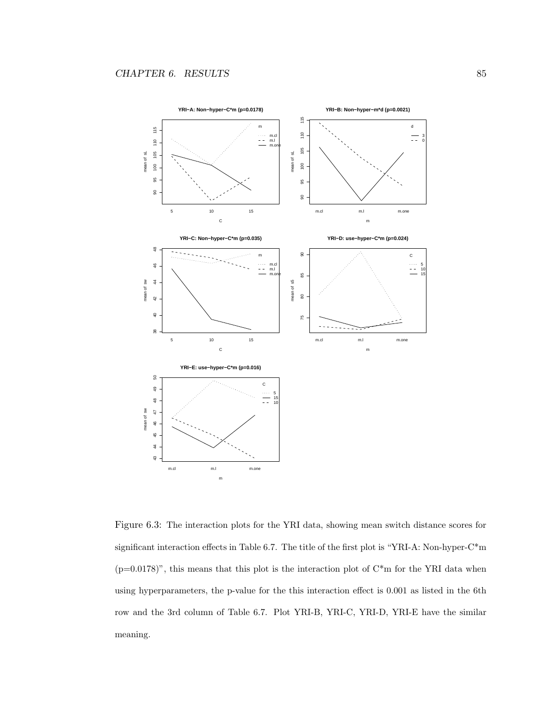

Figure 6.3: The interaction plots for the YRI data, showing mean switch distance scores for significant interaction effects in Table 6.7. The title of the first plot is "YRI-A: Non-hyper-C\*m  $(p=0.0178)$ ", this means that this plot is the interaction plot of  $C<sup>*</sup>$ m for the YRI data when using hyperparameters, the p-value for the this interaction effect is 0.001 as listed in the 6th row and the 3rd column of Table 6.7. Plot YRI-B, YRI-C, YRI-D, YRI-E have the similar meaning.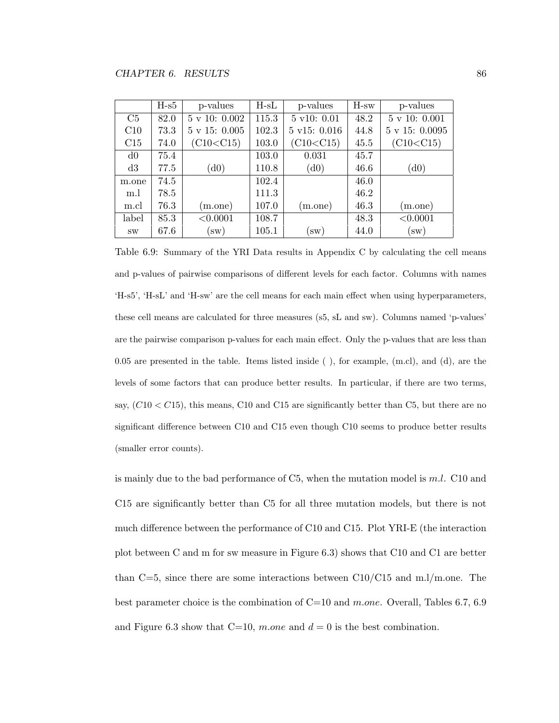|           | $H-S5$ | p-values                 | $H-SL$ | p-values               | $H$ -sw | p-values                   |
|-----------|--------|--------------------------|--------|------------------------|---------|----------------------------|
| C5        | 82.0   | $5 \text{ v } 10: 0.002$ | 115.3  | $5 \text{ v}10: 0.01$  | 48.2    | $5 \text{ v } 10: 0.001$   |
| C10       | 73.3   | $5 \text{ v } 15: 0.005$ | 102.3  | $5 \text{ v}15: 0.016$ | 44.8    | $5 \text{ v } 15: 0.0095$  |
| C15       | 74.0   | (C10 < C15)              | 103.0  | (C10 < C15)            | 45.5    | (C10 < C15)                |
| d0        | 75.4   |                          | 103.0  | 0.031                  | 45.7    |                            |
| d3        | 77.5   | $\rm (d0)$               | 110.8  | $\rm (d0)$             | 46.6    | $\rm (d0)$                 |
| m.one     | 74.5   |                          | 102.4  |                        | 46.0    |                            |
| m.l       | 78.5   |                          | 111.3  |                        | 46.2    |                            |
| m.cl      | 76.3   | $(m.\text{one})$         | 107.0  | $(m.\text{one})$       | 46.3    | $(m.\text{one})$           |
| label     | 85.3   | < 0.0001                 | 108.7  |                        | 48.3    | < 0.0001                   |
| <b>SW</b> | 67.6   | $(\text{sw})$            | 105.1  | $\mathbf{S}\mathbf{W}$ | 44.0    | $\left( \text{sw} \right)$ |

Table 6.9: Summary of the YRI Data results in Appendix C by calculating the cell means and p-values of pairwise comparisons of different levels for each factor. Columns with names 'H-s5', 'H-sL' and 'H-sw' are the cell means for each main effect when using hyperparameters, these cell means are calculated for three measures (s5, sL and sw). Columns named 'p-values' are the pairwise comparison p-values for each main effect. Only the p-values that are less than 0.05 are presented in the table. Items listed inside ( ), for example, (m.cl), and (d), are the levels of some factors that can produce better results. In particular, if there are two terms, say,  $(C10 < C15)$ , this means, C10 and C15 are significantly better than C5, but there are no significant difference between C10 and C15 even though C10 seems to produce better results (smaller error counts).

is mainly due to the bad performance of  $C_5$ , when the mutation model is  $m.l.$  C10 and C15 are significantly better than C5 for all three mutation models, but there is not much difference between the performance of C10 and C15. Plot YRI-E (the interaction plot between C and m for sw measure in Figure 6.3) shows that C10 and C1 are better than  $C=5$ , since there are some interactions between  $C10/C15$  and m.l/m.one. The best parameter choice is the combination of  $C=10$  and m.one. Overall, Tables 6.7, 6.9 and Figure 6.3 show that C=10, m.one and  $d = 0$  is the best combination.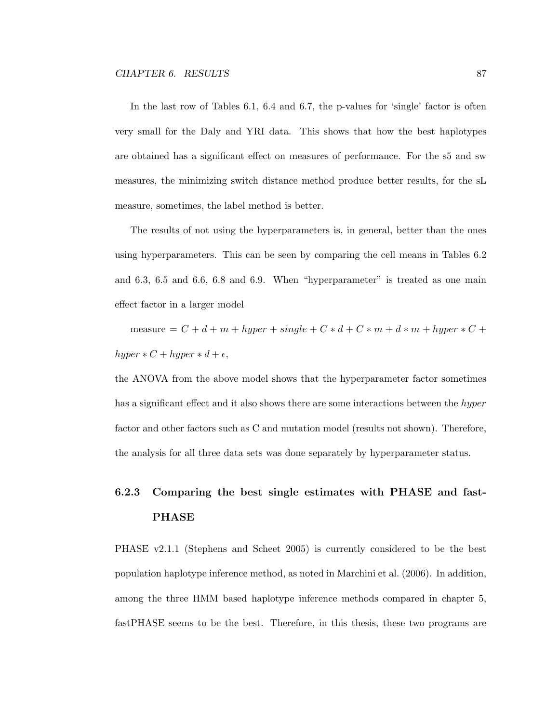In the last row of Tables 6.1, 6.4 and 6.7, the p-values for 'single' factor is often very small for the Daly and YRI data. This shows that how the best haplotypes are obtained has a significant effect on measures of performance. For the s5 and sw measures, the minimizing switch distance method produce better results, for the sL measure, sometimes, the label method is better.

The results of not using the hyperparameters is, in general, better than the ones using hyperparameters. This can be seen by comparing the cell means in Tables 6.2 and 6.3, 6.5 and 6.6, 6.8 and 6.9. When "hyperparameter" is treated as one main effect factor in a larger model

measure  $= C + d + m + hyper + single + C * d + C * m + d * m + hyper * C +$  $hyper * C + hyper * d + \epsilon,$ 

the ANOVA from the above model shows that the hyperparameter factor sometimes has a significant effect and it also shows there are some interactions between the hyper factor and other factors such as C and mutation model (results not shown). Therefore, the analysis for all three data sets was done separately by hyperparameter status.

## 6.2.3 Comparing the best single estimates with PHASE and fast-PHASE

PHASE v2.1.1 (Stephens and Scheet 2005) is currently considered to be the best population haplotype inference method, as noted in Marchini et al. (2006). In addition, among the three HMM based haplotype inference methods compared in chapter 5, fastPHASE seems to be the best. Therefore, in this thesis, these two programs are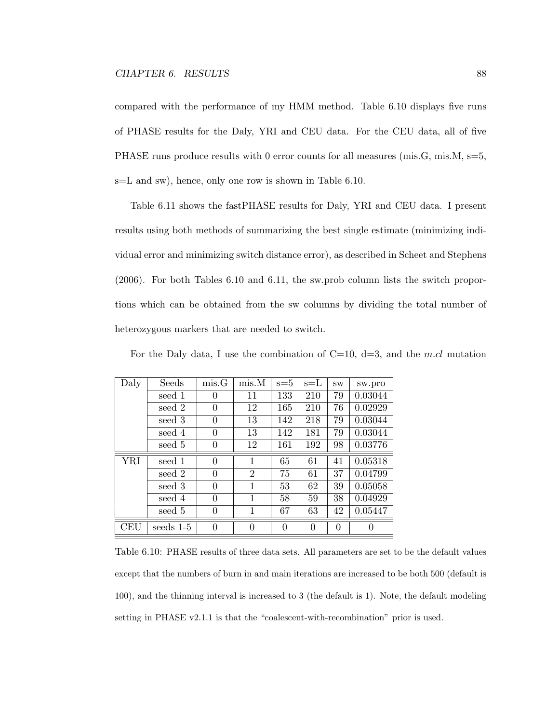compared with the performance of my HMM method. Table 6.10 displays five runs of PHASE results for the Daly, YRI and CEU data. For the CEU data, all of five PHASE runs produce results with 0 error counts for all measures (mis.G, mis.M,  $s=5$ , s=L and sw), hence, only one row is shown in Table 6.10.

Table 6.11 shows the fastPHASE results for Daly, YRI and CEU data. I present results using both methods of summarizing the best single estimate (minimizing individual error and minimizing switch distance error), as described in Scheet and Stephens (2006). For both Tables 6.10 and 6.11, the sw.prob column lists the switch proportions which can be obtained from the sw columns by dividing the total number of heterozygous markers that are needed to switch.

| For the Daly data, I use the combination of C=10, d=3, and the m.cl mutation |  |
|------------------------------------------------------------------------------|--|
|------------------------------------------------------------------------------|--|

| Daly | Seeds       | mis.G    | mis.M          | $s = 5$        | s=L      | $\mathrm{SW}$ | sw.pro  |
|------|-------------|----------|----------------|----------------|----------|---------------|---------|
|      | seed 1      | 0        | 11             | 133            | 210      | 79            | 0.03044 |
|      | seed 2      | 0        | 12             | 165            | 210      | 76            | 0.02929 |
|      | seed 3      | 0        | 13             | 142            | 218      | 79            | 0.03044 |
|      | seed 4      | 0        | 13             | 142            | 181      | 79            | 0.03044 |
|      | seed 5      | 0        | 12             | 161            | 192      | 98            | 0.03776 |
| YRI  | seed 1      | $\Omega$ | 1              | 65             | 61       | 41            | 0.05318 |
|      | seed 2      | 0        | $\overline{2}$ | 75             | 61       | 37            | 0.04799 |
|      | seed 3      | 0        | 1              | 53             | 62       | 39            | 0.05058 |
|      | seed 4      | 0        | 1              | 58             | 59       | 38            | 0.04929 |
|      | seed 5      | 0        | 1              | 67             | 63       | 42            | 0.05447 |
| CEU  | seeds $1-5$ | $\Omega$ | $\Omega$       | $\overline{0}$ | $\theta$ | $\Omega$      | 0       |

Table 6.10: PHASE results of three data sets. All parameters are set to be the default values except that the numbers of burn in and main iterations are increased to be both 500 (default is 100), and the thinning interval is increased to 3 (the default is 1). Note, the default modeling setting in PHASE v2.1.1 is that the "coalescent-with-recombination" prior is used.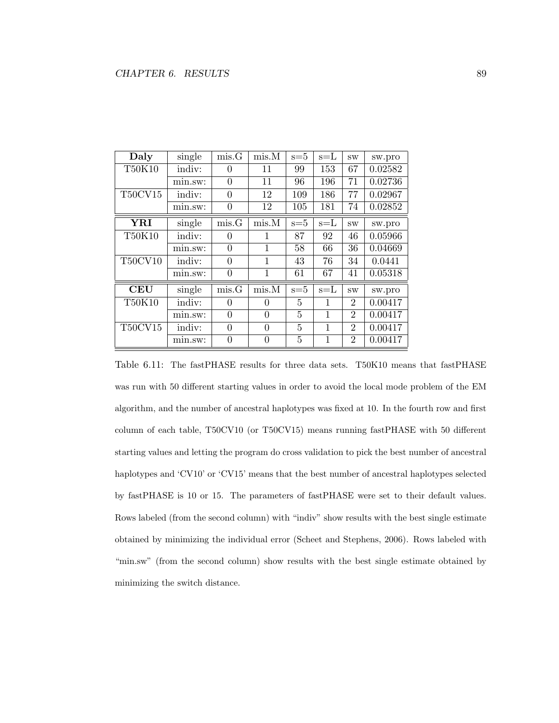| Daly           | single  | mis.G          | mis.M    | $s = 5$ | $s = L$ | $\mathrm{SW}$  | sw.pro  |
|----------------|---------|----------------|----------|---------|---------|----------------|---------|
| T50K10         | indiv:  | 0              | 11       | 99      | 153     | 67             | 0.02582 |
|                | min.sw: | 0              | 11       | 96      | 196     | 71             | 0.02736 |
| <b>T50CV15</b> | indiv:  | $\theta$       | 12       | 109     | 186     | 77             | 0.02967 |
|                | min.sw: | 0              | 12       | 105     | 181     | 74             | 0.02852 |
| ${\bf YRI}$    | single  | mis.G          | mis.M    | $s = 5$ | $s = L$ | $\mathrm{SW}$  | sw.pro  |
| T50K10         | indiv:  | 0              | 1        | 87      | 92      | 46             | 0.05966 |
|                | min.sw: | $\theta$       | 1        | 58      | 66      | 36             | 0.04669 |
| <b>T50CV10</b> | indiv:  | $\theta$       | 1        | 43      | 76      | 34             | 0.0441  |
|                | min.sw: | $\overline{0}$ | 1        | 61      | 67      | 41             | 0.05318 |
| <b>CEU</b>     | single  | mis.G          | mis.M    | $s=5$   | $s = L$ | $\mathrm{SW}$  | sw.pro  |
| T50K10         | indiv:  | 0              | $\theta$ | 5       | 1       | $\overline{2}$ | 0.00417 |
|                | min.sw: | 0              | $\theta$ | 5       | 1       | $\overline{2}$ | 0.00417 |
| <b>T50CV15</b> | indiv:  | $\theta$       | $\theta$ | 5       | 1       | $\overline{2}$ | 0.00417 |
|                | min.sw: | 0              | $\Omega$ | 5       | 1       | $\overline{2}$ | 0.00417 |

Table 6.11: The fastPHASE results for three data sets. T50K10 means that fastPHASE was run with 50 different starting values in order to avoid the local mode problem of the EM algorithm, and the number of ancestral haplotypes was fixed at 10. In the fourth row and first column of each table, T50CV10 (or T50CV15) means running fastPHASE with 50 different starting values and letting the program do cross validation to pick the best number of ancestral haplotypes and 'CV10' or 'CV15' means that the best number of ancestral haplotypes selected by fastPHASE is 10 or 15. The parameters of fastPHASE were set to their default values. Rows labeled (from the second column) with "indiv" show results with the best single estimate obtained by minimizing the individual error (Scheet and Stephens, 2006). Rows labeled with "min.sw" (from the second column) show results with the best single estimate obtained by minimizing the switch distance.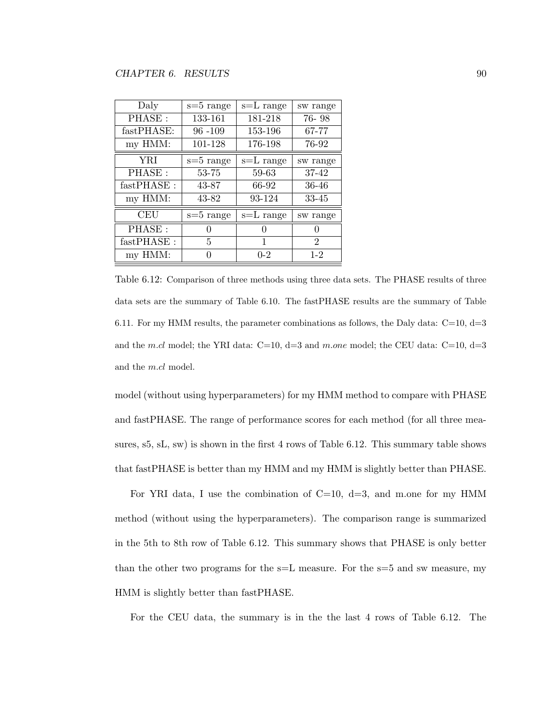| Daly       | $s=5$ range | $s=L$ range | sw range       |
|------------|-------------|-------------|----------------|
| PHASE:     | 133-161     | 181-218     | 76-98          |
| fastPHASE: | 96-109      | 153-196     | 67-77          |
| my HMM:    | 101-128     | 176-198     | 76-92          |
| YRI        | $s=5$ range | $s=L$ range | sw range       |
| PHASE:     | 53-75       | 59-63       | 37-42          |
| fastPHASE: | 43-87       | 66-92       | 36-46          |
| my HMM:    | 43-82       | 93-124      | 33-45          |
| <b>CEU</b> | $s=5$ range | $s=L$ range | sw range       |
| PHASE:     |             | 0           |                |
| fastPHASE: | 5           | 1           | $\overline{2}$ |
| my HMM:    | O           | $0 - 2$     | $1-2$          |

Table 6.12: Comparison of three methods using three data sets. The PHASE results of three data sets are the summary of Table 6.10. The fastPHASE results are the summary of Table 6.11. For my HMM results, the parameter combinations as follows, the Daly data:  $C=10$ ,  $d=3$ and the m.cl model; the YRI data:  $C=10$ ,  $d=3$  and m.one model; the CEU data:  $C=10$ ,  $d=3$ and the m.cl model.

model (without using hyperparameters) for my HMM method to compare with PHASE and fastPHASE. The range of performance scores for each method (for all three measures, s5, sL, sw) is shown in the first 4 rows of Table 6.12. This summary table shows that fastPHASE is better than my HMM and my HMM is slightly better than PHASE.

For YRI data, I use the combination of  $C=10$ ,  $d=3$ , and m.one for my HMM method (without using the hyperparameters). The comparison range is summarized in the 5th to 8th row of Table 6.12. This summary shows that PHASE is only better than the other two programs for the  $s=L$  measure. For the  $s=5$  and sw measure, my HMM is slightly better than fastPHASE.

For the CEU data, the summary is in the the last 4 rows of Table 6.12. The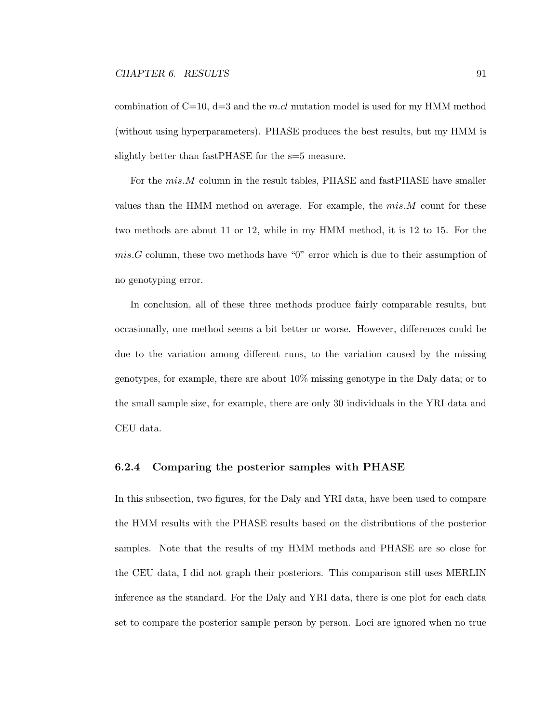combination of  $C=10$ ,  $d=3$  and the m.cl mutation model is used for my HMM method (without using hyperparameters). PHASE produces the best results, but my HMM is slightly better than fastPHASE for the s=5 measure.

For the mis.M column in the result tables, PHASE and fastPHASE have smaller values than the HMM method on average. For example, the  $mis.M$  count for these two methods are about 11 or 12, while in my HMM method, it is 12 to 15. For the  $mis.G$  column, these two methods have "0" error which is due to their assumption of no genotyping error.

In conclusion, all of these three methods produce fairly comparable results, but occasionally, one method seems a bit better or worse. However, differences could be due to the variation among different runs, to the variation caused by the missing genotypes, for example, there are about 10% missing genotype in the Daly data; or to the small sample size, for example, there are only 30 individuals in the YRI data and CEU data.

#### 6.2.4 Comparing the posterior samples with PHASE

In this subsection, two figures, for the Daly and YRI data, have been used to compare the HMM results with the PHASE results based on the distributions of the posterior samples. Note that the results of my HMM methods and PHASE are so close for the CEU data, I did not graph their posteriors. This comparison still uses MERLIN inference as the standard. For the Daly and YRI data, there is one plot for each data set to compare the posterior sample person by person. Loci are ignored when no true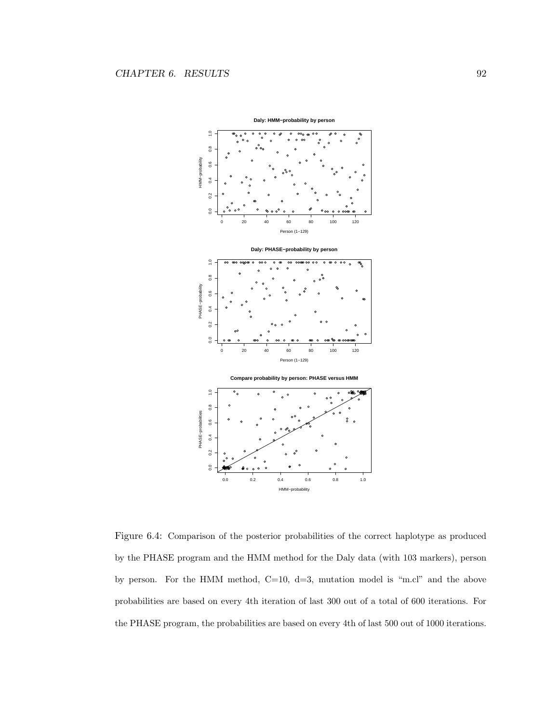

Figure 6.4: Comparison of the posterior probabilities of the correct haplotype as produced by the PHASE program and the HMM method for the Daly data (with 103 markers), person by person. For the HMM method,  $C=10$ ,  $d=3$ , mutation model is "m.cl" and the above probabilities are based on every 4th iteration of last 300 out of a total of 600 iterations. For the PHASE program, the probabilities are based on every 4th of last 500 out of 1000 iterations.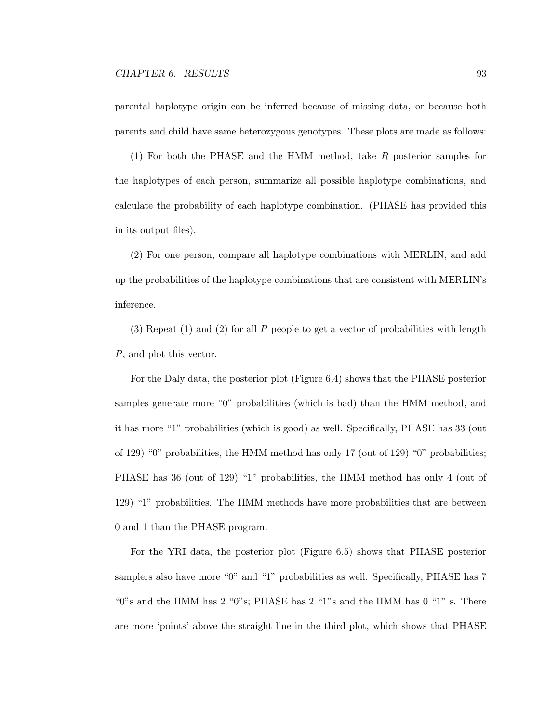parental haplotype origin can be inferred because of missing data, or because both parents and child have same heterozygous genotypes. These plots are made as follows:

(1) For both the PHASE and the HMM method, take R posterior samples for the haplotypes of each person, summarize all possible haplotype combinations, and calculate the probability of each haplotype combination. (PHASE has provided this in its output files).

(2) For one person, compare all haplotype combinations with MERLIN, and add up the probabilities of the haplotype combinations that are consistent with MERLIN's inference.

(3) Repeat (1) and (2) for all P people to get a vector of probabilities with length P, and plot this vector.

For the Daly data, the posterior plot (Figure 6.4) shows that the PHASE posterior samples generate more "0" probabilities (which is bad) than the HMM method, and it has more "1" probabilities (which is good) as well. Specifically, PHASE has 33 (out of 129) "0" probabilities, the HMM method has only 17 (out of 129) "0" probabilities; PHASE has 36 (out of 129) "1" probabilities, the HMM method has only 4 (out of 129) "1" probabilities. The HMM methods have more probabilities that are between 0 and 1 than the PHASE program.

For the YRI data, the posterior plot (Figure 6.5) shows that PHASE posterior samplers also have more "0" and "1" probabilities as well. Specifically, PHASE has 7 "0"s and the HMM has 2 "0"s; PHASE has 2 "1"s and the HMM has 0 "1" s. There are more 'points' above the straight line in the third plot, which shows that PHASE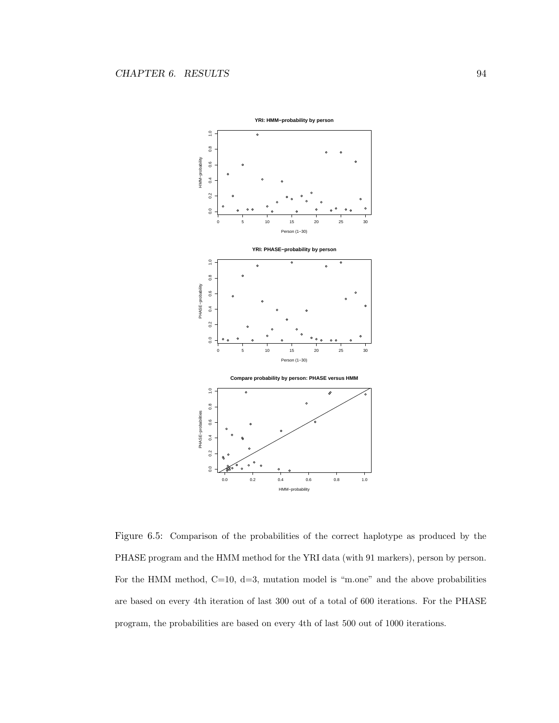

Figure 6.5: Comparison of the probabilities of the correct haplotype as produced by the PHASE program and the HMM method for the YRI data (with 91 markers), person by person. For the HMM method,  $C=10$ ,  $d=3$ , mutation model is "m.one" and the above probabilities are based on every 4th iteration of last 300 out of a total of 600 iterations. For the PHASE program, the probabilities are based on every 4th of last 500 out of 1000 iterations.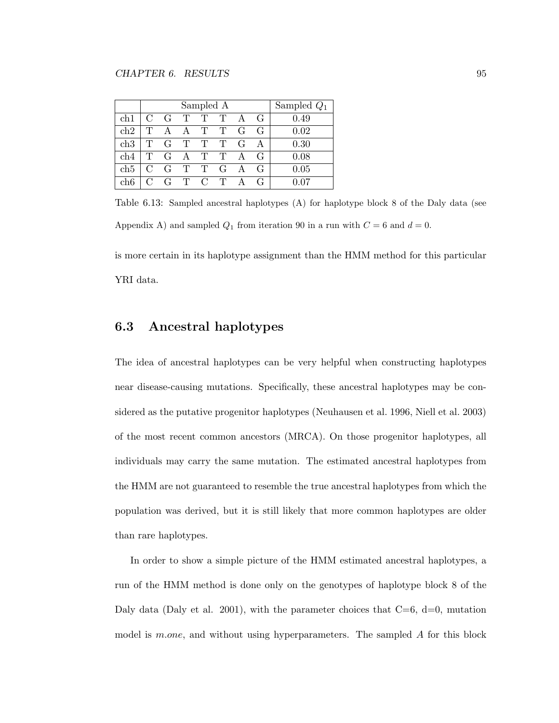|     | Sampled A                   |              |              |              |             |                | Sampled $Q_1$    |      |
|-----|-----------------------------|--------------|--------------|--------------|-------------|----------------|------------------|------|
| ch1 |                             | $\mathbf{G}$ | $\mathbf{T}$ | $\mathbf{T}$ | T           | $\mathbf{A}$   | G.               | 0.49 |
| ch2 |                             | A            |              | A T T        |             | $\overline{G}$ | G.               | 0.02 |
| ch3 | T                           |              | G T T        |              | T           | G              |                  | 0.30 |
| ch4 |                             | G            | $\mathbf{A}$ | $\mathbf T$  | $\mathbf T$ |                | G                | 0.08 |
| ch5 | $\mathcal{C}_{\mathcal{C}}$ | G            | $T$ T        |              | G           | A              | $\mathfrak{c}_1$ | 0.05 |
| ch6 | $\mathcal{C}$               |              | G T C        |              | $\mathbf T$ |                |                  |      |

Table 6.13: Sampled ancestral haplotypes (A) for haplotype block 8 of the Daly data (see Appendix A) and sampled  $Q_1$  from iteration 90 in a run with  $C = 6$  and  $d = 0$ .

is more certain in its haplotype assignment than the HMM method for this particular YRI data.

## 6.3 Ancestral haplotypes

The idea of ancestral haplotypes can be very helpful when constructing haplotypes near disease-causing mutations. Specifically, these ancestral haplotypes may be considered as the putative progenitor haplotypes (Neuhausen et al. 1996, Niell et al. 2003) of the most recent common ancestors (MRCA). On those progenitor haplotypes, all individuals may carry the same mutation. The estimated ancestral haplotypes from the HMM are not guaranteed to resemble the true ancestral haplotypes from which the population was derived, but it is still likely that more common haplotypes are older than rare haplotypes.

In order to show a simple picture of the HMM estimated ancestral haplotypes, a run of the HMM method is done only on the genotypes of haplotype block 8 of the Daly data (Daly et al. 2001), with the parameter choices that  $C=6$ ,  $d=0$ , mutation model is m.one, and without using hyperparameters. The sampled A for this block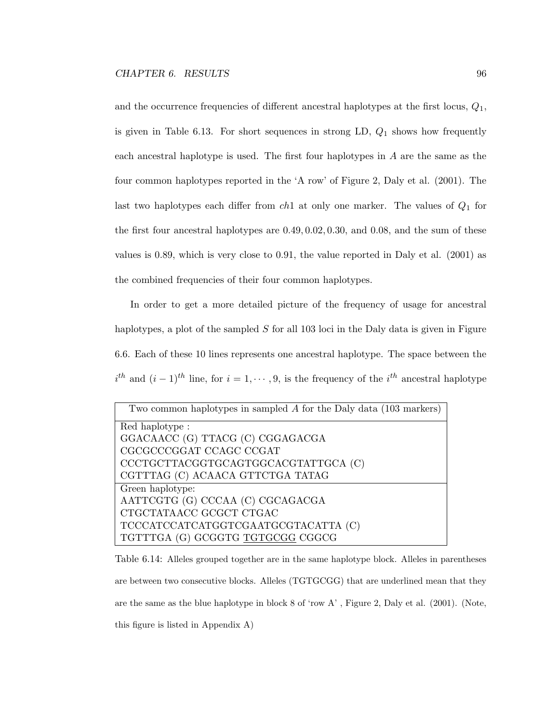and the occurrence frequencies of different ancestral haplotypes at the first locus,  $Q_1$ , is given in Table 6.13. For short sequences in strong LD,  $Q_1$  shows how frequently each ancestral haplotype is used. The first four haplotypes in A are the same as the four common haplotypes reported in the 'A row' of Figure 2, Daly et al. (2001). The last two haplotypes each differ from  $ch1$  at only one marker. The values of  $Q_1$  for the first four ancestral haplotypes are 0.49, 0.02, 0.30, and 0.08, and the sum of these values is 0.89, which is very close to 0.91, the value reported in Daly et al. (2001) as the combined frequencies of their four common haplotypes.

In order to get a more detailed picture of the frequency of usage for ancestral haplotypes, a plot of the sampled  $S$  for all 103 loci in the Daly data is given in Figure 6.6. Each of these 10 lines represents one ancestral haplotype. The space between the  $i^{th}$  and  $(i-1)^{th}$  line, for  $i=1,\dots,9$ , is the frequency of the  $i^{th}$  ancestral haplotype

| Two common haplotypes in sampled $A$ for the Daly data (103 markers) |
|----------------------------------------------------------------------|
| Red haplotype :                                                      |
| GGACAACC (G) TTACG (C) CGGAGACGA                                     |
| CGCGCCCGGAT CCAGC CCGAT                                              |
| CCCTGCTTACGGTGCAGTGGCACGTATTGCA (C)                                  |
| CGTTTAG (C) ACAACA GTTCTGA TATAG                                     |
| Green haplotype:                                                     |
| AATTCGTG (G) CCCAA (C) CGCAGACGA                                     |
| CTGCTATAACC GCGCT CTGAC                                              |
| TCCCATCCATCATGGTCGAATGCGTACATTA (C)                                  |
| TGTTTGA (G) GCGGTG TGTGCGG CGGCG                                     |

Table 6.14: Alleles grouped together are in the same haplotype block. Alleles in parentheses are between two consecutive blocks. Alleles (TGTGCGG) that are underlined mean that they are the same as the blue haplotype in block 8 of 'row A' , Figure 2, Daly et al. (2001). (Note, this figure is listed in Appendix A)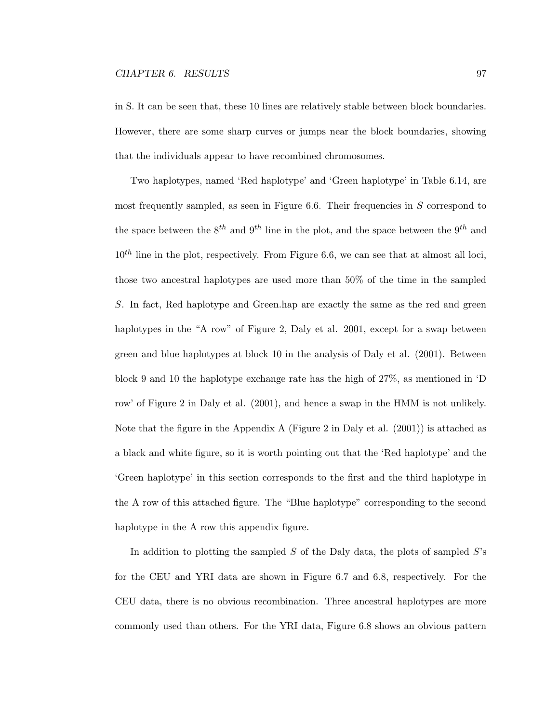in S. It can be seen that, these 10 lines are relatively stable between block boundaries. However, there are some sharp curves or jumps near the block boundaries, showing that the individuals appear to have recombined chromosomes.

Two haplotypes, named 'Red haplotype' and 'Green haplotype' in Table 6.14, are most frequently sampled, as seen in Figure  $6.6$ . Their frequencies in  $S$  correspond to the space between the  $8^{th}$  and  $9^{th}$  line in the plot, and the space between the  $9^{th}$  and  $10^{th}$  line in the plot, respectively. From Figure 6.6, we can see that at almost all loci, those two ancestral haplotypes are used more than 50% of the time in the sampled S. In fact, Red haplotype and Green.hap are exactly the same as the red and green haplotypes in the "A row" of Figure 2, Daly et al. 2001, except for a swap between green and blue haplotypes at block 10 in the analysis of Daly et al. (2001). Between block 9 and 10 the haplotype exchange rate has the high of 27%, as mentioned in 'D row' of Figure 2 in Daly et al. (2001), and hence a swap in the HMM is not unlikely. Note that the figure in the Appendix A (Figure 2 in Daly et al.  $(2001)$ ) is attached as a black and white figure, so it is worth pointing out that the 'Red haplotype' and the 'Green haplotype' in this section corresponds to the first and the third haplotype in the A row of this attached figure. The "Blue haplotype" corresponding to the second haplotype in the A row this appendix figure.

In addition to plotting the sampled  $S$  of the Daly data, the plots of sampled  $S$ 's for the CEU and YRI data are shown in Figure 6.7 and 6.8, respectively. For the CEU data, there is no obvious recombination. Three ancestral haplotypes are more commonly used than others. For the YRI data, Figure 6.8 shows an obvious pattern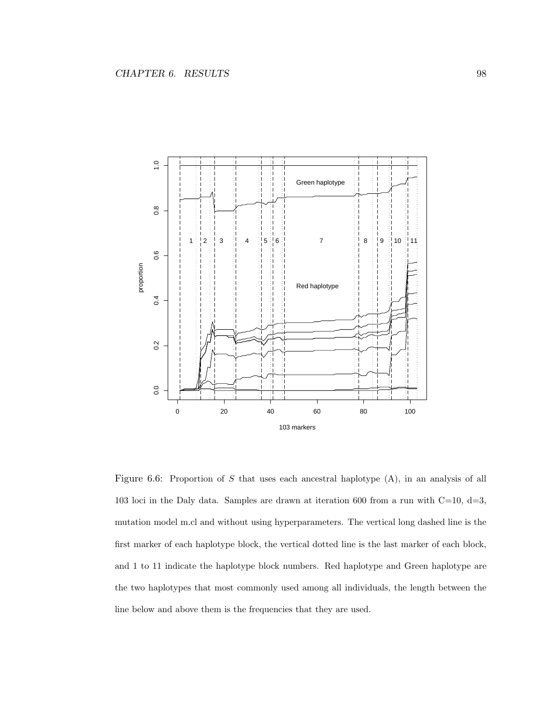

Figure 6.6: Proportion of S that uses each ancestral haplotype  $(A)$ , in an analysis of all 103 loci in the Daly data. Samples are drawn at iteration 600 from a run with  $C=10$ ,  $d=3$ , mutation model m.cl and without using hyperparameters. The vertical long dashed line is the first marker of each haplotype block, the vertical dotted line is the last marker of each block, and 1 to 11 indicate the haplotype block numbers. Red haplotype and Green haplotype are the two haplotypes that most commonly used among all individuals, the length between the line below and above them is the frequencies that they are used.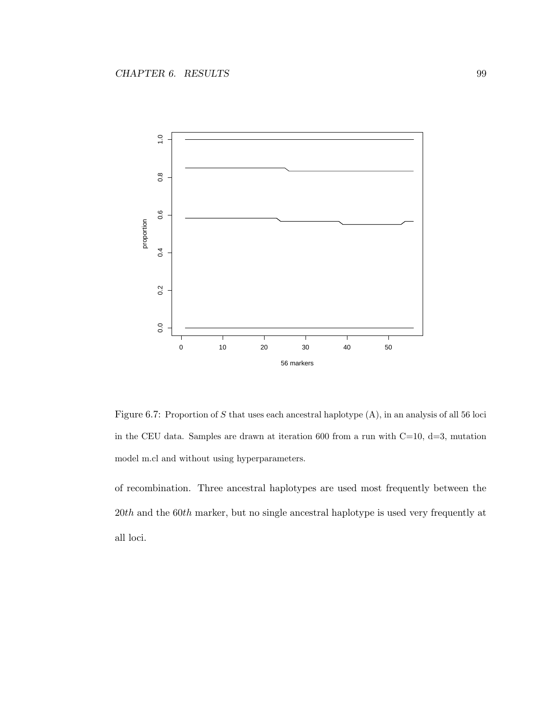

Figure 6.7: Proportion of S that uses each ancestral haplotype (A), in an analysis of all 56 loci in the CEU data. Samples are drawn at iteration 600 from a run with  $C=10$ ,  $d=3$ , mutation model m.cl and without using hyperparameters.

of recombination. Three ancestral haplotypes are used most frequently between the 20th and the 60th marker, but no single ancestral haplotype is used very frequently at all loci.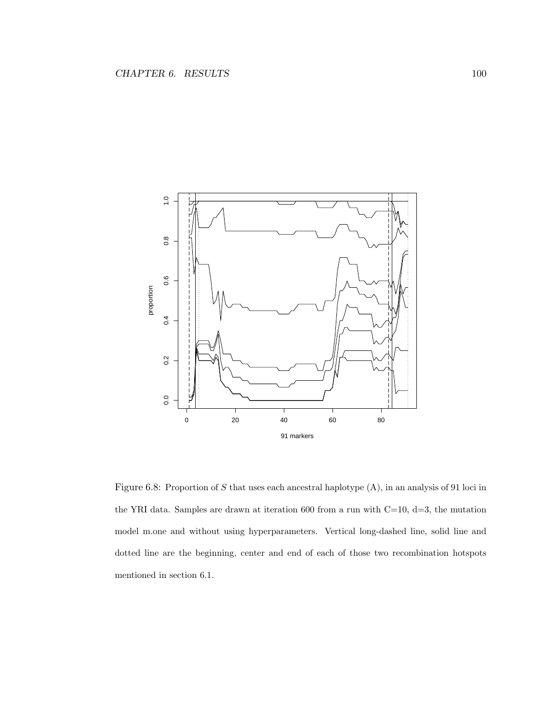

Figure 6.8: Proportion of S that uses each ancestral haplotype (A), in an analysis of 91 loci in the YRI data. Samples are drawn at iteration 600 from a run with  $C=10$ ,  $d=3$ , the mutation model m.one and without using hyperparameters. Vertical long-dashed line, solid line and dotted line are the beginning, center and end of each of those two recombination hotspots mentioned in section 6.1.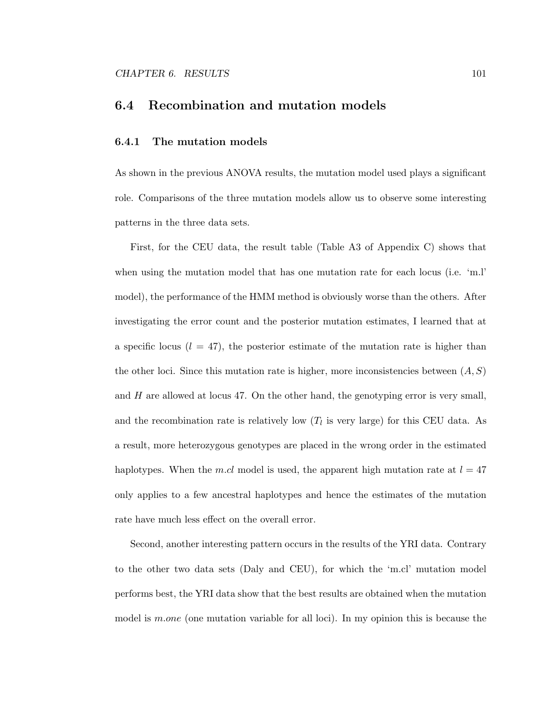#### 6.4 Recombination and mutation models

#### 6.4.1 The mutation models

As shown in the previous ANOVA results, the mutation model used plays a significant role. Comparisons of the three mutation models allow us to observe some interesting patterns in the three data sets.

First, for the CEU data, the result table (Table A3 of Appendix C) shows that when using the mutation model that has one mutation rate for each locus (i.e. 'm.l' model), the performance of the HMM method is obviously worse than the others. After investigating the error count and the posterior mutation estimates, I learned that at a specific locus  $(l = 47)$ , the posterior estimate of the mutation rate is higher than the other loci. Since this mutation rate is higher, more inconsistencies between  $(A, S)$ and  $H$  are allowed at locus 47. On the other hand, the genotyping error is very small, and the recombination rate is relatively low  $(T_l$  is very large) for this CEU data. As a result, more heterozygous genotypes are placed in the wrong order in the estimated haplotypes. When the m.cl model is used, the apparent high mutation rate at  $l = 47$ only applies to a few ancestral haplotypes and hence the estimates of the mutation rate have much less effect on the overall error.

Second, another interesting pattern occurs in the results of the YRI data. Contrary to the other two data sets (Daly and CEU), for which the 'm.cl' mutation model performs best, the YRI data show that the best results are obtained when the mutation model is *m.one* (one mutation variable for all loci). In my opinion this is because the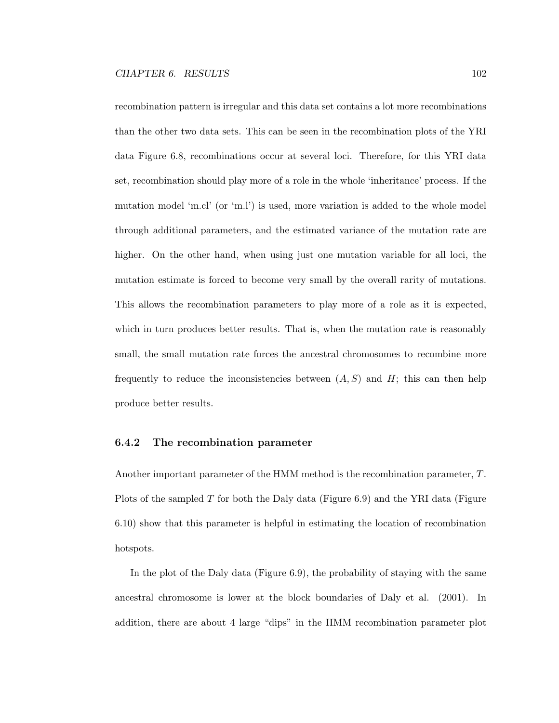recombination pattern is irregular and this data set contains a lot more recombinations than the other two data sets. This can be seen in the recombination plots of the YRI data Figure 6.8, recombinations occur at several loci. Therefore, for this YRI data set, recombination should play more of a role in the whole 'inheritance' process. If the mutation model 'm.cl' (or 'm.l') is used, more variation is added to the whole model through additional parameters, and the estimated variance of the mutation rate are higher. On the other hand, when using just one mutation variable for all loci, the mutation estimate is forced to become very small by the overall rarity of mutations. This allows the recombination parameters to play more of a role as it is expected, which in turn produces better results. That is, when the mutation rate is reasonably small, the small mutation rate forces the ancestral chromosomes to recombine more frequently to reduce the inconsistencies between  $(A, S)$  and H; this can then help produce better results.

#### 6.4.2 The recombination parameter

Another important parameter of the HMM method is the recombination parameter, T. Plots of the sampled  $T$  for both the Daly data (Figure 6.9) and the YRI data (Figure 6.10) show that this parameter is helpful in estimating the location of recombination hotspots.

In the plot of the Daly data (Figure 6.9), the probability of staying with the same ancestral chromosome is lower at the block boundaries of Daly et al. (2001). In addition, there are about 4 large "dips" in the HMM recombination parameter plot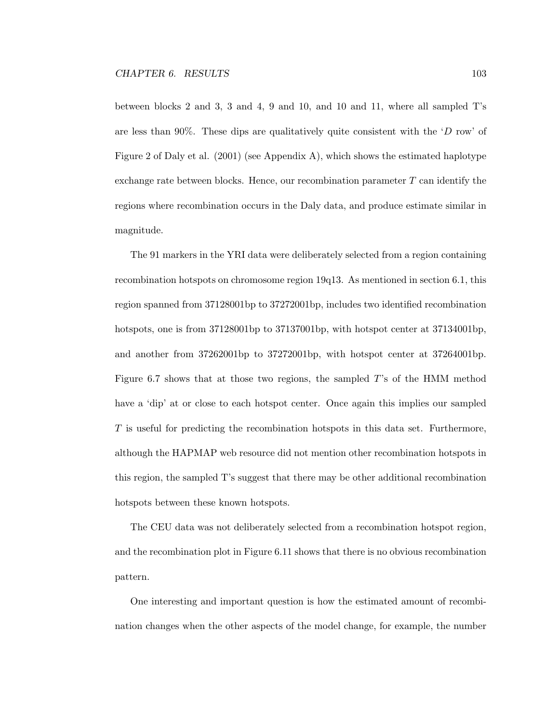between blocks 2 and 3, 3 and 4, 9 and 10, and 10 and 11, where all sampled T's are less than 90%. These dips are qualitatively quite consistent with the  $D$  row' of Figure 2 of Daly et al. (2001) (see Appendix A), which shows the estimated haplotype exchange rate between blocks. Hence, our recombination parameter  $T$  can identify the regions where recombination occurs in the Daly data, and produce estimate similar in magnitude.

The 91 markers in the YRI data were deliberately selected from a region containing recombination hotspots on chromosome region 19q13. As mentioned in section 6.1, this region spanned from 37128001bp to 37272001bp, includes two identified recombination hotspots, one is from 37128001bp to 37137001bp, with hotspot center at 37134001bp, and another from 37262001bp to 37272001bp, with hotspot center at 37264001bp. Figure 6.7 shows that at those two regions, the sampled T's of the HMM method have a 'dip' at or close to each hotspot center. Once again this implies our sampled T is useful for predicting the recombination hotspots in this data set. Furthermore, although the HAPMAP web resource did not mention other recombination hotspots in this region, the sampled T's suggest that there may be other additional recombination hotspots between these known hotspots.

The CEU data was not deliberately selected from a recombination hotspot region, and the recombination plot in Figure 6.11 shows that there is no obvious recombination pattern.

One interesting and important question is how the estimated amount of recombination changes when the other aspects of the model change, for example, the number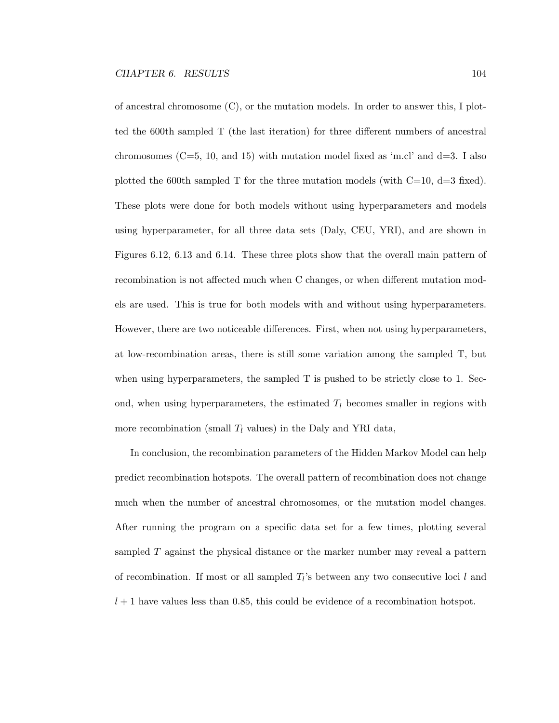of ancestral chromosome (C), or the mutation models. In order to answer this, I plotted the 600th sampled T (the last iteration) for three different numbers of ancestral chromosomes  $(C=5, 10, \text{ and } 15)$  with mutation model fixed as 'm.cl' and d=3. I also plotted the 600th sampled T for the three mutation models (with  $C=10$ ,  $d=3$  fixed). These plots were done for both models without using hyperparameters and models using hyperparameter, for all three data sets (Daly, CEU, YRI), and are shown in Figures 6.12, 6.13 and 6.14. These three plots show that the overall main pattern of recombination is not affected much when C changes, or when different mutation models are used. This is true for both models with and without using hyperparameters. However, there are two noticeable differences. First, when not using hyperparameters, at low-recombination areas, there is still some variation among the sampled T, but when using hyperparameters, the sampled T is pushed to be strictly close to 1. Second, when using hyperparameters, the estimated  $T_l$  becomes smaller in regions with more recombination (small  $T_l$  values) in the Daly and YRI data,

In conclusion, the recombination parameters of the Hidden Markov Model can help predict recombination hotspots. The overall pattern of recombination does not change much when the number of ancestral chromosomes, or the mutation model changes. After running the program on a specific data set for a few times, plotting several sampled T against the physical distance or the marker number may reveal a pattern of recombination. If most or all sampled  $T_l$ 's between any two consecutive loci l and  $l + 1$  have values less than 0.85, this could be evidence of a recombination hotspot.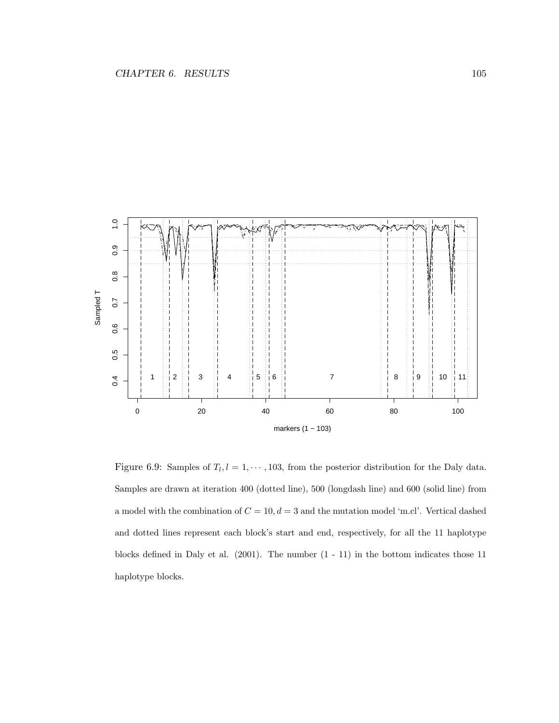

Figure 6.9: Samples of  $T_l, l = 1, \dots, 103$ , from the posterior distribution for the Daly data. Samples are drawn at iteration 400 (dotted line), 500 (longdash line) and 600 (solid line) from a model with the combination of  $C = 10, d = 3$  and the mutation model 'm.cl'. Vertical dashed and dotted lines represent each block's start and end, respectively, for all the 11 haplotype blocks defined in Daly et al. (2001). The number (1 - 11) in the bottom indicates those 11 haplotype blocks.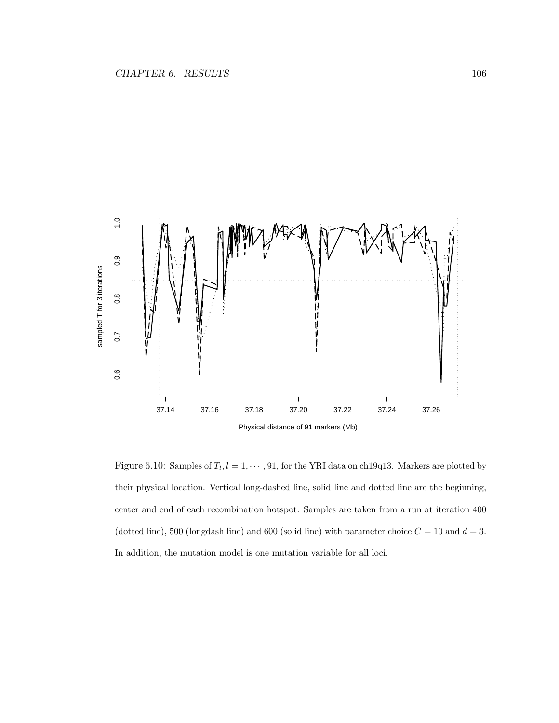

Figure 6.10: Samples of  $T_l$ ,  $l = 1, \cdots, 91$ , for the YRI data on ch19q13. Markers are plotted by their physical location. Vertical long-dashed line, solid line and dotted line are the beginning, center and end of each recombination hotspot. Samples are taken from a run at iteration 400 (dotted line), 500 (longdash line) and 600 (solid line) with parameter choice  $C = 10$  and  $d = 3$ . In addition, the mutation model is one mutation variable for all loci.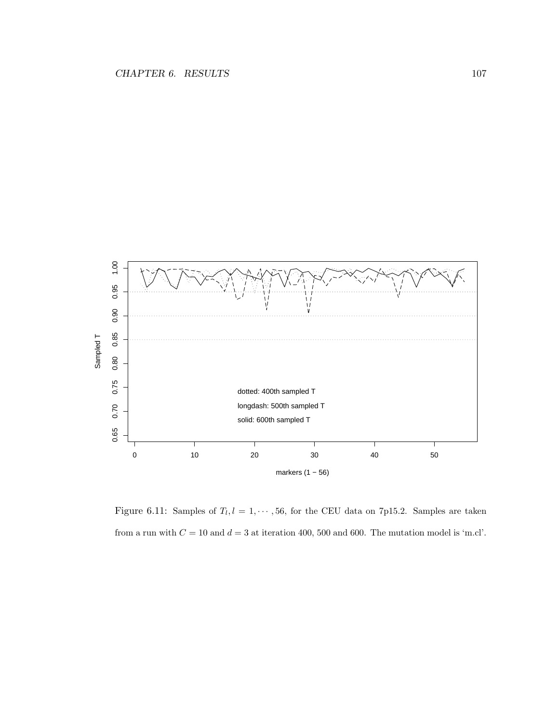

Figure 6.11: Samples of  $T_l, l = 1, \dots, 56$ , for the CEU data on 7p15.2. Samples are taken from a run with  $C = 10$  and  $d = 3$  at iteration 400, 500 and 600. The mutation model is 'm.cl'.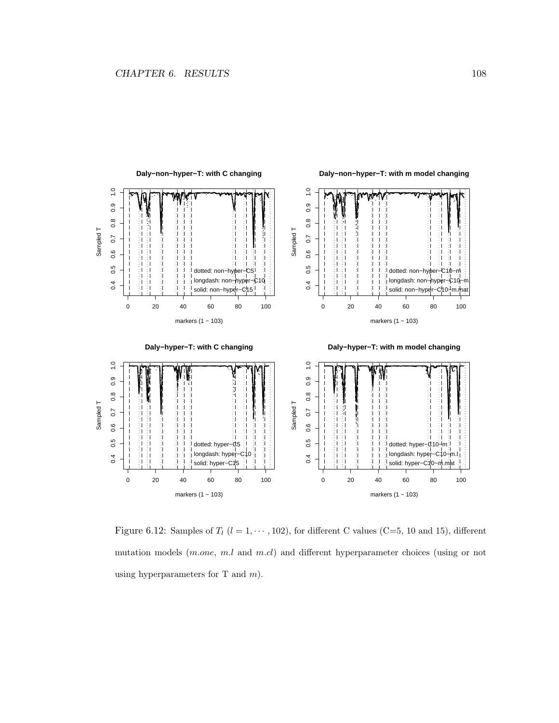

Figure 6.12: Samples of  $T_l$  ( $l = 1, \dots, 102$ ), for different C values (C=5, 10 and 15), different mutation models (*m.one*, *m.l* and *m.cl*) and different hyperparameter choices (using or not using hyperparameters for  $T$  and  $m$ ).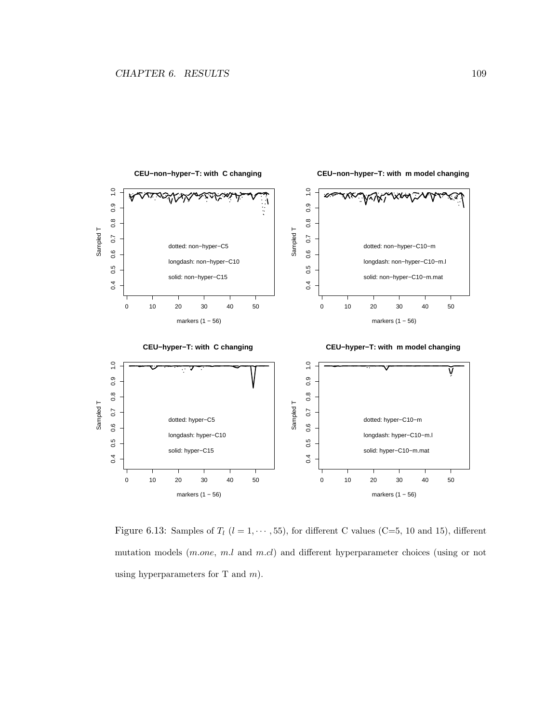

Figure 6.13: Samples of  $T_l$  ( $l = 1, \dots, 55$ ), for different C values (C=5, 10 and 15), different mutation models (*m.one*, *m.l* and *m.cl*) and different hyperparameter choices (using or not using hyperparameters for  $T$  and  $m$ ).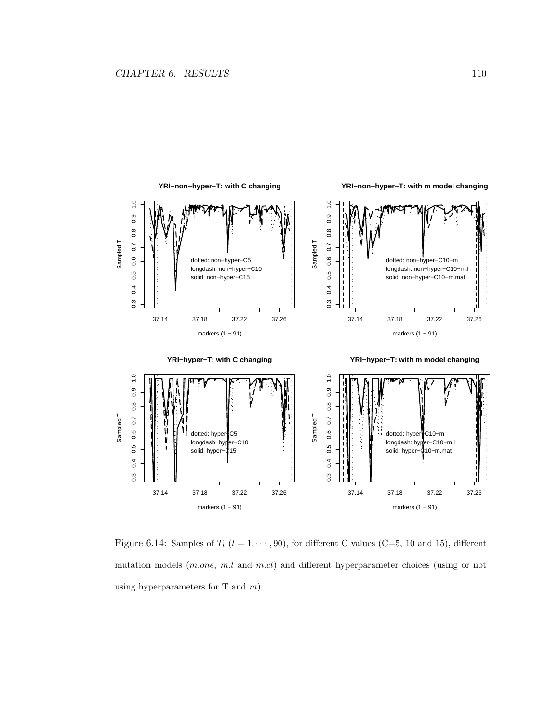

Figure 6.14: Samples of  $T_l$  ( $l = 1, \dots, 90$ ), for different C values (C=5, 10 and 15), different mutation models (*m.one*, *m.l* and *m.cl*) and different hyperparameter choices (using or not using hyperparameters for  $T$  and  $m$ ).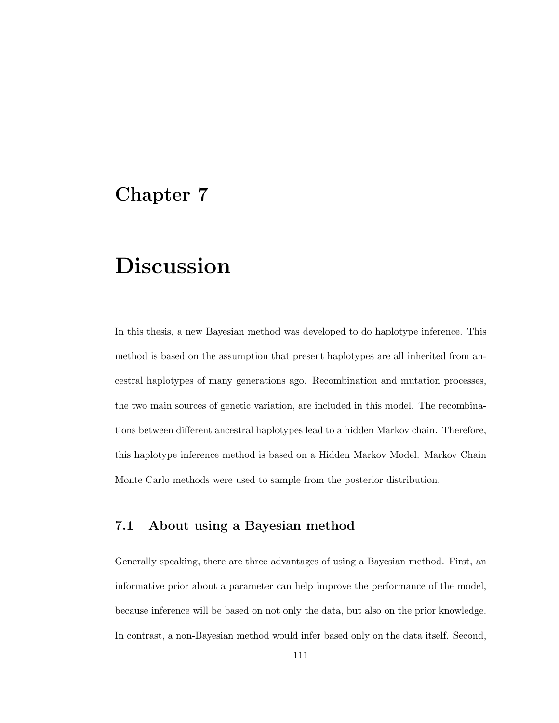# Chapter 7

# Discussion

In this thesis, a new Bayesian method was developed to do haplotype inference. This method is based on the assumption that present haplotypes are all inherited from ancestral haplotypes of many generations ago. Recombination and mutation processes, the two main sources of genetic variation, are included in this model. The recombinations between different ancestral haplotypes lead to a hidden Markov chain. Therefore, this haplotype inference method is based on a Hidden Markov Model. Markov Chain Monte Carlo methods were used to sample from the posterior distribution.

### 7.1 About using a Bayesian method

Generally speaking, there are three advantages of using a Bayesian method. First, an informative prior about a parameter can help improve the performance of the model, because inference will be based on not only the data, but also on the prior knowledge. In contrast, a non-Bayesian method would infer based only on the data itself. Second,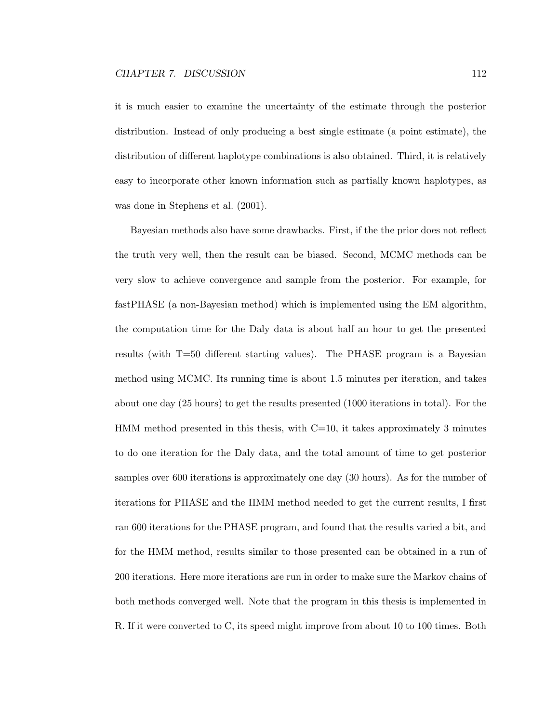it is much easier to examine the uncertainty of the estimate through the posterior distribution. Instead of only producing a best single estimate (a point estimate), the distribution of different haplotype combinations is also obtained. Third, it is relatively easy to incorporate other known information such as partially known haplotypes, as was done in Stephens et al. (2001).

Bayesian methods also have some drawbacks. First, if the the prior does not reflect the truth very well, then the result can be biased. Second, MCMC methods can be very slow to achieve convergence and sample from the posterior. For example, for fastPHASE (a non-Bayesian method) which is implemented using the EM algorithm, the computation time for the Daly data is about half an hour to get the presented results (with T=50 different starting values). The PHASE program is a Bayesian method using MCMC. Its running time is about 1.5 minutes per iteration, and takes about one day (25 hours) to get the results presented (1000 iterations in total). For the HMM method presented in this thesis, with  $C=10$ , it takes approximately 3 minutes to do one iteration for the Daly data, and the total amount of time to get posterior samples over 600 iterations is approximately one day (30 hours). As for the number of iterations for PHASE and the HMM method needed to get the current results, I first ran 600 iterations for the PHASE program, and found that the results varied a bit, and for the HMM method, results similar to those presented can be obtained in a run of 200 iterations. Here more iterations are run in order to make sure the Markov chains of both methods converged well. Note that the program in this thesis is implemented in R. If it were converted to C, its speed might improve from about 10 to 100 times. Both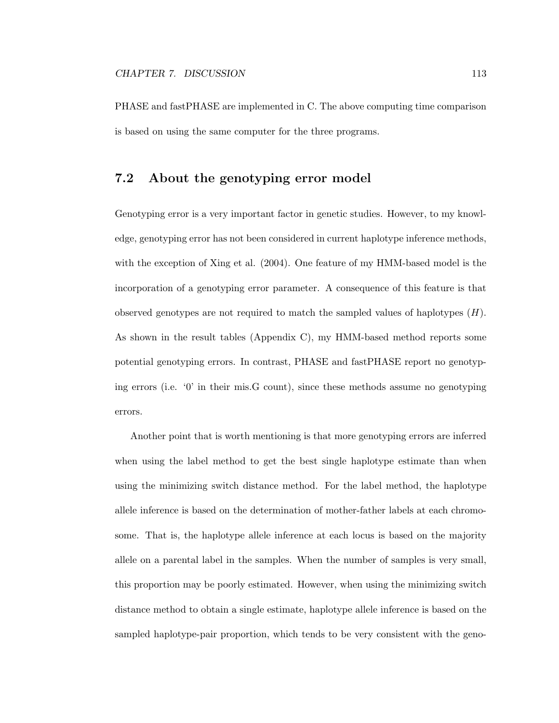PHASE and fastPHASE are implemented in C. The above computing time comparison is based on using the same computer for the three programs.

### 7.2 About the genotyping error model

Genotyping error is a very important factor in genetic studies. However, to my knowledge, genotyping error has not been considered in current haplotype inference methods, with the exception of Xing et al. (2004). One feature of my HMM-based model is the incorporation of a genotyping error parameter. A consequence of this feature is that observed genotypes are not required to match the sampled values of haplotypes  $(H)$ . As shown in the result tables (Appendix C), my HMM-based method reports some potential genotyping errors. In contrast, PHASE and fastPHASE report no genotyping errors (i.e. '0' in their mis.G count), since these methods assume no genotyping errors.

Another point that is worth mentioning is that more genotyping errors are inferred when using the label method to get the best single haplotype estimate than when using the minimizing switch distance method. For the label method, the haplotype allele inference is based on the determination of mother-father labels at each chromosome. That is, the haplotype allele inference at each locus is based on the majority allele on a parental label in the samples. When the number of samples is very small, this proportion may be poorly estimated. However, when using the minimizing switch distance method to obtain a single estimate, haplotype allele inference is based on the sampled haplotype-pair proportion, which tends to be very consistent with the geno-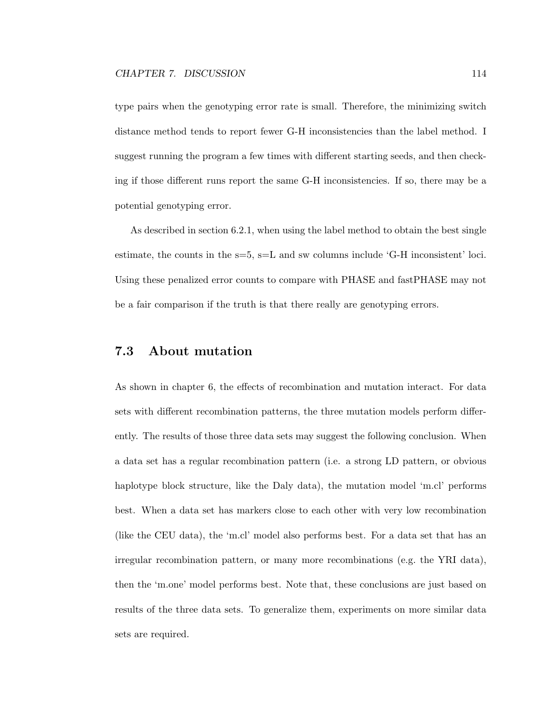type pairs when the genotyping error rate is small. Therefore, the minimizing switch distance method tends to report fewer G-H inconsistencies than the label method. I suggest running the program a few times with different starting seeds, and then checking if those different runs report the same G-H inconsistencies. If so, there may be a potential genotyping error.

As described in section 6.2.1, when using the label method to obtain the best single estimate, the counts in the s=5, s=L and sw columns include 'G-H inconsistent' loci. Using these penalized error counts to compare with PHASE and fastPHASE may not be a fair comparison if the truth is that there really are genotyping errors.

#### 7.3 About mutation

As shown in chapter 6, the effects of recombination and mutation interact. For data sets with different recombination patterns, the three mutation models perform differently. The results of those three data sets may suggest the following conclusion. When a data set has a regular recombination pattern (i.e. a strong LD pattern, or obvious haplotype block structure, like the Daly data), the mutation model 'm.cl' performs best. When a data set has markers close to each other with very low recombination (like the CEU data), the 'm.cl' model also performs best. For a data set that has an irregular recombination pattern, or many more recombinations (e.g. the YRI data), then the 'm.one' model performs best. Note that, these conclusions are just based on results of the three data sets. To generalize them, experiments on more similar data sets are required.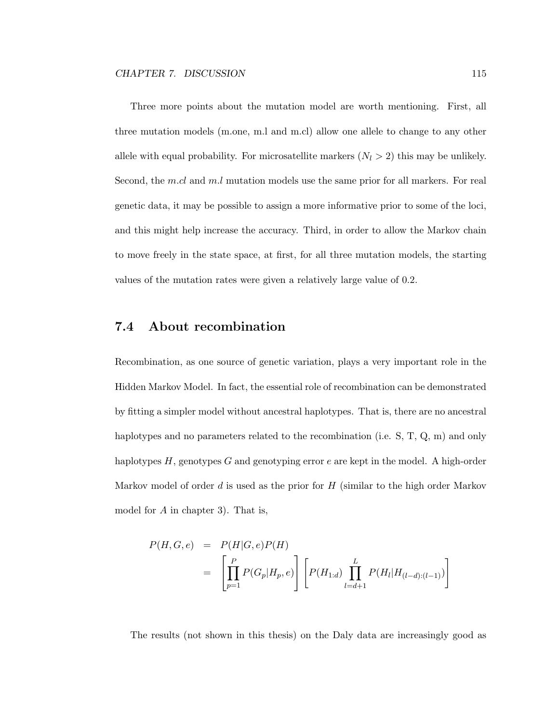Three more points about the mutation model are worth mentioning. First, all three mutation models (m.one, m.l and m.cl) allow one allele to change to any other allele with equal probability. For microsatellite markers  $(N_l > 2)$  this may be unlikely. Second, the m.cl and  $m.l$  mutation models use the same prior for all markers. For real genetic data, it may be possible to assign a more informative prior to some of the loci, and this might help increase the accuracy. Third, in order to allow the Markov chain to move freely in the state space, at first, for all three mutation models, the starting values of the mutation rates were given a relatively large value of 0.2.

### 7.4 About recombination

Recombination, as one source of genetic variation, plays a very important role in the Hidden Markov Model. In fact, the essential role of recombination can be demonstrated by fitting a simpler model without ancestral haplotypes. That is, there are no ancestral haplotypes and no parameters related to the recombination (i.e. S, T, Q, m) and only haplotypes H, genotypes G and genotyping error e are kept in the model. A high-order Markov model of order d is used as the prior for  $H$  (similar to the high order Markov model for A in chapter 3). That is,

$$
P(H, G, e) = P(H|G, e)P(H)
$$
  
= 
$$
\left[ \prod_{p=1}^{P} P(G_p|H_p, e) \right] \left[ P(H_{1:d}) \prod_{l=d+1}^{L} P(H_l|H_{(l-d):(l-1)}) \right]
$$

The results (not shown in this thesis) on the Daly data are increasingly good as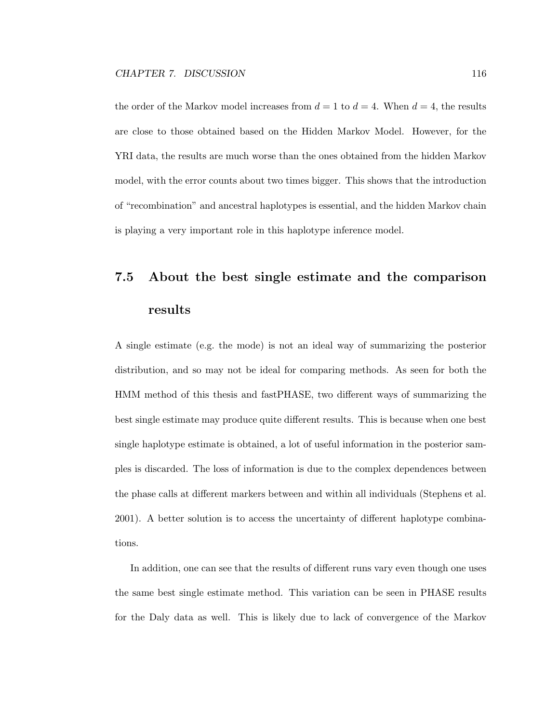the order of the Markov model increases from  $d = 1$  to  $d = 4$ . When  $d = 4$ , the results are close to those obtained based on the Hidden Markov Model. However, for the YRI data, the results are much worse than the ones obtained from the hidden Markov model, with the error counts about two times bigger. This shows that the introduction of "recombination" and ancestral haplotypes is essential, and the hidden Markov chain is playing a very important role in this haplotype inference model.

# 7.5 About the best single estimate and the comparison results

A single estimate (e.g. the mode) is not an ideal way of summarizing the posterior distribution, and so may not be ideal for comparing methods. As seen for both the HMM method of this thesis and fastPHASE, two different ways of summarizing the best single estimate may produce quite different results. This is because when one best single haplotype estimate is obtained, a lot of useful information in the posterior samples is discarded. The loss of information is due to the complex dependences between the phase calls at different markers between and within all individuals (Stephens et al. 2001). A better solution is to access the uncertainty of different haplotype combinations.

In addition, one can see that the results of different runs vary even though one uses the same best single estimate method. This variation can be seen in PHASE results for the Daly data as well. This is likely due to lack of convergence of the Markov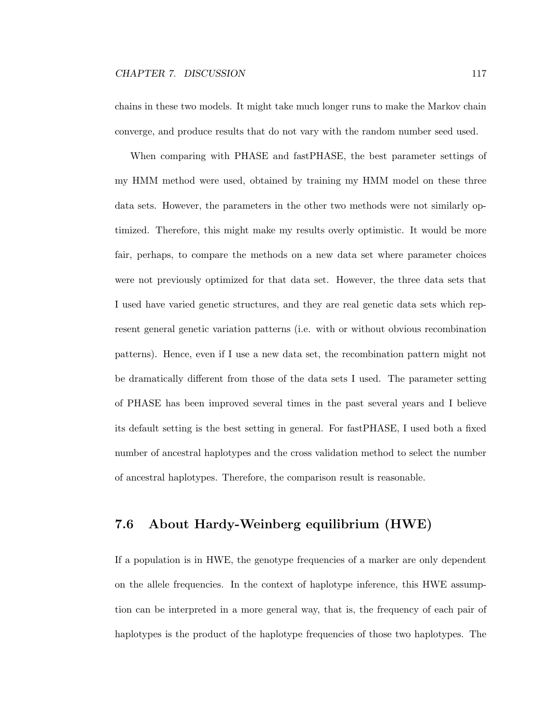chains in these two models. It might take much longer runs to make the Markov chain converge, and produce results that do not vary with the random number seed used.

When comparing with PHASE and fastPHASE, the best parameter settings of my HMM method were used, obtained by training my HMM model on these three data sets. However, the parameters in the other two methods were not similarly optimized. Therefore, this might make my results overly optimistic. It would be more fair, perhaps, to compare the methods on a new data set where parameter choices were not previously optimized for that data set. However, the three data sets that I used have varied genetic structures, and they are real genetic data sets which represent general genetic variation patterns (i.e. with or without obvious recombination patterns). Hence, even if I use a new data set, the recombination pattern might not be dramatically different from those of the data sets I used. The parameter setting of PHASE has been improved several times in the past several years and I believe its default setting is the best setting in general. For fastPHASE, I used both a fixed number of ancestral haplotypes and the cross validation method to select the number of ancestral haplotypes. Therefore, the comparison result is reasonable.

# 7.6 About Hardy-Weinberg equilibrium (HWE)

If a population is in HWE, the genotype frequencies of a marker are only dependent on the allele frequencies. In the context of haplotype inference, this HWE assumption can be interpreted in a more general way, that is, the frequency of each pair of haplotypes is the product of the haplotype frequencies of those two haplotypes. The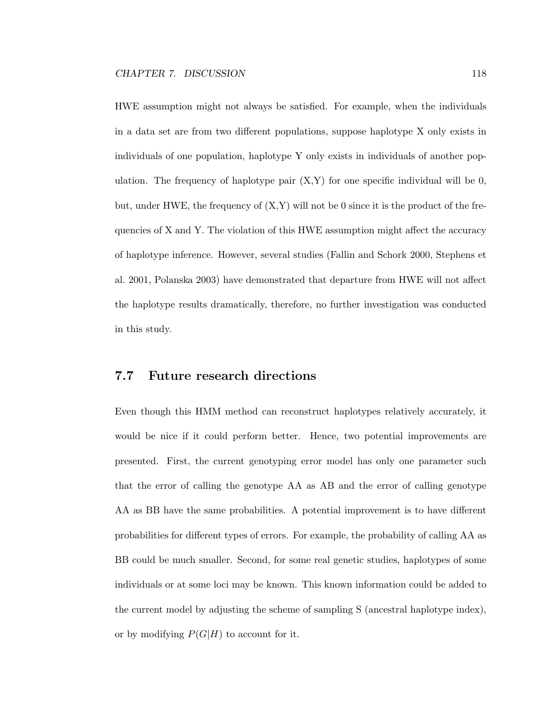HWE assumption might not always be satisfied. For example, when the individuals in a data set are from two different populations, suppose haplotype X only exists in individuals of one population, haplotype Y only exists in individuals of another population. The frequency of haplotype pair  $(X,Y)$  for one specific individual will be 0, but, under HWE, the frequency of  $(X, Y)$  will not be 0 since it is the product of the frequencies of X and Y. The violation of this HWE assumption might affect the accuracy of haplotype inference. However, several studies (Fallin and Schork 2000, Stephens et al. 2001, Polanska 2003) have demonstrated that departure from HWE will not affect the haplotype results dramatically, therefore, no further investigation was conducted in this study.

#### 7.7 Future research directions

Even though this HMM method can reconstruct haplotypes relatively accurately, it would be nice if it could perform better. Hence, two potential improvements are presented. First, the current genotyping error model has only one parameter such that the error of calling the genotype AA as AB and the error of calling genotype AA as BB have the same probabilities. A potential improvement is to have different probabilities for different types of errors. For example, the probability of calling AA as BB could be much smaller. Second, for some real genetic studies, haplotypes of some individuals or at some loci may be known. This known information could be added to the current model by adjusting the scheme of sampling S (ancestral haplotype index), or by modifying  $P(G|H)$  to account for it.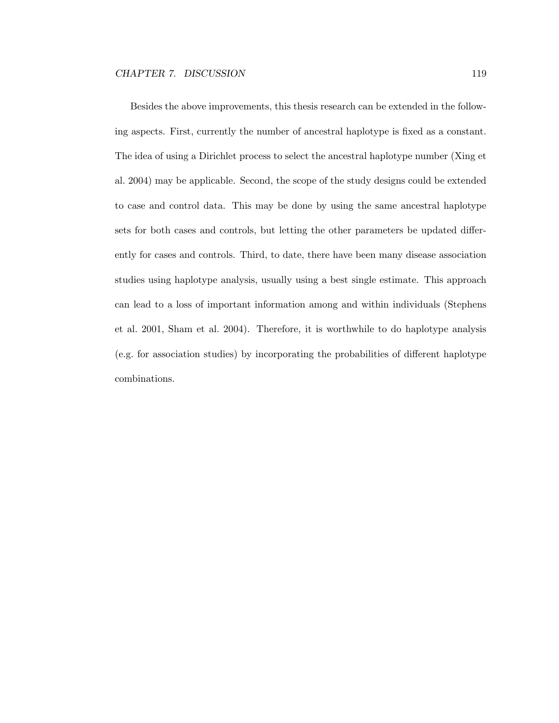Besides the above improvements, this thesis research can be extended in the following aspects. First, currently the number of ancestral haplotype is fixed as a constant. The idea of using a Dirichlet process to select the ancestral haplotype number (Xing et al. 2004) may be applicable. Second, the scope of the study designs could be extended to case and control data. This may be done by using the same ancestral haplotype sets for both cases and controls, but letting the other parameters be updated differently for cases and controls. Third, to date, there have been many disease association studies using haplotype analysis, usually using a best single estimate. This approach can lead to a loss of important information among and within individuals (Stephens et al. 2001, Sham et al. 2004). Therefore, it is worthwhile to do haplotype analysis (e.g. for association studies) by incorporating the probabilities of different haplotype combinations.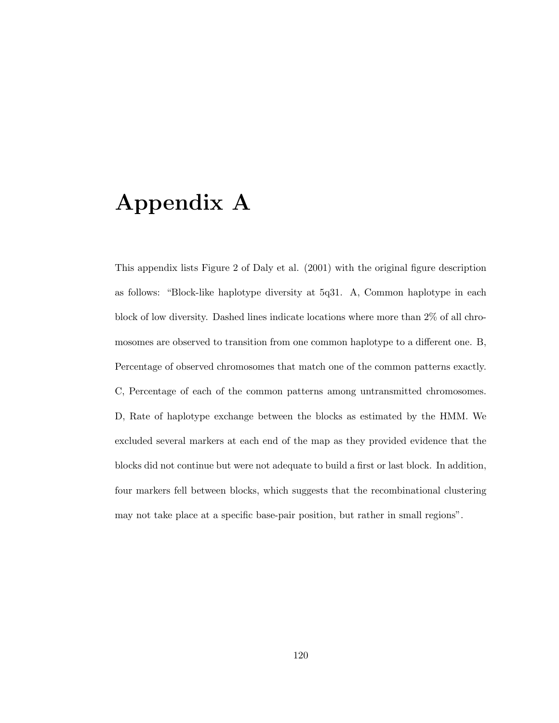# Appendix A

This appendix lists Figure 2 of Daly et al. (2001) with the original figure description as follows: "Block-like haplotype diversity at 5q31. A, Common haplotype in each block of low diversity. Dashed lines indicate locations where more than 2% of all chromosomes are observed to transition from one common haplotype to a different one. B, Percentage of observed chromosomes that match one of the common patterns exactly. C, Percentage of each of the common patterns among untransmitted chromosomes. D, Rate of haplotype exchange between the blocks as estimated by the HMM. We excluded several markers at each end of the map as they provided evidence that the blocks did not continue but were not adequate to build a first or last block. In addition, four markers fell between blocks, which suggests that the recombinational clustering may not take place at a specific base-pair position, but rather in small regions".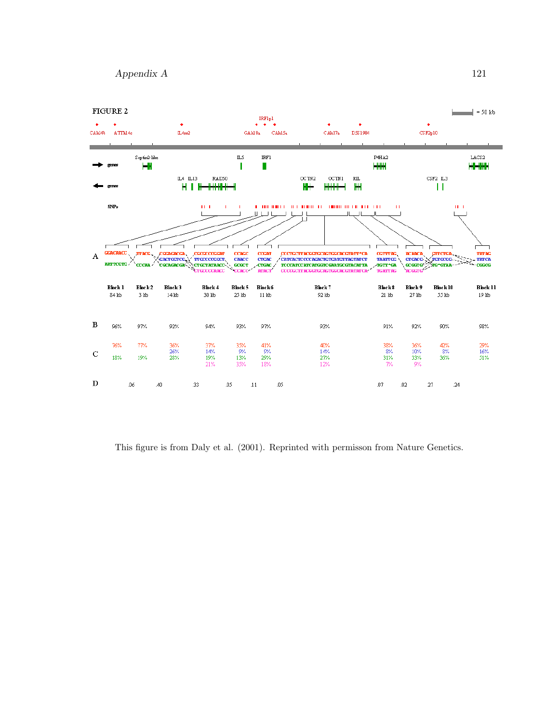

This figure is from Daly et al. (2001). Reprinted with permisson from Nature Genetics.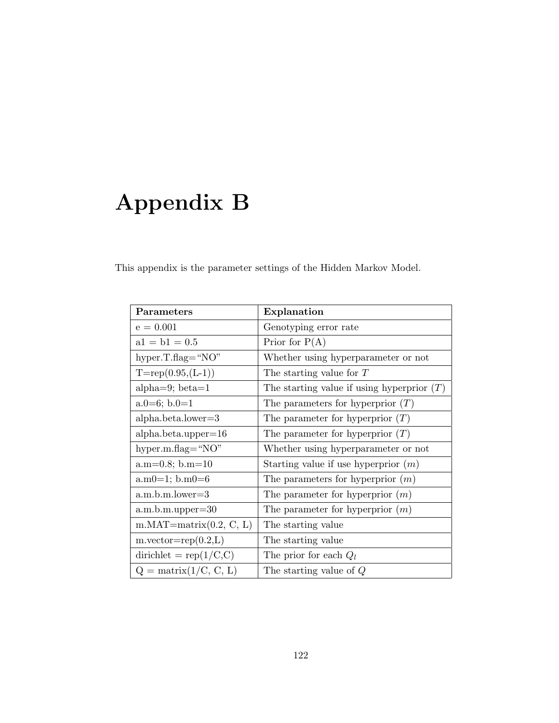# Appendix B

This appendix is the parameter settings of the Hidden Markov Model.

| Parameters                     | Explanation                                  |
|--------------------------------|----------------------------------------------|
| $e = 0.001$                    | Genotyping error rate                        |
| $a1 = b1 = 0.5$                | Prior for $P(A)$                             |
| hyper.T.flag=" $NO$ "          | Whether using hyperparameter or not          |
| $T = rep(0.95,(L-1))$          | The starting value for $T$                   |
| alpha= $9; \text{beta}=1$      | The starting value if using hyperprior $(T)$ |
| $a.0=6$ ; b.0=1                | The parameters for hyperprior $(T)$          |
| $alpha. beta. lower = 3$       | The parameter for hyperprior $(T)$           |
| $alpha. beta.upper=16$         | The parameter for hyperprior $(T)$           |
| hyper.m.flag=" $NO$ "          | Whether using hyperparameter or not          |
| $a.m=0.8; b.m=10$              | Starting value if use hyperprior $(m)$       |
| $a.m0=1; b.m0=6$               | The parameters for hyperprior $(m)$          |
| $a.m.b.m. lower=3$             | The parameter for hyperprior $(m)$           |
| $a.m.b.m.upper=30$             | The parameter for hyperprior $(m)$           |
| $m.MAT = matrix(0.2, C, L)$    | The starting value                           |
| $m \cdot vector = rep(0.2,L)$  | The starting value                           |
| dirichlet = $rep(1/C,C)$       | The prior for each $Q_l$                     |
| $Q = \text{matrix}(1/C, C, L)$ | The starting value of Q                      |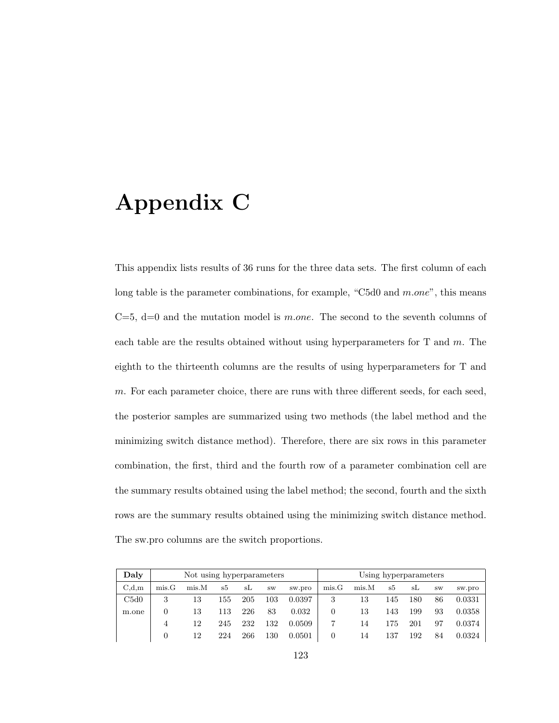# Appendix C

This appendix lists results of 36 runs for the three data sets. The first column of each long table is the parameter combinations, for example, "C5d0 and  $m.one$ ", this means  $C=5, d=0$  and the mutation model is m.one. The second to the seventh columns of each table are the results obtained without using hyperparameters for  $T$  and  $m$ . The eighth to the thirteenth columns are the results of using hyperparameters for T and m. For each parameter choice, there are runs with three different seeds, for each seed, the posterior samples are summarized using two methods (the label method and the minimizing switch distance method). Therefore, there are six rows in this parameter combination, the first, third and the fourth row of a parameter combination cell are the summary results obtained using the label method; the second, fourth and the sixth rows are the summary results obtained using the minimizing switch distance method. The sw.pro columns are the switch proportions.

| Daly  |                | Not using hyperparameters |     |     |                        |        |       |       |     | Using hyperparameters |           |        |
|-------|----------------|---------------------------|-----|-----|------------------------|--------|-------|-------|-----|-----------------------|-----------|--------|
| C.d.m | mis.G          | $m$ is. $M$               | s5  | sL  | $\mathbf{S}\mathbf{W}$ | sw.pro | mis.G | mis.M | s5  | sL                    | <b>SW</b> | sw.pro |
| C5d0  | 3              | 13                        | 155 | 205 | 103                    | 0.0397 | 3     | 13    | 145 | 180                   | 86        | 0.0331 |
| m.one | 0              | 13                        | 113 | 226 | 83                     | 0.032  | 0     | 13    | 143 | 199                   | 93        | 0.0358 |
|       | $\overline{4}$ | 12                        | 245 | 232 | 132                    | 0.0509 |       | 14    | 175 | 201                   | 97        | 0.0374 |
|       | $\overline{0}$ | 12                        | 224 | 266 | 130                    | 0.0501 | 0     | 14    | 137 | 192                   | 84        | 0.0324 |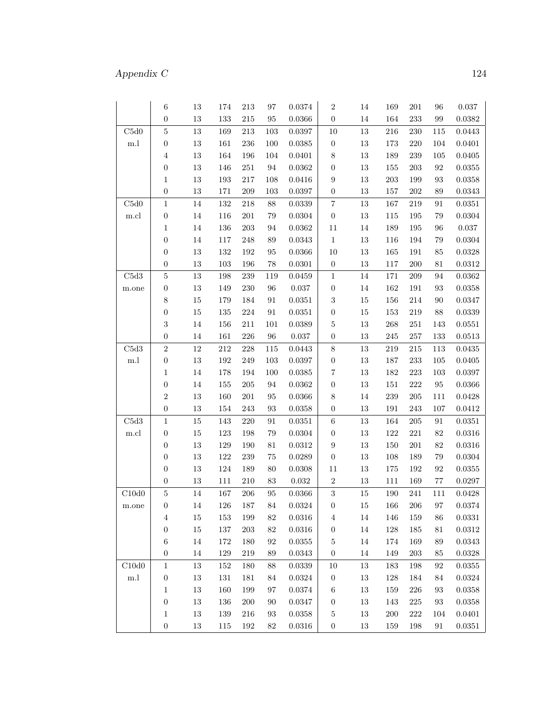# Appendix C 124

|                    | $\,6$            | $13\,$ | $174\,$ | 213     | $\rm 97$          | 0.0374       | $\,2$            | 14     | 169     | 201     | 96                | 0.037        |
|--------------------|------------------|--------|---------|---------|-------------------|--------------|------------------|--------|---------|---------|-------------------|--------------|
|                    | $\boldsymbol{0}$ | $13\,$ | $133\,$ | $215\,$ | 95                | 0.0366       | $\boldsymbol{0}$ | 14     | 164     | $233\,$ | $\rm 99$          | 0.0382       |
| ${\rm C}5{\rm d}0$ | $\bf 5$          | $13\,$ | 169     | $213\,$ | $103\,$           | 0.0397       | 10               | $13\,$ | 216     | 230     | 115               | 0.0443       |
| m.l                | $\boldsymbol{0}$ | $13\,$ | $161\,$ | $\,236$ | 100               | 0.0385       | $\boldsymbol{0}$ | $13\,$ | 173     | $220\,$ | 104               | 0.0401       |
|                    | $\,4\,$          | $13\,$ | $164\,$ | 196     | 104               | 0.0401       | $\,8\,$          | $13\,$ | 189     | $\,239$ | $105\,$           | 0.0405       |
|                    | $\boldsymbol{0}$ | $13\,$ | 146     | $251\,$ | $\bf 94$          | 0.0362       | $\boldsymbol{0}$ | $13\,$ | 155     | $203\,$ | 92                | 0.0355       |
|                    | $\mathbf{1}$     | $13\,$ | $193\,$ | $217\,$ | 108               | 0.0416       | $\boldsymbol{9}$ | $13\,$ | $203\,$ | 199     | $\boldsymbol{93}$ | 0.0358       |
|                    | $\boldsymbol{0}$ | $13\,$ | 171     | $209\,$ | 103               | 0.0397       | $\boldsymbol{0}$ | 13     | 157     | $202\,$ | 89                | 0.0343       |
| C5d0               | $\,1\,$          | 14     | $132\,$ | 218     | 88                | 0.0339       | $\overline{7}$   | $13\,$ | 167     | $219\,$ | 91                | 0.0351       |
| m.cl               | $\boldsymbol{0}$ | $14\,$ | 116     | 201     | 79                | 0.0304       | $\boldsymbol{0}$ | $13\,$ | 115     | 195     | $79\,$            | 0.0304       |
|                    | $\mathbf 1$      | $14\,$ | 136     | $203\,$ | $\,94$            | 0.0362       | 11               | 14     | 189     | 195     | 96                | $\,0.037\,$  |
|                    | $\boldsymbol{0}$ | $14\,$ | $117\,$ | $248\,$ | $89\,$            | 0.0343       | $\,1$            | $13\,$ | 116     | 194     | $79\,$            | 0.0304       |
|                    | $\boldsymbol{0}$ | $13\,$ | $132\,$ | $192\,$ | 95                | 0.0366       | 10               | $13\,$ | 165     | $191\,$ | 85                | 0.0328       |
|                    | $\boldsymbol{0}$ | $13\,$ | $103\,$ | 196     | $78\,$            | $0.0301\,$   | $\boldsymbol{0}$ | $13\,$ | 117     | $200\,$ | $81\,$            | 0.0312       |
| ${\rm C5d3}$       | $\bf 5$          | $13\,$ | 198     | 239     | 119               | 0.0459       | $\,1$            | 14     | $171\,$ | 209     | 94                | $\,0.0362\,$ |
| m.one              | $\boldsymbol{0}$ | $13\,$ | 149     | $230\,$ | $96\,$            | $\,0.037\,$  | $\boldsymbol{0}$ | 14     | 162     | 191     | $\boldsymbol{93}$ | 0.0358       |
|                    | $\,$ $\,$        | $15\,$ | 179     | 184     | $\rm 91$          | 0.0351       | $\sqrt{3}$       | $15\,$ | 156     | 214     | $90\,$            | 0.0347       |
|                    | $\boldsymbol{0}$ | $15\,$ | $135\,$ | $224\,$ | $\rm 91$          | 0.0351       | $\boldsymbol{0}$ | 15     | 153     | $219\,$ | $88\,$            | 0.0339       |
|                    | $\,3$            | 14     | $156\,$ | $211\,$ | 101               | 0.0389       | $\bf 5$          | $13\,$ | $268\,$ | $251\,$ | 143               | 0.0551       |
|                    | $\boldsymbol{0}$ | $14\,$ | 161     | $226\,$ | $96\,$            | $\,0.037\,$  | $\boldsymbol{0}$ | $13\,$ | $245\,$ | 257     | 133               | 0.0513       |
| ${\rm C5d3}$       | $\,2$            | $12\,$ | $212\,$ | $228\,$ | 115               | 0.0443       | $\,$ $\,$        | $13\,$ | $219\,$ | $215\,$ | 113               | 0.0435       |
| m.l                | $\boldsymbol{0}$ | $13\,$ | $192\,$ | $249\,$ | $103\,$           | 0.0397       | $\boldsymbol{0}$ | $13\,$ | 187     | 233     | $105\,$           | 0.0405       |
|                    | $\mathbf{1}$     | 14     | 178     | 194     | 100               | 0.0385       | $\sqrt{7}$       | $13\,$ | 182     | $223\,$ | 103               | 0.0397       |
|                    | $\boldsymbol{0}$ | $14\,$ | $155\,$ | $205\,$ | $\,94$            | 0.0362       | $\boldsymbol{0}$ | $13\,$ | $151\,$ | $222\,$ | $\rm 95$          | 0.0366       |
|                    | $\,2$            | $13\,$ | 160     | 201     | 95                | 0.0366       | $\,8$            | 14     | 239     | 205     | 111               | 0.0428       |
|                    | $\boldsymbol{0}$ | $13\,$ | $154\,$ | $243\,$ | $\boldsymbol{93}$ | 0.0358       | $\boldsymbol{0}$ | $13\,$ | 191     | $243\,$ | 107               | 0.0412       |
| ${\rm C5d3}$       | $\,1\,$          | $15\,$ | 143     | 220     | 91                | 0.0351       | $\,6$            | $13\,$ | 164     | $205\,$ | $\rm 91$          | 0.0351       |
| m.cl               | $\boldsymbol{0}$ | $15\,$ | 123     | $198\,$ | 79                | 0.0304       | $\boldsymbol{0}$ | $13\,$ | 122     | 221     | $82\,$            | 0.0316       |
|                    | $\boldsymbol{0}$ | $13\,$ | 129     | 190     | $81\,$            | 0.0312       | $\boldsymbol{9}$ | $13\,$ | 150     | $201\,$ | $82\,$            | 0.0316       |
|                    | $\boldsymbol{0}$ | $13\,$ | 122     | 239     | $75\,$            | 0.0289       | $\boldsymbol{0}$ | $13\,$ | 108     | 189     | $79\,$            | 0.0304       |
|                    | $\boldsymbol{0}$ | $13\,$ | $124\,$ | 189     | $80\,$            | 0.0308       | 11               | $13\,$ | 175     | 192     | $\boldsymbol{92}$ | 0.0355       |
|                    | $\boldsymbol{0}$ | $13\,$ | 111     | $210\,$ | $83\,$            | $\,0.032\,$  | $\,2$            | $13\,$ | 111     | 169     | $77\,$            | 0.0297       |
| C10d0              | $\bf 5$          | 14     | 167     | $\,206$ | $\rm 95$          | 0.0366       | $\,3$            | 15     | 190     | 241     | 111               | 0.0428       |
| m.one              | $\boldsymbol{0}$ | $14\,$ | 126     | 187     | 84                | 0.0324       | $\boldsymbol{0}$ | $15\,$ | 166     | 206     | $\rm 97$          | 0.0374       |
|                    | $\overline{4}$   | $15\,$ | $153\,$ | 199     | 82                | $\,0.0316\,$ | $\,4\,$          | 14     | 146     | 159     | 86                | 0.0331       |
|                    | $\boldsymbol{0}$ | $15\,$ | $137\,$ | $\,203$ | 82                | $\,0.0316\,$ | $\boldsymbol{0}$ | 14     | 128     | 185     | $81\,$            | 0.0312       |
|                    | $\,6$            | $14\,$ | $172\,$ | 180     | $\boldsymbol{92}$ | $\,0.0355\,$ | $\bf 5$          | 14     | 174     | 169     | $89\,$            | $\,0.0343\,$ |
|                    | $\boldsymbol{0}$ | 14     | $129\,$ | $219\,$ | 89                | $\,0.0343\,$ | $\boldsymbol{0}$ | 14     | 149     | $203\,$ | $85\,$            | 0.0328       |
| C10d0              | $\,1\,$          | $13\,$ | $152\,$ | 180     | 88                | $\,0.0339\,$ | $10\,$           | $13\,$ | 183     | 198     | 92                | $\,0.0355\,$ |
| m.l                | $\boldsymbol{0}$ | 13     | 131     | 181     | 84                | 0.0324       | $\boldsymbol{0}$ | 13     | 128     | 184     | 84                | 0.0324       |
|                    | $\mathbf{1}$     | $13\,$ | $160\,$ | 199     | 97                | $\,0.0374\,$ | $\,6$            | 13     | 159     | $226\,$ | 93                | 0.0358       |
|                    | $\boldsymbol{0}$ | $13\,$ | $136\,$ | $200\,$ | 90                | $0.0347\,$   | $\boldsymbol{0}$ | 13     | 143     | $225\,$ | $\boldsymbol{93}$ | 0.0358       |
|                    | $\mathbf{1}$     | $13\,$ | $139\,$ | $216\,$ | 93                | $\,0.0358\,$ | $\mathbf 5$      | 13     | 200     | $222\,$ | 104               | 0.0401       |
|                    | $\boldsymbol{0}$ | $13\,$ | 115     | 192     | 82                | $\,0.0316\,$ | $\boldsymbol{0}$ | $13\,$ | 159     | 198     | 91                | $\,0.0351\,$ |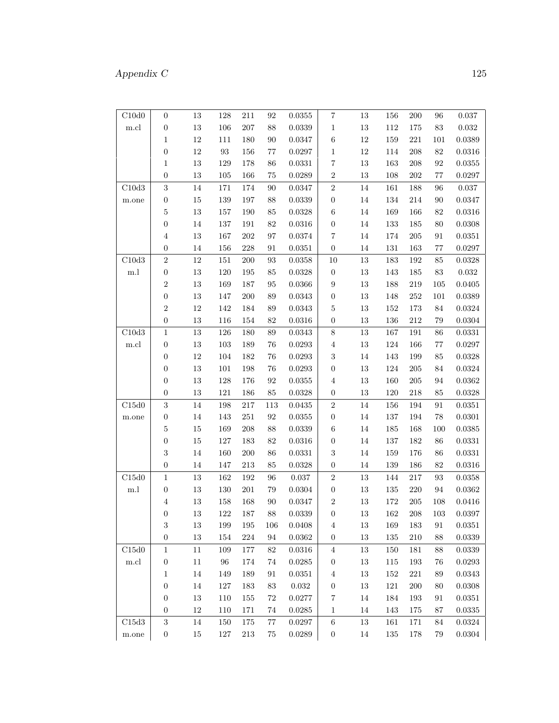# $\Large \textbf{Appendix C} \tag{125}$

| C10d0               | $\boldsymbol{0}$ | 13     | 128               | 211     | 92                | $\, 0.0355\,$  | 7                | 13     | 156     | 200     | 96                | 0.037         |
|---------------------|------------------|--------|-------------------|---------|-------------------|----------------|------------------|--------|---------|---------|-------------------|---------------|
| $_{\rm m. cl}$      | $\boldsymbol{0}$ | $13\,$ | $106\,$           | $207\,$ | $88\,$            | 0.0339         | $\,1$            | $13\,$ | $112\,$ | 175     | 83                | $\,0.032\,$   |
|                     | $\mathbf{1}$     | 12     | $111\,$           | $180\,$ | $90\,$            | 0.0347         | $\,6$            | $12\,$ | $159\,$ | $221\,$ | 101               | 0.0389        |
|                     | $\boldsymbol{0}$ | $12\,$ | $\boldsymbol{93}$ | 156     | $77\,$            | 0.0297         | $\,1$            | $12\,$ | 114     | $208\,$ | 82                | 0.0316        |
|                     | $\,1$            | $13\,$ | 129               | $178\,$ | $86\,$            | $\,0.0331\,$   | $\overline{7}$   | $13\,$ | 163     | $208\,$ | 92                | $\,0.0355\,$  |
|                     | $\boldsymbol{0}$ | 13     | 105               | 166     | $75\,$            | 0.0289         | $\sqrt{2}$       | $13\,$ | 108     | $202\,$ | $77\,$            | 0.0297        |
| C10d3               | $\sqrt{3}$       | 14     | $171\,$           | 174     | 90                | 0.0347         | $\,2$            | $14\,$ | $161\,$ | 188     | 96                | $\,0.037\,$   |
| m.one               | $\boldsymbol{0}$ | $15\,$ | $139\,$           | 197     | $88\,$            | 0.0339         | $\boldsymbol{0}$ | $14\,$ | 134     | $214\,$ | 90                | 0.0347        |
|                     | $\bf 5$          | $13\,$ | $157\,$           | $190\,$ | $85\,$            | 0.0328         | $\,$ 6 $\,$      | $14\,$ | 169     | 166     | 82                | 0.0316        |
|                     | $\boldsymbol{0}$ | $14\,$ | $137\,$           | $191\,$ | $82\,$            | 0.0316         | $\boldsymbol{0}$ | $14\,$ | $133\,$ | 185     | 80                | 0.0308        |
|                     | $\,4\,$          | $13\,$ | $167\,$           | $202\,$ | $\rm 97$          | 0.0374         | $\overline{7}$   | $14\,$ | 174     | $205\,$ | $\rm 91$          | 0.0351        |
|                     | $\boldsymbol{0}$ | 14     | $156\,$           | $228\,$ | $\rm 91$          | $\,0.0351\,$   | $\boldsymbol{0}$ | $14\,$ | $131\,$ | 163     | $77\,$            | 0.0297        |
| ${\rm C}10{\rm d}3$ | $\,2$            | 12     | $151\,$           | $200\,$ | $\boldsymbol{93}$ | 0.0358         | $10\,$           | $13\,$ | $183\,$ | 192     | 85                | 0.0328        |
| m.l                 | $\boldsymbol{0}$ | $13\,$ | $120\,$           | 195     | $85\,$            | 0.0328         | $\boldsymbol{0}$ | $13\,$ | 143     | 185     | $83\,$            | $\,0.032\,$   |
|                     | $\sqrt{2}$       | $13\,$ | 169               | 187     | $\rm 95$          | 0.0366         | $\boldsymbol{9}$ | $13\,$ | 188     | $219\,$ | $105\,$           | 0.0405        |
|                     | $\boldsymbol{0}$ | $13\,$ | 147               | $200\,$ | 89                | 0.0343         | $\boldsymbol{0}$ | $13\,$ | 148     | $252\,$ | $101\,$           | 0.0389        |
|                     | $\sqrt{2}$       | $12\,$ | $142\,$           | 184     | 89                | 0.0343         | $\bf 5$          | $13\,$ | $152\,$ | 173     | 84                | 0.0324        |
|                     | $\boldsymbol{0}$ | $13\,$ | $116\,$           | $154\,$ | $82\,$            | 0.0316         | $\boldsymbol{0}$ | $13\,$ | $136\,$ | $212\,$ | 79                | 0.0304        |
| ${\rm C}10{\rm d}3$ | $\,1$            | 13     | $126\,$           | 180     | $89\,$            | 0.0343         | $\,8\,$          | $13\,$ | $167\,$ | 191     | 86                | 0.0331        |
| $_{\rm m,cl}$       | $\boldsymbol{0}$ | $13\,$ | $103\,$           | 189     | $76\,$            | 0.0293         | $\overline{4}$   | $13\,$ | 124     | 166     | $77\,$            | 0.0297        |
|                     | $\boldsymbol{0}$ | $12\,$ | $104\,$           | 182     | $76\,$            | 0.0293         | $\sqrt{3}$       | 14     | 143     | 199     | 85                | 0.0328        |
|                     | $\boldsymbol{0}$ | $13\,$ | $101\,$           | 198     | $76\,$            | 0.0293         | $\boldsymbol{0}$ | $13\,$ | 124     | $205\,$ | 84                | 0.0324        |
|                     | $\boldsymbol{0}$ | $13\,$ | $128\,$           | $176\,$ | $\boldsymbol{92}$ | $\,0.0355\,$   | $\,4\,$          | $13\,$ | $160\,$ | 205     | 94                | 0.0362        |
|                     | $\boldsymbol{0}$ | $13\,$ | $121\,$           | 186     | 85                | 0.0328         | $\boldsymbol{0}$ | $13\,$ | 120     | $218\,$ | 85                | 0.0328        |
| ${\rm C}15{\rm d}0$ | $\sqrt{3}$       | 14     | 198               | $217\,$ | 113               | 0.0435         | $\,2$            | $14\,$ | 156     | 194     | $\rm 91$          | 0.0351        |
| m.one               | $\boldsymbol{0}$ | 14     | 143               | $251\,$ | $\boldsymbol{92}$ | $\, 0.0355\,$  | $\boldsymbol{0}$ | $14\,$ | $137\,$ | $194\,$ | 78                | 0.0301        |
|                     | $\bf 5$          | $15\,$ | 169               | 208     | $88\,$            | 0.0339         | $\,$ 6 $\,$      | $14\,$ | $185\,$ | 168     | 100               | $\, 0.0385\,$ |
|                     | $\boldsymbol{0}$ | $15\,$ | $127\,$           | $183\,$ | $82\,$            | 0.0316         | $\boldsymbol{0}$ | $14\,$ | $137\,$ | 182     | 86                | 0.0331        |
|                     | 3                | $14\,$ | $160\,$           | $200\,$ | $86\,$            | $\, 0.0331 \,$ | $\sqrt{3}$       | $14\,$ | 159     | 176     | 86                | 0.0331        |
|                     | $\boldsymbol{0}$ | 14     | $147\,$           | $213\,$ | $85\,$            | 0.0328         | $\boldsymbol{0}$ | 14     | 139     | 186     | 82                | 0.0316        |
| C15d0               | $\mathbf 1$      | 13     | $162\,$           | $192\,$ | $96\,$            | 0.037          | $\sqrt{2}$       | $13\,$ | 144     | $217\,$ | $\boldsymbol{93}$ | 0.0358        |
| m.l                 | $\boldsymbol{0}$ | $13\,$ | $130\,$           | $201\,$ | $79\,$            | 0.0304         | $\boldsymbol{0}$ | $13\,$ | $135\,$ | $220\,$ | 94                | 0.0362        |
|                     | $\,4\,$          | 13     | 158               | 168     | $90\,$            | 0.0347         | $\boldsymbol{2}$ | $13\,$ | $172\,$ | 205     | 108               | 0.0416        |
|                     | $\boldsymbol{0}$ | 13     | 122               | 187     | 88                | 0.0339         | $\boldsymbol{0}$ | $13\,$ | 162     | 208     | $103\,$           | 0.0397        |
|                     | $\,3$            | $13\,$ | $199\,$           | 195     | 106               | 0.0408         | $\overline{4}$   | $13\,$ | 169     | 183     | 91                | $\,0.0351\,$  |
|                     | $\boldsymbol{0}$ | 13     | $154\,$           | $224\,$ | 94                | 0.0362         | $\boldsymbol{0}$ | $13\,$ | 135     | 210     | 88                | $\,0.0339\,$  |
| C15d0               | $\mathbf{1}$     | 11     | 109               | $177\,$ | 82                | $\,0.0316\,$   | $\overline{4}$   | 13     | 150     | 181     | 88                | ${0.0339}$    |
| m.cl                | $\boldsymbol{0}$ | 11     | 96                | 174     | 74                | 0.0285         | $\boldsymbol{0}$ | 13     | $115\,$ | 193     | 76                | 0.0293        |
|                     | $\mathbf{1}$     | $14\,$ | 149               | 189     | $\rm 91$          | $\,0.0351\,$   | $\overline{4}$   | $13\,$ | $152\,$ | $221\,$ | 89                | 0.0343        |
|                     | $\boldsymbol{0}$ | 14     | $127\,$           | 183     | 83                | $\,0.032\,$    | $\boldsymbol{0}$ | 13     | $121\,$ | $200\,$ | 80                | $\,0.0308\,$  |
|                     | $\boldsymbol{0}$ | $13\,$ | 110               | 155     | $72\,$            | 0.0277         | 7                | 14     | 184     | 193     | 91                | $\,0.0351\,$  |
|                     | $\boldsymbol{0}$ | 12     | 110               | 171     | 74                | 0.0285         | $\mathbf{1}$     | 14     | 143     | 175     | 87                | 0.0335        |
| C15d3               | $\sqrt{3}$       | 14     | 150               | 175     | $77\,$            | 0.0297         | $\,6$            | $13\,$ | $161\,$ | 171     | 84                | 0.0324        |
| $m.$ one            | $\boldsymbol{0}$ | $15\,$ | $127\,$           | $213\,$ | 75                | 0.0289         | $\boldsymbol{0}$ | $14\,$ | $135\,$ | 178     | $79\,$            | $\,0.0304\,$  |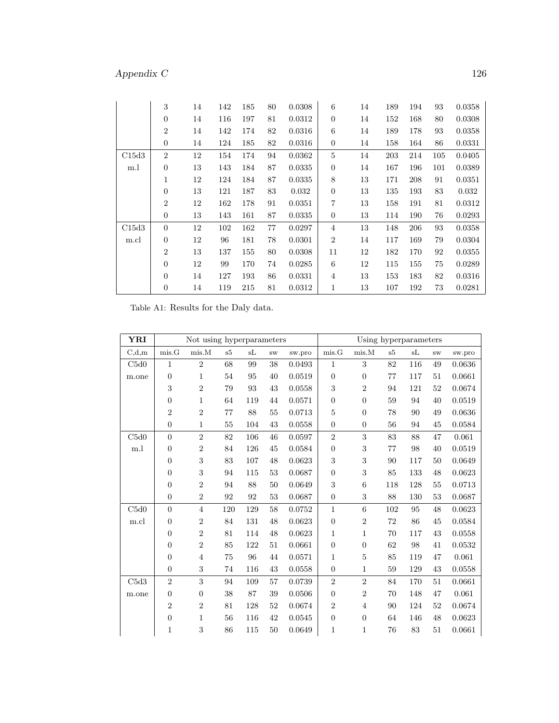# $\Large \textbf{Appendix~}C \textbf{ \textcolor{red}{126}}$

|       | $\,3$            | 14 | 142 | 185 | 80 | 0.0308 | 6                | 14 | 189 | 194 | 93  | 0.0358 |
|-------|------------------|----|-----|-----|----|--------|------------------|----|-----|-----|-----|--------|
|       | $\boldsymbol{0}$ | 14 | 116 | 197 | 81 | 0.0312 | $\boldsymbol{0}$ | 14 | 152 | 168 | 80  | 0.0308 |
|       | $\boldsymbol{2}$ | 14 | 142 | 174 | 82 | 0.0316 | $\,6$            | 14 | 189 | 178 | 93  | 0.0358 |
|       | $\overline{0}$   | 14 | 124 | 185 | 82 | 0.0316 | $\boldsymbol{0}$ | 14 | 158 | 164 | 86  | 0.0331 |
| C15d3 | $\overline{2}$   | 12 | 154 | 174 | 94 | 0.0362 | $\overline{5}$   | 14 | 203 | 214 | 105 | 0.0405 |
| m.l   | $\overline{0}$   | 13 | 143 | 184 | 87 | 0.0335 | $\overline{0}$   | 14 | 167 | 196 | 101 | 0.0389 |
|       | 1                | 12 | 124 | 184 | 87 | 0.0335 | $\,8\,$          | 13 | 171 | 208 | 91  | 0.0351 |
|       | $\overline{0}$   | 13 | 121 | 187 | 83 | 0.032  | $\overline{0}$   | 13 | 135 | 193 | 83  | 0.032  |
|       | $\overline{2}$   | 12 | 162 | 178 | 91 | 0.0351 | $\overline{7}$   | 13 | 158 | 191 | 81  | 0.0312 |
|       | $\overline{0}$   | 13 | 143 | 161 | 87 | 0.0335 | $\boldsymbol{0}$ | 13 | 114 | 190 | 76  | 0.0293 |
| C15d3 | $\overline{0}$   | 12 | 102 | 162 | 77 | 0.0297 | $\overline{4}$   | 13 | 148 | 206 | 93  | 0.0358 |
| m.cl  | $\boldsymbol{0}$ | 12 | 96  | 181 | 78 | 0.0301 | $\overline{2}$   | 14 | 117 | 169 | 79  | 0.0304 |
|       | $\overline{2}$   | 13 | 137 | 155 | 80 | 0.0308 | 11               | 12 | 182 | 170 | 92  | 0.0355 |
|       | $\overline{0}$   | 12 | 99  | 170 | 74 | 0.0285 | 6                | 12 | 115 | 155 | 75  | 0.0289 |
|       | $\boldsymbol{0}$ | 14 | 127 | 193 | 86 | 0.0331 | $\overline{4}$   | 13 | 153 | 183 | 82  | 0.0316 |
|       | $\theta$         | 14 | 119 | 215 | 81 | 0.0312 | 1                | 13 | 107 | 192 | 73  | 0.0281 |

Table A1: Results for the Daly data.

| YRI   |                  | Not using hyperparameters |            |     |               |              | Using hyperparameters |                  |     |     |                     |        |
|-------|------------------|---------------------------|------------|-----|---------------|--------------|-----------------------|------------------|-----|-----|---------------------|--------|
| C,d,m | mis.G            | $_{\rm mis.M}$            | ${\rm s}5$ | sL  | $\mathrm{SW}$ | sw.pro       | mis.G                 | mis.M            | s5  | sL  | $\operatorname{SW}$ | sw.pro |
| C5d0  | $\mathbf{1}$     | $\overline{2}$            | 68         | 99  | 38            | 0.0493       | 1                     | 3                | 82  | 116 | 49                  | 0.0636 |
| m.one | $\boldsymbol{0}$ | $\mathbf{1}$              | 54         | 95  | 40            | 0.0519       | $\overline{0}$        | $\overline{0}$   | 77  | 117 | 51                  | 0.0661 |
|       | 3                | $\boldsymbol{2}$          | 79         | 93  | 43            | 0.0558       | $\sqrt{3}$            | $\overline{2}$   | 94  | 121 | 52                  | 0.0674 |
|       | $\overline{0}$   | 1                         | 64         | 119 | 44            | 0.0571       | $\boldsymbol{0}$      | $\overline{0}$   | 59  | 94  | 40                  | 0.0519 |
|       | $\overline{2}$   | $\overline{2}$            | 77         | 88  | 55            | 0.0713       | $\bf 5$               | $\overline{0}$   | 78  | 90  | 49                  | 0.0636 |
|       | $\overline{0}$   | $\mathbf{1}$              | 55         | 104 | 43            | 0.0558       | $\boldsymbol{0}$      | $\overline{0}$   | 56  | 94  | 45                  | 0.0584 |
| C5d0  | $\overline{0}$   | $\overline{2}$            | 82         | 106 | 46            | 0.0597       | $\sqrt{2}$            | 3                | 83  | 88  | 47                  | 0.061  |
| m.l   | $\overline{0}$   | $\boldsymbol{2}$          | 84         | 126 | 45            | 0.0584       | $\boldsymbol{0}$      | $\boldsymbol{3}$ | 77  | 98  | 40                  | 0.0519 |
|       | $\theta$         | 3                         | 83         | 107 | 48            | $\,0.0623\,$ | $\,3$                 | 3                | 90  | 117 | 50                  | 0.0649 |
|       | $\boldsymbol{0}$ | 3                         | 94         | 115 | 53            | 0.0687       | $\boldsymbol{0}$      | $\boldsymbol{3}$ | 85  | 133 | 48                  | 0.0623 |
|       | $\theta$         | $\boldsymbol{2}$          | 94         | 88  | 50            | 0.0649       | $\sqrt{3}$            | 6                | 118 | 128 | 55                  | 0.0713 |
|       | $\theta$         | $\overline{2}$            | 92         | 92  | 53            | 0.0687       | $\boldsymbol{0}$      | 3                | 88  | 130 | 53                  | 0.0687 |
| C5d0  | $\overline{0}$   | $\overline{4}$            | 120        | 129 | 58            | 0.0752       | $\,1$                 | 6                | 102 | 95  | 48                  | 0.0623 |
| m.cl  | $\overline{0}$   | $\overline{2}$            | 84         | 131 | 48            | 0.0623       | $\boldsymbol{0}$      | $\overline{2}$   | 72  | 86  | 45                  | 0.0584 |
|       | $\theta$         | $\overline{2}$            | 81         | 114 | 48            | 0.0623       | $\mathbf{1}$          | $\mathbf{1}$     | 70  | 117 | 43                  | 0.0558 |
|       | $\overline{0}$   | $\overline{2}$            | 85         | 122 | 51            | 0.0661       | $\boldsymbol{0}$      | $\overline{0}$   | 62  | 98  | 41                  | 0.0532 |
|       | $\overline{0}$   | $\overline{4}$            | 75         | 96  | 44            | 0.0571       | 1                     | $\overline{5}$   | 85  | 119 | 47                  | 0.061  |
|       | $\theta$         | 3                         | 74         | 116 | 43            | 0.0558       | $\boldsymbol{0}$      | 1                | 59  | 129 | 43                  | 0.0558 |
| C5d3  | $\overline{2}$   | 3                         | 94         | 109 | 57            | 0.0739       | $\sqrt{2}$            | $\sqrt{2}$       | 84  | 170 | 51                  | 0.0661 |
| m.one | $\theta$         | $\overline{0}$            | 38         | 87  | 39            | 0.0506       | $\boldsymbol{0}$      | $\overline{2}$   | 70  | 148 | 47                  | 0.061  |
|       | $\overline{2}$   | $\overline{2}$            | 81         | 128 | 52            | 0.0674       | $\overline{2}$        | $\overline{4}$   | 90  | 124 | 52                  | 0.0674 |
|       | $\overline{0}$   | 1                         | 56         | 116 | 42            | 0.0545       | $\boldsymbol{0}$      | $\overline{0}$   | 64  | 146 | 48                  | 0.0623 |
|       | 1                | 3                         | 86         | 115 | 50            | 0.0649       | 1                     | 1                | 76  | 83  | 51                  | 0.0661 |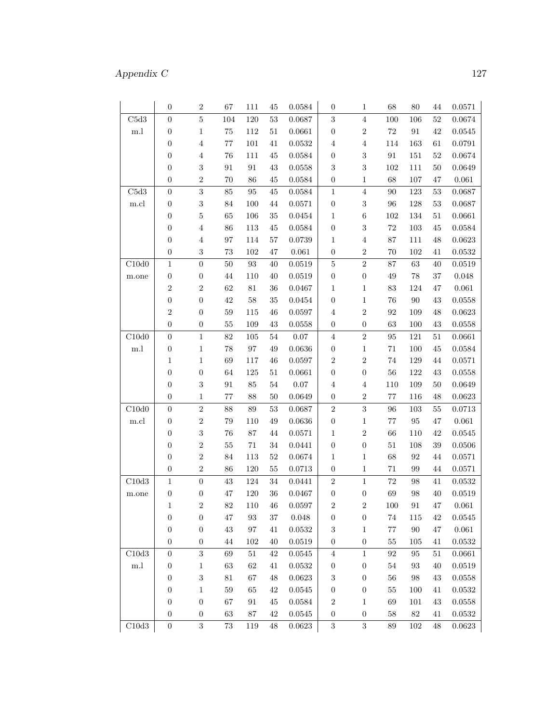# Appendix C 127

|                     | $\boldsymbol{0}$ | $\overline{2}$   | 67       | 111               | 45     | 0.0584       | $\boldsymbol{0}$ | $\mathbf{1}$     | 68      | 80     | 44     | $0.0571\,$   |
|---------------------|------------------|------------------|----------|-------------------|--------|--------------|------------------|------------------|---------|--------|--------|--------------|
| ${\rm C5d3}$        | $\boldsymbol{0}$ | $\mathbf 5$      | 104      | 120               | $53\,$ | 0.0687       | $\sqrt{3}$       | $\,4\,$          | 100     | 106    | $52\,$ | $\,0.0674\,$ |
| $\, \mathrm{m.l}$   | $\boldsymbol{0}$ | $\mathbf{1}$     | 75       | 112               | 51     | 0.0661       | $\boldsymbol{0}$ | $\,2$            | $72\,$  | 91     | 42     | $\,0.0545\,$ |
|                     | $\boldsymbol{0}$ | $\overline{4}$   | $77\,$   | 101               | 41     | 0.0532       | $\overline{4}$   | $\overline{4}$   | 114     | 163    | 61     | $\,0.0791\,$ |
|                     | $\boldsymbol{0}$ | $\sqrt{4}$       | $76\,$   | 111               | 45     | 0.0584       | $\boldsymbol{0}$ | $\sqrt{3}$       | 91      | 151    | $52\,$ | 0.0674       |
|                     | $\boldsymbol{0}$ | $\sqrt{3}$       | $\rm 91$ | $\rm 91$          | 43     | 0.0558       | $\sqrt{3}$       | $\sqrt{3}$       | $102\,$ | 111    | $50\,$ | 0.0649       |
|                     | $\boldsymbol{0}$ | $\sqrt{2}$       | 70       | 86                | 45     | 0.0584       | $\boldsymbol{0}$ | $\mathbf{1}$     | 68      | 107    | 47     | $\,0.061\,$  |
| ${\rm C5d3}$        | $\boldsymbol{0}$ | $\sqrt{3}$       | 85       | 95                | 45     | 0.0584       | $\mathbf{1}$     | $\overline{4}$   | 90      | 123    | 53     | 0.0687       |
| m.cl                | $\boldsymbol{0}$ | $\sqrt{3}$       | 84       | 100               | 44     | 0.0571       | $\boldsymbol{0}$ | $\sqrt{3}$       | $96\,$  | 128    | 53     | 0.0687       |
|                     | $\boldsymbol{0}$ | $\bf 5$          | 65       | 106               | $35\,$ | 0.0454       | $\mathbf{1}$     | $\,6\,$          | $102\,$ | 134    | $51\,$ | 0.0661       |
|                     | $\boldsymbol{0}$ | $\,4\,$          | $86\,$   | $113\,$           | 45     | 0.0584       | $\boldsymbol{0}$ | $\sqrt{3}$       | $72\,$  | 103    | 45     | $\,0.0584\,$ |
|                     | $\boldsymbol{0}$ | $\sqrt{4}$       | $\rm 97$ | 114               | $57\,$ | 0.0739       | $\mathbf{1}$     | $\overline{4}$   | $87\,$  | 111    | 48     | $\,0.0623\,$ |
|                     | $\boldsymbol{0}$ | $\sqrt{3}$       | $73\,$   | 102               | 47     | $0.061\,$    | $\boldsymbol{0}$ | $\,2$            | 70      | 102    | 41     | $\,0.0532\,$ |
| C10d0               | $\,1\,$          | $\overline{0}$   | 50       | $\boldsymbol{93}$ | 40     | 0.0519       | $\bf 5$          | $\overline{2}$   | 87      | 63     | 40     | 0.0519       |
| m.one               | $\boldsymbol{0}$ | $\boldsymbol{0}$ | 44       | 110               | 40     | $\,0.0519\,$ | $\boldsymbol{0}$ | $\boldsymbol{0}$ | 49      | 78     | 37     | 0.048        |
|                     | $\sqrt{2}$       | $\sqrt{2}$       | 62       | $81\,$            | 36     | 0.0467       | $\mathbf{1}$     | $\mathbf{1}$     | $83\,$  | 124    | 47     | $\,0.061\,$  |
|                     | $\boldsymbol{0}$ | $\boldsymbol{0}$ | 42       | 58                | $35\,$ | 0.0454       | $\boldsymbol{0}$ | $\mathbf{1}$     | $76\,$  | 90     | 43     | 0.0558       |
|                     | $\,2$            | $\boldsymbol{0}$ | $59\,$   | 115               | 46     | 0.0597       | $\sqrt{4}$       | $\,2$            | 92      | 109    | 48     | 0.0623       |
|                     | $\boldsymbol{0}$ | $\boldsymbol{0}$ | 55       | 109               | $43\,$ | 0.0558       | $\boldsymbol{0}$ | $\boldsymbol{0}$ | $63\,$  | 100    | 43     | 0.0558       |
| C10d0               | $\boldsymbol{0}$ | $\,1\,$          | $82\,$   | 105               | $54\,$ | $0.07\,$     | $\,4\,$          | $\sqrt{2}$       | 95      | 121    | $51\,$ | 0.0661       |
| $\rm m.l$           | $\boldsymbol{0}$ | $\mathbf{1}$     | 78       | 97                | 49     | 0.0636       | $\boldsymbol{0}$ | $\,1$            | $71\,$  | 100    | 45     | $\,0.0584\,$ |
|                     | $\mathbf{1}$     | $\mathbf{1}$     | 69       | 117               | 46     | 0.0597       | $\,2$            | $\,2$            | 74      | 129    | 44     | $0.0571\,$   |
|                     | $\boldsymbol{0}$ | $\boldsymbol{0}$ | 64       | 125               | 51     | 0.0661       | $\boldsymbol{0}$ | $\boldsymbol{0}$ | $56\,$  | 122    | 43     | $\,0.0558\,$ |
|                     | $\boldsymbol{0}$ | $\sqrt{3}$       | $\rm 91$ | 85                | 54     | $0.07\,$     | $\sqrt{4}$       | $\overline{4}$   | 110     | 109    | 50     | 0.0649       |
|                     | $\boldsymbol{0}$ | $\,1\,$          | $77\,$   | $88\,$            | 50     | 0.0649       | $\boldsymbol{0}$ | $\,2$            | $77\,$  | 116    | 48     | 0.0623       |
| C10d0               | $\boldsymbol{0}$ | $\sqrt{2}$       | 88       | 89                | 53     | 0.0687       | $\,2$            | $\,3$            | 96      | 103    | 55     | 0.0713       |
| m.cl                | $\boldsymbol{0}$ | $\sqrt{2}$       | 79       | 110               | 49     | 0.0636       | $\boldsymbol{0}$ | $\mathbf{1}$     | 77      | 95     | 47     | $\,0.061\,$  |
|                     | $\boldsymbol{0}$ | $\sqrt{3}$       | 76       | $87\,$            | 44     | 0.0571       | $\mathbf{1}$     | $\,2$            | $66\,$  | 110    | 42     | $\,0.0545\,$ |
|                     | $\boldsymbol{0}$ | $\sqrt{2}$       | 55       | $71\,$            | 34     | 0.0441       | $\boldsymbol{0}$ | $\boldsymbol{0}$ | $51\,$  | 108    | 39     | 0.0506       |
|                     | $\boldsymbol{0}$ | $\sqrt{2}$       | 84       | $113\,$           | $52\,$ | 0.0674       | $\mathbf{1}$     | $\mathbf{1}$     | 68      | 92     | 44     | $0.0571\,$   |
|                     | $\boldsymbol{0}$ | $\sqrt{2}$       | $86\,$   | 120               | $55\,$ | 0.0713       | $\boldsymbol{0}$ | $1\,$            | $71\,$  | 99     | 44     | 0.0571       |
| C10d3               | $\,1\,$          | $\boldsymbol{0}$ | 43       | 124               | $34\,$ | 0.0441       | $\,2$            | $\mathbf{1}$     | $72\,$  | 98     | 41     | $\,0.0532\,$ |
| m.one               | $\boldsymbol{0}$ | $\boldsymbol{0}$ | $47\,$   | 120               | 36     | 0.0467       | $\boldsymbol{0}$ | $\boldsymbol{0}$ | 69      | 98     | 40     | 0.0519       |
|                     | $\mathbf{1}$     | $\overline{2}$   | 82       | 110               | 46     | 0.0597       | $\boldsymbol{2}$ | $\overline{2}$   | 100     | 91     | 47     | 0.061        |
|                     | $\boldsymbol{0}$ | $\boldsymbol{0}$ | 47       | $\boldsymbol{93}$ | 37     | 0.048        | $\boldsymbol{0}$ | $\boldsymbol{0}$ | $74\,$  | 115    | 42     | 0.0545       |
|                     | $\boldsymbol{0}$ | $\boldsymbol{0}$ | 43       | 97                | 41     | 0.0532       | $\sqrt{3}$       | $\mathbf{1}$     | $77\,$  | 90     | 47     | $\,0.061\,$  |
|                     | $\boldsymbol{0}$ | $\boldsymbol{0}$ | 44       | 102               | 40     | 0.0519       | $\boldsymbol{0}$ | $\boldsymbol{0}$ | $55\,$  | 105    | 41     | $\,0.0532\,$ |
| C10d3               | $\boldsymbol{0}$ | $\boldsymbol{3}$ | 69       | 51                | 42     | 0.0545       | $\,4\,$          | $\mathbf{1}$     | 92      | 95     | 51     | 0.0661       |
| m.l                 | $\boldsymbol{0}$ | $\mathbf{1}$     | 63       | 62                | 41     | 0.0532       | $\boldsymbol{0}$ | $\boldsymbol{0}$ | 54      | 93     | 40     | 0.0519       |
|                     | $\boldsymbol{0}$ | $\boldsymbol{3}$ | 81       | 67                | 48     | 0.0623       | $\sqrt{3}$       | $\boldsymbol{0}$ | 56      | $98\,$ | 43     | 0.0558       |
|                     | $\boldsymbol{0}$ | $\mathbf{1}$     | $59\,$   | 65                | 42     | 0.0545       | $\boldsymbol{0}$ | $\boldsymbol{0}$ | 55      | 100    | 41     | 0.0532       |
|                     | $\boldsymbol{0}$ | $\boldsymbol{0}$ | 67       | 91                | 45     | 0.0584       | $\boldsymbol{2}$ | $\mathbf{1}$     | 69      | 101    | 43     | 0.0558       |
|                     | $\boldsymbol{0}$ | $\boldsymbol{0}$ | $63\,$   | $87\,$            | 42     | 0.0545       | $\boldsymbol{0}$ | $\boldsymbol{0}$ | 58      | $82\,$ | 41     | $\,0.0532\,$ |
| ${\rm C}10{\rm d}3$ | $\boldsymbol{0}$ | $\sqrt{3}$       | 73       | 119               | 48     | $\,0.0623\,$ | $\sqrt{3}$       | $\overline{3}$   | $89\,$  | 102    | 48     | 0.0623       |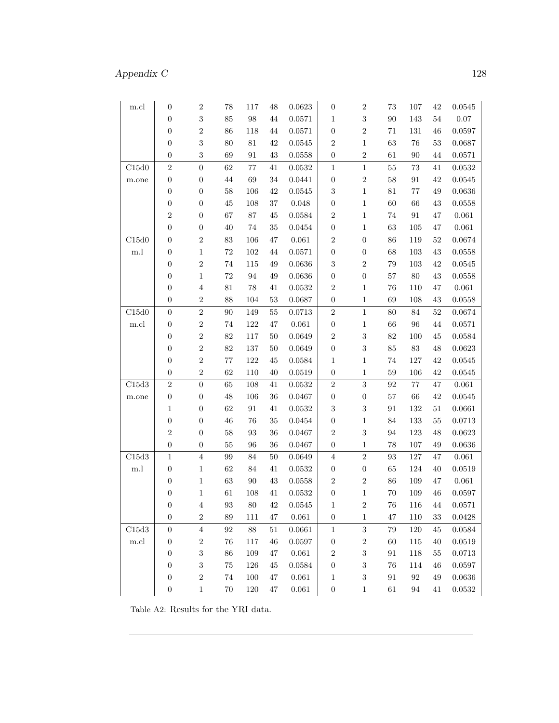# $\Large \textbf{Appendix C} \tag{128}$

| m.cl  | $\boldsymbol{0}$ | $\sqrt{2}$              | 78          | 117               | 48       | 0.0623         | $\boldsymbol{0}$ | $\sqrt{2}$              | $73\,$            | 107      | 42          | 0.0545       |
|-------|------------------|-------------------------|-------------|-------------------|----------|----------------|------------------|-------------------------|-------------------|----------|-------------|--------------|
|       | $\boldsymbol{0}$ | $\overline{\mathbf{3}}$ | $85\,$      | $98\,$            | 44       | 0.0571         | $\,1$            | $\sqrt{3}$              | $90\,$            | 143      | $54\,$      | $0.07\,$     |
|       | $\boldsymbol{0}$ | $\boldsymbol{2}$        | $86\,$      | 118               | 44       | 0.0571         | $\boldsymbol{0}$ | $\sqrt{2}$              | $71\,$            | 131      | 46          | 0.0597       |
|       | $\boldsymbol{0}$ | $\sqrt{3}$              | 80          | $81\,$            | 42       | 0.0545         | $\sqrt{2}$       | 1                       | $63\,$            | 76       | $53\,$      | 0.0687       |
|       | $\boldsymbol{0}$ | $\,3$                   | 69          | $\rm 91$          | $43\,$   | 0.0558         | $\boldsymbol{0}$ | $\sqrt{2}$              | 61                | 90       | $\rm 44$    | 0.0571       |
| C15d0 | $\sqrt{2}$       | $\boldsymbol{0}$        | $62\,$      | $77\,$            | 41       | 0.0532         | $\,1$            | $\,1\,$                 | $55\,$            | 73       | 41          | 0.0532       |
| m.one | $\boldsymbol{0}$ | $\boldsymbol{0}$        | $\rm 44$    | $69\,$            | $34\,$   | 0.0441         | $\boldsymbol{0}$ | $\sqrt{2}$              | $58\,$            | $\rm 91$ | 42          | 0.0545       |
|       | $\boldsymbol{0}$ | $\boldsymbol{0}$        | $58\,$      | 106               | 42       | 0.0545         | $\sqrt{3}$       | $\,1$                   | 81                | 77       | 49          | 0.0636       |
|       | $\boldsymbol{0}$ | $\boldsymbol{0}$        | $\rm 45$    | 108               | $37\,$   | $0.048\,$      | $\boldsymbol{0}$ | $\mathbf{1}$            | $60\,$            | 66       | 43          | 0.0558       |
|       | $\boldsymbol{2}$ | $\boldsymbol{0}$        | 67          | $87\,$            | 45       | 0.0584         | $\boldsymbol{2}$ | $\,1$                   | $74\,$            | 91       | $47\,$      | 0.061        |
|       | $\boldsymbol{0}$ | $\boldsymbol{0}$        | 40          | $74\,$            | 35       | 0.0454         | $\boldsymbol{0}$ | $\,1$                   | $63\,$            | 105      | 47          | 0.061        |
| C15d0 | $\boldsymbol{0}$ | $\,2$                   | 83          | 106               | 47       | 0.061          | $\sqrt{2}$       | $\boldsymbol{0}$        | $86\,$            | 119      | $52\,$      | 0.0674       |
| m.l   | $\boldsymbol{0}$ | 1                       | $72\,$      | $102\,$           | 44       | 0.0571         | $\boldsymbol{0}$ | $\boldsymbol{0}$        | $68\,$            | 103      | $43\,$      | 0.0558       |
|       | $\boldsymbol{0}$ | $\sqrt{2}$              | $74\,$      | 115               | 49       | 0.0636         | $\boldsymbol{3}$ | $\sqrt{2}$              | $79\,$            | 103      | 42          | 0.0545       |
|       | $\boldsymbol{0}$ | $\mathbf{1}$            | $72\,$      | $\,94$            | 49       | 0.0636         | $\boldsymbol{0}$ | $\boldsymbol{0}$        | $57\,$            | 80       | 43          | 0.0558       |
|       | $\boldsymbol{0}$ | $\,4\,$                 | $81\,$      | $78\,$            | 41       | $\, 0.0532\,$  | $\boldsymbol{2}$ | $\,1$                   | $76\,$            | 110      | 47          | 0.061        |
|       | $\boldsymbol{0}$ | $\sqrt{2}$              | $88\,$      | 104               | $53\,$   | 0.0687         | $\boldsymbol{0}$ | $\mathbf{1}$            | 69                | 108      | 43          | 0.0558       |
| C15d0 | $\boldsymbol{0}$ | $\sqrt{2}$              | 90          | 149               | $55\,$   | 0.0713         | $\,2$            | $\,1\,$                 | $80\,$            | 84       | $52\,$      | 0.0674       |
| m.cl  | $\boldsymbol{0}$ | $\sqrt{2}$              | $74\,$      | 122               | 47       | $\,0.061\,$    | $\boldsymbol{0}$ | $\,1$                   | 66                | 96       | 44          | 0.0571       |
|       | $\boldsymbol{0}$ | $\overline{2}$          | $82\,$      | 117               | $50\,$   | 0.0649         | $\boldsymbol{2}$ | $\overline{\mathbf{3}}$ | $82\,$            | 100      | 45          | 0.0584       |
|       | $\boldsymbol{0}$ | $\sqrt{2}$              | $82\,$      | $137\,$           | $50\,$   | 0.0649         | $\boldsymbol{0}$ | $\sqrt{3}$              | $85\,$            | $83\,$   | $\sqrt{48}$ | 0.0623       |
|       | $\boldsymbol{0}$ | $\sqrt{2}$              | $77\,$      | $122\,$           | $\rm 45$ | $\,0.0584\,$   | $\,1$            | $\mathbf{1}$            | $74\,$            | 127      | $42\,$      | 0.0545       |
|       | $\boldsymbol{0}$ | $\boldsymbol{2}$        | 62          | 110               | 40       | 0.0519         | $\boldsymbol{0}$ | 1                       | $59\,$            | 106      | 42          | 0.0545       |
| C15d3 | $\overline{2}$   | $\boldsymbol{0}$        | 65          | 108               | 41       | 0.0532         | $\,2$            | $\sqrt{3}$              | $\boldsymbol{92}$ | $77\,$   | $47\,$      | 0.061        |
| m.one | $\boldsymbol{0}$ | $\boldsymbol{0}$        | $48\,$      | 106               | 36       | 0.0467         | $\boldsymbol{0}$ | $\boldsymbol{0}$        | $57\,$            | 66       | $42\,$      | 0.0545       |
|       | $\,1\,$          | $\boldsymbol{0}$        | $62\,$      | $\rm 91$          | $41\,$   | $\, 0.0532 \,$ | $\boldsymbol{3}$ | $\sqrt{3}$              | $\rm 91$          | 132      | $51\,$      | 0.0661       |
|       | $\boldsymbol{0}$ | $\boldsymbol{0}$        | $\sqrt{46}$ | $76\,$            | $35\,$   | 0.0454         | $\boldsymbol{0}$ | $\mathbf 1$             | $\bf 84$          | 133      | $55\,$      | 0.0713       |
|       | $\boldsymbol{2}$ | $\boldsymbol{0}$        | $58\,$      | $\boldsymbol{93}$ | 36       | 0.0467         | $\boldsymbol{2}$ | $\sqrt{3}$              | $\,94$            | 123      | $\sqrt{48}$ | 0.0623       |
|       | $\boldsymbol{0}$ | $\boldsymbol{0}$        | $55\,$      | 96                | $36\,$   | 0.0467         | $\boldsymbol{0}$ | $\mathbf{1}$            | $78\,$            | 107      | 49          | 0.0636       |
| C15d3 | $\,1\,$          | $\,4\,$                 | 99          | 84                | $50\,$   | 0.0649         | $\overline{4}$   | $\,2$                   | 93                | $127\,$  | $47\,$      | 0.061        |
| m.l   | $\boldsymbol{0}$ | $\mathbf{1}$            | $62\,$      | 84                | $41\,$   | 0.0532         | $\boldsymbol{0}$ | $\boldsymbol{0}$        | $65\,$            | 124      | 40          | 0.0519       |
|       | $\boldsymbol{0}$ | $\mathbf{1}$            | $63\,$      | 90                | $43\,$   | 0.0558         | $\boldsymbol{2}$ | $\sqrt{2}$              | $86\,$            | 109      | 47          | 0.061        |
|       | $\boldsymbol{0}$ | $\mathbf{1}$            | 61          | 108               | 41       | 0.0532         | $\boldsymbol{0}$ | $\mathbf{1}$            | $70\,$            | 109      | $\sqrt{46}$ | 0.0597       |
|       | $\boldsymbol{0}$ | $\,4\,$                 | 93          | 80                | 42       | 0.0545         | $\mathbf{1}$     | $\sqrt{2}$              | $76\,$            | 116      | 44          | 0.0571       |
|       | $\boldsymbol{0}$ | $\,2$                   | 89          | 111               | 47       | 0.061          | $\boldsymbol{0}$ | $\mathbf{1}$            | 47                | 110      | 33          | 0.0428       |
| C15d3 | $\boldsymbol{0}$ | $\bf 4$                 | 92          | 88                | 51       | 0.0661         | $\,1$            | $\sqrt{3}$              | 79                | 120      | 45          | 0.0584       |
| m.cl  | $\boldsymbol{0}$ | $\sqrt{2}$              | 76          | $117\,$           | 46       | $0.0597\,$     | $\boldsymbol{0}$ | $\,2$                   | $60\,$            | 115      | 40          | $\,0.0519\,$ |
|       | $\boldsymbol{0}$ | $\,3$                   | 86          | 109               | 47       | $0.061\,$      | $\sqrt{2}$       | $\,3$                   | $\rm 91$          | 118      | $55\,$      | $0.0713\,$   |
|       | $\boldsymbol{0}$ | $\,3$                   | 75          | 126               | 45       | $\,0.0584\,$   | $\boldsymbol{0}$ | $\sqrt{3}$              | $76\,$            | 114      | 46          | $0.0597\,$   |
|       | $\boldsymbol{0}$ | $\,2$                   | 74          | 100               | 47       | $\,0.061\,$    | $\mathbf{1}$     | $\sqrt{3}$              | 91                | 92       | 49          | $\,0.0636\,$ |
|       | $\boldsymbol{0}$ | $\mathbf{1}$            | 70          | 120               | 47       | $0.061\,$      | $\boldsymbol{0}$ | $\mathbf{1}$            | 61                | 94       | 41          | 0.0532       |

Table A2: Results for the YRI data.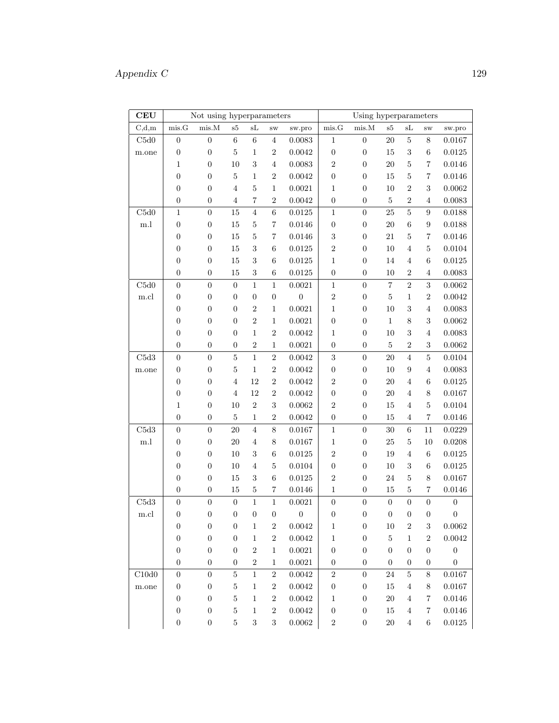# Appendix C 129

| <b>CEU</b>     |                                      | Not using hyperparameters            |                  |                             |                         |                  | Using hyperparameters            |                       |                  |                       |                  |                            |
|----------------|--------------------------------------|--------------------------------------|------------------|-----------------------------|-------------------------|------------------|----------------------------------|-----------------------|------------------|-----------------------|------------------|----------------------------|
| C, d, m        | $_{\rm mis.G}$                       | $\rm{mis.} \rm{M}$                   | ${\rm s}5$       | sL                          | <b>SW</b>               | sw.pro           | $_{\rm mis.G}$                   | $\rm{mis.} \rm{M}$    | ${\rm s}5$       | $\mathrm{sL}$         | <b>SW</b>        | sw.pro                     |
| ${\rm C5d0}$   | $\boldsymbol{0}$                     | $\overline{0}$                       | $\,6\,$          | $\,6\,$                     | $\overline{4}$          | 0.0083           | 1                                | $\boldsymbol{0}$      | $20\,$           | $\bf 5$               | $8\,$            | 0.0167                     |
| m.one          | $\boldsymbol{0}$                     | $\boldsymbol{0}$                     | $\bf 5$          | $\,1$                       | $\boldsymbol{2}$        | 0.0042           | $\boldsymbol{0}$                 | $\boldsymbol{0}$      | 15               | $\boldsymbol{3}$      | $\,6$            | 0.0125                     |
|                | $\mathbf{1}$                         | $\boldsymbol{0}$                     | 10               | 3                           | $\,4\,$                 | 0.0083           | $\boldsymbol{2}$                 | $\boldsymbol{0}$      | $20\,$           | 5                     | 7                | 0.0146                     |
|                | $\overline{0}$                       | $\boldsymbol{0}$                     | $\bf 5$          | 1                           | $\boldsymbol{2}$        | 0.0042           | $\boldsymbol{0}$                 | $\boldsymbol{0}$      | 15               | 5                     | $\overline{7}$   | $\,0.0146\,$               |
|                | $\boldsymbol{0}$                     | $\boldsymbol{0}$                     | $\overline{4}$   | $\bf 5$                     | $\mathbf{1}$            | 0.0021           | $\,1$                            | $\boldsymbol{0}$      | 10               | $\overline{2}$        | 3                | $\,0.0062\,$               |
|                | $\boldsymbol{0}$                     | $\boldsymbol{0}$                     | $\,4\,$          | $\,7$                       | $\,2$                   | 0.0042           | $\boldsymbol{0}$                 | $\boldsymbol{0}$      | $\bf 5$          | $\boldsymbol{2}$      | $\overline{4}$   | 0.0083                     |
| ${\rm C5d0}$   | $\mathbf{1}$                         | $\boldsymbol{0}$                     | 15               | $\sqrt{4}$                  | $\overline{6}$          | 0.0125           | $\,1$                            | $\boldsymbol{0}$      | $25\,$           | $\bf 5$               | $\boldsymbol{9}$ | 0.0188                     |
| m.l            | $\boldsymbol{0}$                     | $\boldsymbol{0}$                     | $15\,$           | $\bf 5$                     | $\scriptstyle{7}$       | 0.0146           | $\boldsymbol{0}$                 | $\boldsymbol{0}$      | $20\,$           | $\,6$                 | 9                | 0.0188                     |
|                | $\boldsymbol{0}$                     | $\boldsymbol{0}$                     | $15\,$           | $\overline{5}$              | $\overline{\mathbf{7}}$ | 0.0146           | $\,3$                            | 0                     | 21               | 5                     | 7                | 0.0146                     |
|                | $\boldsymbol{0}$                     | $\boldsymbol{0}$                     | 15               | $\boldsymbol{3}$            | $\,6$                   | 0.0125           | $\,2$                            | $\boldsymbol{0}$      | 10               | $\overline{4}$        | $\bf 5$          | 0.0104                     |
|                | $\boldsymbol{0}$                     | $\boldsymbol{0}$                     | 15               | 3                           | 6                       | 0.0125           | 1                                | $\boldsymbol{0}$      | 14               | $\overline{4}$        | 6                | 0.0125                     |
|                | $\overline{0}$                       | $\boldsymbol{0}$                     | 15               | 3                           | 6                       | 0.0125           | $\boldsymbol{0}$                 | $\boldsymbol{0}$      | 10               | $\overline{2}$        | 4                | 0.0083                     |
| ${\rm C5d0}$   | $\boldsymbol{0}$                     | $\boldsymbol{0}$                     | $\boldsymbol{0}$ | $\,1$                       | $\,1\,$                 | 0.0021           | $\,1$                            | $\boldsymbol{0}$      | $\overline{7}$   | $\sqrt{2}$            | $\,3$            | 0.0062                     |
| $_{\rm m. cl}$ | $\boldsymbol{0}$                     | $\boldsymbol{0}$                     | $\boldsymbol{0}$ | $\boldsymbol{0}$            | $\boldsymbol{0}$        | $\boldsymbol{0}$ | $\,2$                            | $\boldsymbol{0}$      | $\bf 5$          | $\mathbf{1}$          | $\boldsymbol{2}$ | 0.0042                     |
|                | $\boldsymbol{0}$                     | $\boldsymbol{0}$                     | $\boldsymbol{0}$ | $\overline{2}$              | $\mathbf{1}$            | $0.0021\,$       | $\,1$                            | $\boldsymbol{0}$      | 10               | 3                     | $\overline{4}$   | $\, 0.0083 \,$             |
|                | $\boldsymbol{0}$                     | $\boldsymbol{0}$                     | $\boldsymbol{0}$ | $\sqrt{2}$                  | $\mathbf{1}$            | 0.0021           | $\boldsymbol{0}$                 | $\boldsymbol{0}$      | $\,1\,$          | 8                     | 3                | 0.0062                     |
|                | $\boldsymbol{0}$                     | $\boldsymbol{0}$                     | $\boldsymbol{0}$ | $\mathbf 1$                 | $\,2$                   | 0.0042           | 1                                | $\boldsymbol{0}$      | 10               | $\sqrt{3}$            | $\overline{4}$   | 0.0083                     |
|                | $\boldsymbol{0}$                     | $\boldsymbol{0}$                     | $\boldsymbol{0}$ | $\sqrt{2}$                  | $\,1$                   | $0.0021\,$       | $\boldsymbol{0}$                 | $\boldsymbol{0}$      | $\bf 5$          | $\boldsymbol{2}$      | 3                | $\,0.0062\,$               |
| C5d3           | $\boldsymbol{0}$                     | $\boldsymbol{0}$                     | $\bf 5$          | $\mathbf{1}$                | $\,2$                   | 0.0042           | $\sqrt{3}$                       | $\boldsymbol{0}$      | $20\,$           | $\overline{4}$        | $\bf 5$          | 0.0104                     |
| m.one          | $\boldsymbol{0}$                     | $\boldsymbol{0}$                     | $\bf 5$          | $\,1$                       | $\boldsymbol{2}$        | 0.0042           | $\boldsymbol{0}$                 | $\boldsymbol{0}$      | 10               | 9                     | $\overline{4}$   | 0.0083                     |
|                | $\boldsymbol{0}$                     | $\boldsymbol{0}$                     | $\overline{4}$   | 12                          | $\sqrt{2}$              | 0.0042           | $\,2$                            | $\boldsymbol{0}$      | $20\,$           | $\overline{4}$        | $\,6$            | $0.0125\,$                 |
|                | $\boldsymbol{0}$                     | $\boldsymbol{0}$                     | $\,4\,$          | 12                          | $\sqrt{2}$              | 0.0042           | $\boldsymbol{0}$                 | $\boldsymbol{0}$      | $20\,$           | $\overline{4}$        | 8                | $0.0167\,$                 |
|                | $\mathbf{1}$                         | $\boldsymbol{0}$                     | $10\,$           | $\overline{2}$              | $\sqrt{3}$              | 0.0062           | $\boldsymbol{2}$                 | $\boldsymbol{0}$      | 15               | $\overline{4}$        | 5                | 0.0104                     |
|                | $\boldsymbol{0}$                     | $\boldsymbol{0}$                     | $\bf 5$          | $\mathbf{1}$                | $\boldsymbol{2}$        | 0.0042           | $\boldsymbol{0}$                 | $\boldsymbol{0}$      | 15               | 4                     | $\overline{7}$   | 0.0146                     |
| ${\rm C5d3}$   | $\boldsymbol{0}$                     | $\boldsymbol{0}$                     | $20\,$           | $\sqrt{4}$                  | $8\,$                   | 0.0167           | $\,1$                            | $\boldsymbol{0}$      | $30\,$           | $\,6$                 | 11               | 0.0229                     |
| $\rm m.l$      | $\boldsymbol{0}$                     | $\boldsymbol{0}$                     | $20\,$           | $\overline{4}$              | 8                       | 0.0167           | $\,1$                            | $\boldsymbol{0}$      | $25\,$           | $\overline{5}$        | 10               | 0.0208                     |
|                | $\boldsymbol{0}$                     | $\boldsymbol{0}$                     | 10               | $\sqrt{3}$                  | $\,6\,$                 | 0.0125           | $\boldsymbol{2}$                 | $\boldsymbol{0}$      | 19               | $\overline{4}$        | $\,6\,$          | $0.0125\,$                 |
|                | $\boldsymbol{0}$                     | $\boldsymbol{0}$                     | 10               | $\,4\,$                     | $\bf 5$                 | 0.0104           | $\boldsymbol{0}$                 | $\boldsymbol{0}$      | 10               | $\boldsymbol{3}$<br>5 | $\,6$            | 0.0125<br>0.0167           |
|                | $\boldsymbol{0}$<br>$\boldsymbol{0}$ | $\boldsymbol{0}$<br>$\boldsymbol{0}$ | 15<br>15         | $\boldsymbol{3}$<br>$\bf 5$ | 6<br>7                  | 0.0125<br>0.0146 | $\boldsymbol{2}$                 | 0<br>$\boldsymbol{0}$ | $24\,$<br>15     | $\bf 5$               | 8<br>7           |                            |
| ${\rm C5d3}$   | $\boldsymbol{0}$                     | $\boldsymbol{0}$                     | $\boldsymbol{0}$ | $\mathbf{1}$                | $\,1\,$                 | 0.0021           | $\mathbf{1}$<br>$\boldsymbol{0}$ | $\boldsymbol{0}$      | $\boldsymbol{0}$ | $\overline{0}$        | $\boldsymbol{0}$ | 0.0146<br>$\boldsymbol{0}$ |
| m.cl           | $\boldsymbol{0}$                     | $\boldsymbol{0}$                     | $\boldsymbol{0}$ | $\overline{0}$              | $\boldsymbol{0}$        | $\boldsymbol{0}$ | $\boldsymbol{0}$                 | $\boldsymbol{0}$      | $\boldsymbol{0}$ | $\overline{0}$        | $\boldsymbol{0}$ | $\boldsymbol{0}$           |
|                | $\boldsymbol{0}$                     | $\boldsymbol{0}$                     | $\boldsymbol{0}$ | 1                           | $\,2$                   | 0.0042           | $\mathbf 1$                      | $\boldsymbol{0}$      | 10               | $\boldsymbol{2}$      | 3                | 0.0062                     |
|                | $\boldsymbol{0}$                     | $\boldsymbol{0}$                     | $\boldsymbol{0}$ | $\,1$                       | $\boldsymbol{2}$        | 0.0042           | $\,1$                            | $\boldsymbol{0}$      | $\bf 5$          | 1                     | $\boldsymbol{2}$ | 0.0042                     |
|                | $\boldsymbol{0}$                     | $\boldsymbol{0}$                     | $\overline{0}$   | $\boldsymbol{2}$            | $\,1$                   | $0.0021\,$       | $\boldsymbol{0}$                 | 0                     | $\overline{0}$   | $\overline{0}$        | $\overline{0}$   | $\boldsymbol{0}$           |
|                | $\boldsymbol{0}$                     | $\boldsymbol{0}$                     | $\overline{0}$   | $\boldsymbol{2}$            | $\mathbf{1}$            | $0.0021\,$       | $\boldsymbol{0}$                 | 0                     | $\overline{0}$   | $\boldsymbol{0}$      | $\boldsymbol{0}$ | $\boldsymbol{0}$           |
| C10d0          | $\boldsymbol{0}$                     | $\boldsymbol{0}$                     | $\bf 5$          | $\,1\,$                     | $\,2$                   | $\,0.0042\,$     | $\,2$                            | $\boldsymbol{0}$      | $\sqrt{24}$      | $\bf 5$               | 8                | 0.0167                     |
| m.one          | $\boldsymbol{0}$                     | $\boldsymbol{0}$                     | 5                | $\,1$                       | $\boldsymbol{2}$        | 0.0042           | $\boldsymbol{0}$                 | $\boldsymbol{0}$      | 15               | $\overline{4}$        | 8                | 0.0167                     |
|                | $\boldsymbol{0}$                     | $\boldsymbol{0}$                     | $\bf 5$          | $\,1$                       | $\boldsymbol{2}$        | $\,0.0042\,$     | $\mathbf{1}$                     | $\boldsymbol{0}$      | $20\,$           | 4                     | 7                | 0.0146                     |
|                | $\boldsymbol{0}$                     | $\boldsymbol{0}$                     | $\overline{5}$   | $\mathbf{1}$                | $\boldsymbol{2}$        | $\,0.0042\,$     | $\boldsymbol{0}$                 | $\boldsymbol{0}$      | 15               | 4                     | 7                | $\,0.0146\,$               |
|                | $\boldsymbol{0}$                     | $\boldsymbol{0}$                     | $\bf 5$          | $\,3$                       | $\sqrt{3}$              | 0.0062           | $\,2$                            | $\boldsymbol{0}$      | 20               | $\overline{4}$        | 6                | $0.0125\,$                 |
|                |                                      |                                      |                  |                             |                         |                  |                                  |                       |                  |                       |                  |                            |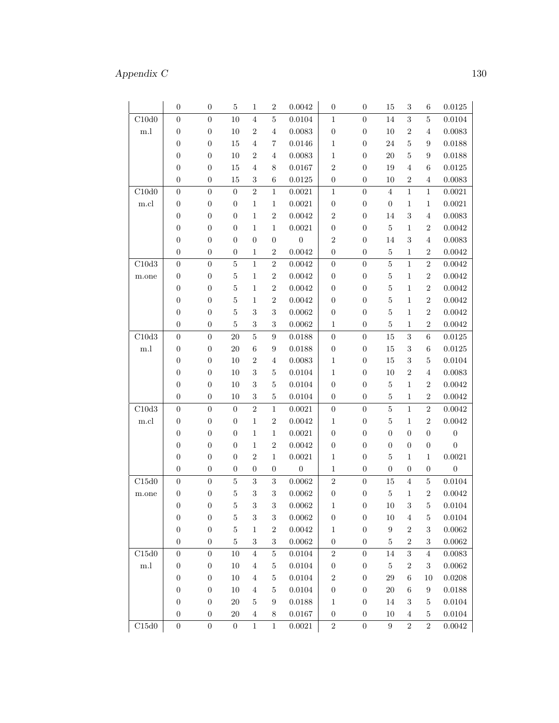# Appendix  $\cal C$

|                     | $\boldsymbol{0}$ | $\boldsymbol{0}$ | $\bf 5$          | 1                | $\boldsymbol{2}$ | $\,0.0042\,$     | $\boldsymbol{0}$ | $\boldsymbol{0}$ | 15               | $\,3$            | 6                | $0.0125\,$       |
|---------------------|------------------|------------------|------------------|------------------|------------------|------------------|------------------|------------------|------------------|------------------|------------------|------------------|
| ${\rm C}10{\rm d}0$ | $\boldsymbol{0}$ | $\overline{0}$   | $10\,$           | $\,4\,$          | $\bf 5$          | 0.0104           | $\mathbf{1}$     | $\boldsymbol{0}$ | 14               | 3                | $\bf 5$          | $\,0.0104\,$     |
| m.l                 | $\boldsymbol{0}$ | $\boldsymbol{0}$ | $10\,$           | $\boldsymbol{2}$ | $\overline{4}$   | $\,0.0083\,$     | $\boldsymbol{0}$ | $\boldsymbol{0}$ | 10               | $\overline{2}$   | $\overline{4}$   | $\,0.0083\,$     |
|                     | $\boldsymbol{0}$ | $\boldsymbol{0}$ | $15\,$           | $\overline{4}$   | 7                | 0.0146           | $1\,$            | $\boldsymbol{0}$ | 24               | $\overline{5}$   | $\boldsymbol{9}$ | $0.0188\,$       |
|                     | $\boldsymbol{0}$ | $\boldsymbol{0}$ | $10\,$           | $\boldsymbol{2}$ | $\overline{4}$   | $\,0.0083\,$     | $\,1$            | $\boldsymbol{0}$ | 20               | $\bf 5$          | $\boldsymbol{9}$ | $0.0188\,$       |
|                     | $\boldsymbol{0}$ | $\boldsymbol{0}$ | $15\,$           | $\overline{4}$   | $8\,$            | $\,0.0167\,$     | $\boldsymbol{2}$ | $\boldsymbol{0}$ | 19               | $\overline{4}$   | 6                | $0.0125\,$       |
|                     | $\boldsymbol{0}$ | $\boldsymbol{0}$ | $15\,$           | $\,3$            | $\,6\,$          | $\,0.0125\,$     | $\boldsymbol{0}$ | $\boldsymbol{0}$ | 10               | $\boldsymbol{2}$ | $\overline{4}$   | $\,0.0083\,$     |
| C10d0               | $\boldsymbol{0}$ | $\overline{0}$   | $\boldsymbol{0}$ | $\overline{2}$   | $\mathbf{1}$     | 0.0021           | $\,1\,$          | $\boldsymbol{0}$ | $\overline{4}$   | $\mathbf{1}$     | $\mathbf{1}$     | 0.0021           |
| m.c                 | $\boldsymbol{0}$ | $\boldsymbol{0}$ | $\boldsymbol{0}$ | $\,1$            | $\,1$            | $0.0021\,$       | $\boldsymbol{0}$ | $\boldsymbol{0}$ | $\boldsymbol{0}$ | $\mathbf 1$      | $\mathbf{1}$     | $0.0021\,$       |
|                     | $\boldsymbol{0}$ | $\boldsymbol{0}$ | $\boldsymbol{0}$ | $\mathbf{1}$     | $\,2$            | $\,0.0042\,$     | $\boldsymbol{2}$ | $\boldsymbol{0}$ | 14               | $\sqrt{3}$       | $\overline{4}$   | $\,0.0083\,$     |
|                     | $\boldsymbol{0}$ | $\boldsymbol{0}$ | $\boldsymbol{0}$ | $\mathbf{1}$     | $\mathbf 1$      | $0.0021\,$       | $\boldsymbol{0}$ | $\boldsymbol{0}$ | $\bf 5$          | 1                | $\boldsymbol{2}$ | $\,0.0042\,$     |
|                     | $\boldsymbol{0}$ | $\boldsymbol{0}$ | $\boldsymbol{0}$ | $\boldsymbol{0}$ | $\boldsymbol{0}$ | $\boldsymbol{0}$ | $\,2$            | $\boldsymbol{0}$ | 14               | 3                | 4                | $\,0.0083\,$     |
|                     | $\boldsymbol{0}$ | $\overline{0}$   | $\boldsymbol{0}$ | $\mathbf{1}$     | $\boldsymbol{2}$ | 0.0042           | $\boldsymbol{0}$ | $\boldsymbol{0}$ | $\bf 5$          | $\mathbf{1}$     | $\boldsymbol{2}$ | 0.0042           |
| ${\rm C}10{\rm d}3$ | $\boldsymbol{0}$ | $\boldsymbol{0}$ | $\bf 5$          | $\,1\,$          | $\,2$            | 0.0042           | $\boldsymbol{0}$ | $\boldsymbol{0}$ | $\overline{5}$   | $\mathbf{1}$     | $\,2$            | $\,0.0042\,$     |
| m.one               | $\boldsymbol{0}$ | $\boldsymbol{0}$ | $\bf 5$          | $\mathbf{1}$     | $\,2$            | $\,0.0042\,$     | $\boldsymbol{0}$ | $\boldsymbol{0}$ | $\bf 5$          | $\mathbf{1}$     | $\boldsymbol{2}$ | $\,0.0042\,$     |
|                     | $\boldsymbol{0}$ | $\boldsymbol{0}$ | $\bf 5$          | $\,1$            | $\,2$            | $\,0.0042\,$     | $\boldsymbol{0}$ | $\boldsymbol{0}$ | $\mathbf 5$      | 1                | $\boldsymbol{2}$ | $\,0.0042\,$     |
|                     | $\boldsymbol{0}$ | $\boldsymbol{0}$ | $\bf 5$          | $\,1$            | $\,2$            | $\,0.0042\,$     | $\boldsymbol{0}$ | $\boldsymbol{0}$ | $\bf 5$          | $\mathbf{1}$     | $\overline{2}$   | $\,0.0042\,$     |
|                     | $\boldsymbol{0}$ | $\boldsymbol{0}$ | $\bf 5$          | $\,3$            | 3                | $\,0.0062\,$     | $\boldsymbol{0}$ | $\boldsymbol{0}$ | $\bf 5$          | $\mathbf{1}$     | $\,2$            | $\,0.0042\,$     |
|                     | $\boldsymbol{0}$ | $\boldsymbol{0}$ | $\bf 5$          | $\,3$            | $\boldsymbol{3}$ | $\,0.0062\,$     | $1\,$            | $\boldsymbol{0}$ | $\bf 5$          | $\mathbf{1}$     | $\,2$            | $\,0.0042\,$     |
| ${\rm C}10{\rm d}3$ | $\boldsymbol{0}$ | $\overline{0}$   | $20\,$           | $\bf 5$          | $\boldsymbol{9}$ | 0.0188           | $\boldsymbol{0}$ | $\boldsymbol{0}$ | 15               | $\boldsymbol{3}$ | $\,6$            | $0.0125\,$       |
| $\, \mathrm{m.l}$   | $\boldsymbol{0}$ | $\boldsymbol{0}$ | $20\,$           | $\,6$            | 9                | 0.0188           | $\boldsymbol{0}$ | $\boldsymbol{0}$ | 15               | 3                | $\,6$            | $0.0125\,$       |
|                     | $\boldsymbol{0}$ | $\boldsymbol{0}$ | $10\,$           | $\,2$            | $\overline{4}$   | $\,0.0083\,$     | $\mathbf{1}$     | $\boldsymbol{0}$ | 15               | $\sqrt{3}$       | $\bf 5$          | $\,0.0104\,$     |
|                     | $\boldsymbol{0}$ | $\boldsymbol{0}$ | $10\,$           | 3                | $\bf 5$          | 0.0104           | $\mathbf{1}$     | $\boldsymbol{0}$ | 10               | $\overline{2}$   | $\overline{4}$   | $\,0.0083\,$     |
|                     | $\boldsymbol{0}$ | $\boldsymbol{0}$ | $10\,$           | $\,3$            | $\bf 5$          | 0.0104           | $\boldsymbol{0}$ | $\boldsymbol{0}$ | $\bf 5$          | 1                | $\overline{2}$   | $\,0.0042\,$     |
|                     | $\boldsymbol{0}$ | $\boldsymbol{0}$ | $10\,$           | $\boldsymbol{3}$ | $\bf 5$          | 0.0104           | $\boldsymbol{0}$ | $\boldsymbol{0}$ | $\bf 5$          | $\mathbf{1}$     | $\boldsymbol{2}$ | $\,0.0042\,$     |
| ${\rm C}10{\rm d}3$ | $\boldsymbol{0}$ | $\boldsymbol{0}$ | $\boldsymbol{0}$ | $\,2$            | $\mathbf{1}$     | 0.0021           | $\boldsymbol{0}$ | $\boldsymbol{0}$ | $\bf 5$          | $\mathbf{1}$     | $\,2$            | $\,0.0042\,$     |
| $_{\rm m. cl}$      | $\boldsymbol{0}$ | $\boldsymbol{0}$ | $\boldsymbol{0}$ | $\mathbf{1}$     | $\,2$            | $\,0.0042\,$     | $\mathbf{1}$     | $\boldsymbol{0}$ | $\bf 5$          | 1                | $\sqrt{2}$       | 0.0042           |
|                     | $\boldsymbol{0}$ | $\boldsymbol{0}$ | $\boldsymbol{0}$ | $\mathbf{1}$     | $\,1\,$          | $0.0021\,$       | $\boldsymbol{0}$ | $\boldsymbol{0}$ | $\boldsymbol{0}$ | $\boldsymbol{0}$ | $\boldsymbol{0}$ | $\boldsymbol{0}$ |
|                     | $\boldsymbol{0}$ | $\boldsymbol{0}$ | $\boldsymbol{0}$ | $\,1$            | $\,2$            | $\,0.0042\,$     | $\boldsymbol{0}$ | $\boldsymbol{0}$ | $\overline{0}$   | $\boldsymbol{0}$ | $\boldsymbol{0}$ | $\boldsymbol{0}$ |
|                     | $\boldsymbol{0}$ | $\boldsymbol{0}$ | $\boldsymbol{0}$ | $\,2$            | $\mathbf 1$      | $0.0021\,$       | $\mathbf{1}$     | $\boldsymbol{0}$ | $\overline{5}$   | $\mathbf{1}$     | $\mathbf{1}$     | $0.0021\,$       |
|                     | $\boldsymbol{0}$ | $\boldsymbol{0}$ | $\boldsymbol{0}$ | $\boldsymbol{0}$ | $\overline{0}$   | $\boldsymbol{0}$ | $\mathbf{1}$     | $\boldsymbol{0}$ | $\overline{0}$   | $\boldsymbol{0}$ | $\boldsymbol{0}$ | $\boldsymbol{0}$ |
| ${\rm C}15{\rm d}0$ | $\boldsymbol{0}$ | $\boldsymbol{0}$ | $\bf 5$          | $\sqrt{3}$       | $\sqrt{3}$       | $\,0.0062\,$     | $\,2$            | $\boldsymbol{0}$ | 15               | $\,4\,$          | $\bf 5$          | $\,0.0104\,$     |
| m.one               | $\boldsymbol{0}$ | $\boldsymbol{0}$ | $\bf 5$          | 3                | 3                | 0.0062           | $\boldsymbol{0}$ | $\boldsymbol{0}$ | $\bf 5$          | 1                | $\overline{2}$   | $\,0.0042\,$     |
|                     | $\boldsymbol{0}$ | $\overline{0}$   | $\overline{5}$   | 3                | 3                | 0.0062           | 1                | $\overline{0}$   | 10               | 3                | 5                | $\,0.0104\,$     |
|                     | $\boldsymbol{0}$ | $\boldsymbol{0}$ | 5                | $\,3$            | 3                | $\,0.0062\,$     | $\boldsymbol{0}$ | $\boldsymbol{0}$ | 10               | $\overline{4}$   | 5                | $\,0.0104\,$     |
|                     | $\boldsymbol{0}$ | $\boldsymbol{0}$ | $\bf 5$          | $\,1$            | $\boldsymbol{2}$ | $\,0.0042\,$     | $1\,$            | $\boldsymbol{0}$ | $\boldsymbol{9}$ | $\overline{2}$   | 3                | $\,0.0062\,$     |
|                     | $\boldsymbol{0}$ | $\boldsymbol{0}$ | $\bf 5$          | $\,3$            | $\,3$            | $\,0.0062\,$     | $\boldsymbol{0}$ | $\boldsymbol{0}$ | $\bf 5$          | $\overline{2}$   | $\sqrt{3}$       | $\,0.0062\,$     |
| ${\rm C}15{\rm d}0$ | $\boldsymbol{0}$ | $\boldsymbol{0}$ | $10\,$           | $\,4\,$          | $\bf 5$          | 0.0104           | $\,2$            | $\boldsymbol{0}$ | 14               | $\sqrt{3}$       | $\overline{4}$   | $\,0.0083\,$     |
| m.l                 | $\boldsymbol{0}$ | $\boldsymbol{0}$ | $10\,$           | $\,4\,$          | $\bf 5$          | 0.0104           | $\boldsymbol{0}$ | $\boldsymbol{0}$ | $\bf 5$          | $\,2$            | $\,3$            | $\,0.0062\,$     |
|                     | $\boldsymbol{0}$ | $\boldsymbol{0}$ | $10\,$           | $\,4\,$          | $\bf 5$          | 0.0104           | $\,2$            | $\boldsymbol{0}$ | $\,29$           | $\,6$            | 10               | $0.0208\,$       |
|                     | $\boldsymbol{0}$ | $\boldsymbol{0}$ | $10\,$           | $\,4\,$          | $\bf 5$          | 0.0104           | $\boldsymbol{0}$ | $\boldsymbol{0}$ | $20\,$           | $\,6\,$          | 9                | $0.0188\,$       |
|                     | $\boldsymbol{0}$ | $\boldsymbol{0}$ | $20\,$           | $\bf 5$          | $\boldsymbol{9}$ | 0.0188           | $\mathbf{1}$     | $\boldsymbol{0}$ | 14               | $\,3$            | $\overline{5}$   | $\,0.0104\,$     |
|                     | $\boldsymbol{0}$ | $\boldsymbol{0}$ | 20               | $\overline{4}$   | $8\,$            | $0.0167\,$       | $\boldsymbol{0}$ | $\boldsymbol{0}$ | 10               | 4                | $\mathbf 5$      | $\,0.0104\,$     |
| ${\rm C}15{\rm d}0$ | $\boldsymbol{0}$ | $\boldsymbol{0}$ | $\boldsymbol{0}$ | $\,1\,$          | $\,1\,$          | $0.0021\,$       | $\,2$            | $\boldsymbol{0}$ | $\boldsymbol{9}$ | $\sqrt{2}$       | $\,2$            | $\,0.0042\,$     |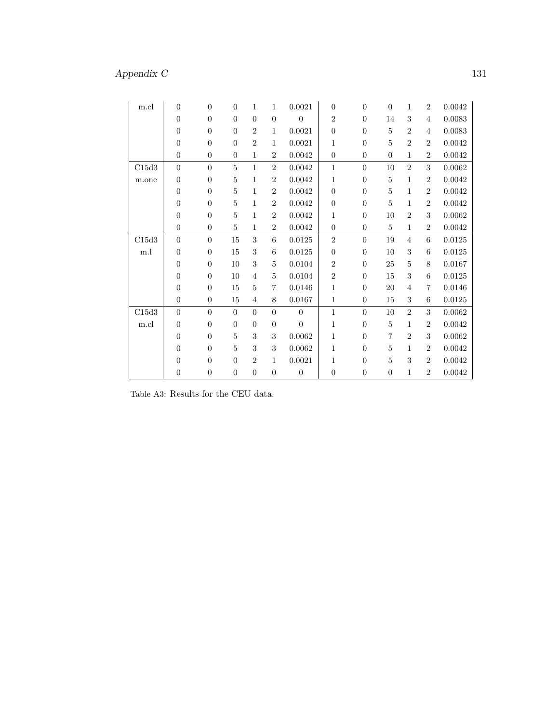# $\Large \textbf{Appendix~}C \textbf{ \textcolor{red}{131}}$

| m.cl  | $\overline{0}$   | $\overline{0}$   | $\overline{0}$ | $\mathbf{1}$   | 1              | 0.0021           | $\overline{0}$   | $\overline{0}$   | $\boldsymbol{0}$ | $\mathbf 1$    | $\overline{2}$   | 0.0042     |
|-------|------------------|------------------|----------------|----------------|----------------|------------------|------------------|------------------|------------------|----------------|------------------|------------|
|       | $\overline{0}$   | $\overline{0}$   | $\overline{0}$ | $\overline{0}$ | $\overline{0}$ | $\overline{0}$   | $\boldsymbol{2}$ | $\overline{0}$   | 14               | 3              | $\overline{4}$   | 0.0083     |
|       | $\overline{0}$   | $\overline{0}$   | $\overline{0}$ | $\overline{2}$ | 1              | 0.0021           | $\overline{0}$   | $\overline{0}$   | 5                | $\overline{2}$ | $\overline{4}$   | 0.0083     |
|       | $\overline{0}$   | $\overline{0}$   | $\overline{0}$ | $\overline{2}$ | 1              | 0.0021           | 1                | $\overline{0}$   | 5                | $\overline{2}$ | $\overline{2}$   | 0.0042     |
|       | $\overline{0}$   | $\boldsymbol{0}$ | $\overline{0}$ | $\mathbf{1}$   | $\overline{2}$ | 0.0042           | $\boldsymbol{0}$ | $\overline{0}$   | $\theta$         | $\mathbf{1}$   | $\overline{2}$   | 0.0042     |
| C15d3 | $\overline{0}$   | $\boldsymbol{0}$ | $\overline{5}$ | $\mathbf{1}$   | $\overline{2}$ | 0.0042           | $\mathbf{1}$     | $\overline{0}$   | 10               | $\overline{2}$ | 3                | 0.0062     |
| m.one | $\overline{0}$   | $\overline{0}$   | $\overline{5}$ | $\mathbf{1}$   | $\overline{2}$ | 0.0042           | 1                | $\overline{0}$   | 5                | 1              | $\overline{2}$   | 0.0042     |
|       | $\overline{0}$   | $\overline{0}$   | $\overline{5}$ | 1              | $\overline{2}$ | 0.0042           | $\overline{0}$   | $\overline{0}$   | 5                | 1              | $\overline{2}$   | 0.0042     |
|       | $\boldsymbol{0}$ | $\boldsymbol{0}$ | $\overline{5}$ | $\mathbf{1}$   | $\overline{2}$ | 0.0042           | $\overline{0}$   | $\overline{0}$   | $\overline{5}$   | 1              | $\overline{2}$   | 0.0042     |
|       | $\overline{0}$   | $\overline{0}$   | $\overline{5}$ | $\mathbf{1}$   | $\overline{2}$ | 0.0042           | 1                | $\overline{0}$   | 10               | $\overline{2}$ | 3                | 0.0062     |
|       | $\overline{0}$   | $\overline{0}$   | $\overline{5}$ | $\mathbf{1}$   | $\overline{2}$ | 0.0042           | $\boldsymbol{0}$ | $\overline{0}$   | 5                | $\mathbf 1$    | $\overline{2}$   | 0.0042     |
| C15d3 | $\boldsymbol{0}$ | $\overline{0}$   | 15             | 3              | $\,6$          | 0.0125           | $\,2$            | $\overline{0}$   | 19               | 4              | 6                | $0.0125\,$ |
| m.l   | $\overline{0}$   | $\overline{0}$   | 15             | 3              | 6              | 0.0125           | $\overline{0}$   | $\overline{0}$   | 10               | 3              | 6                | 0.0125     |
|       | $\overline{0}$   | $\overline{0}$   | 10             | 3              | 5              | 0.0104           | $\overline{2}$   | $\overline{0}$   | 25               | 5              | 8                | 0.0167     |
|       | $\overline{0}$   | $\overline{0}$   | 10             | $\overline{4}$ | 5              | 0.0104           | $\overline{2}$   | $\theta$         | 15               | 3              | 6                | 0.0125     |
|       | $\overline{0}$   | $\overline{0}$   | 15             | 5              | 7              | 0.0146           | 1                | $\overline{0}$   | 20               | $\overline{4}$ | 7                | 0.0146     |
|       | $\overline{0}$   | $\boldsymbol{0}$ | 15             | 4              | 8              | 0.0167           | $\mathbf{1}$     | $\boldsymbol{0}$ | 15               | 3              | $\boldsymbol{6}$ | 0.0125     |
| C15d3 | $\boldsymbol{0}$ | $\overline{0}$   | $\overline{0}$ | $\overline{0}$ | $\overline{0}$ | $\boldsymbol{0}$ | $\mathbf{1}$     | $\overline{0}$   | 10               | $\overline{2}$ | 3                | 0.0062     |
| m.cl  | $\overline{0}$   | $\overline{0}$   | $\overline{0}$ | $\overline{0}$ | $\overline{0}$ | $\boldsymbol{0}$ | 1                | $\overline{0}$   | 5                | $\mathbf{1}$   | $\overline{2}$   | 0.0042     |
|       | $\boldsymbol{0}$ | $\overline{0}$   | $\overline{5}$ | 3              | 3              | 0.0062           | 1                | $\theta$         | 7                | $\overline{2}$ | 3                | 0.0062     |
|       | $\overline{0}$   | $\overline{0}$   | $\overline{5}$ | 3              | 3              | 0.0062           | 1                | $\overline{0}$   | 5                | $\mathbf{1}$   | $\overline{2}$   | 0.0042     |
|       | $\overline{0}$   | $\overline{0}$   | $\overline{0}$ | $\overline{2}$ | $\mathbf{1}$   | 0.0021           | 1                | $\overline{0}$   | 5                | 3              | $\overline{2}$   | 0.0042     |
|       | $\overline{0}$   | $\overline{0}$   | $\overline{0}$ | $\overline{0}$ | $\overline{0}$ | $\overline{0}$   | $\overline{0}$   | $\overline{0}$   | $\overline{0}$   | $\mathbf 1$    | $\overline{2}$   | 0.0042     |

Table A3: Results for the CEU data.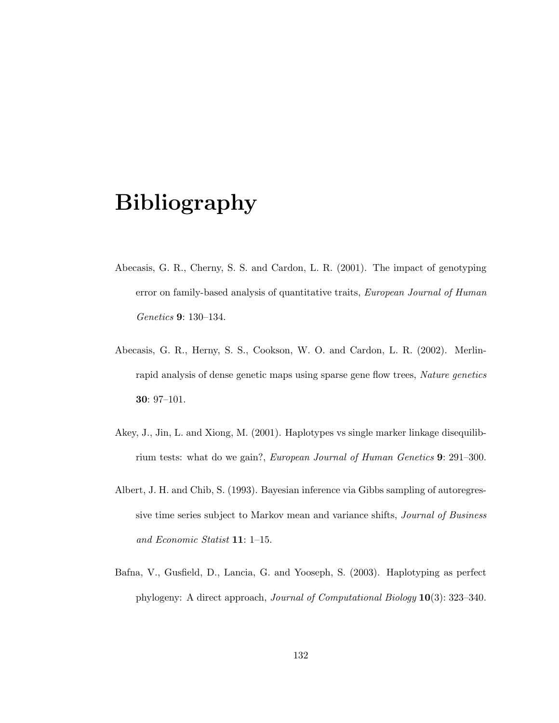## Bibliography

- Abecasis, G. R., Cherny, S. S. and Cardon, L. R. (2001). The impact of genotyping error on family-based analysis of quantitative traits, *European Journal of Human* Genetics 9: 130–134.
- Abecasis, G. R., Herny, S. S., Cookson, W. O. and Cardon, L. R. (2002). Merlinrapid analysis of dense genetic maps using sparse gene flow trees, Nature genetics 30: 97–101.
- Akey, J., Jin, L. and Xiong, M. (2001). Haplotypes vs single marker linkage disequilibrium tests: what do we gain?, European Journal of Human Genetics 9: 291–300.
- Albert, J. H. and Chib, S. (1993). Bayesian inference via Gibbs sampling of autoregressive time series subject to Markov mean and variance shifts, *Journal of Business* and Economic Statist 11: 1–15.
- Bafna, V., Gusfield, D., Lancia, G. and Yooseph, S. (2003). Haplotyping as perfect phylogeny: A direct approach, Journal of Computational Biology 10(3): 323–340.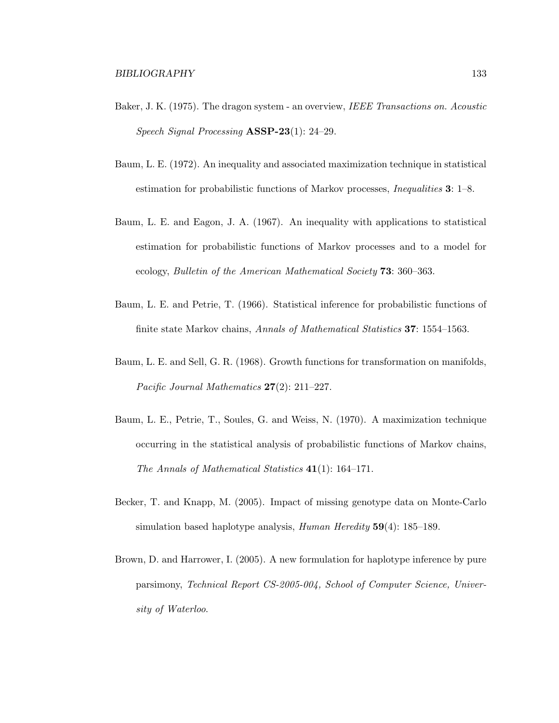- Baker, J. K. (1975). The dragon system an overview, IEEE Transactions on. Acoustic Speech Signal Processing ASSP-23(1): 24–29.
- Baum, L. E. (1972). An inequality and associated maximization technique in statistical estimation for probabilistic functions of Markov processes, Inequalities 3: 1–8.
- Baum, L. E. and Eagon, J. A. (1967). An inequality with applications to statistical estimation for probabilistic functions of Markov processes and to a model for ecology, Bulletin of the American Mathematical Society 73: 360–363.
- Baum, L. E. and Petrie, T. (1966). Statistical inference for probabilistic functions of finite state Markov chains, Annals of Mathematical Statistics 37: 1554–1563.
- Baum, L. E. and Sell, G. R. (1968). Growth functions for transformation on manifolds, Pacific Journal Mathematics  $27(2)$ : 211–227.
- Baum, L. E., Petrie, T., Soules, G. and Weiss, N. (1970). A maximization technique occurring in the statistical analysis of probabilistic functions of Markov chains, The Annals of Mathematical Statistics  $41(1)$ : 164–171.
- Becker, T. and Knapp, M. (2005). Impact of missing genotype data on Monte-Carlo simulation based haplotype analysis,  $Human~Heredity$  59(4): 185–189.
- Brown, D. and Harrower, I. (2005). A new formulation for haplotype inference by pure parsimony, Technical Report CS-2005-004, School of Computer Science, University of Waterloo.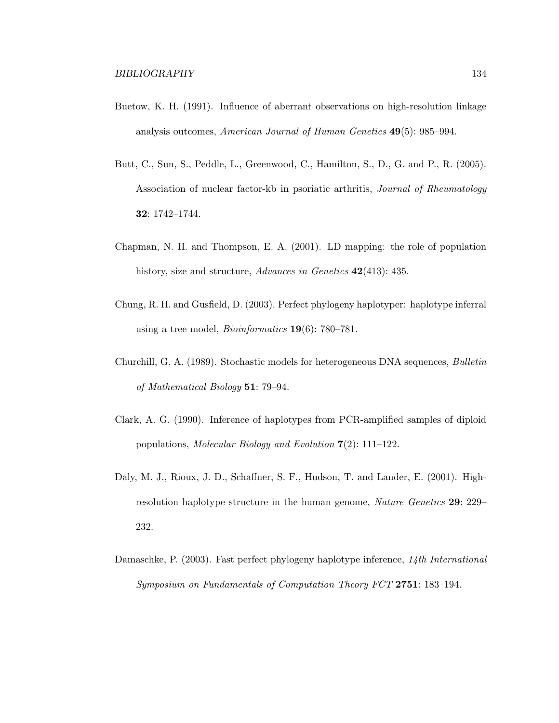- Buetow, K. H. (1991). Influence of aberrant observations on high-resolution linkage analysis outcomes, American Journal of Human Genetics 49(5): 985–994.
- Butt, C., Sun, S., Peddle, L., Greenwood, C., Hamilton, S., D., G. and P., R. (2005). Association of nuclear factor-kb in psoriatic arthritis, Journal of Rheumatology 32: 1742–1744.
- Chapman, N. H. and Thompson, E. A. (2001). LD mapping: the role of population history, size and structure, Advances in Genetics 42(413): 435.
- Chung, R. H. and Gusfield, D. (2003). Perfect phylogeny haplotyper: haplotype inferral using a tree model, *Bioinformatics* **19**(6): 780–781.
- Churchill, G. A. (1989). Stochastic models for heterogeneous DNA sequences, Bulletin of Mathematical Biology 51: 79–94.
- Clark, A. G. (1990). Inference of haplotypes from PCR-amplified samples of diploid populations, Molecular Biology and Evolution 7(2): 111–122.
- Daly, M. J., Rioux, J. D., Schaffner, S. F., Hudson, T. and Lander, E. (2001). Highresolution haplotype structure in the human genome, Nature Genetics 29: 229– 232.
- Damaschke, P. (2003). Fast perfect phylogeny haplotype inference, 14th International Symposium on Fundamentals of Computation Theory FCT 2751: 183–194.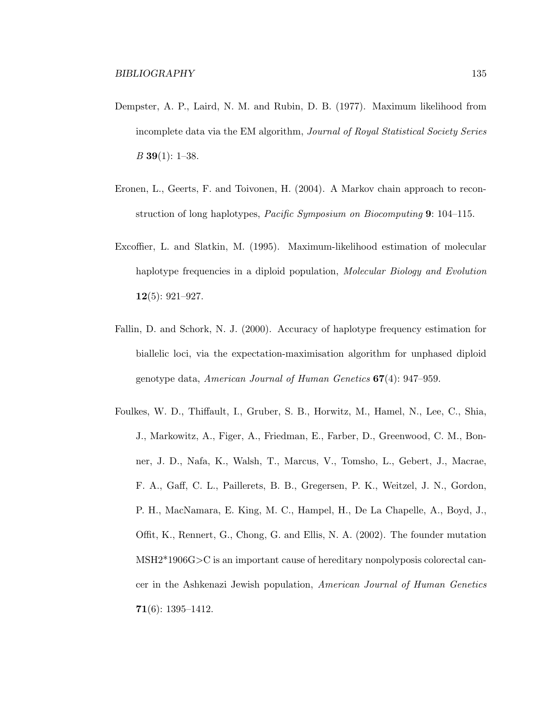- Dempster, A. P., Laird, N. M. and Rubin, D. B. (1977). Maximum likelihood from incomplete data via the EM algorithm, Journal of Royal Statistical Society Series  $B$  39(1): 1–38.
- Eronen, L., Geerts, F. and Toivonen, H. (2004). A Markov chain approach to reconstruction of long haplotypes, *Pacific Symposium on Biocomputing* 9: 104–115.
- Excoffier, L. and Slatkin, M. (1995). Maximum-likelihood estimation of molecular haplotype frequencies in a diploid population, Molecular Biology and Evolution 12(5): 921–927.
- Fallin, D. and Schork, N. J. (2000). Accuracy of haplotype frequency estimation for biallelic loci, via the expectation-maximisation algorithm for unphased diploid genotype data, American Journal of Human Genetics 67(4): 947–959.
- Foulkes, W. D., Thiffault, I., Gruber, S. B., Horwitz, M., Hamel, N., Lee, C., Shia, J., Markowitz, A., Figer, A., Friedman, E., Farber, D., Greenwood, C. M., Bonner, J. D., Nafa, K., Walsh, T., Marcus, V., Tomsho, L., Gebert, J., Macrae, F. A., Gaff, C. L., Paillerets, B. B., Gregersen, P. K., Weitzel, J. N., Gordon, P. H., MacNamara, E. King, M. C., Hampel, H., De La Chapelle, A., Boyd, J., Offit, K., Rennert, G., Chong, G. and Ellis, N. A. (2002). The founder mutation MSH2\*1906G>C is an important cause of hereditary nonpolyposis colorectal cancer in the Ashkenazi Jewish population, American Journal of Human Genetics  $71(6): 1395-1412.$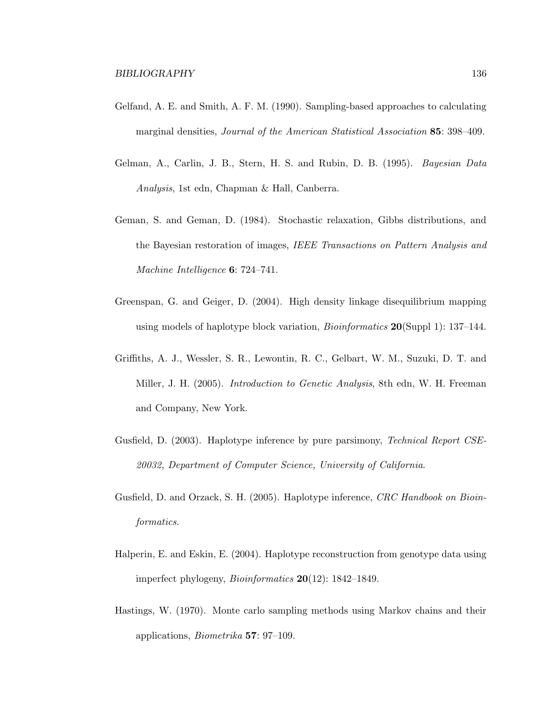- Gelfand, A. E. and Smith, A. F. M. (1990). Sampling-based approaches to calculating marginal densities, Journal of the American Statistical Association 85: 398–409.
- Gelman, A., Carlin, J. B., Stern, H. S. and Rubin, D. B. (1995). Bayesian Data Analysis, 1st edn, Chapman & Hall, Canberra.
- Geman, S. and Geman, D. (1984). Stochastic relaxation, Gibbs distributions, and the Bayesian restoration of images, IEEE Transactions on Pattern Analysis and Machine Intelligence **6**: 724–741.
- Greenspan, G. and Geiger, D. (2004). High density linkage disequilibrium mapping using models of haplotype block variation, *Bioinformatics* **20**(Suppl 1): 137–144.
- Griffiths, A. J., Wessler, S. R., Lewontin, R. C., Gelbart, W. M., Suzuki, D. T. and Miller, J. H. (2005). Introduction to Genetic Analysis, 8th edn, W. H. Freeman and Company, New York.
- Gusfield, D. (2003). Haplotype inference by pure parsimony, *Technical Report CSE*-20032, Department of Computer Science, University of California.
- Gusfield, D. and Orzack, S. H. (2005). Haplotype inference, CRC Handbook on Bioinformatics.
- Halperin, E. and Eskin, E. (2004). Haplotype reconstruction from genotype data using imperfect phylogeny, Bioinformatics 20(12): 1842–1849.
- Hastings, W. (1970). Monte carlo sampling methods using Markov chains and their applications, Biometrika 57: 97–109.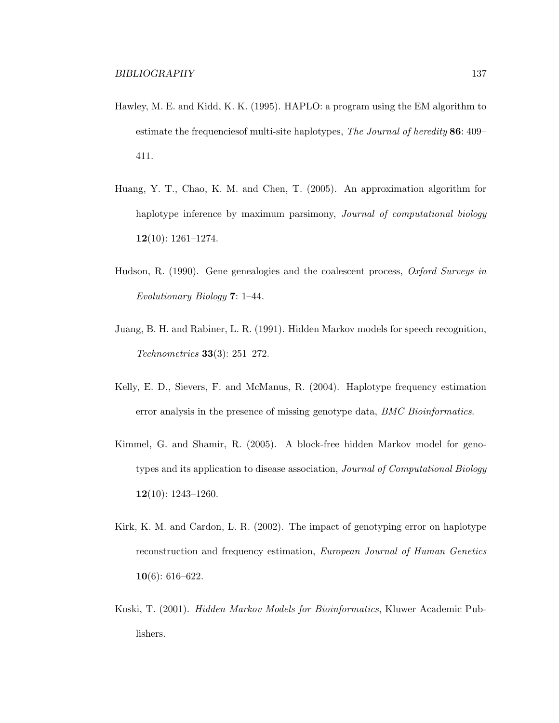- Hawley, M. E. and Kidd, K. K. (1995). HAPLO: a program using the EM algorithm to estimate the frequencies of multi-site haplotypes, The Journal of heredity 86: 409– 411.
- Huang, Y. T., Chao, K. M. and Chen, T. (2005). An approximation algorithm for haplotype inference by maximum parsimony, *Journal of computational biology*  $12(10): 1261 - 1274.$
- Hudson, R. (1990). Gene genealogies and the coalescent process, Oxford Surveys in Evolutionary Biology 7: 1–44.
- Juang, B. H. and Rabiner, L. R. (1991). Hidden Markov models for speech recognition, Technometrics 33(3): 251–272.
- Kelly, E. D., Sievers, F. and McManus, R. (2004). Haplotype frequency estimation error analysis in the presence of missing genotype data, BMC Bioinformatics.
- Kimmel, G. and Shamir, R. (2005). A block-free hidden Markov model for genotypes and its application to disease association, Journal of Computational Biology 12(10):  $1243-1260$ .
- Kirk, K. M. and Cardon, L. R. (2002). The impact of genotyping error on haplotype reconstruction and frequency estimation, European Journal of Human Genetics 10(6): 616–622.
- Koski, T. (2001). Hidden Markov Models for Bioinformatics, Kluwer Academic Publishers.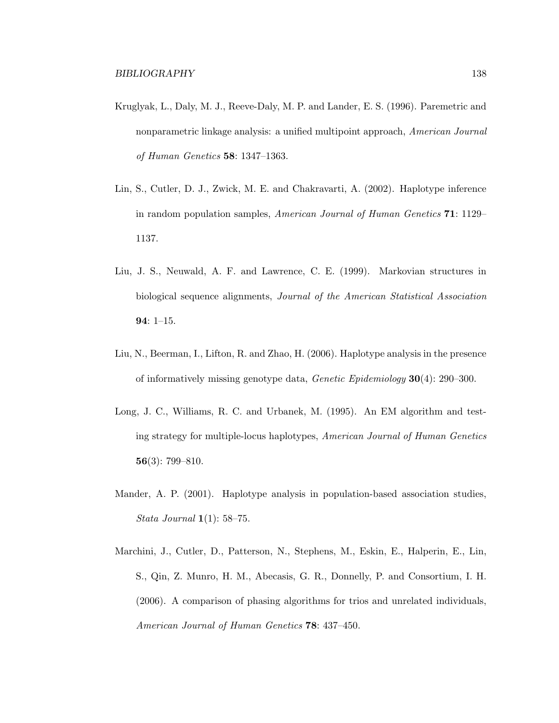- Kruglyak, L., Daly, M. J., Reeve-Daly, M. P. and Lander, E. S. (1996). Paremetric and nonparametric linkage analysis: a unified multipoint approach, American Journal of Human Genetics 58: 1347–1363.
- Lin, S., Cutler, D. J., Zwick, M. E. and Chakravarti, A. (2002). Haplotype inference in random population samples, American Journal of Human Genetics 71: 1129– 1137.
- Liu, J. S., Neuwald, A. F. and Lawrence, C. E. (1999). Markovian structures in biological sequence alignments, Journal of the American Statistical Association 94: 1–15.
- Liu, N., Beerman, I., Lifton, R. and Zhao, H. (2006). Haplotype analysis in the presence of informatively missing genotype data, Genetic Epidemiology 30(4): 290–300.
- Long, J. C., Williams, R. C. and Urbanek, M. (1995). An EM algorithm and testing strategy for multiple-locus haplotypes, American Journal of Human Genetics 56(3): 799–810.
- Mander, A. P. (2001). Haplotype analysis in population-based association studies, Stata Journal 1(1): 58–75.
- Marchini, J., Cutler, D., Patterson, N., Stephens, M., Eskin, E., Halperin, E., Lin, S., Qin, Z. Munro, H. M., Abecasis, G. R., Donnelly, P. and Consortium, I. H. (2006). A comparison of phasing algorithms for trios and unrelated individuals, American Journal of Human Genetics 78: 437–450.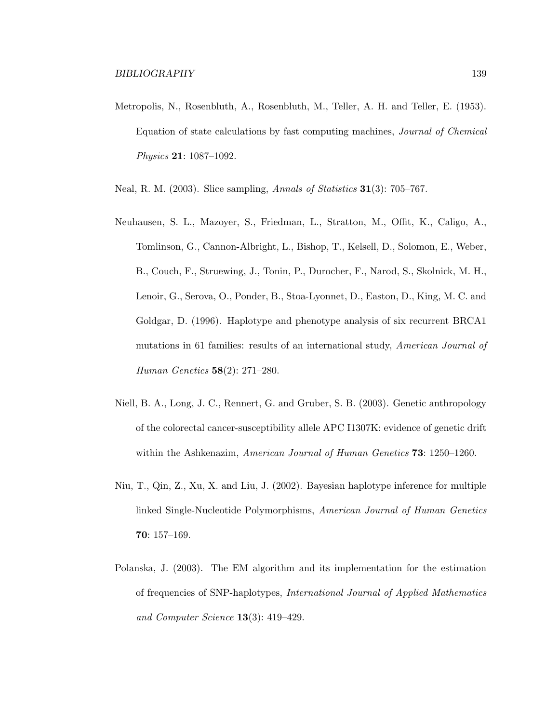Metropolis, N., Rosenbluth, A., Rosenbluth, M., Teller, A. H. and Teller, E. (1953). Equation of state calculations by fast computing machines, Journal of Chemical Physics 21: 1087–1092.

Neal, R. M. (2003). Slice sampling, Annals of Statistics 31(3): 705–767.

- Neuhausen, S. L., Mazoyer, S., Friedman, L., Stratton, M., Offit, K., Caligo, A., Tomlinson, G., Cannon-Albright, L., Bishop, T., Kelsell, D., Solomon, E., Weber, B., Couch, F., Struewing, J., Tonin, P., Durocher, F., Narod, S., Skolnick, M. H., Lenoir, G., Serova, O., Ponder, B., Stoa-Lyonnet, D., Easton, D., King, M. C. and Goldgar, D. (1996). Haplotype and phenotype analysis of six recurrent BRCA1 mutations in 61 families: results of an international study, American Journal of Human Genetics 58(2): 271–280.
- Niell, B. A., Long, J. C., Rennert, G. and Gruber, S. B. (2003). Genetic anthropology of the colorectal cancer-susceptibility allele APC I1307K: evidence of genetic drift within the Ashkenazim, American Journal of Human Genetics **73**: 1250–1260.
- Niu, T., Qin, Z., Xu, X. and Liu, J. (2002). Bayesian haplotype inference for multiple linked Single-Nucleotide Polymorphisms, American Journal of Human Genetics 70: 157–169.
- Polanska, J. (2003). The EM algorithm and its implementation for the estimation of frequencies of SNP-haplotypes, International Journal of Applied Mathematics and Computer Science 13(3): 419–429.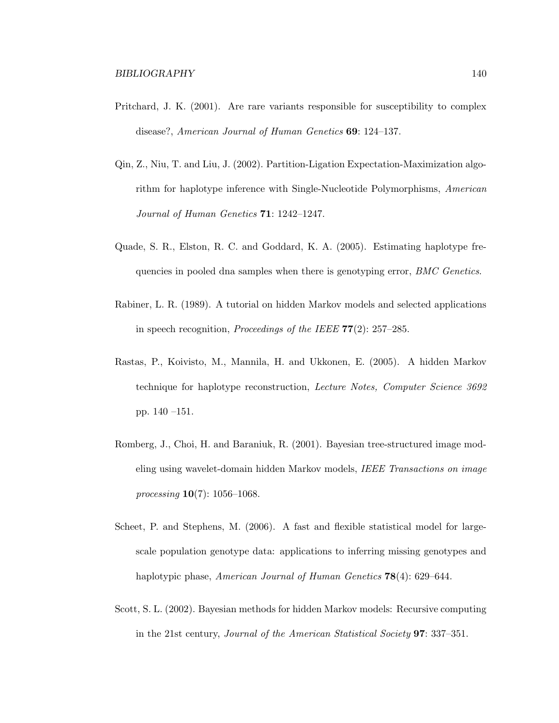- Pritchard, J. K. (2001). Are rare variants responsible for susceptibility to complex disease?, American Journal of Human Genetics 69: 124–137.
- Qin, Z., Niu, T. and Liu, J. (2002). Partition-Ligation Expectation-Maximization algorithm for haplotype inference with Single-Nucleotide Polymorphisms, American Journal of Human Genetics 71: 1242–1247.
- Quade, S. R., Elston, R. C. and Goddard, K. A. (2005). Estimating haplotype frequencies in pooled dna samples when there is genotyping error, BMC Genetics.
- Rabiner, L. R. (1989). A tutorial on hidden Markov models and selected applications in speech recognition, *Proceedings of the IEEE*  $77(2)$ : 257–285.
- Rastas, P., Koivisto, M., Mannila, H. and Ukkonen, E. (2005). A hidden Markov technique for haplotype reconstruction, Lecture Notes, Computer Science 3692 pp. 140 –151.
- Romberg, J., Choi, H. and Baraniuk, R. (2001). Bayesian tree-structured image modeling using wavelet-domain hidden Markov models, IEEE Transactions on image processing 10(7): 1056–1068.
- Scheet, P. and Stephens, M. (2006). A fast and flexible statistical model for largescale population genotype data: applications to inferring missing genotypes and haplotypic phase, *American Journal of Human Genetics* **78**(4): 629–644.
- Scott, S. L. (2002). Bayesian methods for hidden Markov models: Recursive computing in the 21st century, Journal of the American Statistical Society 97: 337–351.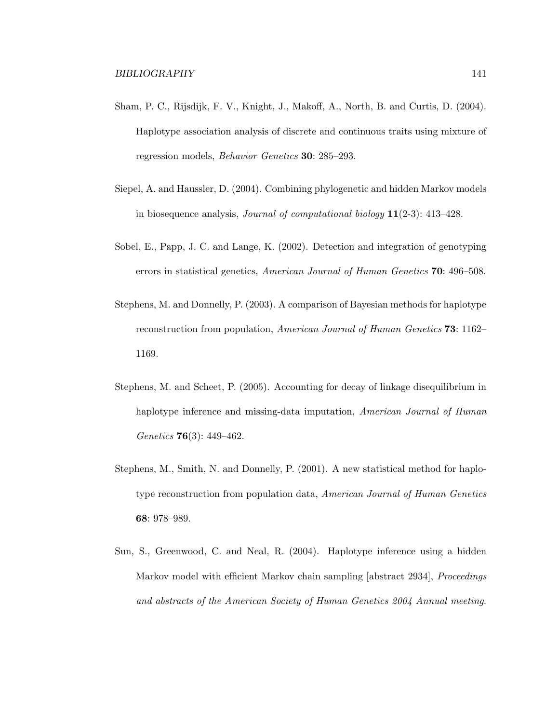- Sham, P. C., Rijsdijk, F. V., Knight, J., Makoff, A., North, B. and Curtis, D. (2004). Haplotype association analysis of discrete and continuous traits using mixture of regression models, Behavior Genetics 30: 285–293.
- Siepel, A. and Haussler, D. (2004). Combining phylogenetic and hidden Markov models in biosequence analysis, *Journal of computational biology*  $11(2-3)$ : 413–428.
- Sobel, E., Papp, J. C. and Lange, K. (2002). Detection and integration of genotyping errors in statistical genetics, American Journal of Human Genetics 70: 496–508.
- Stephens, M. and Donnelly, P. (2003). A comparison of Bayesian methods for haplotype reconstruction from population, American Journal of Human Genetics 73: 1162– 1169.
- Stephens, M. and Scheet, P. (2005). Accounting for decay of linkage disequilibrium in haplotype inference and missing-data imputation, American Journal of Human Genetics 76(3): 449–462.
- Stephens, M., Smith, N. and Donnelly, P. (2001). A new statistical method for haplotype reconstruction from population data, American Journal of Human Genetics 68: 978–989.
- Sun, S., Greenwood, C. and Neal, R. (2004). Haplotype inference using a hidden Markov model with efficient Markov chain sampling [abstract 2934], *Proceedings* and abstracts of the American Society of Human Genetics 2004 Annual meeting.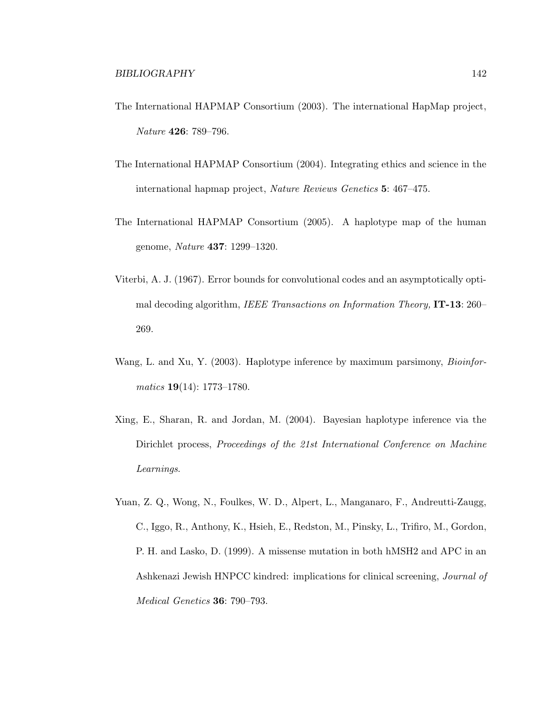- The International HAPMAP Consortium (2003). The international HapMap project, Nature 426: 789–796.
- The International HAPMAP Consortium (2004). Integrating ethics and science in the international hapmap project, Nature Reviews Genetics 5: 467–475.
- The International HAPMAP Consortium (2005). A haplotype map of the human genome, Nature 437: 1299–1320.
- Viterbi, A. J. (1967). Error bounds for convolutional codes and an asymptotically optimal decoding algorithm, *IEEE Transactions on Information Theory*, **IT-13**: 260– 269.
- Wang, L. and Xu, Y. (2003). Haplotype inference by maximum parsimony, *Bioinfor* $matics$  **19**(14): 1773–1780.
- Xing, E., Sharan, R. and Jordan, M. (2004). Bayesian haplotype inference via the Dirichlet process, Proceedings of the 21st International Conference on Machine Learnings.
- Yuan, Z. Q., Wong, N., Foulkes, W. D., Alpert, L., Manganaro, F., Andreutti-Zaugg, C., Iggo, R., Anthony, K., Hsieh, E., Redston, M., Pinsky, L., Trifiro, M., Gordon, P. H. and Lasko, D. (1999). A missense mutation in both hMSH2 and APC in an Ashkenazi Jewish HNPCC kindred: implications for clinical screening, Journal of Medical Genetics 36: 790–793.